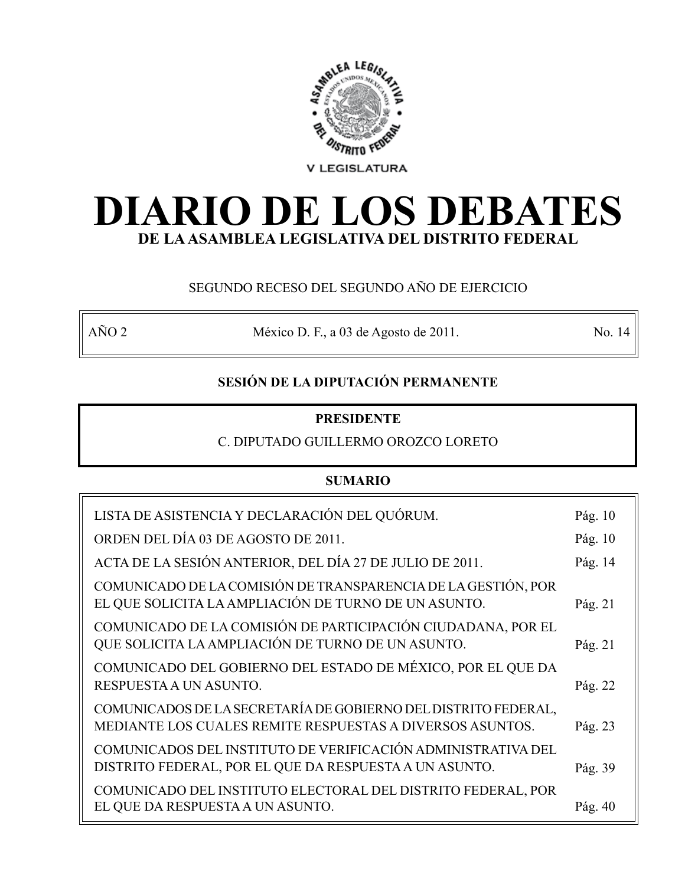

# **DIARIO DE LOS DEBATES DE LA ASAMBLEA LEGISLATIVA DEL DISTRITO FEDERAL**

# SEGUNDO RECESO DEL SEGUNDO AÑO DE EJERCICIO

AÑO 2 México D. F., a 03 de Agosto de 2011. No. 14

# **SESIÓN DE LA DIPUTACIÓN PERMANENTE**

# **PRESIDENTE**

# C. DIPUTADO GUILLERMO OROZCO LORETO

# **SUMARIO**

| LISTA DE ASISTENCIA Y DECLARACIÓN DEL QUÓRUM.                                                                               | Pág. $10$ |
|-----------------------------------------------------------------------------------------------------------------------------|-----------|
| ORDEN DEL DÍA 03 DE AGOSTO DE 2011.                                                                                         | Pág. $10$ |
| ACTA DE LA SESIÓN ANTERIOR, DEL DÍA 27 DE JULIO DE 2011.                                                                    | Pág. 14   |
| COMUNICADO DE LA COMISIÓN DE TRANSPARENCIA DE LA GESTIÓN, POR<br>EL QUE SOLICITA LA AMPLIACIÓN DE TURNO DE UN ASUNTO.       | Pág. 21   |
| COMUNICADO DE LA COMISIÓN DE PARTICIPACIÓN CIUDADANA, POR EL<br>QUE SOLICITA LA AMPLIACIÓN DE TURNO DE UN ASUNTO.           | Pág. 21   |
| COMUNICADO DEL GOBIERNO DEL ESTADO DE MÉXICO, POR EL QUE DA<br>RESPUESTA A UN ASUNTO.                                       | Pág. 22   |
| COMUNICADOS DE LA SECRETARÍA DE GOBIERNO DEL DISTRITO FEDERAL,<br>MEDIANTE LOS CUALES REMITE RESPUESTAS A DIVERSOS ASUNTOS. | Pág. 23   |
| COMUNICADOS DEL INSTITUTO DE VERIFICACIÓN ADMINISTRATIVA DEL<br>DISTRITO FEDERAL, POR EL QUE DA RESPUESTA A UN ASUNTO.      | Pág. 39   |
| COMUNICADO DEL INSTITUTO ELECTORAL DEL DISTRITO FEDERAL, POR<br>EL QUE DA RESPUESTA A UN ASUNTO.                            | Pág. 40   |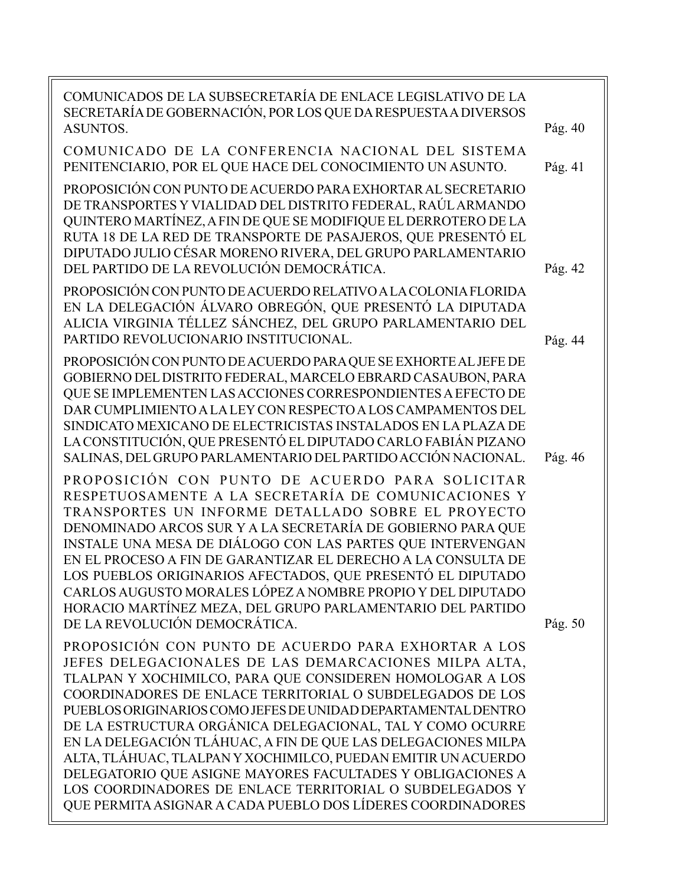| COMUNICADOS DE LA SUBSECRETARÍA DE ENLACE LEGISLATIVO DE LA<br>SECRETARÍA DE GOBERNACIÓN, POR LOS QUE DA RESPUESTA A DIVERSOS<br><b>ASUNTOS.</b>                                                                                                                                                                                                                                                                                                                                                                                                                                                                                                                                                 | Pág. 40 |
|--------------------------------------------------------------------------------------------------------------------------------------------------------------------------------------------------------------------------------------------------------------------------------------------------------------------------------------------------------------------------------------------------------------------------------------------------------------------------------------------------------------------------------------------------------------------------------------------------------------------------------------------------------------------------------------------------|---------|
| COMUNICADO DE LA CONFERENCIA NACIONAL DEL SISTEMA<br>PENITENCIARIO, POR EL QUE HACE DEL CONOCIMIENTO UN ASUNTO.                                                                                                                                                                                                                                                                                                                                                                                                                                                                                                                                                                                  | Pág. 41 |
| PROPOSICIÓN CON PUNTO DE ACUERDO PARA EXHORTAR AL SECRETARIO<br>DE TRANSPORTES Y VIALIDAD DEL DISTRITO FEDERAL, RAÚL ARMANDO<br>QUINTERO MARTÍNEZ, A FIN DE QUE SE MODIFIQUE EL DERROTERO DE LA<br>RUTA 18 DE LA RED DE TRANSPORTE DE PASAJEROS, QUE PRESENTÓ EL<br>DIPUTADO JULIO CÉSAR MORENO RIVERA, DEL GRUPO PARLAMENTARIO<br>DEL PARTIDO DE LA REVOLUCIÓN DEMOCRÁTICA.                                                                                                                                                                                                                                                                                                                     | Pág. 42 |
| PROPOSICIÓN CON PUNTO DE ACUERDO RELATIVO A LA COLONIA FLORIDA<br>EN LA DELEGACIÓN ÁLVARO OBREGÓN, QUE PRESENTÓ LA DIPUTADA<br>ALICIA VIRGINIA TÉLLEZ SÁNCHEZ, DEL GRUPO PARLAMENTARIO DEL<br>PARTIDO REVOLUCIONARIO INSTITUCIONAL.                                                                                                                                                                                                                                                                                                                                                                                                                                                              | Pág. 44 |
| PROPOSICIÓN CON PUNTO DE ACUERDO PARA QUE SE EXHORTE AL JEFE DE<br>GOBIERNO DEL DISTRITO FEDERAL, MARCELO EBRARD CASAUBON, PARA<br>QUE SE IMPLEMENTEN LAS ACCIONES CORRESPONDIENTES A EFECTO DE<br>DAR CUMPLIMIENTO A LA LEY CON RESPECTO A LOS CAMPAMENTOS DEL<br>SINDICATO MEXICANO DE ELECTRICISTAS INSTALADOS EN LA PLAZA DE<br>LA CONSTITUCIÓN, QUE PRESENTÓ EL DIPUTADO CARLO FABIÁN PIZANO<br>SALINAS, DEL GRUPO PARLAMENTARIO DEL PARTIDO ACCIÓN NACIONAL.                                                                                                                                                                                                                               | Pág. 46 |
| PROPOSICIÓN CON PUNTO DE ACUERDO PARA SOLICITAR<br>RESPETUOSAMENTE A LA SECRETARÍA DE COMUNICACIONES Y<br>TRANSPORTES UN INFORME DETALLADO SOBRE EL PROYECTO<br>DENOMINADO ARCOS SUR Y A LA SECRETARÍA DE GOBIERNO PARA QUE<br>INSTALE UNA MESA DE DIÁLOGO CON LAS PARTES QUE INTERVENGAN<br>EN EL PROCESO A FIN DE GARANTIZAR EL DERECHO A LA CONSULTA DE<br>LOS PUEBLOS ORIGINARIOS AFECTADOS, QUE PRESENTÓ EL DIPUTADO<br>CARLOS AUGUSTO MORALES LÓPEZ A NOMBRE PROPIO Y DEL DIPUTADO<br>HORACIO MARTÍNEZ MEZA, DEL GRUPO PARLAMENTARIO DEL PARTIDO<br>DE LA REVOLUCIÓN DEMOCRÁTICA.                                                                                                          | Pág. 50 |
| PROPOSICIÓN CON PUNTO DE ACUERDO PARA EXHORTAR A LOS<br>JEFES DELEGACIONALES DE LAS DEMARCACIONES MILPA ALTA,<br>TLALPAN Y XOCHIMILCO, PARA QUE CONSIDEREN HOMOLOGAR A LOS<br>COORDINADORES DE ENLACE TERRITORIAL O SUBDELEGADOS DE LOS<br>PUEBLOS ORIGINARIOS COMO JEFES DE UNIDAD DEPARTAMENTAL DENTRO<br>DE LA ESTRUCTURA ORGÁNICA DELEGACIONAL, TAL Y COMO OCURRE<br>EN LA DELEGACIÓN TLÁHUAC, A FIN DE QUE LAS DELEGACIONES MILPA<br>ALTA, TLÁHUAC, TLALPAN Y XOCHIMILCO, PUEDAN EMITIR UN ACUERDO<br>DELEGATORIO QUE ASIGNE MAYORES FACULTADES Y OBLIGACIONES A<br>LOS COORDINADORES DE ENLACE TERRITORIAL O SUBDELEGADOS Y<br>QUE PERMITA ASIGNAR A CADA PUEBLO DOS LÍDERES COORDINADORES |         |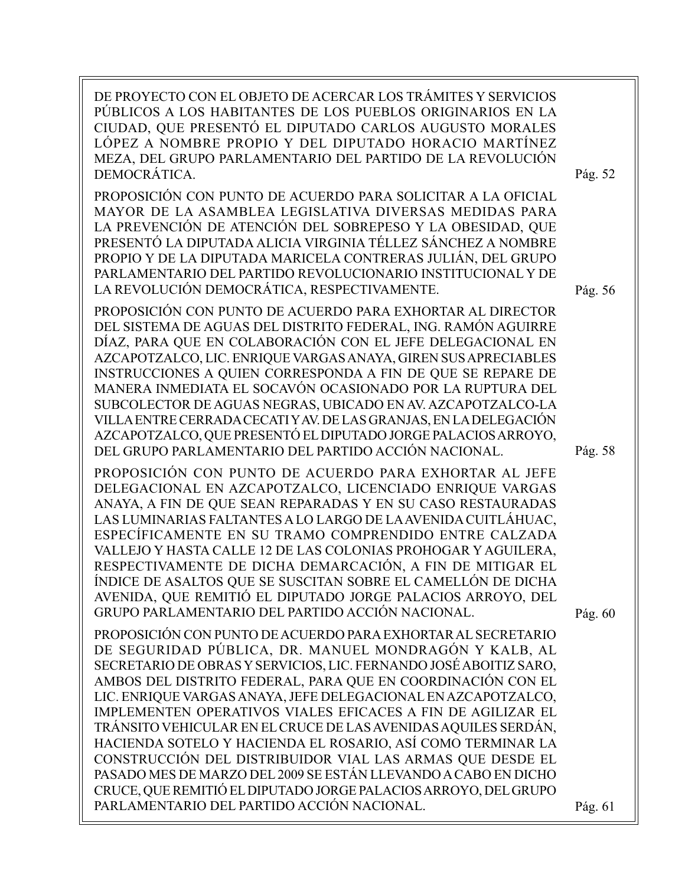| DE PROYECTO CON EL OBJETO DE ACERCAR LOS TRÁMITES Y SERVICIOS<br>PÚBLICOS A LOS HABITANTES DE LOS PUEBLOS ORIGINARIOS EN LA<br>CIUDAD, QUE PRESENTÓ EL DIPUTADO CARLOS AUGUSTO MORALES<br>LÓPEZ A NOMBRE PROPIO Y DEL DIPUTADO HORACIO MARTÍNEZ<br>MEZA, DEL GRUPO PARLAMENTARIO DEL PARTIDO DE LA REVOLUCIÓN<br>DEMOCRÁTICA.                                                                                                                                                                                                                                                                                                                                                                                                                                              | Pág. 52 |
|----------------------------------------------------------------------------------------------------------------------------------------------------------------------------------------------------------------------------------------------------------------------------------------------------------------------------------------------------------------------------------------------------------------------------------------------------------------------------------------------------------------------------------------------------------------------------------------------------------------------------------------------------------------------------------------------------------------------------------------------------------------------------|---------|
| PROPOSICIÓN CON PUNTO DE ACUERDO PARA SOLICITAR A LA OFICIAL<br>MAYOR DE LA ASAMBLEA LEGISLATIVA DIVERSAS MEDIDAS PARA<br>LA PREVENCIÓN DE ATENCIÓN DEL SOBREPESO Y LA OBESIDAD, QUE<br>PRESENTÓ LA DIPUTADA ALICIA VIRGINIA TÉLLEZ SÁNCHEZ A NOMBRE<br>PROPIO Y DE LA DIPUTADA MARICELA CONTRERAS JULIÁN, DEL GRUPO<br>PARLAMENTARIO DEL PARTIDO REVOLUCIONARIO INSTITUCIONAL Y DE<br>LA REVOLUCIÓN DEMOCRÁTICA, RESPECTIVAMENTE.                                                                                                                                                                                                                                                                                                                                         | Pág. 56 |
| PROPOSICIÓN CON PUNTO DE ACUERDO PARA EXHORTAR AL DIRECTOR<br>DEL SISTEMA DE AGUAS DEL DISTRITO FEDERAL, ING. RAMÓN AGUIRRE<br>DÍAZ, PARA QUE EN COLABORACIÓN CON EL JEFE DELEGACIONAL EN<br>AZCAPOTZALCO, LIC. ENRIQUE VARGAS ANAYA, GIREN SUS APRECIABLES<br>INSTRUCCIONES A QUIEN CORRESPONDA A FIN DE QUE SE REPARE DE<br>MANERA INMEDIATA EL SOCAVÓN OCASIONADO POR LA RUPTURA DEL<br>SUBCOLECTOR DE AGUAS NEGRAS, UBICADO EN AV. AZCAPOTZALCO-LA<br>VILLA ENTRE CERRADA CECATI Y AV. DE LAS GRANJAS, EN LA DELEGACIÓN<br>AZCAPOTZALCO, QUE PRESENTÓ EL DIPUTADO JORGE PALACIOS ARROYO,<br>DEL GRUPO PARLAMENTARIO DEL PARTIDO ACCIÓN NACIONAL.                                                                                                                       | Pág. 58 |
| PROPOSICIÓN CON PUNTO DE ACUERDO PARA EXHORTAR AL JEFE<br>DELEGACIONAL EN AZCAPOTZALCO, LICENCIADO ENRIQUE VARGAS<br>ANAYA, A FIN DE QUE SEAN REPARADAS Y EN SU CASO RESTAURADAS<br>LAS LUMINARIAS FALTANTES A LO LARGO DE LA AVENIDA CUITLÁHUAC,<br>ESPECÍFICAMENTE EN SU TRAMO COMPRENDIDO ENTRE CALZADA<br>VALLEJO Y HASTA CALLE 12 DE LAS COLONIAS PROHOGAR Y AGUILERA,<br>RESPECTIVAMENTE DE DICHA DEMARCACIÓN, A FIN DE MITIGAR EL<br>ÍNDICE DE ASALTOS QUE SE SUSCITAN SOBRE EL CAMELLÓN DE DICHA<br>AVENIDA, QUE REMITIÓ EL DIPUTADO JORGE PALACIOS ARROYO, DEL<br>GRUPO PARLAMENTARIO DEL PARTIDO ACCIÓN NACIONAL.                                                                                                                                                | Pág. 60 |
| PROPOSICIÓN CON PUNTO DE ACUERDO PARA EXHORTAR AL SECRETARIO<br>DE SEGURIDAD PÚBLICA, DR. MANUEL MONDRAGÓN Y KALB, AL<br>SECRETARIO DE OBRAS Y SERVICIOS, LIC. FERNANDO JOSÉ ABOITIZ SARO,<br>AMBOS DEL DISTRITO FEDERAL, PARA QUE EN COORDINACIÓN CON EL<br>LIC. ENRIQUE VARGAS ANAYA, JEFE DELEGACIONAL EN AZCAPOTZALCO,<br>IMPLEMENTEN OPERATIVOS VIALES EFICACES A FIN DE AGILIZAR EL<br>TRÁNSITO VEHICULAR EN EL CRUCE DE LAS AVENIDAS AQUILES SERDÁN,<br>HACIENDA SOTELO Y HACIENDA EL ROSARIO, ASÍ COMO TERMINAR LA<br>CONSTRUCCIÓN DEL DISTRIBUIDOR VIAL LAS ARMAS QUE DESDE EL<br>PASADO MES DE MARZO DEL 2009 SE ESTÁN LLEVANDO A CABO EN DICHO<br>CRUCE, QUE REMITIÓ EL DIPUTADO JORGE PALACIOS ARROYO, DEL GRUPO<br>PARLAMENTARIO DEL PARTIDO ACCIÓN NACIONAL. | Pág. 61 |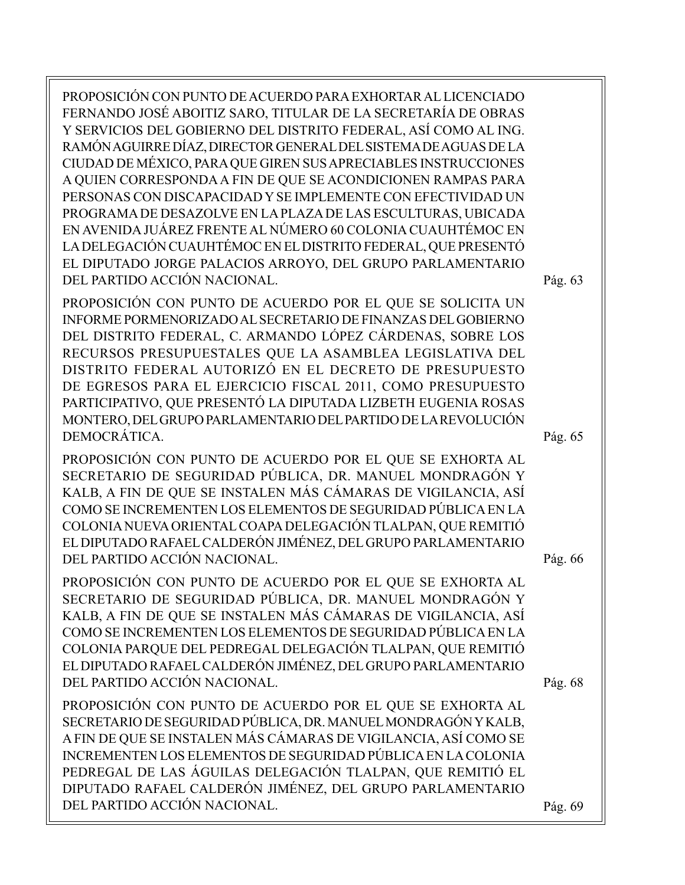PROPOSICIÓN CON PUNTO DE ACUERDO PARA EXHORTAR AL LICENCIADO FERNANDO JOSÉ ABOITIZ SARO, TITULAR DE LA SECRETARÍA DE OBRAS Y SERVICIOS DEL GOBIERNO DEL DISTRITO FEDERAL, ASÍ COMO AL ING. RAMÓN AGUIRRE DÍAZ, DIRECTOR GENERAL DEL SISTEMA DE AGUAS DE LA CIUDAD DE MÉXICO, PARA QUE GIREN SUS APRECIABLES INSTRUCCIONES A QUIEN CORRESPONDA A FIN DE QUE SE ACONDICIONEN RAMPAS PARA PERSONAS CON DISCAPACIDAD Y SE IMPLEMENTE CON EFECTIVIDAD UN PROGRAMA DE DESAZOLVE EN LA PLAZA DE LAS ESCULTURAS, UBICADA EN AVENIDA JUÁREZ FRENTE AL NÚMERO 60 COLONIA CUAUHTÉMOC EN LA DELEGACIÓN CUAUHTÉMOC EN EL DISTRITO FEDERAL, QUE PRESENTÓ EL DIPUTADO JORGE PALACIOS ARROYO, DEL GRUPO PARLAMENTARIO DEL PARTIDO ACCIÓN NACIONAL.

PROPOSICIÓN CON PUNTO DE ACUERDO POR EL QUE SE SOLICITA UN INFORME PORMENORIZADO AL SECRETARIO DE FINANZAS DEL GOBIERNO DEL DISTRITO FEDERAL, C. ARMANDO LÓPEZ CÁRDENAS, SOBRE LOS RECURSOS PRESUPUESTALES QUE LA ASAMBLEA LEGISLATIVA DEL DISTRITO FEDERAL AUTORIZÓ EN EL DECRETO DE PRESUPUESTO DE EGRESOS PARA EL EJERCICIO FISCAL 2011, COMO PRESUPUESTO PARTICIPATIVO, QUE PRESENTÓ LA DIPUTADA LIZBETH EUGENIA ROSAS MONTERO, DEL GRUPO PARLAMENTARIO DEL PARTIDO DE LA REVOLUCIÓN DEMOCRÁTICA.

PROPOSICIÓN CON PUNTO DE ACUERDO POR EL QUE SE EXHORTA AL SECRETARIO DE SEGURIDAD PÚBLICA, DR. MANUEL MONDRAGÓN Y KALB, A FIN DE QUE SE INSTALEN MÁS CÁMARAS DE VIGILANCIA, ASÍ COMO SE INCREMENTEN LOS ELEMENTOS DE SEGURIDAD PÚBLICA EN LA COLONIA NUEVA ORIENTAL COAPA DELEGACIÓN TLALPAN, QUE REMITIÓ EL DIPUTADO RAFAEL CALDERÓN JIMÉNEZ, DEL GRUPO PARLAMENTARIO DEL PARTIDO ACCIÓN NACIONAL.

PROPOSICIÓN CON PUNTO DE ACUERDO POR EL QUE SE EXHORTA AL SECRETARIO DE SEGURIDAD PÚBLICA, DR. MANUEL MONDRAGÓN Y KALB, A FIN DE QUE SE INSTALEN MÁS CÁMARAS DE VIGILANCIA, ASÍ COMO SE INCREMENTEN LOS ELEMENTOS DE SEGURIDAD PÚBLICA EN LA COLONIA PARQUE DEL PEDREGAL DELEGACIÓN TLALPAN, QUE REMITIÓ EL DIPUTADO RAFAEL CALDERÓN JIMÉNEZ, DEL GRUPO PARLAMENTARIO DEL PARTIDO ACCIÓN NACIONAL.

PROPOSICIÓN CON PUNTO DE ACUERDO POR EL QUE SE EXHORTA AL SECRETARIO DE SEGURIDAD PÚBLICA, DR. MANUEL MONDRAGÓN Y KALB, A FIN DE QUE SE INSTALEN MÁS CÁMARAS DE VIGILANCIA, ASÍ COMO SE INCREMENTEN LOS ELEMENTOS DE SEGURIDAD PÚBLICA EN LA COLONIA PEDREGAL DE LAS ÁGUILAS DELEGACIÓN TLALPAN, QUE REMITIÓ EL DIPUTADO RAFAEL CALDERÓN JIMÉNEZ, DEL GRUPO PARLAMENTARIO DEL PARTIDO ACCIÓN NACIONAL.

Pág. 63

Pág. 65

Pág. 66

Pág. 68

Pág. 69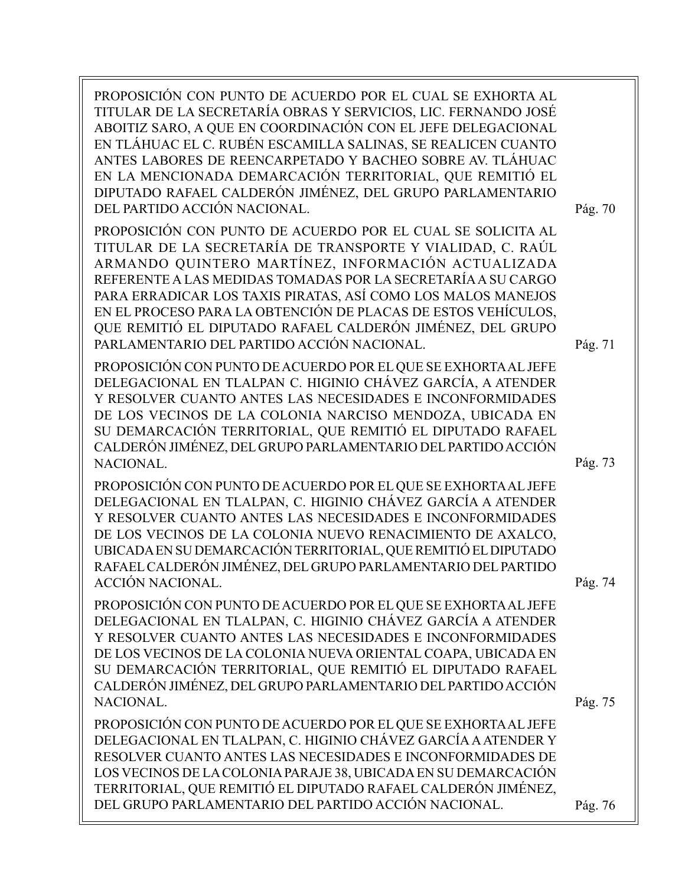PROPOSICIÓN CON PUNTO DE ACUERDO POR EL CUAL SE EXHORTA AL TITULAR DE LA SECRETARÍA OBRAS Y SERVICIOS, LIC. FERNANDO JOSÉ ABOITIZ SARO, A QUE EN COORDINACIÓN CON EL JEFE DELEGACIONAL EN TLÁHUAC EL C. RUBÉN ESCAMILLA SALINAS, SE REALICEN CUANTO ANTES LABORES DE REENCARPETADO Y BACHEO SOBRE AV. TLÁHUAC EN LA MENCIONADA DEMARCACIÓN TERRITORIAL, QUE REMITIÓ EL DIPUTADO RAFAEL CALDERÓN JIMÉNEZ, DEL GRUPO PARLAMENTARIO DEL PARTIDO ACCIÓN NACIONAL. PROPOSICIÓN CON PUNTO DE ACUERDO POR EL CUAL SE SOLICITA AL TITULAR DE LA SECRETARÍA DE TRANSPORTE Y VIALIDAD, C. RAÚL ARMANDO QUINTERO MARTÍNEZ, INFORMACIÓN ACTUALIZADA REFERENTE A LAS MEDIDAS TOMADAS POR LA SECRETARÍA A SU CARGO PARA ERRADICAR LOS TAXIS PIRATAS, ASÍ COMO LOS MALOS MANEJOS EN EL PROCESO PARA LA OBTENCIÓN DE PLACAS DE ESTOS VEHÍCULOS, QUE REMITIÓ EL DIPUTADO RAFAEL CALDERÓN JIMÉNEZ, DEL GRUPO PARLAMENTARIO DEL PARTIDO ACCIÓN NACIONAL. PROPOSICIÓN CON PUNTO DE ACUERDO POR EL QUE SE EXHORTA AL JEFE DELEGACIONAL EN TLALPAN C. HIGINIO CHÁVEZ GARCÍA, A ATENDER Y RESOLVER CUANTO ANTES LAS NECESIDADES E INCONFORMIDADES DE LOS VECINOS DE LA COLONIA NARCISO MENDOZA, UBICADA EN SU DEMARCACIÓN TERRITORIAL, QUE REMITIÓ EL DIPUTADO RAFAEL CALDERÓN JIMÉNEZ, DEL GRUPO PARLAMENTARIO DEL PARTIDO ACCIÓN NACIONAL. PROPOSICIÓN CON PUNTO DE ACUERDO POR EL QUE SE EXHORTA AL JEFE DELEGACIONAL EN TLALPAN, C. HIGINIO CHÁVEZ GARCÍA A ATENDER Y RESOLVER CUANTO ANTES LAS NECESIDADES E INCONFORMIDADES DE LOS VECINOS DE LA COLONIA NUEVO RENACIMIENTO DE AXALCO, UBICADA EN SU DEMARCACIÓN TERRITORIAL, QUE REMITIÓ EL DIPUTADO RAFAEL CALDERÓN JIMÉNEZ, DEL GRUPO PARLAMENTARIO DEL PARTIDO ACCIÓN NACIONAL. PROPOSICIÓN CON PUNTO DE ACUERDO POR EL QUE SE EXHORTA AL JEFE DELEGACIONAL EN TLALPAN, C. HIGINIO CHÁVEZ GARCÍA A ATENDER Y RESOLVER CUANTO ANTES LAS NECESIDADES E INCONFORMIDADES DE LOS VECINOS DE LA COLONIA NUEVA ORIENTAL COAPA, UBICADA EN SU DEMARCACIÓN TERRITORIAL, QUE REMITIÓ EL DIPUTADO RAFAEL CALDERÓN JIMÉNEZ, DEL GRUPO PARLAMENTARIO DEL PARTIDO ACCIÓN NACIONAL. PROPOSICIÓN CON PUNTO DE ACUERDO POR EL QUE SE EXHORTA AL JEFE DELEGACIONAL EN TLALPAN, C. HIGINIO CHÁVEZ GARCÍA A ATENDER Y RESOLVER CUANTO ANTES LAS NECESIDADES E INCONFORMIDADES DE LOS VECINOS DE LA COLONIA PARAJE 38, UBICADA EN SU DEMARCACIÓN TERRITORIAL, QUE REMITIÓ EL DIPUTADO RAFAEL CALDERÓN JIMÉNEZ, DEL GRUPO PARLAMENTARIO DEL PARTIDO ACCIÓN NACIONAL. Pág. 75 Pág. 74 Pág. 73 Pág. 76 Pág. 71 Pág. 70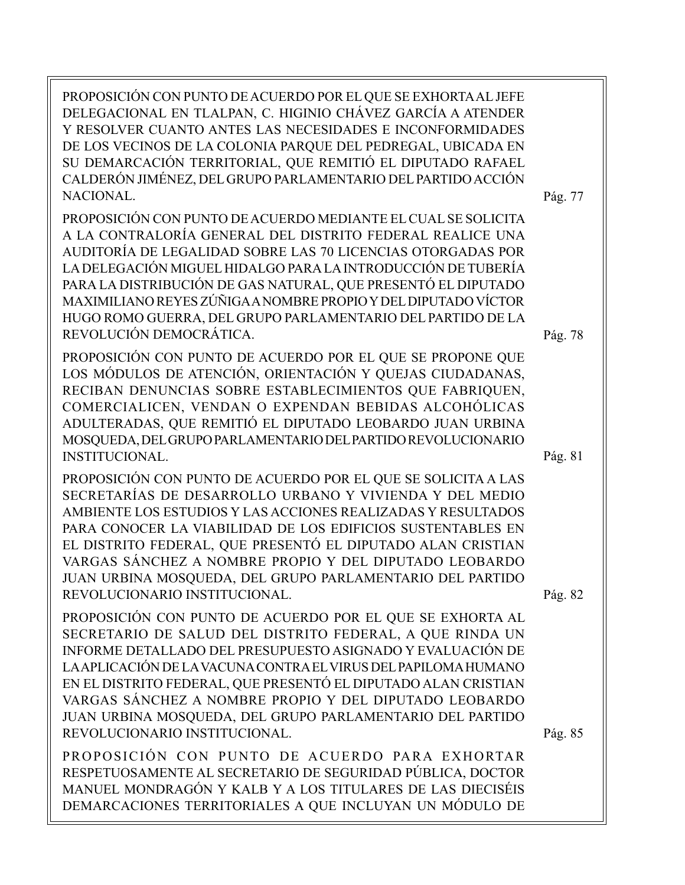PROPOSICIÓN CON PUNTO DE ACUERDO POR EL QUE SE EXHORTA AL JEFE DELEGACIONAL EN TLALPAN, C. HIGINIO CHÁVEZ GARCÍA A ATENDER Y RESOLVER CUANTO ANTES LAS NECESIDADES E INCONFORMIDADES DE LOS VECINOS DE LA COLONIA PARQUE DEL PEDREGAL, UBICADA EN SU DEMARCACIÓN TERRITORIAL, QUE REMITIÓ EL DIPUTADO RAFAEL CALDERÓN JIMÉNEZ, DEL GRUPO PARLAMENTARIO DEL PARTIDO ACCIÓN NACIONAL. PROPOSICIÓN CON PUNTO DE ACUERDO MEDIANTE EL CUAL SE SOLICITA A LA CONTRALORÍA GENERAL DEL DISTRITO FEDERAL REALICE UNA AUDITORÍA DE LEGALIDAD SOBRE LAS 70 LICENCIAS OTORGADAS POR LA DELEGACIÓN MIGUEL HIDALGO PARA LA INTRODUCCIÓN DE TUBERÍA PARA LA DISTRIBUCIÓN DE GAS NATURAL, QUE PRESENTÓ EL DIPUTADO MAXIMILIANO REYES ZÚÑIGA A NOMBRE PROPIO Y DEL DIPUTADO VÍCTOR HUGO ROMO GUERRA, DEL GRUPO PARLAMENTARIO DEL PARTIDO DE LA REVOLUCIÓN DEMOCRÁTICA. PROPOSICIÓN CON PUNTO DE ACUERDO POR EL QUE SE PROPONE QUE LOS MÓDULOS DE ATENCIÓN, ORIENTACIÓN Y QUEJAS CIUDADANAS, RECIBAN DENUNCIAS SOBRE ESTABLECIMIENTOS QUE FABRIQUEN, COMERCIALICEN, VENDAN O EXPENDAN BEBIDAS ALCOHÓLICAS ADULTERADAS, QUE REMITIÓ EL DIPUTADO LEOBARDO JUAN URBINA MOSQUEDA, DEL GRUPO PARLAMENTARIO DEL PARTIDO REVOLUCIONARIO INSTITUCIONAL. PROPOSICIÓN CON PUNTO DE ACUERDO POR EL QUE SE SOLICITA A LAS SECRETARÍAS DE DESARROLLO URBANO Y VIVIENDA Y DEL MEDIO AMBIENTE LOS ESTUDIOS Y LAS ACCIONES REALIZADAS Y RESULTADOS PARA CONOCER LA VIABILIDAD DE LOS EDIFICIOS SUSTENTABLES EN EL DISTRITO FEDERAL, QUE PRESENTÓ EL DIPUTADO ALAN CRISTIAN VARGAS SÁNCHEZ A NOMBRE PROPIO Y DEL DIPUTADO LEOBARDO JUAN URBINA MOSQUEDA, DEL GRUPO PARLAMENTARIO DEL PARTIDO REVOLUCIONARIO INSTITUCIONAL. PROPOSICIÓN CON PUNTO DE ACUERDO POR EL QUE SE EXHORTA AL SECRETARIO DE SALUD DEL DISTRITO FEDERAL, A QUE RINDA UN INFORME DETALLADO DEL PRESUPUESTO ASIGNADO Y EVALUACIÓN DE LA APLICACIÓN DE LA VACUNA CONTRA EL VIRUS DEL PAPILOMA HUMANO EN EL DISTRITO FEDERAL, QUE PRESENTÓ EL DIPUTADO ALAN CRISTIAN VARGAS SÁNCHEZ A NOMBRE PROPIO Y DEL DIPUTADO LEOBARDO JUAN URBINA MOSQUEDA, DEL GRUPO PARLAMENTARIO DEL PARTIDO REVOLUCIONARIO INSTITUCIONAL. PROPOSICIÓN CON PUNTO DE ACUERDO PARA EXHORTAR RESPETUOSAMENTE AL SECRETARIO DE SEGURIDAD PÚBLICA, DOCTOR MANUEL MONDRAGÓN Y KALB Y A LOS TITULARES DE LAS DIECISÉIS DEMARCACIONES TERRITORIALES A QUE INCLUYAN UN MÓDULO DE Pág. 82 Pág. 81 Pág. 77

Pág. 78

Pág. 85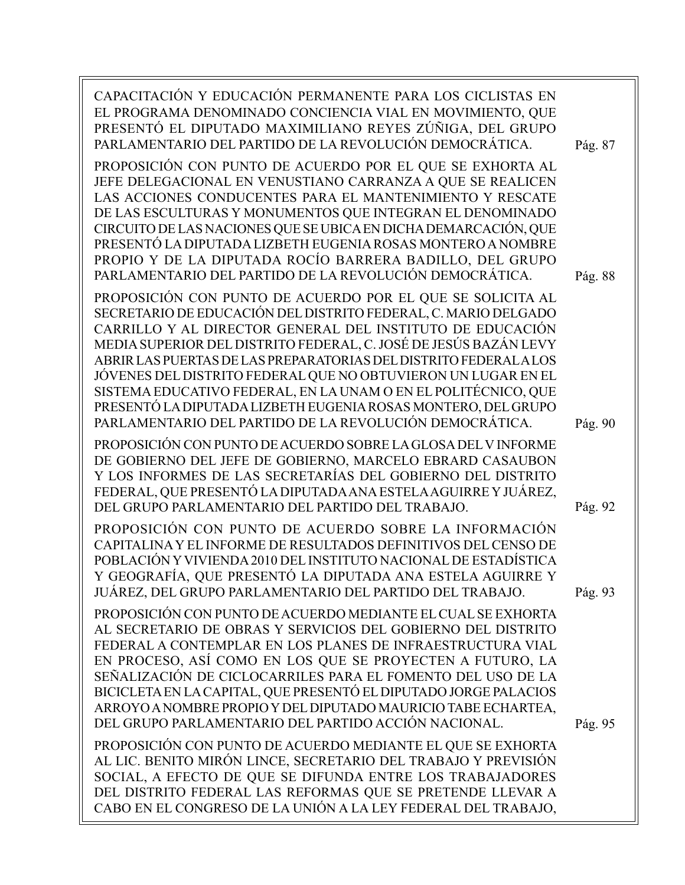| CAPACITACIÓN Y EDUCACIÓN PERMANENTE PARA LOS CICLISTAS EN<br>EL PROGRAMA DENOMINADO CONCIENCIA VIAL EN MOVIMIENTO, QUE<br>PRESENTÓ EL DIPUTADO MAXIMILIANO REYES ZÚÑIGA, DEL GRUPO<br>PARLAMENTARIO DEL PARTIDO DE LA REVOLUCIÓN DEMOCRÁTICA.<br>PROPOSICIÓN CON PUNTO DE ACUERDO POR EL QUE SE EXHORTA AL<br>JEFE DELEGACIONAL EN VENUSTIANO CARRANZA A QUE SE REALICEN<br>LAS ACCIONES CONDUCENTES PARA EL MANTENIMIENTO Y RESCATE<br>DE LAS ESCULTURAS Y MONUMENTOS QUE INTEGRAN EL DENOMINADO<br>CIRCUITO DE LAS NACIONES QUE SE UBICA EN DICHA DEMARCACIÓN, QUE<br>PRESENTÓ LA DIPUTADA LIZBETH EUGENIA ROSAS MONTERO A NOMBRE<br>PROPIO Y DE LA DIPUTADA ROCÍO BARRERA BADILLO, DEL GRUPO<br>PARLAMENTARIO DEL PARTIDO DE LA REVOLUCIÓN DEMOCRÁTICA. | Pág. 87<br>Pág. 88 |
|------------------------------------------------------------------------------------------------------------------------------------------------------------------------------------------------------------------------------------------------------------------------------------------------------------------------------------------------------------------------------------------------------------------------------------------------------------------------------------------------------------------------------------------------------------------------------------------------------------------------------------------------------------------------------------------------------------------------------------------------------------|--------------------|
| PROPOSICIÓN CON PUNTO DE ACUERDO POR EL QUE SE SOLICITA AL<br>SECRETARIO DE EDUCACIÓN DEL DISTRITO FEDERAL, C. MARIO DELGADO<br>CARRILLO Y AL DIRECTOR GENERAL DEL INSTITUTO DE EDUCACIÓN<br>MEDIA SUPERIOR DEL DISTRITO FEDERAL, C. JOSÉ DE JESÚS BAZÁN LEVY<br>ABRIR LAS PUERTAS DE LAS PREPARATORIAS DEL DISTRITO FEDERALALOS<br>JÓVENES DEL DISTRITO FEDERAL QUE NO OBTUVIERON UN LUGAR EN EL<br>SISTEMA EDUCATIVO FEDERAL, EN LA UNAM O EN EL POLITÉCNICO, QUE<br>PRESENTÓ LA DIPUTADA LIZBETH EUGENIA ROSAS MONTERO, DEL GRUPO<br>PARLAMENTARIO DEL PARTIDO DE LA REVOLUCIÓN DEMOCRÁTICA.                                                                                                                                                            | Pág. 90            |
| PROPOSICIÓN CON PUNTO DE ACUERDO SOBRE LA GLOSA DEL VINFORME<br>DE GOBIERNO DEL JEFE DE GOBIERNO, MARCELO EBRARD CASAUBON<br>Y LOS INFORMES DE LAS SECRETARÍAS DEL GOBIERNO DEL DISTRITO<br>FEDERAL, QUE PRESENTÓ LA DIPUTADA ANA ESTELA AGUIRRE Y JUÁREZ,<br>DEL GRUPO PARLAMENTARIO DEL PARTIDO DEL TRABAJO.                                                                                                                                                                                                                                                                                                                                                                                                                                             | Pág. 92            |
| PROPOSICIÓN CON PUNTO DE ACUERDO SOBRE LA INFORMACIÓN<br>CAPITALINA Y EL INFORME DE RESULTADOS DEFINITIVOS DEL CENSO DE<br>POBLACIÓN Y VIVIENDA 2010 DEL INSTITUTO NACIONAL DE ESTADÍSTICA<br>Y GEOGRAFÍA, QUE PRESENTÓ LA DIPUTADA ANA ESTELA AGUIRRE Y<br>JUÁREZ, DEL GRUPO PARLAMENTARIO DEL PARTIDO DEL TRABAJO.                                                                                                                                                                                                                                                                                                                                                                                                                                       | Pág. 93            |
| PROPOSICIÓN CON PUNTO DE ACUERDO MEDIANTE EL CUAL SE EXHORTA<br>AL SECRETARIO DE OBRAS Y SERVICIOS DEL GOBIERNO DEL DISTRITO<br>FEDERAL A CONTEMPLAR EN LOS PLANES DE INFRAESTRUCTURA VIAL<br>EN PROCESO, ASÍ COMO EN LOS QUE SE PROYECTEN A FUTURO, LA<br>SEÑALIZACIÓN DE CICLOCARRILES PARA EL FOMENTO DEL USO DE LA<br>BICICLETA EN LA CAPITAL, QUE PRESENTÓ EL DIPUTADO JORGE PALACIOS<br>ARROYO A NOMBRE PROPIO Y DEL DIPUTADO MAURICIO TABE ECHARTEA,<br>DEL GRUPO PARLAMENTARIO DEL PARTIDO ACCIÓN NACIONAL.                                                                                                                                                                                                                                        | Pág. 95            |
| PROPOSICIÓN CON PUNTO DE ACUERDO MEDIANTE EL QUE SE EXHORTA<br>AL LIC. BENITO MIRÓN LINCE, SECRETARIO DEL TRABAJO Y PREVISIÓN<br>SOCIAL, A EFECTO DE QUE SE DIFUNDA ENTRE LOS TRABAJADORES<br>DEL DISTRITO FEDERAL LAS REFORMAS QUE SE PRETENDE LLEVAR A<br>CABO EN EL CONGRESO DE LA UNIÓN A LA LEY FEDERAL DEL TRABAJO,                                                                                                                                                                                                                                                                                                                                                                                                                                  |                    |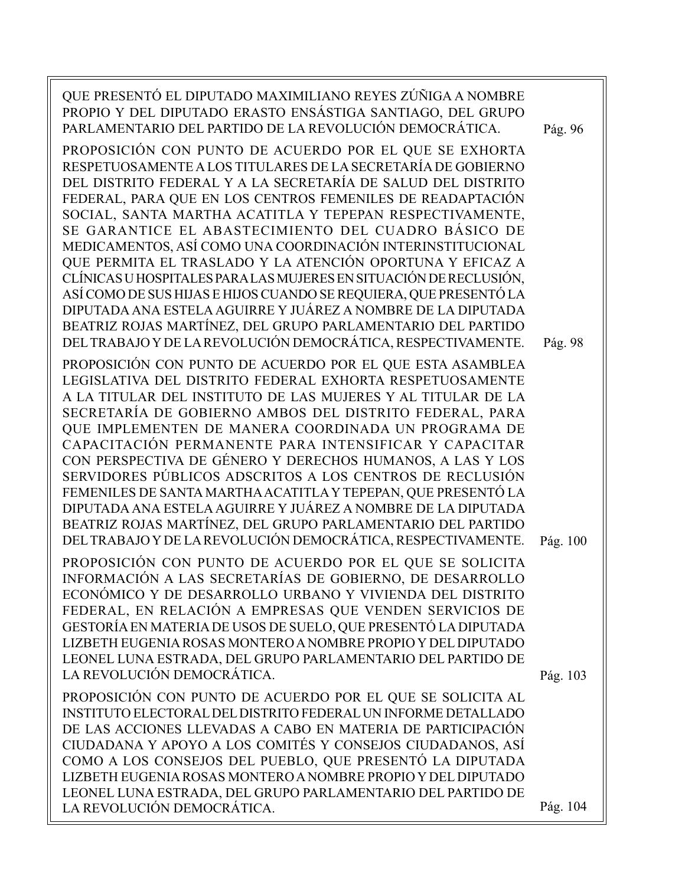| QUE PRESENTÓ EL DIPUTADO MAXIMILIANO REYES ZÚÑIGA A NOMBRE<br>PROPIO Y DEL DIPUTADO ERASTO ENSÁSTIGA SANTIAGO, DEL GRUPO<br>PARLAMENTARIO DEL PARTIDO DE LA REVOLUCIÓN DEMOCRÁTICA.<br>PROPOSICIÓN CON PUNTO DE ACUERDO POR EL QUE SE EXHORTA<br>RESPETUOSAMENTE A LOS TITULARES DE LA SECRETARÍA DE GOBIERNO<br>DEL DISTRITO FEDERAL Y A LA SECRETARÍA DE SALUD DEL DISTRITO<br>FEDERAL, PARA QUE EN LOS CENTROS FEMENILES DE READAPTACIÓN<br>SOCIAL, SANTA MARTHA ACATITLA Y TEPEPAN RESPECTIVAMENTE,<br>SE GARANTICE EL ABASTECIMIENTO DEL CUADRO BÁSICO DE<br>MEDICAMENTOS, ASÍ COMO UNA COORDINACIÓN INTERINSTITUCIONAL<br>QUE PERMITA EL TRASLADO Y LA ATENCIÓN OPORTUNA Y EFICAZ A<br>CLÍNICAS U HOSPITALES PARA LAS MUJERES EN SITUACIÓN DE RECLUSIÓN,<br>ASÍ COMO DE SUS HIJAS E HIJOS CUANDO SE REQUIERA, QUE PRESENTÓ LA<br>DIPUTADA ANA ESTELA AGUIRRE Y JUÁREZ A NOMBRE DE LA DIPUTADA<br>BEATRIZ ROJAS MARTÍNEZ, DEL GRUPO PARLAMENTARIO DEL PARTIDO | Pág. 96             |
|--------------------------------------------------------------------------------------------------------------------------------------------------------------------------------------------------------------------------------------------------------------------------------------------------------------------------------------------------------------------------------------------------------------------------------------------------------------------------------------------------------------------------------------------------------------------------------------------------------------------------------------------------------------------------------------------------------------------------------------------------------------------------------------------------------------------------------------------------------------------------------------------------------------------------------------------------------------------|---------------------|
| DEL TRABAJO Y DE LA REVOLUCIÓN DEMOCRÁTICA, RESPECTIVAMENTE.<br>PROPOSICIÓN CON PUNTO DE ACUERDO POR EL QUE ESTA ASAMBLEA<br>LEGISLATIVA DEL DISTRITO FEDERAL EXHORTA RESPETUOSAMENTE<br>A LA TITULAR DEL INSTITUTO DE LAS MUJERES Y AL TITULAR DE LA<br>SECRETARÍA DE GOBIERNO AMBOS DEL DISTRITO FEDERAL, PARA<br>QUE IMPLEMENTEN DE MANERA COORDINADA UN PROGRAMA DE<br>CAPACITACIÓN PERMANENTE PARA INTENSIFICAR Y CAPACITAR<br>CON PERSPECTIVA DE GÉNERO Y DERECHOS HUMANOS, A LAS Y LOS<br>SERVIDORES PÚBLICOS ADSCRITOS A LOS CENTROS DE RECLUSIÓN<br>FEMENILES DE SANTA MARTHA ACATITLA Y TEPEPAN, QUE PRESENTÓ LA<br>DIPUTADA ANA ESTELA AGUIRRE Y JUÁREZ A NOMBRE DE LA DIPUTADA<br>BEATRIZ ROJAS MARTÍNEZ, DEL GRUPO PARLAMENTARIO DEL PARTIDO<br>DEL TRABAJO Y DE LA REVOLUCIÓN DEMOCRÁTICA, RESPECTIVAMENTE.                                                                                                                                          | Pág. 98<br>Pág. 100 |
| PROPOSICIÓN CON PUNTO DE ACUERDO POR EL QUE SE SOLICITA<br>INFORMACIÓN A LAS SECRETARÍAS DE GOBIERNO, DE DESARROLLO<br>ECONÓMICO Y DE DESARROLLO URBANO Y VIVIENDA DEL DISTRITO<br>FEDERAL, EN RELACIÓN A EMPRESAS QUE VENDEN SERVICIOS DE<br>GESTORÍA EN MATERIA DE USOS DE SUELO, QUE PRESENTÓ LA DIPUTADA<br>LIZBETH EUGENIA ROSAS MONTERO A NOMBRE PROPIO Y DEL DIPUTADO<br>LEONEL LUNA ESTRADA, DEL GRUPO PARLAMENTARIO DEL PARTIDO DE<br>LA REVOLUCIÓN DEMOCRÁTICA.                                                                                                                                                                                                                                                                                                                                                                                                                                                                                          | Pág. 103            |
| PROPOSICIÓN CON PUNTO DE ACUERDO POR EL QUE SE SOLICITA AL<br>INSTITUTO ELECTORAL DEL DISTRITO FEDERAL UN INFORME DETALLADO<br>DE LAS ACCIONES LLEVADAS A CABO EN MATERIA DE PARTICIPACIÓN<br>CIUDADANA Y APOYO A LOS COMITÉS Y CONSEJOS CIUDADANOS, ASÍ<br>COMO A LOS CONSEJOS DEL PUEBLO, QUE PRESENTÓ LA DIPUTADA<br>LIZBETH EUGENIA ROSAS MONTERO A NOMBRE PROPIO Y DEL DIPUTADO<br>LEONEL LUNA ESTRADA, DEL GRUPO PARLAMENTARIO DEL PARTIDO DE<br>LA REVOLUCIÓN DEMOCRÁTICA.                                                                                                                                                                                                                                                                                                                                                                                                                                                                                  | Pág. 104            |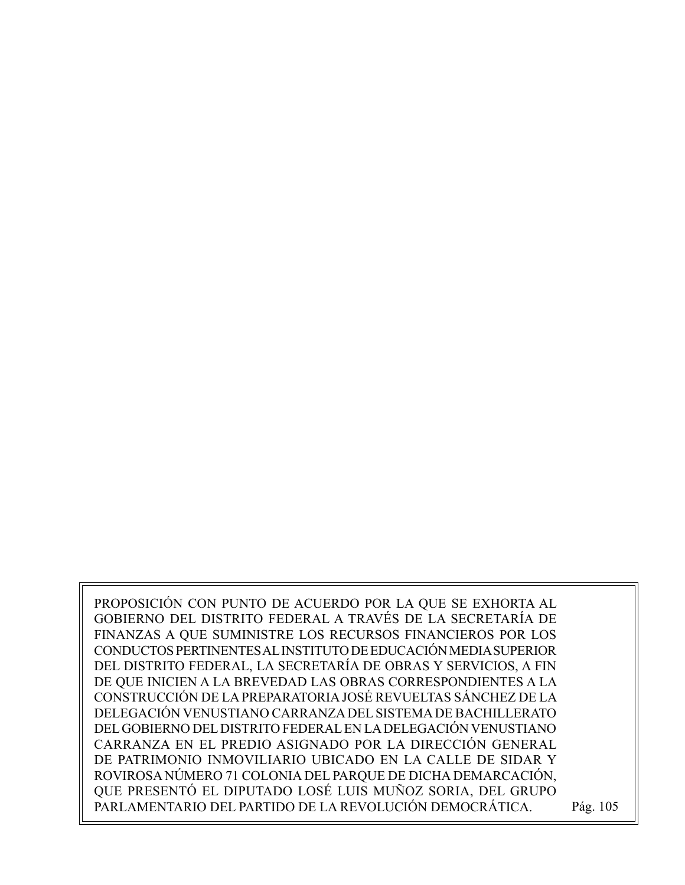PROPOSICIÓN CON PUNTO DE ACUERDO POR LA QUE SE EXHORTA AL GOBIERNO DEL DISTRITO FEDERAL A TRAVÉS DE LA SECRETARÍA DE FINANZAS A QUE SUMINISTRE LOS RECURSOS FINANCIEROS POR LOS CONDUCTOS PERTINENTES AL INSTITUTO DE EDUCACIÓN MEDIA SUPERIOR DEL DISTRITO FEDERAL, LA SECRETARÍA DE OBRAS Y SERVICIOS, A FIN DE QUE INICIEN A LA BREVEDAD LAS OBRAS CORRESPONDIENTES A LA CONSTRUCCIÓN DE LA PREPARATORIA JOSÉ REVUELTAS SÁNCHEZ DE LA DELEGACIÓN VENUSTIANO CARRANZA DEL SISTEMA DE BACHILLERATO DEL GOBIERNO DEL DISTRITO FEDERAL EN LA DELEGACIÓN VENUSTIANO CARRANZA EN EL PREDIO ASIGNADO POR LA DIRECCIÓN GENERAL DE PATRIMONIO INMOVILIARIO UBICADO EN LA CALLE DE SIDAR Y ROVIROSA NÚMERO 71 COLONIA DEL PARQUE DE DICHA DEMARCACIÓN, QUE PRESENTÓ EL DIPUTADO LOSÉ LUIS MUÑOZ SORIA, DEL GRUPO PARLAMENTARIO DEL PARTIDO DE LA REVOLUCIÓN DEMOCRÁTICA. Pág. 105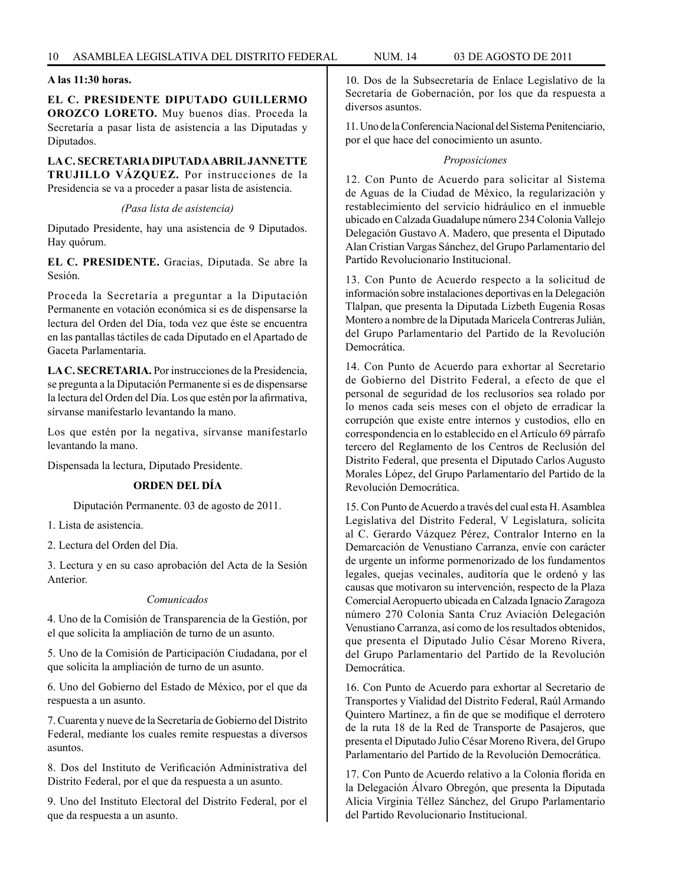#### **A las 11:30 horas.**

**EL C. PRESIDENTE DIPUTADO GUILLERMO OROZCO LORETO.** Muy buenos días. Proceda la Secretaría a pasar lista de asistencia a las Diputadas y Diputados.

# **LA C. SECRETARIA DIPUTADA ABRIL JANNETTE TRUJILLO VÁZQUEZ.** Por instrucciones de la

Presidencia se va a proceder a pasar lista de asistencia. *(Pasa lista de asistencia)*

Diputado Presidente, hay una asistencia de 9 Diputados. Hay quórum.

**EL C. PRESIDENTE.** Gracias, Diputada. Se abre la Sesión.

Proceda la Secretaría a preguntar a la Diputación Permanente en votación económica si es de dispensarse la lectura del Orden del Día, toda vez que éste se encuentra en las pantallas táctiles de cada Diputado en el Apartado de Gaceta Parlamentaria.

**LA C. SECRETARIA.** Por instrucciones de la Presidencia, se pregunta a la Diputación Permanente si es de dispensarse la lectura del Orden del Día. Los que estén por la afirmativa, sírvanse manifestarlo levantando la mano.

Los que estén por la negativa, sírvanse manifestarlo levantando la mano.

Dispensada la lectura, Diputado Presidente.

#### **ORDEN DEL DÍA**

Diputación Permanente. 03 de agosto de 2011.

1. Lista de asistencia.

2. Lectura del Orden del Día.

3. Lectura y en su caso aprobación del Acta de la Sesión Anterior.

#### *Comunicados*

4. Uno de la Comisión de Transparencia de la Gestión, por el que solicita la ampliación de turno de un asunto.

5. Uno de la Comisión de Participación Ciudadana, por el que solicita la ampliación de turno de un asunto.

6. Uno del Gobierno del Estado de México, por el que da respuesta a un asunto.

7. Cuarenta y nueve de la Secretaría de Gobierno del Distrito Federal, mediante los cuales remite respuestas a diversos asuntos.

8. Dos del Instituto de Verificación Administrativa del Distrito Federal, por el que da respuesta a un asunto.

9. Uno del Instituto Electoral del Distrito Federal, por el que da respuesta a un asunto.

10. Dos de la Subsecretaría de Enlace Legislativo de la Secretaría de Gobernación, por los que da respuesta a diversos asuntos.

11. Uno de la Conferencia Nacional del Sistema Penitenciario, por el que hace del conocimiento un asunto.

#### *Proposiciones*

12. Con Punto de Acuerdo para solicitar al Sistema de Aguas de la Ciudad de México, la regularización y restablecimiento del servicio hidráulico en el inmueble ubicado en Calzada Guadalupe número 234 Colonia Vallejo Delegación Gustavo A. Madero, que presenta el Diputado Alan Cristian Vargas Sánchez, del Grupo Parlamentario del Partido Revolucionario Institucional.

13. Con Punto de Acuerdo respecto a la solicitud de información sobre instalaciones deportivas en la Delegación Tlalpan, que presenta la Diputada Lizbeth Eugenia Rosas Montero a nombre de la Diputada Maricela Contreras Julián, del Grupo Parlamentario del Partido de la Revolución Democrática.

14. Con Punto de Acuerdo para exhortar al Secretario de Gobierno del Distrito Federal, a efecto de que el personal de seguridad de los reclusorios sea rolado por lo menos cada seis meses con el objeto de erradicar la corrupción que existe entre internos y custodios, ello en correspondencia en lo establecido en el Artículo 69 párrafo tercero del Reglamento de los Centros de Reclusión del Distrito Federal, que presenta el Diputado Carlos Augusto Morales López, del Grupo Parlamentario del Partido de la Revolución Democrática.

15. Con Punto de Acuerdo a través del cual esta H. Asamblea Legislativa del Distrito Federal, V Legislatura, solicita al C. Gerardo Vázquez Pérez, Contralor Interno en la Demarcación de Venustiano Carranza, envíe con carácter de urgente un informe pormenorizado de los fundamentos legales, quejas vecinales, auditoría que le ordenó y las causas que motivaron su intervención, respecto de la Plaza Comercial Aeropuerto ubicada en Calzada Ignacio Zaragoza número 270 Colonia Santa Cruz Aviación Delegación Venustiano Carranza, así como de los resultados obtenidos, que presenta el Diputado Julio César Moreno Rivera, del Grupo Parlamentario del Partido de la Revolución Democrática.

16. Con Punto de Acuerdo para exhortar al Secretario de Transportes y Vialidad del Distrito Federal, Raúl Armando Quintero Martínez, a fin de que se modifique el derrotero de la ruta 18 de la Red de Transporte de Pasajeros, que presenta el Diputado Julio César Moreno Rivera, del Grupo Parlamentario del Partido de la Revolución Democrática.

17. Con Punto de Acuerdo relativo a la Colonia florida en la Delegación Álvaro Obregón, que presenta la Diputada Alicia Virginia Téllez Sánchez, del Grupo Parlamentario del Partido Revolucionario Institucional.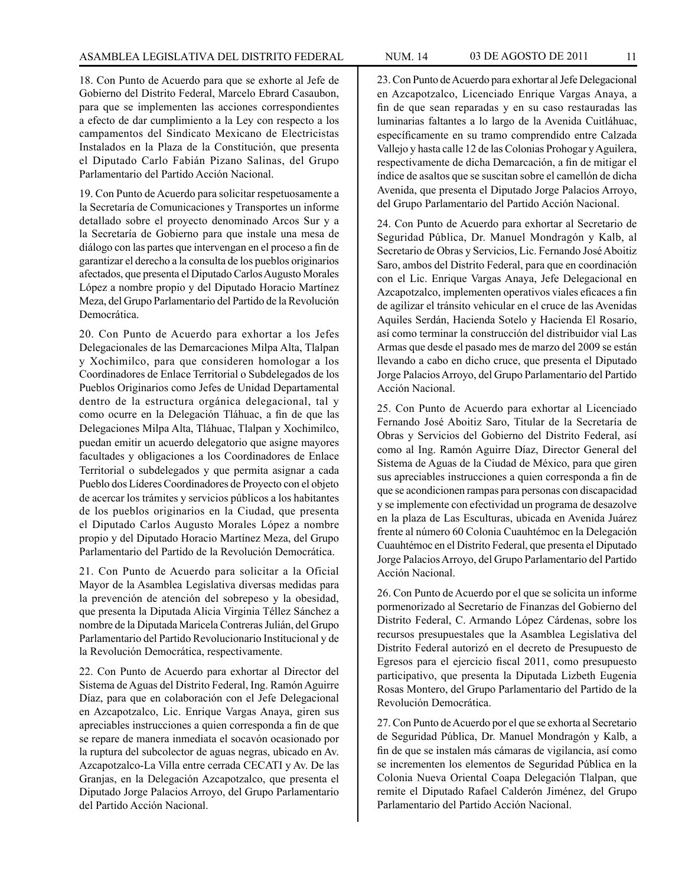18. Con Punto de Acuerdo para que se exhorte al Jefe de Gobierno del Distrito Federal, Marcelo Ebrard Casaubon, para que se implementen las acciones correspondientes a efecto de dar cumplimiento a la Ley con respecto a los campamentos del Sindicato Mexicano de Electricistas Instalados en la Plaza de la Constitución, que presenta el Diputado Carlo Fabián Pizano Salinas, del Grupo Parlamentario del Partido Acción Nacional.

19. Con Punto de Acuerdo para solicitar respetuosamente a la Secretaría de Comunicaciones y Transportes un informe detallado sobre el proyecto denominado Arcos Sur y a la Secretaría de Gobierno para que instale una mesa de diálogo con las partes que intervengan en el proceso a fin de garantizar el derecho a la consulta de los pueblos originarios afectados, que presenta el Diputado Carlos Augusto Morales López a nombre propio y del Diputado Horacio Martínez Meza, del Grupo Parlamentario del Partido de la Revolución Democrática.

20. Con Punto de Acuerdo para exhortar a los Jefes Delegacionales de las Demarcaciones Milpa Alta, Tlalpan y Xochimilco, para que consideren homologar a los Coordinadores de Enlace Territorial o Subdelegados de los Pueblos Originarios como Jefes de Unidad Departamental dentro de la estructura orgánica delegacional, tal y como ocurre en la Delegación Tláhuac, a fin de que las Delegaciones Milpa Alta, Tláhuac, Tlalpan y Xochimilco, puedan emitir un acuerdo delegatorio que asigne mayores facultades y obligaciones a los Coordinadores de Enlace Territorial o subdelegados y que permita asignar a cada Pueblo dos Líderes Coordinadores de Proyecto con el objeto de acercar los trámites y servicios públicos a los habitantes de los pueblos originarios en la Ciudad, que presenta el Diputado Carlos Augusto Morales López a nombre propio y del Diputado Horacio Martínez Meza, del Grupo Parlamentario del Partido de la Revolución Democrática.

21. Con Punto de Acuerdo para solicitar a la Oficial Mayor de la Asamblea Legislativa diversas medidas para la prevención de atención del sobrepeso y la obesidad, que presenta la Diputada Alicia Virginia Téllez Sánchez a nombre de la Diputada Maricela Contreras Julián, del Grupo Parlamentario del Partido Revolucionario Institucional y de la Revolución Democrática, respectivamente.

22. Con Punto de Acuerdo para exhortar al Director del Sistema de Aguas del Distrito Federal, Ing. Ramón Aguirre Díaz, para que en colaboración con el Jefe Delegacional en Azcapotzalco, Lic. Enrique Vargas Anaya, giren sus apreciables instrucciones a quien corresponda a fin de que se repare de manera inmediata el socavón ocasionado por la ruptura del subcolector de aguas negras, ubicado en Av. Azcapotzalco-La Villa entre cerrada CECATI y Av. De las Granjas, en la Delegación Azcapotzalco, que presenta el Diputado Jorge Palacios Arroyo, del Grupo Parlamentario del Partido Acción Nacional.

23. Con Punto de Acuerdo para exhortar al Jefe Delegacional en Azcapotzalco, Licenciado Enrique Vargas Anaya, a fin de que sean reparadas y en su caso restauradas las luminarias faltantes a lo largo de la Avenida Cuitláhuac, específicamente en su tramo comprendido entre Calzada Vallejo y hasta calle 12 de las Colonias Prohogar y Aguilera, respectivamente de dicha Demarcación, a fin de mitigar el índice de asaltos que se suscitan sobre el camellón de dicha Avenida, que presenta el Diputado Jorge Palacios Arroyo, del Grupo Parlamentario del Partido Acción Nacional.

24. Con Punto de Acuerdo para exhortar al Secretario de Seguridad Pública, Dr. Manuel Mondragón y Kalb, al Secretario de Obras y Servicios, Lic. Fernando José Aboitiz Saro, ambos del Distrito Federal, para que en coordinación con el Lic. Enrique Vargas Anaya, Jefe Delegacional en Azcapotzalco, implementen operativos viales eficaces a fin de agilizar el tránsito vehicular en el cruce de las Avenidas Aquiles Serdán, Hacienda Sotelo y Hacienda El Rosario, así como terminar la construcción del distribuidor vial Las Armas que desde el pasado mes de marzo del 2009 se están llevando a cabo en dicho cruce, que presenta el Diputado Jorge Palacios Arroyo, del Grupo Parlamentario del Partido Acción Nacional.

25. Con Punto de Acuerdo para exhortar al Licenciado Fernando José Aboitiz Saro, Titular de la Secretaría de Obras y Servicios del Gobierno del Distrito Federal, así como al Ing. Ramón Aguirre Díaz, Director General del Sistema de Aguas de la Ciudad de México, para que giren sus apreciables instrucciones a quien corresponda a fin de que se acondicionen rampas para personas con discapacidad y se implemente con efectividad un programa de desazolve en la plaza de Las Esculturas, ubicada en Avenida Juárez frente al número 60 Colonia Cuauhtémoc en la Delegación Cuauhtémoc en el Distrito Federal, que presenta el Diputado Jorge Palacios Arroyo, del Grupo Parlamentario del Partido Acción Nacional.

26. Con Punto de Acuerdo por el que se solicita un informe pormenorizado al Secretario de Finanzas del Gobierno del Distrito Federal, C. Armando López Cárdenas, sobre los recursos presupuestales que la Asamblea Legislativa del Distrito Federal autorizó en el decreto de Presupuesto de Egresos para el ejercicio fiscal 2011, como presupuesto participativo, que presenta la Diputada Lizbeth Eugenia Rosas Montero, del Grupo Parlamentario del Partido de la Revolución Democrática.

27. Con Punto de Acuerdo por el que se exhorta al Secretario de Seguridad Pública, Dr. Manuel Mondragón y Kalb, a fin de que se instalen más cámaras de vigilancia, así como se incrementen los elementos de Seguridad Pública en la Colonia Nueva Oriental Coapa Delegación Tlalpan, que remite el Diputado Rafael Calderón Jiménez, del Grupo Parlamentario del Partido Acción Nacional.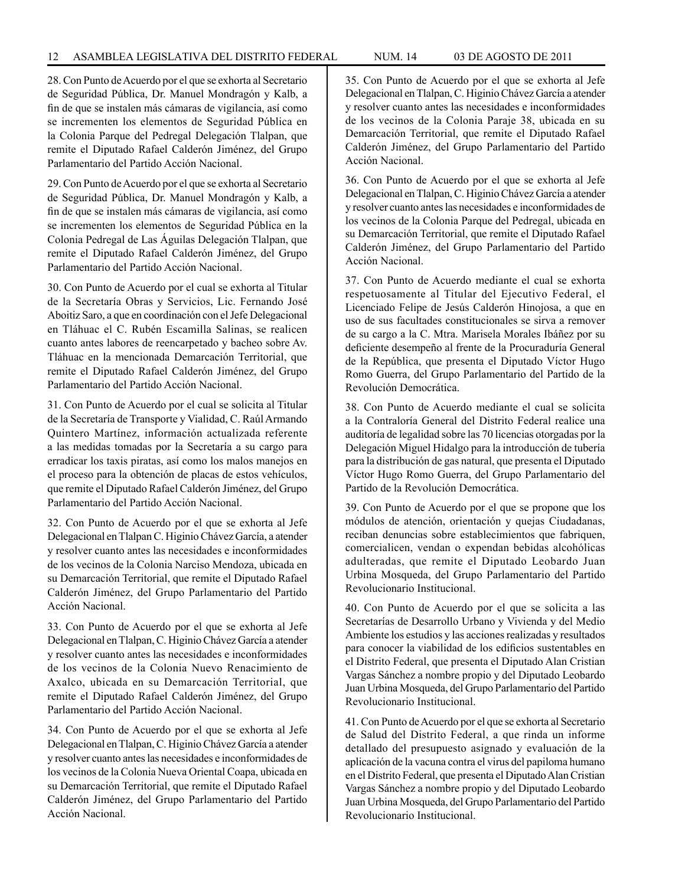28. Con Punto de Acuerdo por el que se exhorta al Secretario de Seguridad Pública, Dr. Manuel Mondragón y Kalb, a fin de que se instalen más cámaras de vigilancia, así como se incrementen los elementos de Seguridad Pública en la Colonia Parque del Pedregal Delegación Tlalpan, que remite el Diputado Rafael Calderón Jiménez, del Grupo Parlamentario del Partido Acción Nacional.

29. Con Punto de Acuerdo por el que se exhorta al Secretario de Seguridad Pública, Dr. Manuel Mondragón y Kalb, a fin de que se instalen más cámaras de vigilancia, así como se incrementen los elementos de Seguridad Pública en la Colonia Pedregal de Las Águilas Delegación Tlalpan, que remite el Diputado Rafael Calderón Jiménez, del Grupo Parlamentario del Partido Acción Nacional.

30. Con Punto de Acuerdo por el cual se exhorta al Titular de la Secretaría Obras y Servicios, Lic. Fernando José Aboitiz Saro, a que en coordinación con el Jefe Delegacional en Tláhuac el C. Rubén Escamilla Salinas, se realicen cuanto antes labores de reencarpetado y bacheo sobre Av. Tláhuac en la mencionada Demarcación Territorial, que remite el Diputado Rafael Calderón Jiménez, del Grupo Parlamentario del Partido Acción Nacional.

31. Con Punto de Acuerdo por el cual se solicita al Titular de la Secretaría de Transporte y Vialidad, C. Raúl Armando Quintero Martínez, información actualizada referente a las medidas tomadas por la Secretaría a su cargo para erradicar los taxis piratas, así como los malos manejos en el proceso para la obtención de placas de estos vehículos, que remite el Diputado Rafael Calderón Jiménez, del Grupo Parlamentario del Partido Acción Nacional.

32. Con Punto de Acuerdo por el que se exhorta al Jefe Delegacional en Tlalpan C. Higinio Chávez García, a atender y resolver cuanto antes las necesidades e inconformidades de los vecinos de la Colonia Narciso Mendoza, ubicada en su Demarcación Territorial, que remite el Diputado Rafael Calderón Jiménez, del Grupo Parlamentario del Partido Acción Nacional.

33. Con Punto de Acuerdo por el que se exhorta al Jefe Delegacional en Tlalpan, C. Higinio Chávez García a atender y resolver cuanto antes las necesidades e inconformidades de los vecinos de la Colonia Nuevo Renacimiento de Axalco, ubicada en su Demarcación Territorial, que remite el Diputado Rafael Calderón Jiménez, del Grupo Parlamentario del Partido Acción Nacional.

34. Con Punto de Acuerdo por el que se exhorta al Jefe Delegacional en Tlalpan, C. Higinio Chávez García a atender y resolver cuanto antes las necesidades e inconformidades de los vecinos de la Colonia Nueva Oriental Coapa, ubicada en su Demarcación Territorial, que remite el Diputado Rafael Calderón Jiménez, del Grupo Parlamentario del Partido Acción Nacional.

35. Con Punto de Acuerdo por el que se exhorta al Jefe Delegacional en Tlalpan, C. Higinio Chávez García a atender y resolver cuanto antes las necesidades e inconformidades de los vecinos de la Colonia Paraje 38, ubicada en su Demarcación Territorial, que remite el Diputado Rafael Calderón Jiménez, del Grupo Parlamentario del Partido Acción Nacional.

36. Con Punto de Acuerdo por el que se exhorta al Jefe Delegacional en Tlalpan, C. Higinio Chávez García a atender y resolver cuanto antes las necesidades e inconformidades de los vecinos de la Colonia Parque del Pedregal, ubicada en su Demarcación Territorial, que remite el Diputado Rafael Calderón Jiménez, del Grupo Parlamentario del Partido Acción Nacional.

37. Con Punto de Acuerdo mediante el cual se exhorta respetuosamente al Titular del Ejecutivo Federal, el Licenciado Felipe de Jesús Calderón Hinojosa, a que en uso de sus facultades constitucionales se sirva a remover de su cargo a la C. Mtra. Marisela Morales Ibáñez por su deficiente desempeño al frente de la Procuraduría General de la República, que presenta el Diputado Víctor Hugo Romo Guerra, del Grupo Parlamentario del Partido de la Revolución Democrática.

38. Con Punto de Acuerdo mediante el cual se solicita a la Contraloría General del Distrito Federal realice una auditoría de legalidad sobre las 70 licencias otorgadas por la Delegación Miguel Hidalgo para la introducción de tubería para la distribución de gas natural, que presenta el Diputado Víctor Hugo Romo Guerra, del Grupo Parlamentario del Partido de la Revolución Democrática.

39. Con Punto de Acuerdo por el que se propone que los módulos de atención, orientación y quejas Ciudadanas, reciban denuncias sobre establecimientos que fabriquen, comercialicen, vendan o expendan bebidas alcohólicas adulteradas, que remite el Diputado Leobardo Juan Urbina Mosqueda, del Grupo Parlamentario del Partido Revolucionario Institucional.

40. Con Punto de Acuerdo por el que se solicita a las Secretarías de Desarrollo Urbano y Vivienda y del Medio Ambiente los estudios y las acciones realizadas y resultados para conocer la viabilidad de los edificios sustentables en el Distrito Federal, que presenta el Diputado Alan Cristian Vargas Sánchez a nombre propio y del Diputado Leobardo Juan Urbina Mosqueda, del Grupo Parlamentario del Partido Revolucionario Institucional.

41. Con Punto de Acuerdo por el que se exhorta al Secretario de Salud del Distrito Federal, a que rinda un informe detallado del presupuesto asignado y evaluación de la aplicación de la vacuna contra el virus del papiloma humano en el Distrito Federal, que presenta el Diputado Alan Cristian Vargas Sánchez a nombre propio y del Diputado Leobardo Juan Urbina Mosqueda, del Grupo Parlamentario del Partido Revolucionario Institucional.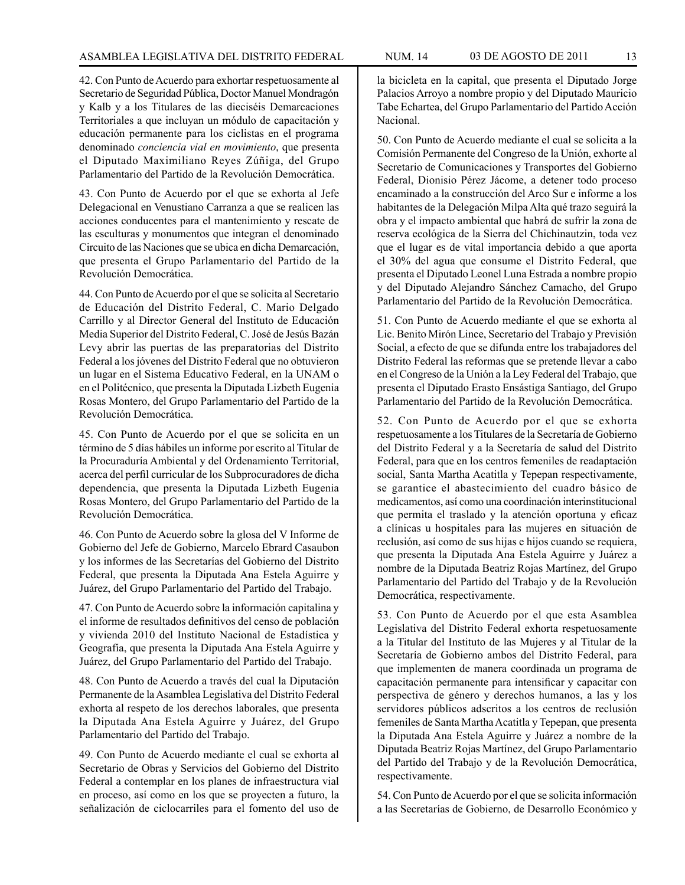42. Con Punto de Acuerdo para exhortar respetuosamente al Secretario de Seguridad Pública, Doctor Manuel Mondragón y Kalb y a los Titulares de las dieciséis Demarcaciones Territoriales a que incluyan un módulo de capacitación y educación permanente para los ciclistas en el programa denominado *conciencia vial en movimiento*, que presenta el Diputado Maximiliano Reyes Zúñiga, del Grupo Parlamentario del Partido de la Revolución Democrática.

43. Con Punto de Acuerdo por el que se exhorta al Jefe Delegacional en Venustiano Carranza a que se realicen las acciones conducentes para el mantenimiento y rescate de las esculturas y monumentos que integran el denominado Circuito de las Naciones que se ubica en dicha Demarcación, que presenta el Grupo Parlamentario del Partido de la Revolución Democrática.

44. Con Punto de Acuerdo por el que se solicita al Secretario de Educación del Distrito Federal, C. Mario Delgado Carrillo y al Director General del Instituto de Educación Media Superior del Distrito Federal, C. José de Jesús Bazán Levy abrir las puertas de las preparatorias del Distrito Federal a los jóvenes del Distrito Federal que no obtuvieron un lugar en el Sistema Educativo Federal, en la UNAM o en el Politécnico, que presenta la Diputada Lizbeth Eugenia Rosas Montero, del Grupo Parlamentario del Partido de la Revolución Democrática.

45. Con Punto de Acuerdo por el que se solicita en un término de 5 días hábiles un informe por escrito al Titular de la Procuraduría Ambiental y del Ordenamiento Territorial, acerca del perfil curricular de los Subprocuradores de dicha dependencia, que presenta la Diputada Lizbeth Eugenia Rosas Montero, del Grupo Parlamentario del Partido de la Revolución Democrática.

46. Con Punto de Acuerdo sobre la glosa del V Informe de Gobierno del Jefe de Gobierno, Marcelo Ebrard Casaubon y los informes de las Secretarías del Gobierno del Distrito Federal, que presenta la Diputada Ana Estela Aguirre y Juárez, del Grupo Parlamentario del Partido del Trabajo.

47. Con Punto de Acuerdo sobre la información capitalina y el informe de resultados definitivos del censo de población y vivienda 2010 del Instituto Nacional de Estadística y Geografía, que presenta la Diputada Ana Estela Aguirre y Juárez, del Grupo Parlamentario del Partido del Trabajo.

48. Con Punto de Acuerdo a través del cual la Diputación Permanente de la Asamblea Legislativa del Distrito Federal exhorta al respeto de los derechos laborales, que presenta la Diputada Ana Estela Aguirre y Juárez, del Grupo Parlamentario del Partido del Trabajo.

49. Con Punto de Acuerdo mediante el cual se exhorta al Secretario de Obras y Servicios del Gobierno del Distrito Federal a contemplar en los planes de infraestructura vial en proceso, así como en los que se proyecten a futuro, la señalización de ciclocarriles para el fomento del uso de

la bicicleta en la capital, que presenta el Diputado Jorge Palacios Arroyo a nombre propio y del Diputado Mauricio Tabe Echartea, del Grupo Parlamentario del Partido Acción Nacional.

50. Con Punto de Acuerdo mediante el cual se solicita a la Comisión Permanente del Congreso de la Unión, exhorte al Secretario de Comunicaciones y Transportes del Gobierno Federal, Dionisio Pérez Jácome, a detener todo proceso encaminado a la construcción del Arco Sur e informe a los habitantes de la Delegación Milpa Alta qué trazo seguirá la obra y el impacto ambiental que habrá de sufrir la zona de reserva ecológica de la Sierra del Chichinautzin, toda vez que el lugar es de vital importancia debido a que aporta el 30% del agua que consume el Distrito Federal, que presenta el Diputado Leonel Luna Estrada a nombre propio y del Diputado Alejandro Sánchez Camacho, del Grupo Parlamentario del Partido de la Revolución Democrática.

51. Con Punto de Acuerdo mediante el que se exhorta al Lic. Benito Mirón Lince, Secretario del Trabajo y Previsión Social, a efecto de que se difunda entre los trabajadores del Distrito Federal las reformas que se pretende llevar a cabo en el Congreso de la Unión a la Ley Federal del Trabajo, que presenta el Diputado Erasto Ensástiga Santiago, del Grupo Parlamentario del Partido de la Revolución Democrática.

52. Con Punto de Acuerdo por el que se exhorta respetuosamente a los Titulares de la Secretaría de Gobierno del Distrito Federal y a la Secretaría de salud del Distrito Federal, para que en los centros femeniles de readaptación social, Santa Martha Acatitla y Tepepan respectivamente, se garantice el abastecimiento del cuadro básico de medicamentos, así como una coordinación interinstitucional que permita el traslado y la atención oportuna y eficaz a clínicas u hospitales para las mujeres en situación de reclusión, así como de sus hijas e hijos cuando se requiera, que presenta la Diputada Ana Estela Aguirre y Juárez a nombre de la Diputada Beatriz Rojas Martínez, del Grupo Parlamentario del Partido del Trabajo y de la Revolución Democrática, respectivamente.

53. Con Punto de Acuerdo por el que esta Asamblea Legislativa del Distrito Federal exhorta respetuosamente a la Titular del Instituto de las Mujeres y al Titular de la Secretaría de Gobierno ambos del Distrito Federal, para que implementen de manera coordinada un programa de capacitación permanente para intensificar y capacitar con perspectiva de género y derechos humanos, a las y los servidores públicos adscritos a los centros de reclusión femeniles de Santa Martha Acatitla y Tepepan, que presenta la Diputada Ana Estela Aguirre y Juárez a nombre de la Diputada Beatriz Rojas Martínez, del Grupo Parlamentario del Partido del Trabajo y de la Revolución Democrática, respectivamente.

54. Con Punto de Acuerdo por el que se solicita información a las Secretarías de Gobierno, de Desarrollo Económico y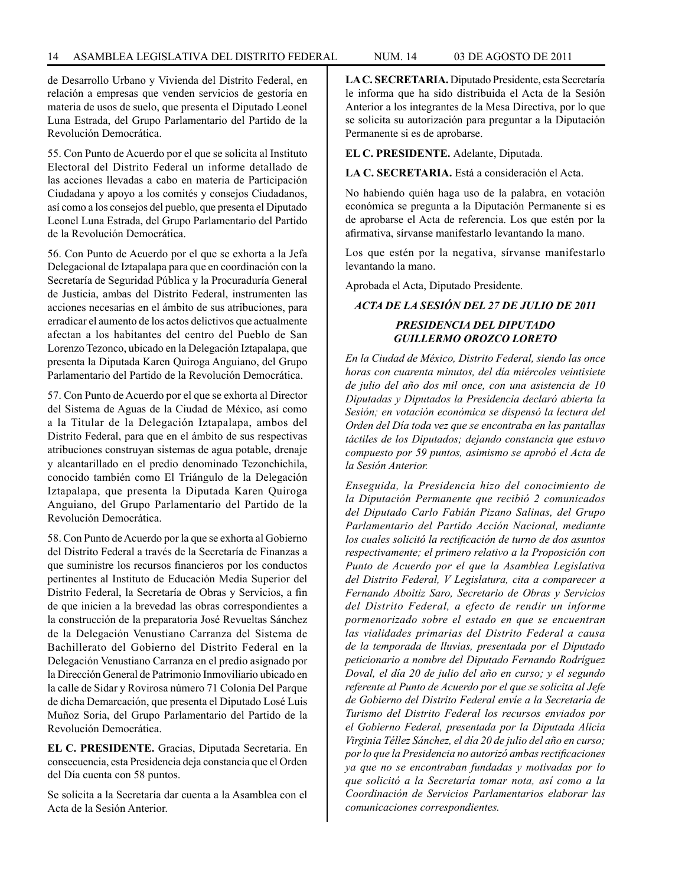de Desarrollo Urbano y Vivienda del Distrito Federal, en relación a empresas que venden servicios de gestoría en materia de usos de suelo, que presenta el Diputado Leonel Luna Estrada, del Grupo Parlamentario del Partido de la Revolución Democrática.

55. Con Punto de Acuerdo por el que se solicita al Instituto Electoral del Distrito Federal un informe detallado de las acciones llevadas a cabo en materia de Participación Ciudadana y apoyo a los comités y consejos Ciudadanos, así como a los consejos del pueblo, que presenta el Diputado Leonel Luna Estrada, del Grupo Parlamentario del Partido de la Revolución Democrática.

56. Con Punto de Acuerdo por el que se exhorta a la Jefa Delegacional de Iztapalapa para que en coordinación con la Secretaría de Seguridad Pública y la Procuraduría General de Justicia, ambas del Distrito Federal, instrumenten las acciones necesarias en el ámbito de sus atribuciones, para erradicar el aumento de los actos delictivos que actualmente afectan a los habitantes del centro del Pueblo de San Lorenzo Tezonco, ubicado en la Delegación Iztapalapa, que presenta la Diputada Karen Quiroga Anguiano, del Grupo Parlamentario del Partido de la Revolución Democrática.

57. Con Punto de Acuerdo por el que se exhorta al Director del Sistema de Aguas de la Ciudad de México, así como a la Titular de la Delegación Iztapalapa, ambos del Distrito Federal, para que en el ámbito de sus respectivas atribuciones construyan sistemas de agua potable, drenaje y alcantarillado en el predio denominado Tezonchichila, conocido también como El Triángulo de la Delegación Iztapalapa, que presenta la Diputada Karen Quiroga Anguiano, del Grupo Parlamentario del Partido de la Revolución Democrática.

58. Con Punto de Acuerdo por la que se exhorta al Gobierno del Distrito Federal a través de la Secretaría de Finanzas a que suministre los recursos financieros por los conductos pertinentes al Instituto de Educación Media Superior del Distrito Federal, la Secretaría de Obras y Servicios, a fin de que inicien a la brevedad las obras correspondientes a la construcción de la preparatoria José Revueltas Sánchez de la Delegación Venustiano Carranza del Sistema de Bachillerato del Gobierno del Distrito Federal en la Delegación Venustiano Carranza en el predio asignado por la Dirección General de Patrimonio Inmoviliario ubicado en la calle de Sidar y Rovirosa número 71 Colonia Del Parque de dicha Demarcación, que presenta el Diputado Losé Luis Muñoz Soria, del Grupo Parlamentario del Partido de la Revolución Democrática.

**EL C. PRESIDENTE.** Gracias, Diputada Secretaria. En consecuencia, esta Presidencia deja constancia que el Orden del Día cuenta con 58 puntos.

Se solicita a la Secretaría dar cuenta a la Asamblea con el Acta de la Sesión Anterior.

**LA C. SECRETARIA.** Diputado Presidente, esta Secretaría le informa que ha sido distribuida el Acta de la Sesión Anterior a los integrantes de la Mesa Directiva, por lo que se solicita su autorización para preguntar a la Diputación Permanente si es de aprobarse.

**EL C. PRESIDENTE.** Adelante, Diputada.

**LA C. SECRETARIA.** Está a consideración el Acta.

No habiendo quién haga uso de la palabra, en votación económica se pregunta a la Diputación Permanente si es de aprobarse el Acta de referencia. Los que estén por la afirmativa, sírvanse manifestarlo levantando la mano.

Los que estén por la negativa, sírvanse manifestarlo levantando la mano.

Aprobada el Acta, Diputado Presidente.

#### *ACTA DE LA SESIÓN DEL 27 DE JULIO DE 2011*

#### *PRESIDENCIA DEL DIPUTADO GUILLERMO OROZCO LORETO*

*En la Ciudad de México, Distrito Federal, siendo las once horas con cuarenta minutos, del día miércoles veintisiete de julio del año dos mil once, con una asistencia de 10 Diputadas y Diputados la Presidencia declaró abierta la Sesión; en votación económica se dispensó la lectura del Orden del Día toda vez que se encontraba en las pantallas táctiles de los Diputados; dejando constancia que estuvo compuesto por 59 puntos, asimismo se aprobó el Acta de la Sesión Anterior.*

*Enseguida, la Presidencia hizo del conocimiento de la Diputación Permanente que recibió 2 comunicados del Diputado Carlo Fabián Pizano Salinas, del Grupo Parlamentario del Partido Acción Nacional, mediante los cuales solicitó la rectificación de turno de dos asuntos respectivamente; el primero relativo a la Proposición con Punto de Acuerdo por el que la Asamblea Legislativa del Distrito Federal, V Legislatura, cita a comparecer a Fernando Aboitiz Saro, Secretario de Obras y Servicios del Distrito Federal, a efecto de rendir un informe pormenorizado sobre el estado en que se encuentran las vialidades primarias del Distrito Federal a causa de la temporada de lluvias, presentada por el Diputado peticionario a nombre del Diputado Fernando Rodríguez Doval, el día 20 de julio del año en curso; y el segundo referente al Punto de Acuerdo por el que se solicita al Jefe de Gobierno del Distrito Federal envíe a la Secretaría de Turismo del Distrito Federal los recursos enviados por el Gobierno Federal, presentada por la Diputada Alicia Virginia Téllez Sánchez, el día 20 de julio del año en curso; por lo que la Presidencia no autorizó ambas rectificaciones ya que no se encontraban fundadas y motivadas por lo que solicitó a la Secretaría tomar nota, así como a la Coordinación de Servicios Parlamentarios elaborar las comunicaciones correspondientes.*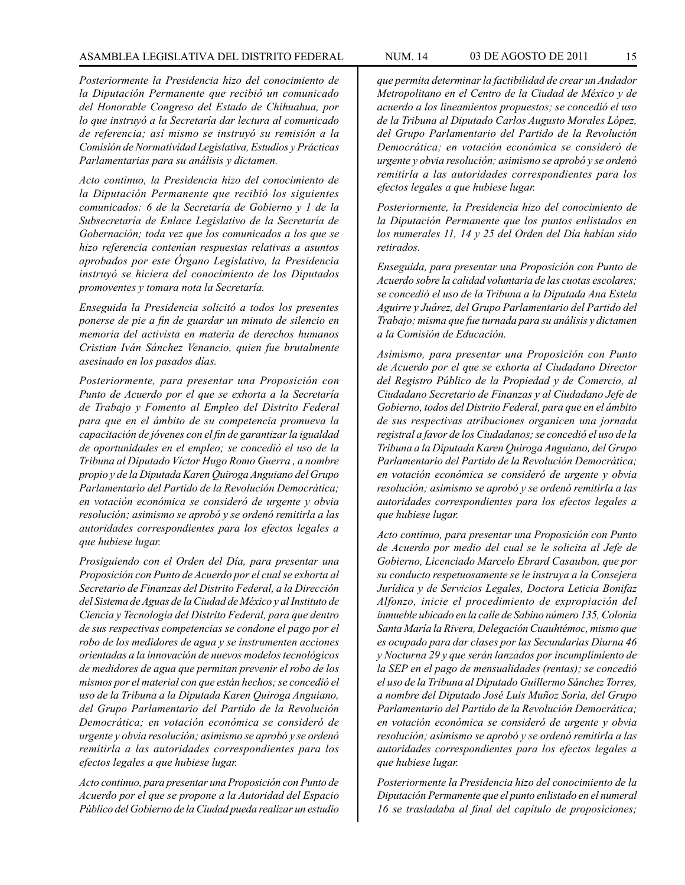#### ASAMBLEA LEGISLATIVA DEL DISTRITO FEDERAL NUM. 14 03 DE AGOSTO DE 2011 15

*Posteriormente la Presidencia hizo del conocimiento de la Diputación Permanente que recibió un comunicado del Honorable Congreso del Estado de Chihuahua, por lo que instruyó a la Secretaría dar lectura al comunicado de referencia; así mismo se instruyó su remisión a la Comisión de Normatividad Legislativa, Estudios y Prácticas Parlamentarias para su análisis y dictamen.* 

*Acto continuo, la Presidencia hizo del conocimiento de la Diputación Permanente que recibió los siguientes comunicados: 6 de la Secretaría de Gobierno y 1 de la Subsecretaría de Enlace Legislativo de la Secretaría de Gobernación; toda vez que los comunicados a los que se hizo referencia contenían respuestas relativas a asuntos aprobados por este Órgano Legislativo, la Presidencia instruyó se hiciera del conocimiento de los Diputados promoventes y tomara nota la Secretaría.*

*Enseguida la Presidencia solicitó a todos los presentes ponerse de pie a fin de guardar un minuto de silencio en memoria del activista en materia de derechos humanos Cristian Iván Sánchez Venancio, quien fue brutalmente asesinado en los pasados días.*

*Posteriormente, para presentar una Proposición con Punto de Acuerdo por el que se exhorta a la Secretaría de Trabajo y Fomento al Empleo del Distrito Federal para que en el ámbito de su competencia promueva la capacitación de jóvenes con el fin de garantizar la igualdad de oportunidades en el empleo; se concedió el uso de la Tribuna al Diputado Víctor Hugo Romo Guerra , a nombre propio y de la Diputada Karen Quiroga Anguiano del Grupo Parlamentario del Partido de la Revolución Democrática; en votación económica se consideró de urgente y obvia resolución; asimismo se aprobó y se ordenó remitirla a las autoridades correspondientes para los efectos legales a que hubiese lugar.*

*Prosiguiendo con el Orden del Día, para presentar una Proposición con Punto de Acuerdo por el cual se exhorta al Secretario de Finanzas del Distrito Federal, a la Dirección del Sistema de Aguas de la Ciudad de México y al Instituto de Ciencia y Tecnología del Distrito Federal, para que dentro de sus respectivas competencias se condone el pago por el robo de los medidores de agua y se instrumenten acciones orientadas a la innovación de nuevos modelos tecnológicos de medidores de agua que permitan prevenir el robo de los mismos por el material con que están hechos; se concedió el uso de la Tribuna a la Diputada Karen Quiroga Anguiano, del Grupo Parlamentario del Partido de la Revolución Democrática; en votación económica se consideró de urgente y obvia resolución; asimismo se aprobó y se ordenó remitirla a las autoridades correspondientes para los efectos legales a que hubiese lugar.*

*Acto continuo, para presentar una Proposición con Punto de Acuerdo por el que se propone a la Autoridad del Espacio Público del Gobierno de la Ciudad pueda realizar un estudio*  *que permita determinar la factibilidad de crear un Andador Metropolitano en el Centro de la Ciudad de México y de acuerdo a los lineamientos propuestos; se concedió el uso de la Tribuna al Diputado Carlos Augusto Morales López, del Grupo Parlamentario del Partido de la Revolución Democrática; en votación económica se consideró de urgente y obvia resolución; asimismo se aprobó y se ordenó remitirla a las autoridades correspondientes para los efectos legales a que hubiese lugar.* 

*Posteriormente, la Presidencia hizo del conocimiento de la Diputación Permanente que los puntos enlistados en los numerales 11, 14 y 25 del Orden del Día habían sido retirados.*

*Enseguida, para presentar una Proposición con Punto de Acuerdo sobre la calidad voluntaria de las cuotas escolares; se concedió el uso de la Tribuna a la Diputada Ana Estela Aguirre y Juárez, del Grupo Parlamentario del Partido del Trabajo; misma que fue turnada para su análisis y dictamen a la Comisión de Educación.*

*Asimismo, para presentar una Proposición con Punto de Acuerdo por el que se exhorta al Ciudadano Director del Registro Público de la Propiedad y de Comercio, al Ciudadano Secretario de Finanzas y al Ciudadano Jefe de Gobierno, todos del Distrito Federal, para que en el ámbito de sus respectivas atribuciones organicen una jornada registral a favor de los Ciudadanos; se concedió el uso de la Tribuna a la Diputada Karen Quiroga Anguiano, del Grupo Parlamentario del Partido de la Revolución Democrática; en votación económica se consideró de urgente y obvia resolución; asimismo se aprobó y se ordenó remitirla a las autoridades correspondientes para los efectos legales a que hubiese lugar.*

*Acto continuo, para presentar una Proposición con Punto de Acuerdo por medio del cual se le solicita al Jefe de Gobierno, Licenciado Marcelo Ebrard Casaubon, que por su conducto respetuosamente se le instruya a la Consejera Jurídica y de Servicios Legales, Doctora Leticia Bonifaz Alfonzo, inicie el procedimiento de expropiación del inmueble ubicado en la calle de Sabino número 135, Colonia Santa María la Rivera, Delegación Cuauhtémoc, mismo que es ocupado para dar clases por las Secundarias Diurna 46 y Nocturna 29 y que serán lanzados por incumplimiento de la SEP en el pago de mensualidades (rentas); se concedió el uso de la Tribuna al Diputado Guillermo Sánchez Torres, a nombre del Diputado José Luis Muñoz Soria, del Grupo Parlamentario del Partido de la Revolución Democrática; en votación económica se consideró de urgente y obvia resolución; asimismo se aprobó y se ordenó remitirla a las autoridades correspondientes para los efectos legales a que hubiese lugar.*

*Posteriormente la Presidencia hizo del conocimiento de la Diputación Permanente que el punto enlistado en el numeral 16 se trasladaba al final del capítulo de proposiciones;*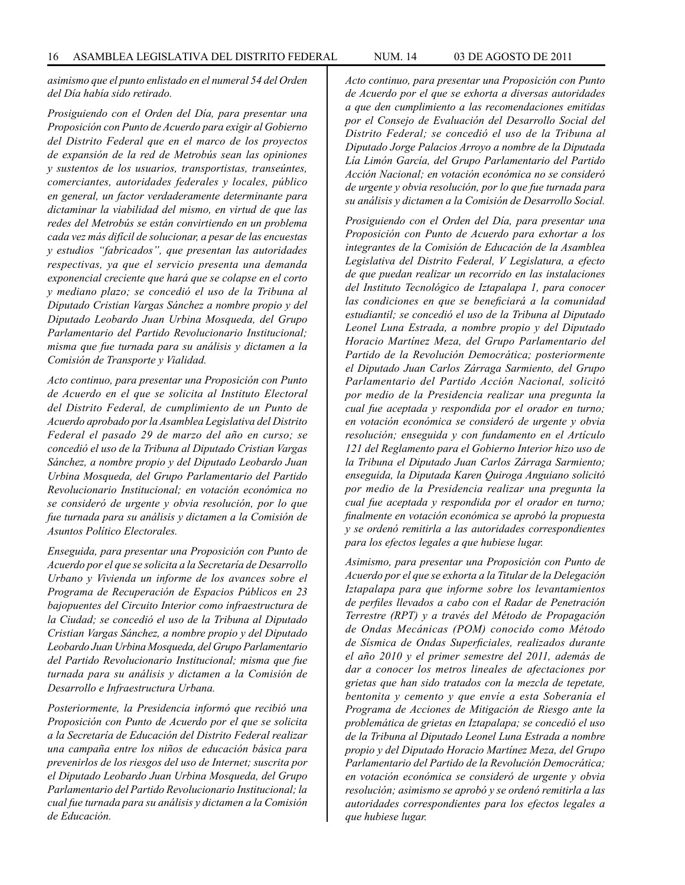*asimismo que el punto enlistado en el numeral 54 del Orden del Día había sido retirado.* 

*Prosiguiendo con el Orden del Día, para presentar una Proposición con Punto de Acuerdo para exigir al Gobierno del Distrito Federal que en el marco de los proyectos de expansión de la red de Metrobús sean las opiniones y sustentos de los usuarios, transportistas, transeúntes, comerciantes, autoridades federales y locales, público en general, un factor verdaderamente determinante para dictaminar la viabilidad del mismo, en virtud de que las redes del Metrobús se están convirtiendo en un problema cada vez más difícil de solucionar, a pesar de las encuestas y estudios "fabricados", que presentan las autoridades respectivas, ya que el servicio presenta una demanda exponencial creciente que hará que se colapse en el corto y mediano plazo; se concedió el uso de la Tribuna al Diputado Cristian Vargas Sánchez a nombre propio y del Diputado Leobardo Juan Urbina Mosqueda, del Grupo Parlamentario del Partido Revolucionario Institucional; misma que fue turnada para su análisis y dictamen a la Comisión de Transporte y Vialidad.*

*Acto continuo, para presentar una Proposición con Punto de Acuerdo en el que se solicita al Instituto Electoral del Distrito Federal, de cumplimiento de un Punto de Acuerdo aprobado por la Asamblea Legislativa del Distrito Federal el pasado 29 de marzo del año en curso; se concedió el uso de la Tribuna al Diputado Cristian Vargas Sánchez, a nombre propio y del Diputado Leobardo Juan Urbina Mosqueda, del Grupo Parlamentario del Partido Revolucionario Institucional; en votación económica no se consideró de urgente y obvia resolución, por lo que fue turnada para su análisis y dictamen a la Comisión de Asuntos Político Electorales.*

*Enseguida, para presentar una Proposición con Punto de Acuerdo por el que se solicita a la Secretaría de Desarrollo Urbano y Vivienda un informe de los avances sobre el Programa de Recuperación de Espacios Públicos en 23 bajopuentes del Circuito Interior como infraestructura de la Ciudad; se concedió el uso de la Tribuna al Diputado Cristian Vargas Sánchez, a nombre propio y del Diputado Leobardo Juan Urbina Mosqueda, del Grupo Parlamentario del Partido Revolucionario Institucional; misma que fue turnada para su análisis y dictamen a la Comisión de Desarrollo e Infraestructura Urbana.*

*Posteriormente, la Presidencia informó que recibió una Proposición con Punto de Acuerdo por el que se solicita a la Secretaría de Educación del Distrito Federal realizar una campaña entre los niños de educación básica para prevenirlos de los riesgos del uso de Internet; suscrita por el Diputado Leobardo Juan Urbina Mosqueda, del Grupo Parlamentario del Partido Revolucionario Institucional; la cual fue turnada para su análisis y dictamen a la Comisión de Educación.*

*Acto continuo, para presentar una Proposición con Punto de Acuerdo por el que se exhorta a diversas autoridades a que den cumplimiento a las recomendaciones emitidas por el Consejo de Evaluación del Desarrollo Social del Distrito Federal; se concedió el uso de la Tribuna al Diputado Jorge Palacios Arroyo a nombre de la Diputada Lía Limón García, del Grupo Parlamentario del Partido Acción Nacional; en votación económica no se consideró de urgente y obvia resolución, por lo que fue turnada para su análisis y dictamen a la Comisión de Desarrollo Social.*

*Prosiguiendo con el Orden del Día, para presentar una Proposición con Punto de Acuerdo para exhortar a los integrantes de la Comisión de Educación de la Asamblea Legislativa del Distrito Federal, V Legislatura, a efecto de que puedan realizar un recorrido en las instalaciones del Instituto Tecnológico de Iztapalapa 1, para conocer las condiciones en que se beneficiará a la comunidad estudiantil; se concedió el uso de la Tribuna al Diputado Leonel Luna Estrada, a nombre propio y del Diputado Horacio Martínez Meza, del Grupo Parlamentario del Partido de la Revolución Democrática; posteriormente el Diputado Juan Carlos Zárraga Sarmiento, del Grupo Parlamentario del Partido Acción Nacional, solicitó por medio de la Presidencia realizar una pregunta la cual fue aceptada y respondida por el orador en turno; en votación económica se consideró de urgente y obvia resolución; enseguida y con fundamento en el Artículo 121 del Reglamento para el Gobierno Interior hizo uso de la Tribuna el Diputado Juan Carlos Zárraga Sarmiento; enseguida, la Diputada Karen Quiroga Anguiano solicitó por medio de la Presidencia realizar una pregunta la cual fue aceptada y respondida por el orador en turno; finalmente en votación económica se aprobó la propuesta y se ordenó remitirla a las autoridades correspondientes para los efectos legales a que hubiese lugar.*

*Asimismo, para presentar una Proposición con Punto de Acuerdo por el que se exhorta a la Titular de la Delegación Iztapalapa para que informe sobre los levantamientos de perfiles llevados a cabo con el Radar de Penetración Terrestre (RPT) y a través del Método de Propagación de Ondas Mecánicas (POM) conocido como Método de Sísmica de Ondas Superficiales, realizados durante el año 2010 y el primer semestre del 2011, además de dar a conocer los metros lineales de afectaciones por grietas que han sido tratados con la mezcla de tepetate, bentonita y cemento y que envíe a esta Soberanía el Programa de Acciones de Mitigación de Riesgo ante la problemática de grietas en Iztapalapa; se concedió el uso de la Tribuna al Diputado Leonel Luna Estrada a nombre propio y del Diputado Horacio Martínez Meza, del Grupo Parlamentario del Partido de la Revolución Democrática; en votación económica se consideró de urgente y obvia resolución; asimismo se aprobó y se ordenó remitirla a las autoridades correspondientes para los efectos legales a que hubiese lugar.*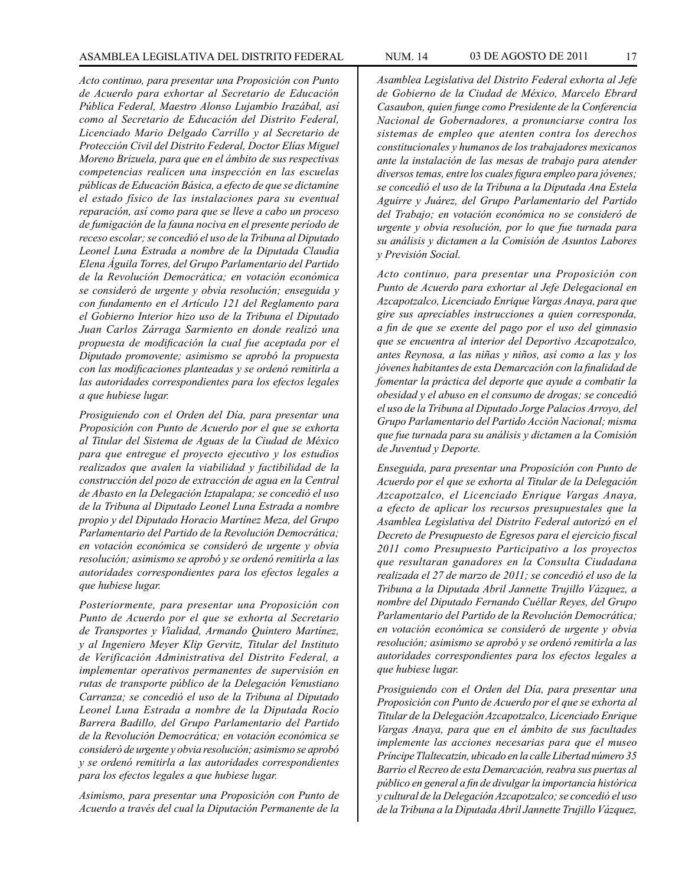*Acto continuo, para presentar una Proposición con Punto de Acuerdo para exhortar al Secretario de Educación Pública Federal, Maestro Alonso Lujambio Irazábal, así como al Secretario de Educación del Distrito Federal, Licenciado Mario Delgado Carrillo y al Secretario de Protección Civil del Distrito Federal, Doctor Elías Miguel Moreno Brizuela, para que en el ámbito de sus respectivas competencias realicen una inspección en las escuelas públicas de Educación Básica, a efecto de que se dictamine el estado físico de las instalaciones para su eventual reparación, así como para que se lleve a cabo un proceso de fumigación de la fauna nociva en el presente período de receso escolar; se concedió el uso de la Tribuna al Diputado Leonel Luna Estrada a nombre de la Diputada Claudia Elena Águila Torres, del Grupo Parlamentario del Partido de la Revolución Democrática; en votación económica se consideró de urgente y obvia resolución; enseguida y con fundamento en el Artículo 121 del Reglamento para el Gobierno Interior hizo uso de la Tribuna el Diputado Juan Carlos Zárraga Sarmiento en donde realizó una propuesta de modificación la cual fue aceptada por el Diputado promovente; asimismo se aprobó la propuesta con las modificaciones planteadas y se ordenó remitirla a las autoridades correspondientes para los efectos legales a que hubiese lugar.*

*Prosiguiendo con el Orden del Día, para presentar una Proposición con Punto de Acuerdo por el que se exhorta al Titular del Sistema de Aguas de la Ciudad de México para que entregue el proyecto ejecutivo y los estudios realizados que avalen la viabilidad y factibilidad de la construcción del pozo de extracción de agua en la Central de Abasto en la Delegación Iztapalapa; se concedió el uso de la Tribuna al Diputado Leonel Luna Estrada a nombre propio y del Diputado Horacio Martínez Meza, del Grupo Parlamentario del Partido de la Revolución Democrática; en votación económica se consideró de urgente y obvia resolución; asimismo se aprobó y se ordenó remitirla a las autoridades correspondientes para los efectos legales a que hubiese lugar.* 

*Posteriormente, para presentar una Proposición con Punto de Acuerdo por el que se exhorta al Secretario de Transportes y Vialidad, Armando Quintero Martínez, y al Ingeniero Meyer Klip Gervitz, Titular del Instituto de Verificación Administrativa del Distrito Federal, a implementar operativos permanentes de supervisión en rutas de transporte público de la Delegación Venustiano Carranza; se concedió el uso de la Tribuna al Diputado Leonel Luna Estrada a nombre de la Diputada Rocío Barrera Badillo, del Grupo Parlamentario del Partido de la Revolución Democrática; en votación económica se consideró de urgente y obvia resolución; asimismo se aprobó y se ordenó remitirla a las autoridades correspondientes para los efectos legales a que hubiese lugar.*

*Asimismo, para presentar una Proposición con Punto de Acuerdo a través del cual la Diputación Permanente de la* 

*Asamblea Legislativa del Distrito Federal exhorta al Jefe de Gobierno de la Ciudad de México, Marcelo Ebrard Casaubon, quien funge como Presidente de la Conferencia Nacional de Gobernadores, a pronunciarse contra los sistemas de empleo que atenten contra los derechos constitucionales y humanos de los trabajadores mexicanos ante la instalación de las mesas de trabajo para atender diversos temas, entre los cuales figura empleo para jóvenes; se concedió el uso de la Tribuna a la Diputada Ana Estela Aguirre y Juárez, del Grupo Parlamentario del Partido del Trabajo; en votación económica no se consideró de urgente y obvia resolución, por lo que fue turnada para su análisis y dictamen a la Comisión de Asuntos Labores y Previsión Social.*

*Acto continuo, para presentar una Proposición con Punto de Acuerdo para exhortar al Jefe Delegacional en Azcapotzalco, Licenciado Enrique Vargas Anaya, para que gire sus apreciables instrucciones a quien corresponda, a fin de que se exente del pago por el uso del gimnasio que se encuentra al interior del Deportivo Azcapotzalco, antes Reynosa, a las niñas y niños, así como a las y los jóvenes habitantes de esta Demarcación con la finalidad de fomentar la práctica del deporte que ayude a combatir la obesidad y el abuso en el consumo de drogas; se concedió el uso de la Tribuna al Diputado Jorge Palacios Arroyo, del Grupo Parlamentario del Partido Acción Nacional; misma que fue turnada para su análisis y dictamen a la Comisión de Juventud y Deporte.*

*Enseguida, para presentar una Proposición con Punto de Acuerdo por el que se exhorta al Titular de la Delegación Azcapotzalco, el Licenciado Enrique Vargas Anaya, a efecto de aplicar los recursos presupuestales que la Asamblea Legislativa del Distrito Federal autorizó en el Decreto de Presupuesto de Egresos para el ejercicio fiscal 2011 como Presupuesto Participativo a los proyectos que resultaran ganadores en la Consulta Ciudadana realizada el 27 de marzo de 2011; se concedió el uso de la Tribuna a la Diputada Abril Jannette Trujillo Vázquez, a nombre del Diputado Fernando Cuéllar Reyes, del Grupo Parlamentario del Partido de la Revolución Democrática; en votación económica se consideró de urgente y obvia resolución; asimismo se aprobó y se ordenó remitirla a las autoridades correspondientes para los efectos legales a que hubiese lugar.*

*Prosiguiendo con el Orden del Día, para presentar una Proposición con Punto de Acuerdo por el que se exhorta al Titular de la Delegación Azcapotzalco, Licenciado Enrique Vargas Anaya, para que en el ámbito de sus facultades implemente las acciones necesarias para que el museo Príncipe Tlaltecatzin, ubicado en la calle Libertad número 35 Barrio el Recreo de esta Demarcación, reabra sus puertas al público en general a fin de divulgar la importancia histórica y cultural de la Delegación Azcapotzalco; se concedió el uso de la Tribuna a la Diputada Abril Jannette Trujillo Vázquez,*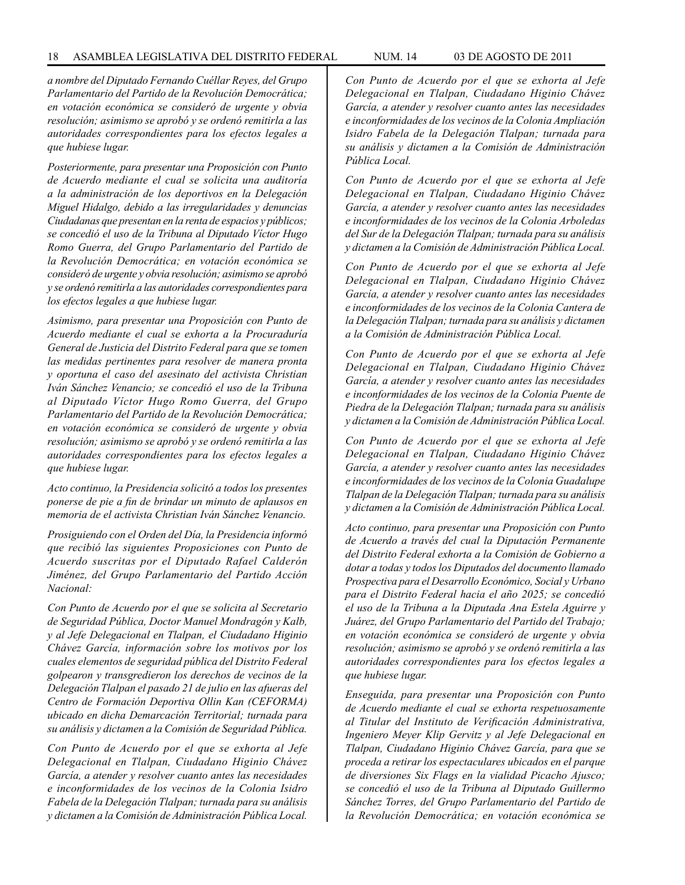*a nombre del Diputado Fernando Cuéllar Reyes, del Grupo Parlamentario del Partido de la Revolución Democrática; en votación económica se consideró de urgente y obvia resolución; asimismo se aprobó y se ordenó remitirla a las autoridades correspondientes para los efectos legales a que hubiese lugar.*

*Posteriormente, para presentar una Proposición con Punto de Acuerdo mediante el cual se solicita una auditoría a la administración de los deportivos en la Delegación Miguel Hidalgo, debido a las irregularidades y denuncias Ciudadanas que presentan en la renta de espacios y públicos; se concedió el uso de la Tribuna al Diputado Víctor Hugo Romo Guerra, del Grupo Parlamentario del Partido de la Revolución Democrática; en votación económica se consideró de urgente y obvia resolución; asimismo se aprobó y se ordenó remitirla a las autoridades correspondientes para los efectos legales a que hubiese lugar.* 

*Asimismo, para presentar una Proposición con Punto de Acuerdo mediante el cual se exhorta a la Procuraduría General de Justicia del Distrito Federal para que se tomen las medidas pertinentes para resolver de manera pronta y oportuna el caso del asesinato del activista Christian Iván Sánchez Venancio; se concedió el uso de la Tribuna al Diputado Víctor Hugo Romo Guerra, del Grupo Parlamentario del Partido de la Revolución Democrática; en votación económica se consideró de urgente y obvia resolución; asimismo se aprobó y se ordenó remitirla a las autoridades correspondientes para los efectos legales a que hubiese lugar.* 

*Acto continuo, la Presidencia solicitó a todos los presentes ponerse de pie a fin de brindar un minuto de aplausos en memoria de el activista Christian Iván Sánchez Venancio.* 

*Prosiguiendo con el Orden del Día, la Presidencia informó que recibió las siguientes Proposiciones con Punto de Acuerdo suscritas por el Diputado Rafael Calderón Jiménez, del Grupo Parlamentario del Partido Acción Nacional:*

*Con Punto de Acuerdo por el que se solicita al Secretario de Seguridad Pública, Doctor Manuel Mondragón y Kalb, y al Jefe Delegacional en Tlalpan, el Ciudadano Higinio Chávez García, información sobre los motivos por los cuales elementos de seguridad pública del Distrito Federal golpearon y transgredieron los derechos de vecinos de la Delegación Tlalpan el pasado 21 de julio en las afueras del Centro de Formación Deportiva Ollin Kan (CEFORMA) ubicado en dicha Demarcación Territorial; turnada para su análisis y dictamen a la Comisión de Seguridad Pública.* 

*Con Punto de Acuerdo por el que se exhorta al Jefe Delegacional en Tlalpan, Ciudadano Higinio Chávez García, a atender y resolver cuanto antes las necesidades e inconformidades de los vecinos de la Colonia Isidro Fabela de la Delegación Tlalpan; turnada para su análisis y dictamen a la Comisión de Administración Pública Local.*

*Con Punto de Acuerdo por el que se exhorta al Jefe Delegacional en Tlalpan, Ciudadano Higinio Chávez García, a atender y resolver cuanto antes las necesidades e inconformidades de los vecinos de la Colonia Ampliación Isidro Fabela de la Delegación Tlalpan; turnada para su análisis y dictamen a la Comisión de Administración Pública Local.*

*Con Punto de Acuerdo por el que se exhorta al Jefe Delegacional en Tlalpan, Ciudadano Higinio Chávez García, a atender y resolver cuanto antes las necesidades e inconformidades de los vecinos de la Colonia Arboledas del Sur de la Delegación Tlalpan; turnada para su análisis y dictamen a la Comisión de Administración Pública Local.*

*Con Punto de Acuerdo por el que se exhorta al Jefe Delegacional en Tlalpan, Ciudadano Higinio Chávez García, a atender y resolver cuanto antes las necesidades e inconformidades de los vecinos de la Colonia Cantera de la Delegación Tlalpan; turnada para su análisis y dictamen a la Comisión de Administración Pública Local.*

*Con Punto de Acuerdo por el que se exhorta al Jefe Delegacional en Tlalpan, Ciudadano Higinio Chávez García, a atender y resolver cuanto antes las necesidades e inconformidades de los vecinos de la Colonia Puente de Piedra de la Delegación Tlalpan; turnada para su análisis y dictamen a la Comisión de Administración Pública Local.*

*Con Punto de Acuerdo por el que se exhorta al Jefe Delegacional en Tlalpan, Ciudadano Higinio Chávez García, a atender y resolver cuanto antes las necesidades e inconformidades de los vecinos de la Colonia Guadalupe Tlalpan de la Delegación Tlalpan; turnada para su análisis y dictamen a la Comisión de Administración Pública Local.*

*Acto continuo, para presentar una Proposición con Punto de Acuerdo a través del cual la Diputación Permanente del Distrito Federal exhorta a la Comisión de Gobierno a dotar a todas y todos los Diputados del documento llamado Prospectiva para el Desarrollo Económico, Social y Urbano para el Distrito Federal hacia el año 2025; se concedió el uso de la Tribuna a la Diputada Ana Estela Aguirre y Juárez, del Grupo Parlamentario del Partido del Trabajo; en votación económica se consideró de urgente y obvia resolución; asimismo se aprobó y se ordenó remitirla a las autoridades correspondientes para los efectos legales a que hubiese lugar.*

*Enseguida, para presentar una Proposición con Punto de Acuerdo mediante el cual se exhorta respetuosamente al Titular del Instituto de Verificación Administrativa, Ingeniero Meyer Klip Gervitz y al Jefe Delegacional en Tlalpan, Ciudadano Higinio Chávez García, para que se proceda a retirar los espectaculares ubicados en el parque de diversiones Six Flags en la vialidad Picacho Ajusco; se concedió el uso de la Tribuna al Diputado Guillermo Sánchez Torres, del Grupo Parlamentario del Partido de la Revolución Democrática; en votación económica se*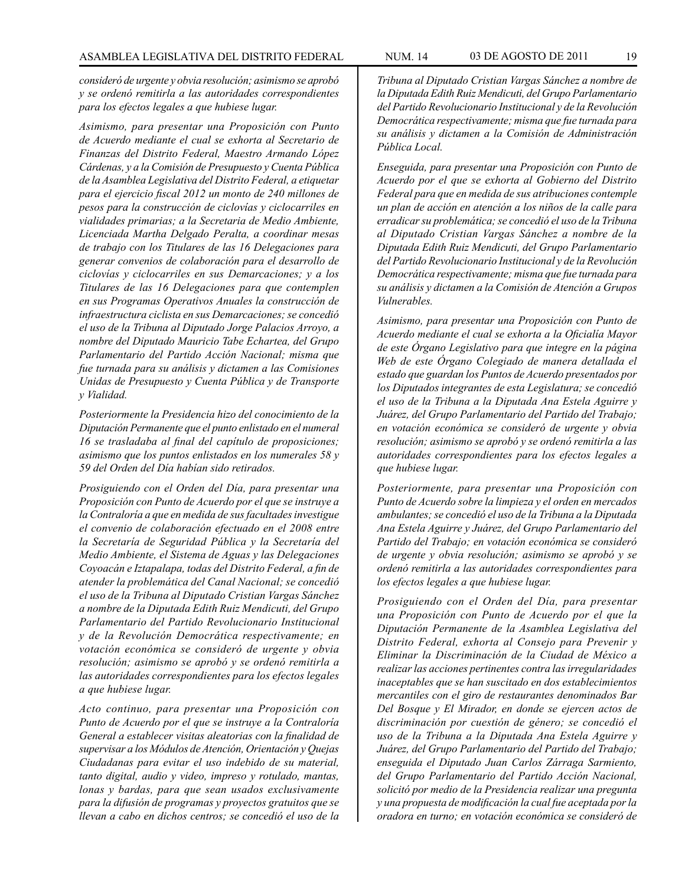*consideró de urgente y obvia resolución; asimismo se aprobó y se ordenó remitirla a las autoridades correspondientes para los efectos legales a que hubiese lugar.*

*Asimismo, para presentar una Proposición con Punto de Acuerdo mediante el cual se exhorta al Secretario de Finanzas del Distrito Federal, Maestro Armando López Cárdenas, y a la Comisión de Presupuesto y Cuenta Pública de la Asamblea Legislativa del Distrito Federal, a etiquetar para el ejercicio fiscal 2012 un monto de 240 millones de pesos para la construcción de ciclovías y ciclocarriles en vialidades primarias; a la Secretaria de Medio Ambiente, Licenciada Martha Delgado Peralta, a coordinar mesas de trabajo con los Titulares de las 16 Delegaciones para generar convenios de colaboración para el desarrollo de ciclovías y ciclocarriles en sus Demarcaciones; y a los Titulares de las 16 Delegaciones para que contemplen en sus Programas Operativos Anuales la construcción de infraestructura ciclista en sus Demarcaciones; se concedió el uso de la Tribuna al Diputado Jorge Palacios Arroyo, a nombre del Diputado Mauricio Tabe Echartea, del Grupo Parlamentario del Partido Acción Nacional; misma que fue turnada para su análisis y dictamen a las Comisiones Unidas de Presupuesto y Cuenta Pública y de Transporte y Vialidad.*

*Posteriormente la Presidencia hizo del conocimiento de la Diputación Permanente que el punto enlistado en el numeral 16 se trasladaba al final del capítulo de proposiciones; asimismo que los puntos enlistados en los numerales 58 y 59 del Orden del Día habían sido retirados.* 

*Prosiguiendo con el Orden del Día, para presentar una Proposición con Punto de Acuerdo por el que se instruye a la Contraloría a que en medida de sus facultades investigue el convenio de colaboración efectuado en el 2008 entre la Secretaría de Seguridad Pública y la Secretaría del Medio Ambiente, el Sistema de Aguas y las Delegaciones Coyoacán e Iztapalapa, todas del Distrito Federal, a fin de atender la problemática del Canal Nacional; se concedió el uso de la Tribuna al Diputado Cristian Vargas Sánchez a nombre de la Diputada Edith Ruiz Mendicuti, del Grupo Parlamentario del Partido Revolucionario Institucional y de la Revolución Democrática respectivamente; en votación económica se consideró de urgente y obvia resolución; asimismo se aprobó y se ordenó remitirla a las autoridades correspondientes para los efectos legales a que hubiese lugar.*

*Acto continuo, para presentar una Proposición con Punto de Acuerdo por el que se instruye a la Contraloría General a establecer visitas aleatorias con la finalidad de supervisar a los Módulos de Atención, Orientación y Quejas Ciudadanas para evitar el uso indebido de su material, tanto digital, audio y video, impreso y rotulado, mantas, lonas y bardas, para que sean usados exclusivamente para la difusión de programas y proyectos gratuitos que se llevan a cabo en dichos centros; se concedió el uso de la*  *Tribuna al Diputado Cristian Vargas Sánchez a nombre de la Diputada Edith Ruiz Mendicuti, del Grupo Parlamentario del Partido Revolucionario Institucional y de la Revolución Democrática respectivamente; misma que fue turnada para su análisis y dictamen a la Comisión de Administración Pública Local.*

*Enseguida, para presentar una Proposición con Punto de Acuerdo por el que se exhorta al Gobierno del Distrito Federal para que en medida de sus atribuciones contemple un plan de acción en atención a los niños de la calle para erradicar su problemática; se concedió el uso de la Tribuna al Diputado Cristian Vargas Sánchez a nombre de la Diputada Edith Ruiz Mendicuti, del Grupo Parlamentario del Partido Revolucionario Institucional y de la Revolución Democrática respectivamente; misma que fue turnada para su análisis y dictamen a la Comisión de Atención a Grupos Vulnerables.*

*Asimismo, para presentar una Proposición con Punto de Acuerdo mediante el cual se exhorta a la Oficialía Mayor de este Órgano Legislativo para que integre en la página Web de este Órgano Colegiado de manera detallada el estado que guardan los Puntos de Acuerdo presentados por los Diputados integrantes de esta Legislatura; se concedió el uso de la Tribuna a la Diputada Ana Estela Aguirre y Juárez, del Grupo Parlamentario del Partido del Trabajo; en votación económica se consideró de urgente y obvia resolución; asimismo se aprobó y se ordenó remitirla a las autoridades correspondientes para los efectos legales a que hubiese lugar.*

*Posteriormente, para presentar una Proposición con Punto de Acuerdo sobre la limpieza y el orden en mercados ambulantes; se concedió el uso de la Tribuna a la Diputada Ana Estela Aguirre y Juárez, del Grupo Parlamentario del Partido del Trabajo; en votación económica se consideró de urgente y obvia resolución; asimismo se aprobó y se ordenó remitirla a las autoridades correspondientes para los efectos legales a que hubiese lugar.*

*Prosiguiendo con el Orden del Día, para presentar una Proposición con Punto de Acuerdo por el que la Diputación Permanente de la Asamblea Legislativa del Distrito Federal, exhorta al Consejo para Prevenir y Eliminar la Discriminación de la Ciudad de México a realizar las acciones pertinentes contra las irregularidades inaceptables que se han suscitado en dos establecimientos mercantiles con el giro de restaurantes denominados Bar Del Bosque y El Mirador, en donde se ejercen actos de discriminación por cuestión de género; se concedió el uso de la Tribuna a la Diputada Ana Estela Aguirre y Juárez, del Grupo Parlamentario del Partido del Trabajo; enseguida el Diputado Juan Carlos Zárraga Sarmiento, del Grupo Parlamentario del Partido Acción Nacional, solicitó por medio de la Presidencia realizar una pregunta y una propuesta de modificación la cual fue aceptada por la oradora en turno; en votación económica se consideró de*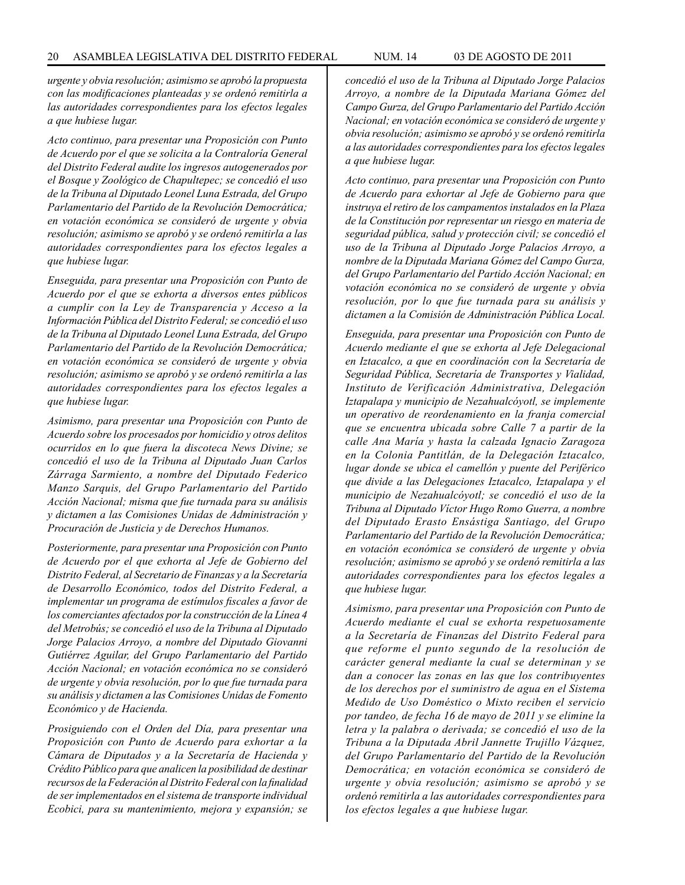*urgente y obvia resolución; asimismo se aprobó la propuesta con las modificaciones planteadas y se ordenó remitirla a las autoridades correspondientes para los efectos legales a que hubiese lugar.*

*Acto continuo, para presentar una Proposición con Punto de Acuerdo por el que se solicita a la Contraloría General del Distrito Federal audite los ingresos autogenerados por el Bosque y Zoológico de Chapultepec; se concedió el uso de la Tribuna al Diputado Leonel Luna Estrada, del Grupo Parlamentario del Partido de la Revolución Democrática; en votación económica se consideró de urgente y obvia resolución; asimismo se aprobó y se ordenó remitirla a las autoridades correspondientes para los efectos legales a que hubiese lugar.* 

*Enseguida, para presentar una Proposición con Punto de Acuerdo por el que se exhorta a diversos entes públicos a cumplir con la Ley de Transparencia y Acceso a la Información Pública del Distrito Federal; se concedió el uso de la Tribuna al Diputado Leonel Luna Estrada, del Grupo Parlamentario del Partido de la Revolución Democrática; en votación económica se consideró de urgente y obvia resolución; asimismo se aprobó y se ordenó remitirla a las autoridades correspondientes para los efectos legales a que hubiese lugar.*

*Asimismo, para presentar una Proposición con Punto de Acuerdo sobre los procesados por homicidio y otros delitos ocurridos en lo que fuera la discoteca News Divine; se concedió el uso de la Tribuna al Diputado Juan Carlos Zárraga Sarmiento, a nombre del Diputado Federico Manzo Sarquis, del Grupo Parlamentario del Partido Acción Nacional; misma que fue turnada para su análisis y dictamen a las Comisiones Unidas de Administración y Procuración de Justicia y de Derechos Humanos.*

*Posteriormente, para presentar una Proposición con Punto de Acuerdo por el que exhorta al Jefe de Gobierno del Distrito Federal, al Secretario de Finanzas y a la Secretaría de Desarrollo Económico, todos del Distrito Federal, a implementar un programa de estímulos fiscales a favor de los comerciantes afectados por la construcción de la Línea 4 del Metrobús; se concedió el uso de la Tribuna al Diputado Jorge Palacios Arroyo, a nombre del Diputado Giovanni Gutiérrez Aguilar, del Grupo Parlamentario del Partido Acción Nacional; en votación económica no se consideró de urgente y obvia resolución, por lo que fue turnada para su análisis y dictamen a las Comisiones Unidas de Fomento Económico y de Hacienda.* 

*Prosiguiendo con el Orden del Día, para presentar una Proposición con Punto de Acuerdo para exhortar a la Cámara de Diputados y a la Secretaría de Hacienda y Crédito Público para que analicen la posibilidad de destinar recursos de la Federación al Distrito Federal con la finalidad de ser implementados en el sistema de transporte individual Ecobici, para su mantenimiento, mejora y expansión; se* 

*concedió el uso de la Tribuna al Diputado Jorge Palacios Arroyo, a nombre de la Diputada Mariana Gómez del Campo Gurza, del Grupo Parlamentario del Partido Acción Nacional; en votación económica se consideró de urgente y obvia resolución; asimismo se aprobó y se ordenó remitirla a las autoridades correspondientes para los efectos legales a que hubiese lugar.*

*Acto continuo, para presentar una Proposición con Punto de Acuerdo para exhortar al Jefe de Gobierno para que instruya el retiro de los campamentos instalados en la Plaza de la Constitución por representar un riesgo en materia de seguridad pública, salud y protección civil; se concedió el uso de la Tribuna al Diputado Jorge Palacios Arroyo, a nombre de la Diputada Mariana Gómez del Campo Gurza, del Grupo Parlamentario del Partido Acción Nacional; en votación económica no se consideró de urgente y obvia resolución, por lo que fue turnada para su análisis y dictamen a la Comisión de Administración Pública Local.*

*Enseguida, para presentar una Proposición con Punto de Acuerdo mediante el que se exhorta al Jefe Delegacional en Iztacalco, a que en coordinación con la Secretaría de Seguridad Pública, Secretaría de Transportes y Vialidad, Instituto de Verificación Administrativa, Delegación Iztapalapa y municipio de Nezahualcóyotl, se implemente un operativo de reordenamiento en la franja comercial que se encuentra ubicada sobre Calle 7 a partir de la calle Ana María y hasta la calzada Ignacio Zaragoza en la Colonia Pantitlán, de la Delegación Iztacalco, lugar donde se ubica el camellón y puente del Periférico que divide a las Delegaciones Iztacalco, Iztapalapa y el municipio de Nezahualcóyotl; se concedió el uso de la Tribuna al Diputado Víctor Hugo Romo Guerra, a nombre del Diputado Erasto Ensástiga Santiago, del Grupo Parlamentario del Partido de la Revolución Democrática; en votación económica se consideró de urgente y obvia resolución; asimismo se aprobó y se ordenó remitirla a las autoridades correspondientes para los efectos legales a que hubiese lugar.*

*Asimismo, para presentar una Proposición con Punto de Acuerdo mediante el cual se exhorta respetuosamente a la Secretaría de Finanzas del Distrito Federal para que reforme el punto segundo de la resolución de carácter general mediante la cual se determinan y se dan a conocer las zonas en las que los contribuyentes de los derechos por el suministro de agua en el Sistema Medido de Uso Doméstico o Mixto reciben el servicio por tandeo, de fecha 16 de mayo de 2011 y se elimine la letra y la palabra o derivada; se concedió el uso de la Tribuna a la Diputada Abril Jannette Trujillo Vázquez, del Grupo Parlamentario del Partido de la Revolución Democrática; en votación económica se consideró de urgente y obvia resolución; asimismo se aprobó y se ordenó remitirla a las autoridades correspondientes para los efectos legales a que hubiese lugar.*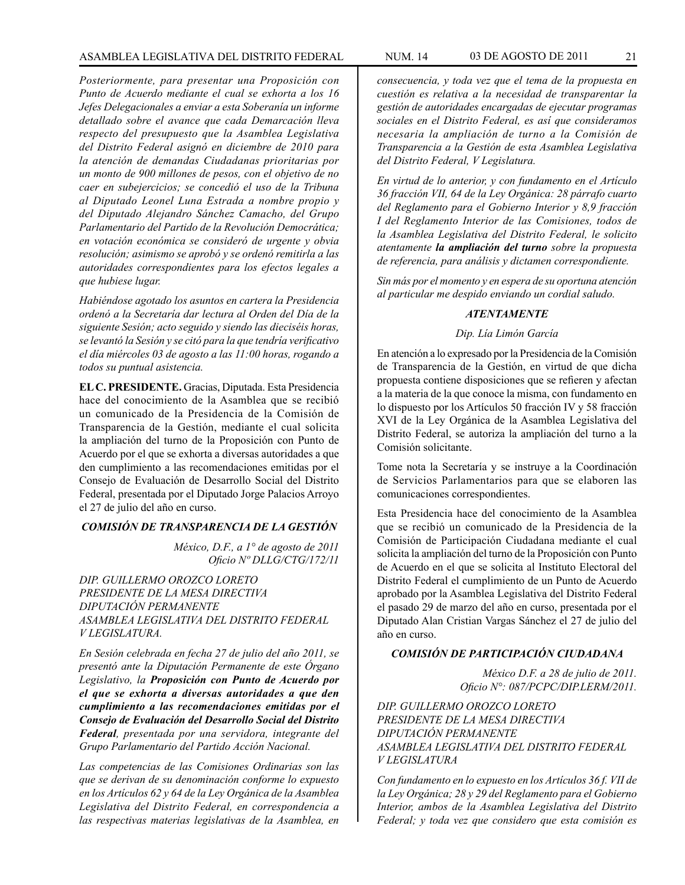*Posteriormente, para presentar una Proposición con Punto de Acuerdo mediante el cual se exhorta a los 16 Jefes Delegacionales a enviar a esta Soberanía un informe detallado sobre el avance que cada Demarcación lleva respecto del presupuesto que la Asamblea Legislativa del Distrito Federal asignó en diciembre de 2010 para la atención de demandas Ciudadanas prioritarias por un monto de 900 millones de pesos, con el objetivo de no caer en subejercicios; se concedió el uso de la Tribuna al Diputado Leonel Luna Estrada a nombre propio y del Diputado Alejandro Sánchez Camacho, del Grupo Parlamentario del Partido de la Revolución Democrática; en votación económica se consideró de urgente y obvia resolución; asimismo se aprobó y se ordenó remitirla a las autoridades correspondientes para los efectos legales a que hubiese lugar.*

*Habiéndose agotado los asuntos en cartera la Presidencia ordenó a la Secretaría dar lectura al Orden del Día de la siguiente Sesión; acto seguido y siendo las dieciséis horas, se levantó la Sesión y se citó para la que tendría verificativo el día miércoles 03 de agosto a las 11:00 horas, rogando a todos su puntual asistencia.*

**EL C. PRESIDENTE.** Gracias, Diputada. Esta Presidencia hace del conocimiento de la Asamblea que se recibió un comunicado de la Presidencia de la Comisión de Transparencia de la Gestión, mediante el cual solicita la ampliación del turno de la Proposición con Punto de Acuerdo por el que se exhorta a diversas autoridades a que den cumplimiento a las recomendaciones emitidas por el Consejo de Evaluación de Desarrollo Social del Distrito Federal, presentada por el Diputado Jorge Palacios Arroyo el 27 de julio del año en curso.

#### *COMISIÓN DE TRANSPARENCIA DE LA GESTIÓN*

*México, D.F., a 1° de agosto de 2011 Oficio Nº DLLG/CTG/172/11*

*DIP. GUILLERMO OROZCO LORETO PRESIDENTE DE LA MESA DIRECTIVA DIPUTACIÓN PERMANENTE ASAMBLEA LEGISLATIVA DEL DISTRITO FEDERAL V LEGISLATURA.*

*En Sesión celebrada en fecha 27 de julio del año 2011, se presentó ante la Diputación Permanente de este Órgano Legislativo, la Proposición con Punto de Acuerdo por el que se exhorta a diversas autoridades a que den cumplimiento a las recomendaciones emitidas por el Consejo de Evaluación del Desarrollo Social del Distrito Federal, presentada por una servidora, integrante del Grupo Parlamentario del Partido Acción Nacional.*

*Las competencias de las Comisiones Ordinarias son las que se derivan de su denominación conforme lo expuesto en los Artículos 62 y 64 de la Ley Orgánica de la Asamblea Legislativa del Distrito Federal, en correspondencia a las respectivas materias legislativas de la Asamblea, en* 

*consecuencia, y toda vez que el tema de la propuesta en cuestión es relativa a la necesidad de transparentar la gestión de autoridades encargadas de ejecutar programas sociales en el Distrito Federal, es así que consideramos necesaria la ampliación de turno a la Comisión de Transparencia a la Gestión de esta Asamblea Legislativa del Distrito Federal, V Legislatura.*

*En virtud de lo anterior, y con fundamento en el Artículo 36 fracción VII, 64 de la Ley Orgánica: 28 párrafo cuarto del Reglamento para el Gobierno Interior y 8,9 fracción I del Reglamento Interior de las Comisiones, todos de la Asamblea Legislativa del Distrito Federal, le solicito atentamente la ampliación del turno sobre la propuesta de referencia, para análisis y dictamen correspondiente.* 

*Sin más por el momento y en espera de su oportuna atención al particular me despido enviando un cordial saludo.*

#### *ATENTAMENTE*

*Dip. Lía Limón García*

En atención a lo expresado por la Presidencia de la Comisión de Transparencia de la Gestión, en virtud de que dicha propuesta contiene disposiciones que se refieren y afectan a la materia de la que conoce la misma, con fundamento en lo dispuesto por los Artículos 50 fracción IV y 58 fracción XVI de la Ley Orgánica de la Asamblea Legislativa del Distrito Federal, se autoriza la ampliación del turno a la Comisión solicitante.

Tome nota la Secretaría y se instruye a la Coordinación de Servicios Parlamentarios para que se elaboren las comunicaciones correspondientes.

Esta Presidencia hace del conocimiento de la Asamblea que se recibió un comunicado de la Presidencia de la Comisión de Participación Ciudadana mediante el cual solicita la ampliación del turno de la Proposición con Punto de Acuerdo en el que se solicita al Instituto Electoral del Distrito Federal el cumplimiento de un Punto de Acuerdo aprobado por la Asamblea Legislativa del Distrito Federal el pasado 29 de marzo del año en curso, presentada por el Diputado Alan Cristian Vargas Sánchez el 27 de julio del año en curso.

#### *COMISIÓN DE PARTICIPACIÓN CIUDADANA*

*México D.F. a 28 de julio de 2011. Oficio N°: 087/PCPC/DIP.LERM/2011.*

*DIP. GUILLERMO OROZCO LORETO PRESIDENTE DE LA MESA DIRECTIVA DIPUTACIÓN PERMANENTE ASAMBLEA LEGISLATIVA DEL DISTRITO FEDERAL V LEGISLATURA*

*Con fundamento en lo expuesto en los Artículos 36 f. VII de la Ley Orgánica; 28 y 29 del Reglamento para el Gobierno Interior, ambos de la Asamblea Legislativa del Distrito Federal; y toda vez que considero que esta comisión es*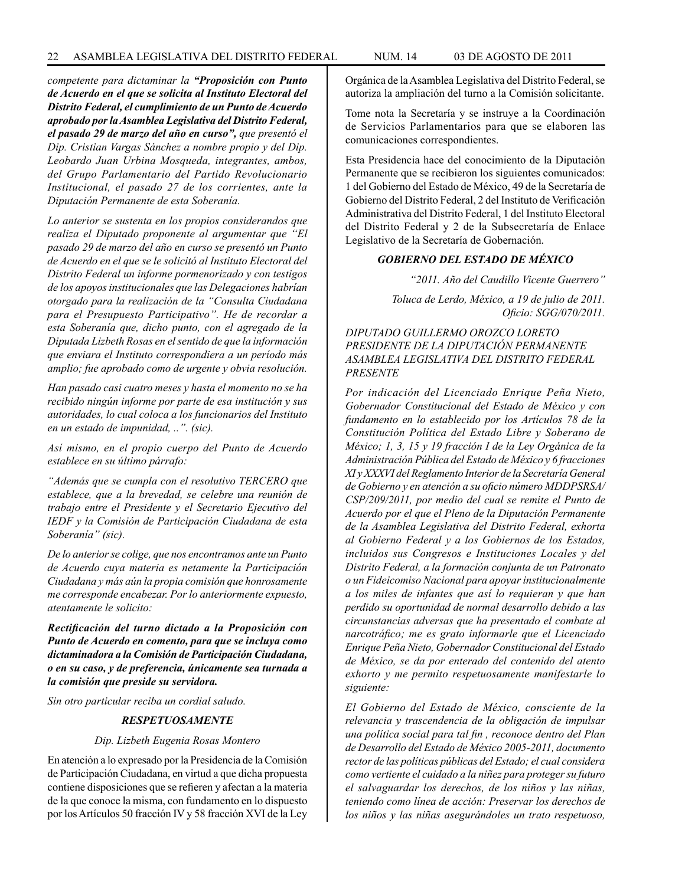*competente para dictaminar la "Proposición con Punto de Acuerdo en el que se solicita al Instituto Electoral del Distrito Federal, el cumplimiento de un Punto de Acuerdo aprobado por la Asamblea Legislativa del Distrito Federal, el pasado 29 de marzo del año en curso", que presentó el Dip. Cristian Vargas Sánchez a nombre propio y del Dip. Leobardo Juan Urbina Mosqueda, integrantes, ambos, del Grupo Parlamentario del Partido Revolucionario Institucional, el pasado 27 de los corrientes, ante la Diputación Permanente de esta Soberanía.*

*Lo anterior se sustenta en los propios considerandos que realiza el Diputado proponente al argumentar que "El pasado 29 de marzo del año en curso se presentó un Punto de Acuerdo en el que se le solicitó al Instituto Electoral del Distrito Federal un informe pormenorizado y con testigos de los apoyos institucionales que las Delegaciones habrían otorgado para la realización de la "Consulta Ciudadana para el Presupuesto Participativo". He de recordar a esta Soberanía que, dicho punto, con el agregado de la Diputada Lizbeth Rosas en el sentido de que la información que enviara el Instituto correspondiera a un período más amplio; fue aprobado como de urgente y obvia resolución.*

*Han pasado casi cuatro meses y hasta el momento no se ha recibido ningún informe por parte de esa institución y sus autoridades, lo cual coloca a los funcionarios del Instituto en un estado de impunidad, ..". (sic).*

*Así mismo, en el propio cuerpo del Punto de Acuerdo establece en su último párrafo:*

*"Además que se cumpla con el resolutivo TERCERO que establece, que a la brevedad, se celebre una reunión de trabajo entre el Presidente y el Secretario Ejecutivo del IEDF y la Comisión de Participación Ciudadana de esta Soberanía" (sic).*

*De lo anterior se colige, que nos encontramos ante un Punto de Acuerdo cuya materia es netamente la Participación Ciudadana y más aún la propia comisión que honrosamente me corresponde encabezar. Por lo anteriormente expuesto, atentamente le solicito:*

*Rectificación del turno dictado a la Proposición con Punto de Acuerdo en comento, para que se incluya como dictaminadora a la Comisión de Participación Ciudadana, o en su caso, y de preferencia, únicamente sea turnada a la comisión que preside su servidora.*

*Sin otro particular reciba un cordial saludo.*

#### *RESPETUOSAMENTE*

#### *Dip. Lizbeth Eugenia Rosas Montero*

En atención a lo expresado por la Presidencia de la Comisión de Participación Ciudadana, en virtud a que dicha propuesta contiene disposiciones que se refieren y afectan a la materia de la que conoce la misma, con fundamento en lo dispuesto por los Artículos 50 fracción IV y 58 fracción XVI de la Ley

Orgánica de la Asamblea Legislativa del Distrito Federal, se autoriza la ampliación del turno a la Comisión solicitante.

Tome nota la Secretaría y se instruye a la Coordinación de Servicios Parlamentarios para que se elaboren las comunicaciones correspondientes.

Esta Presidencia hace del conocimiento de la Diputación Permanente que se recibieron los siguientes comunicados: 1 del Gobierno del Estado de México, 49 de la Secretaría de Gobierno del Distrito Federal, 2 del Instituto de Verificación Administrativa del Distrito Federal, 1 del Instituto Electoral del Distrito Federal y 2 de la Subsecretaría de Enlace Legislativo de la Secretaría de Gobernación.

#### *GOBIERNO DEL ESTADO DE MÉXICO*

*"2011. Año del Caudillo Vicente Guerrero"*

*Toluca de Lerdo, México, a 19 de julio de 2011. Oficio: SGG/070/2011.*

*DIPUTADO GUILLERMO OROZCO LORETO PRESIDENTE DE LA DIPUTACIÓN PERMANENTE ASAMBLEA LEGISLATIVA DEL DISTRITO FEDERAL PRESENTE*

*Por indicación del Licenciado Enrique Peña Nieto, Gobernador Constitucional del Estado de México y con fundamento en lo establecido por los Artículos 78 de la Constitución Política del Estado Libre y Soberano de México; 1, 3, 15 y 19 fracción I de la Ley Orgánica de la Administración Pública del Estado de México y 6 fracciones XI y XXXVI del Reglamento Interior de la Secretaría General de Gobierno y en atención a su oficio número MDDPSRSA/ CSP/209/2011, por medio del cual se remite el Punto de Acuerdo por el que el Pleno de la Diputación Permanente de la Asamblea Legislativa del Distrito Federal, exhorta al Gobierno Federal y a los Gobiernos de los Estados, incluidos sus Congresos e Instituciones Locales y del Distrito Federal, a la formación conjunta de un Patronato o un Fideicomiso Nacional para apoyar institucionalmente a los miles de infantes que así lo requieran y que han perdido su oportunidad de normal desarrollo debido a las circunstancias adversas que ha presentado el combate al narcotráfico; me es grato informarle que el Licenciado Enrique Peña Nieto, Gobernador Constitucional del Estado de México, se da por enterado del contenido del atento exhorto y me permito respetuosamente manifestarle lo siguiente:*

*El Gobierno del Estado de México, consciente de la relevancia y trascendencia de la obligación de impulsar una política social para tal fin , reconoce dentro del Plan de Desarrollo del Estado de México 2005-2011, documento rector de las políticas públicas del Estado; el cual considera como vertiente el cuidado a la niñez para proteger su futuro el salvaguardar los derechos, de los niños y las niñas, teniendo como línea de acción: Preservar los derechos de los niños y las niñas asegurándoles un trato respetuoso,*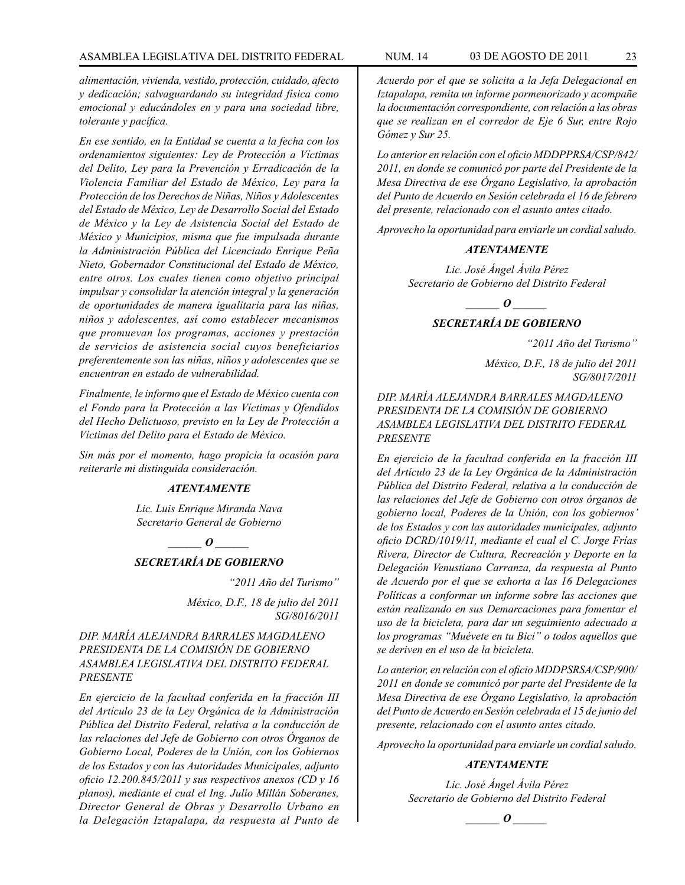*alimentación, vivienda, vestido, protección, cuidado, afecto y dedicación; salvaguardando su integridad física como emocional y educándoles en y para una sociedad libre, tolerante y pacífica.*

*En ese sentido, en la Entidad se cuenta a la fecha con los ordenamientos siguientes: Ley de Protección a Víctimas del Delito, Ley para la Prevención y Erradicación de la Violencia Familiar del Estado de México, Ley para la Protección de los Derechos de Niñas, Niños y Adolescentes del Estado de México, Ley de Desarrollo Social del Estado de México y la Ley de Asistencia Social del Estado de México y Municipios, misma que fue impulsada durante la Administración Pública del Licenciado Enrique Peña Nieto, Gobernador Constitucional del Estado de México, entre otros. Los cuales tienen como objetivo principal impulsar y consolidar la atención integral y la generación de oportunidades de manera igualitaria para las niñas, niños y adolescentes, así como establecer mecanismos que promuevan los programas, acciones y prestación de servicios de asistencia social cuyos beneficiarios preferentemente son las niñas, niños y adolescentes que se encuentran en estado de vulnerabilidad.*

*Finalmente, le informo que el Estado de México cuenta con el Fondo para la Protección a las Víctimas y Ofendidos del Hecho Delictuoso, previsto en la Ley de Protección a Víctimas del Delito para el Estado de México.*

*Sin más por el momento, hago propicia la ocasión para reiterarle mi distinguida consideración.*

#### *ATENTAMENTE*

*Lic. Luis Enrique Miranda Nava Secretario General de Gobierno*

*\_\_\_\_\_\_ O \_\_\_\_\_\_*

#### *SECRETARÍA DE GOBIERNO*

*"2011 Año del Turismo" México, D.F., 18 de julio del 2011 SG/8016/2011*

*DIP. MARÍA ALEJANDRA BARRALES MAGDALENO PRESIDENTA DE LA COMISIÓN DE GOBIERNO ASAMBLEA LEGISLATIVA DEL DISTRITO FEDERAL PRESENTE*

*En ejercicio de la facultad conferida en la fracción III del Artículo 23 de la Ley Orgánica de la Administración Pública del Distrito Federal, relativa a la conducción de las relaciones del Jefe de Gobierno con otros Órganos de Gobierno Local, Poderes de la Unión, con los Gobiernos de los Estados y con las Autoridades Municipales, adjunto oficio 12.200.845/2011 y sus respectivos anexos (CD y 16 planos), mediante el cual el Ing. Julio Millán Soberanes, Director General de Obras y Desarrollo Urbano en la Delegación Iztapalapa, da respuesta al Punto de*  *Acuerdo por el que se solicita a la Jefa Delegacional en Iztapalapa, remita un informe pormenorizado y acompañe la documentación correspondiente, con relación a las obras que se realizan en el corredor de Eje 6 Sur, entre Rojo Gómez y Sur 25.*

*Lo anterior en relación con el oficio MDDPPRSA/CSP/842/ 2011, en donde se comunicó por parte del Presidente de la Mesa Directiva de ese Órgano Legislativo, la aprobación del Punto de Acuerdo en Sesión celebrada el 16 de febrero del presente, relacionado con el asunto antes citado.*

*Aprovecho la oportunidad para enviarle un cordial saludo.*

#### *ATENTAMENTE*

*Lic. José Ángel Ávila Pérez Secretario de Gobierno del Distrito Federal*

 $\bm{o}$ 

# *SECRETARÍA DE GOBIERNO*

*"2011 Año del Turismo"*

*México, D.F., 18 de julio del 2011 SG/8017/2011*

#### *DIP. MARÍA ALEJANDRA BARRALES MAGDALENO PRESIDENTA DE LA COMISIÓN DE GOBIERNO ASAMBLEA LEGISLATIVA DEL DISTRITO FEDERAL PRESENTE*

*En ejercicio de la facultad conferida en la fracción III del Artículo 23 de la Ley Orgánica de la Administración Pública del Distrito Federal, relativa a la conducción de las relaciones del Jefe de Gobierno con otros órganos de gobierno local, Poderes de la Unión, con los gobiernos' de los Estados y con las autoridades municipales, adjunto oficio DCRD/1019/11, mediante el cual el C. Jorge Frías Rivera, Director de Cultura, Recreación y Deporte en la Delegación Venustiano Carranza, da respuesta al Punto de Acuerdo por el que se exhorta a las 16 Delegaciones Políticas a conformar un informe sobre las acciones que están realizando en sus Demarcaciones para fomentar el uso de la bicicleta, para dar un seguimiento adecuado a los programas "Muévete en tu Bici" o todos aquellos que se deriven en el uso de la bicicleta.*

*Lo anterior, en relación con el oficio MDDPSRSA/CSP/900/ 2011 en donde se comunicó por parte del Presidente de la Mesa Directiva de ese Órgano Legislativo, la aprobación del Punto de Acuerdo en Sesión celebrada el 15 de junio del presente, relacionado con el asunto antes citado.*

*Aprovecho la oportunidad para enviarle un cordial saludo.*

#### *ATENTAMENTE*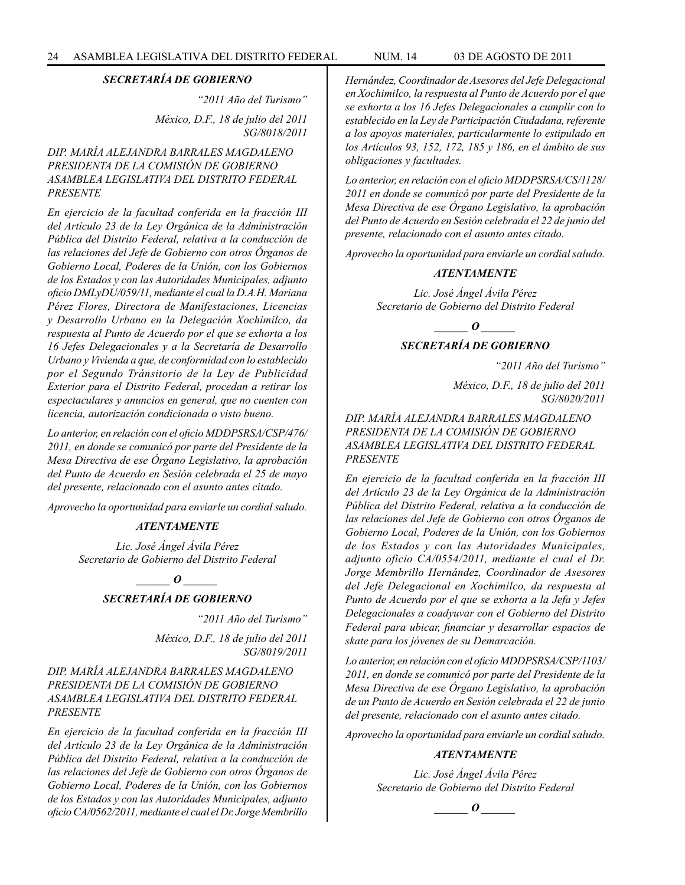*"2011 Año del Turismo" México, D.F., 18 de julio del 2011 SG/8018/2011*

#### *DIP. MARÍA ALEJANDRA BARRALES MAGDALENO PRESIDENTA DE LA COMISIÓN DE GOBIERNO ASAMBLEA LEGISLATIVA DEL DISTRITO FEDERAL PRESENTE*

*En ejercicio de la facultad conferida en la fracción III del Artículo 23 de la Ley Orgánica de la Administración Pública del Distrito Federal, relativa a la conducción de las relaciones del Jefe de Gobierno con otros Órganos de Gobierno Local, Poderes de la Unión, con los Gobiernos de los Estados y con las Autoridades Municipales, adjunto oficio DMLyDU/059/11, mediante el cual la D.A.H. Mariana Pérez Flores, Directora de Manifestaciones, Licencias y Desarrollo Urbano en la Delegación Xochimilco, da respuesta al Punto de Acuerdo por el que se exhorta a los 16 Jefes Delegacionales y a la Secretaría de Desarrollo Urbano y Vivienda a que, de conformidad con lo establecido por el Segundo Tránsitorio de la Ley de Publicidad Exterior para el Distrito Federal, procedan a retirar los espectaculares y anuncios en general, que no cuenten con licencia, autorización condicionada o visto bueno.*

*Lo anterior, en relación con el oficio MDDPSRSA/CSP/476/ 2011, en donde se comunicó por parte del Presidente de la Mesa Directiva de ese Órgano Legislativo, la aprobación del Punto de Acuerdo en Sesión celebrada el 25 de mayo del presente, relacionado con el asunto antes citado.* 

*Aprovecho la oportunidad para enviarle un cordial saludo.*

#### *ATENTAMENTE*

*Lic. José Ángel Ávila Pérez Secretario de Gobierno del Distrito Federal*

> *\_\_\_\_\_\_ O \_\_\_\_\_\_ SECRETARÍA DE GOBIERNO*

> > *"2011 Año del Turismo"*

*México, D.F., 18 de julio del 2011 SG/8019/2011*

#### *DIP. MARÍA ALEJANDRA BARRALES MAGDALENO PRESIDENTA DE LA COMISIÓN DE GOBIERNO ASAMBLEA LEGISLATIVA DEL DISTRITO FEDERAL PRESENTE*

*En ejercicio de la facultad conferida en la fracción III del Artículo 23 de la Ley Orgánica de la Administración Pública del Distrito Federal, relativa a la conducción de las relaciones del Jefe de Gobierno con otros Órganos de Gobierno Local, Poderes de la Unión, con los Gobiernos de los Estados y con las Autoridades Municipales, adjunto oficio CA/0562/2011, mediante el cual el Dr. Jorge Membrillo*  *Hernández, Coordinador de Asesores del Jefe Delegacional en Xochimilco, la respuesta al Punto de Acuerdo por el que se exhorta a los 16 Jefes Delegacionales a cumplir con lo establecido en la Ley de Participación Ciudadana, referente a los apoyos materiales, particularmente lo estipulado en los Artículos 93, 152, 172, 185 y 186, en el ámbito de sus obligaciones y facultades.*

*Lo anterior, en relación con el oficio MDDPSRSA/CS/1128/ 2011 en donde se comunicó por parte del Presidente de la Mesa Directiva de ese Órgano Legislativo, la aprobación del Punto de Acuerdo en Sesión celebrada el 22 de junio del presente, relacionado con el asunto antes citado.*

*Aprovecho la oportunidad para enviarle un cordial saludo.*

#### *ATENTAMENTE*

*Lic. José Ángel Ávila Pérez Secretario de Gobierno del Distrito Federal*

*\_\_\_\_\_\_ O \_\_\_\_\_\_*

#### *SECRETARÍA DE GOBIERNO*

*"2011 Año del Turismo"*

*México, D.F., 18 de julio del 2011 SG/8020/2011*

*DIP. MARÍA ALEJANDRA BARRALES MAGDALENO PRESIDENTA DE LA COMISIÓN DE GOBIERNO ASAMBLEA LEGISLATIVA DEL DISTRITO FEDERAL PRESENTE*

*En ejercicio de la facultad conferida en la fracción III del Artículo 23 de la Ley Orgánica de la Administración Pública del Distrito Federal, relativa a la conducción de las relaciones del Jefe de Gobierno con otros Órganos de Gobierno Local, Poderes de la Unión, con los Gobiernos de los Estados y con las Autoridades Municipales, adjunto oficio CA/0554/2011, mediante el cual el Dr. Jorge Membrillo Hernández, Coordinador de Asesores del Jefe Delegacional en Xochimilco, da respuesta al Punto de Acuerdo por el que se exhorta a la Jefa y Jefes Delegacionales a coadyuvar con el Gobierno del Distrito Federal para ubicar, financiar y desarrollar espacios de skate para los jóvenes de su Demarcación.*

*Lo anterior, en relación con el oficio MDDPSRSA/CSP/1103/ 2011, en donde se comunicó por parte del Presidente de la Mesa Directiva de ese Órgano Legislativo, la aprobación de un Punto de Acuerdo en Sesión celebrada el 22 de junio del presente, relacionado con el asunto antes citado.*

*Aprovecho la oportunidad para enviarle un cordial saludo.*

#### *ATENTAMENTE*

*Lic. José Ángel Ávila Pérez Secretario de Gobierno del Distrito Federal*

*\_\_\_\_\_\_ O \_\_\_\_\_\_*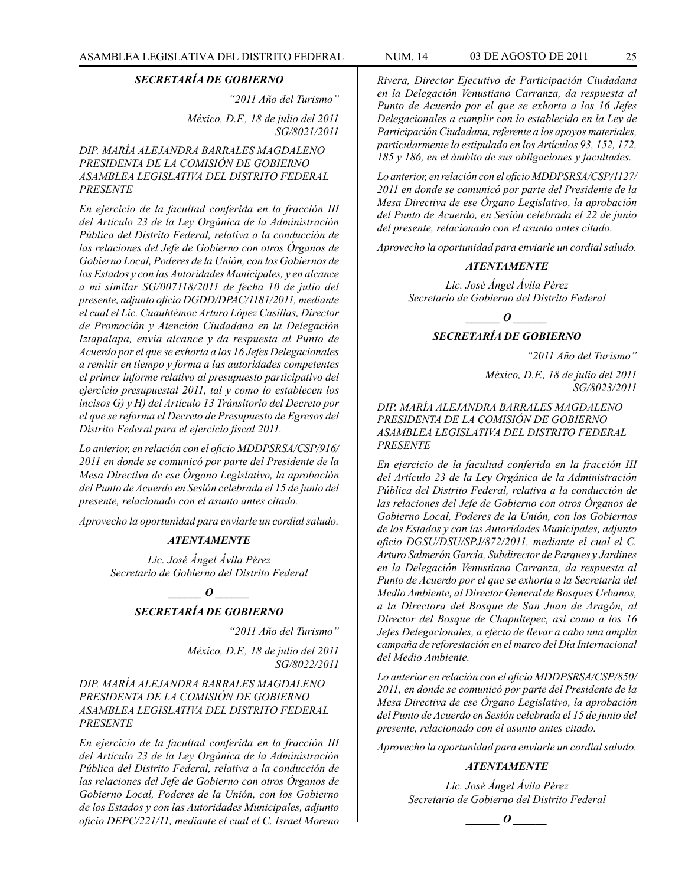*"2011 Año del Turismo"*

*México, D.F., 18 de julio del 2011 SG/8021/2011*

#### *DIP. MARÍA ALEJANDRA BARRALES MAGDALENO PRESIDENTA DE LA COMISIÓN DE GOBIERNO ASAMBLEA LEGISLATIVA DEL DISTRITO FEDERAL PRESENTE*

*En ejercicio de la facultad conferida en la fracción III del Artículo 23 de la Ley Orgánica de la Administración Pública del Distrito Federal, relativa a la conducción de las relaciones del Jefe de Gobierno con otros Órganos de Gobierno Local, Poderes de la Unión, con los Gobiernos de los Estados y con las Autoridades Municipales, y en alcance a mi similar SG/007118/2011 de fecha 10 de julio del presente, adjunto oficio DGDD/DPAC/1181/2011, mediante el cual el Lic. Cuauhtémoc Arturo López Casillas, Director de Promoción y Atención Ciudadana en la Delegación Iztapalapa, envía alcance y da respuesta al Punto de Acuerdo por el que se exhorta a los 16 Jefes Delegacionales a remitir en tiempo y forma a las autoridades competentes el primer informe relativo al presupuesto participativo del ejercicio presupuestal 2011, tal y como lo establecen los incisos G) y H) del Artículo 13 Tránsitorio del Decreto por el que se reforma el Decreto de Presupuesto de Egresos del Distrito Federal para el ejercicio fiscal 2011.*

*Lo anterior, en relación con el oficio MDDPSRSA/CSP/916/ 2011 en donde se comunicó por parte del Presidente de la Mesa Directiva de ese Órgano Legislativo, la aprobación del Punto de Acuerdo en Sesión celebrada el 15 de junio del presente, relacionado con el asunto antes citado.*

*Aprovecho la oportunidad para enviarle un cordial saludo.*

#### *ATENTAMENTE*

*Lic. José Ángel Ávila Pérez Secretario de Gobierno del Distrito Federal*

> $\frac{1}{\sqrt{1-\frac{1}{2}}}$ *SECRETARÍA DE GOBIERNO*

> > *"2011 Año del Turismo"*

*México, D.F., 18 de julio del 2011 SG/8022/2011*

*DIP. MARÍA ALEJANDRA BARRALES MAGDALENO PRESIDENTA DE LA COMISIÓN DE GOBIERNO ASAMBLEA LEGISLATIVA DEL DISTRITO FEDERAL PRESENTE*

*En ejercicio de la facultad conferida en la fracción III del Artículo 23 de la Ley Orgánica de la Administración Pública del Distrito Federal, relativa a la conducción de las relaciones del Jefe de Gobierno con otros Órganos de Gobierno Local, Poderes de la Unión, con los Gobierno de los Estados y con las Autoridades Municipales, adjunto oficio DEPC/221/11, mediante el cual el C. Israel Moreno* 

*Rivera, Director Ejecutivo de Participación Ciudadana en la Delegación Venustiano Carranza, da respuesta al Punto de Acuerdo por el que se exhorta a los 16 Jefes Delegacionales a cumplir con lo establecido en la Ley de Participación Ciudadana, referente a los apoyos materiales, particularmente lo estipulado en los Artículos 93, 152, 172, 185 y 186, en el ámbito de sus obligaciones y facultades.*

*Lo anterior, en relación con el oficio MDDPSRSA/CSP/1127/ 2011 en donde se comunicó por parte del Presidente de la Mesa Directiva de ese Órgano Legislativo, la aprobación del Punto de Acuerdo, en Sesión celebrada el 22 de junio del presente, relacionado con el asunto antes citado.*

*Aprovecho la oportunidad para enviarle un cordial saludo.*

#### *ATENTAMENTE*

*Lic. José Ángel Ávila Pérez Secretario de Gobierno del Distrito Federal*

*\_\_\_\_\_\_ O \_\_\_\_\_\_*

#### *SECRETARÍA DE GOBIERNO*

*"2011 Año del Turismo"*

*México, D.F., 18 de julio del 2011 SG/8023/2011*

*DIP. MARÍA ALEJANDRA BARRALES MAGDALENO PRESIDENTA DE LA COMISIÓN DE GOBIERNO ASAMBLEA LEGISLATIVA DEL DISTRITO FEDERAL PRESENTE*

*En ejercicio de la facultad conferida en la fracción III del Artículo 23 de la Ley Orgánica de la Administración Pública del Distrito Federal, relativa a la conducción de las relaciones del Jefe de Gobierno con otros Órganos de Gobierno Local, Poderes de la Unión, con los Gobiernos de los Estados y con las Autoridades Municipales, adjunto oficio DGSU/DSU/SPJ/872/2011, mediante el cual el C. Arturo Salmerón García, Subdirector de Parques y Jardines en la Delegación Venustiano Carranza, da respuesta al Punto de Acuerdo por el que se exhorta a la Secretaria del Medio Ambiente, al Director General de Bosques Urbanos, a la Directora del Bosque de San Juan de Aragón, al Director del Bosque de Chapultepec, así como a los 16 Jefes Delegacionales, a efecto de llevar a cabo una amplia campaña de reforestación en el marco del Día Internacional del Medio Ambiente.*

*Lo anterior en relación con el oficio MDDPSRSA/CSP/850/ 2011, en donde se comunicó por parte del Presidente de la Mesa Directiva de ese Órgano Legislativo, la aprobación del Punto de Acuerdo en Sesión celebrada el 15 de junio del presente, relacionado con el asunto antes citado.*

*Aprovecho la oportunidad para enviarle un cordial saludo.*

#### *ATENTAMENTE*

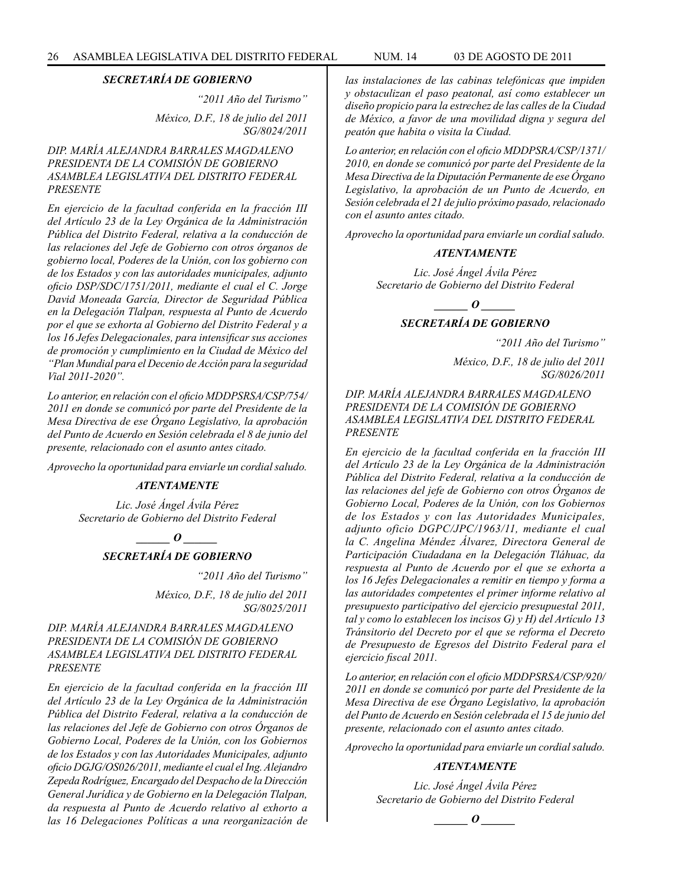*"2011 Año del Turismo" México, D.F., 18 de julio del 2011 SG/8024/2011*

#### *DIP. MARÍA ALEJANDRA BARRALES MAGDALENO PRESIDENTA DE LA COMISIÓN DE GOBIERNO ASAMBLEA LEGISLATIVA DEL DISTRITO FEDERAL PRESENTE*

*En ejercicio de la facultad conferida en la fracción III del Artículo 23 de la Ley Orgánica de la Administración Pública del Distrito Federal, relativa a la conducción de las relaciones del Jefe de Gobierno con otros órganos de gobierno local, Poderes de la Unión, con los gobierno con de los Estados y con las autoridades municipales, adjunto oficio DSP/SDC/1751/2011, mediante el cual el C. Jorge David Moneada García, Director de Seguridad Pública en la Delegación Tlalpan, respuesta al Punto de Acuerdo por el que se exhorta al Gobierno del Distrito Federal y a los 16 Jefes Delegacionales, para intensificar sus acciones de promoción y cumplimiento en la Ciudad de México del "Plan Mundial para el Decenio de Acción para la seguridad Vial 2011-2020".*

*Lo anterior, en relación con el oficio MDDPSRSA/CSP/754/ 2011 en donde se comunicó por parte del Presidente de la Mesa Directiva de ese Órgano Legislativo, la aprobación del Punto de Acuerdo en Sesión celebrada el 8 de junio del presente, relacionado con el asunto antes citado.*

*Aprovecho la oportunidad para enviarle un cordial saludo.*

#### *ATENTAMENTE*

*Lic. José Ángel Ávila Pérez Secretario de Gobierno del Distrito Federal*

*\_\_\_\_\_\_ O \_\_\_\_\_\_*

#### *SECRETARÍA DE GOBIERNO*

*"2011 Año del Turismo"*

*México, D.F., 18 de julio del 2011 SG/8025/2011*

#### *DIP. MARÍA ALEJANDRA BARRALES MAGDALENO PRESIDENTA DE LA COMISIÓN DE GOBIERNO ASAMBLEA LEGISLATIVA DEL DISTRITO FEDERAL PRESENTE*

*En ejercicio de la facultad conferida en la fracción III del Artículo 23 de la Ley Orgánica de la Administración Pública del Distrito Federal, relativa a la conducción de las relaciones del Jefe de Gobierno con otros Órganos de Gobierno Local, Poderes de la Unión, con los Gobiernos de los Estados y con las Autoridades Municipales, adjunto oficio DGJG/OS026/2011, mediante el cual el Ing. Alejandro Zepeda Rodríguez, Encargado del Despacho de la Dirección General Jurídica y de Gobierno en la Delegación Tlalpan, da respuesta al Punto de Acuerdo relativo al exhorto a las 16 Delegaciones Políticas a una reorganización de* 

*las instalaciones de las cabinas telefónicas que impiden y obstaculizan el paso peatonal, así como establecer un diseño propicio para la estrechez de las calles de la Ciudad de México, a favor de una movilidad digna y segura del* 

*Lo anterior, en relación con el oficio MDDPSRA/CSP/1371/ 2010, en donde se comunicó por parte del Presidente de la Mesa Directiva de la Diputación Permanente de ese Órgano Legislativo, la aprobación de un Punto de Acuerdo, en Sesión celebrada el 21 de julio próximo pasado, relacionado con el asunto antes citado.*

*peatón que habita o visita la Ciudad.*

*Aprovecho la oportunidad para enviarle un cordial saludo.*

#### *ATENTAMENTE*

*Lic. José Ángel Ávila Pérez Secretario de Gobierno del Distrito Federal*



#### *SECRETARÍA DE GOBIERNO*

*"2011 Año del Turismo"*

*México, D.F., 18 de julio del 2011 SG/8026/2011*

#### *DIP. MARÍA ALEJANDRA BARRALES MAGDALENO PRESIDENTA DE LA COMISIÓN DE GOBIERNO ASAMBLEA LEGISLATIVA DEL DISTRITO FEDERAL PRESENTE*

*En ejercicio de la facultad conferida en la fracción III del Artículo 23 de la Ley Orgánica de la Administración Pública del Distrito Federal, relativa a la conducción de las relaciones del jefe de Gobierno con otros Órganos de Gobierno Local, Poderes de la Unión, con los Gobiernos de los Estados y con las Autoridades Municipales, adjunto oficio DGPC/JPC/1963/11, mediante el cual la C. Angelina Méndez Álvarez, Directora General de Participación Ciudadana en la Delegación Tláhuac, da respuesta al Punto de Acuerdo por el que se exhorta a los 16 Jefes Delegacionales a remitir en tiempo y forma a las autoridades competentes el primer informe relativo al presupuesto participativo del ejercicio presupuestal 2011, tal y como lo establecen los incisos G) y H) del Artículo 13 Tránsitorio del Decreto por el que se reforma el Decreto de Presupuesto de Egresos del Distrito Federal para el ejercicio fiscal 2011.*

*Lo anterior, en relación con el oficio MDDPSRSA/CSP/920/ 2011 en donde se comunicó por parte del Presidente de la Mesa Directiva de ese Órgano Legislativo, la aprobación del Punto de Acuerdo en Sesión celebrada el 15 de junio del presente, relacionado con el asunto antes citado.*

*Aprovecho la oportunidad para enviarle un cordial saludo.*

#### *ATENTAMENTE*

*Lic. José Ángel Ávila Pérez Secretario de Gobierno del Distrito Federal*

*o*  $\theta$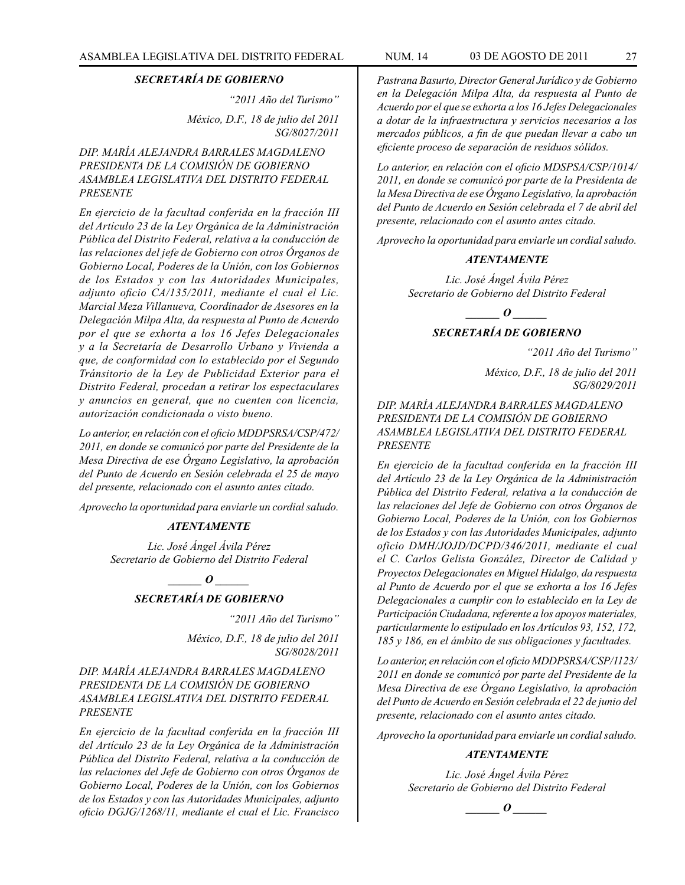*"2011 Año del Turismo"*

*México, D.F., 18 de julio del 2011 SG/8027/2011*

#### *DIP. MARÍA ALEJANDRA BARRALES MAGDALENO PRESIDENTA DE LA COMISIÓN DE GOBIERNO ASAMBLEA LEGISLATIVA DEL DISTRITO FEDERAL PRESENTE*

*En ejercicio de la facultad conferida en la fracción III del Artículo 23 de la Ley Orgánica de la Administración Pública del Distrito Federal, relativa a la conducción de las relaciones del jefe de Gobierno con otros Órganos de Gobierno Local, Poderes de la Unión, con los Gobiernos de los Estados y con las Autoridades Municipales, adjunto oficio CA/135/2011, mediante el cual el Lic. Marcial Meza Villanueva, Coordinador de Asesores en la Delegación Milpa Alta, da respuesta al Punto de Acuerdo por el que se exhorta a los 16 Jefes Delegacionales y a la Secretaría de Desarrollo Urbano y Vivienda a que, de conformidad con lo establecido por el Segundo Tránsitorio de la Ley de Publicidad Exterior para el Distrito Federal, procedan a retirar los espectaculares y anuncios en general, que no cuenten con licencia, autorización condicionada o visto bueno.*

*Lo anterior, en relación con el oficio MDDPSRSA/CSP/472/ 2011, en donde se comunicó por parte del Presidente de la Mesa Directiva de ese Órgano Legislativo, la aprobación del Punto de Acuerdo en Sesión celebrada el 25 de mayo del presente, relacionado con el asunto antes citado.*

*Aprovecho la oportunidad para enviarle un cordial saludo.*

#### *ATENTAMENTE*

*Lic. José Ángel Ávila Pérez Secretario de Gobierno del Distrito Federal*

 $\bm{o}$ 

#### *SECRETARÍA DE GOBIERNO*

*"2011 Año del Turismo"*

*México, D.F., 18 de julio del 2011 SG/8028/2011*

*DIP. MARÍA ALEJANDRA BARRALES MAGDALENO PRESIDENTA DE LA COMISIÓN DE GOBIERNO ASAMBLEA LEGISLATIVA DEL DISTRITO FEDERAL PRESENTE*

*En ejercicio de la facultad conferida en la fracción III del Artículo 23 de la Ley Orgánica de la Administración Pública del Distrito Federal, relativa a la conducción de las relaciones del Jefe de Gobierno con otros Órganos de Gobierno Local, Poderes de la Unión, con los Gobiernos de los Estados y con las Autoridades Municipales, adjunto oficio DGJG/1268/11, mediante el cual el Lic. Francisco*  *Pastrana Basurto, Director General Jurídico y de Gobierno en la Delegación Milpa Alta, da respuesta al Punto de Acuerdo por el que se exhorta a los 16 Jefes Delegacionales a dotar de la infraestructura y servicios necesarios a los mercados públicos, a fin de que puedan llevar a cabo un eficiente proceso de separación de residuos sólidos.*

*Lo anterior, en relación con el oficio MDSPSA/CSP/1014/ 2011, en donde se comunicó por parte de la Presidenta de la Mesa Directiva de ese Órgano Legislativo, la aprobación del Punto de Acuerdo en Sesión celebrada el 7 de abril del presente, relacionado con el asunto antes citado.*

*Aprovecho la oportunidad para enviarle un cordial saludo.*

#### *ATENTAMENTE*

*Lic. José Ángel Ávila Pérez Secretario de Gobierno del Distrito Federal*

*\_\_\_\_\_\_ O \_\_\_\_\_\_*

# *SECRETARÍA DE GOBIERNO*

*"2011 Año del Turismo" México, D.F., 18 de julio del 2011* 

*SG/8029/2011*

*DIP. MARÍA ALEJANDRA BARRALES MAGDALENO PRESIDENTA DE LA COMISIÓN DE GOBIERNO ASAMBLEA LEGISLATIVA DEL DISTRITO FEDERAL PRESENTE*

*En ejercicio de la facultad conferida en la fracción III del Artículo 23 de la Ley Orgánica de la Administración Pública del Distrito Federal, relativa a la conducción de las relaciones del Jefe de Gobierno con otros Órganos de Gobierno Local, Poderes de la Unión, con los Gobiernos de los Estados y con las Autoridades Municipales, adjunto oficio DMH/JOJD/DCPD/346/2011, mediante el cual el C. Carlos Gelista González, Director de Calidad y Proyectos Delegacionales en Miguel Hidalgo, da respuesta al Punto de Acuerdo por el que se exhorta a los 16 Jefes Delegacionales a cumplir con lo establecido en la Ley de Participación Ciudadana, referente a los apoyos materiales, particularmente lo estipulado en los Artículos 93, 152, 172, 185 y 186, en el ámbito de sus obligaciones y facultades.*

*Lo anterior, en relación con el oficio MDDPSRSA/CSP/1123/ 2011 en donde se comunicó por parte del Presidente de la Mesa Directiva de ese Órgano Legislativo, la aprobación del Punto de Acuerdo en Sesión celebrada el 22 de junio del presente, relacionado con el asunto antes citado.*

*Aprovecho la oportunidad para enviarle un cordial saludo.*

#### *ATENTAMENTE*

*Lic. José Ángel Ávila Pérez Secretario de Gobierno del Distrito Federal*

 $\bm{o}$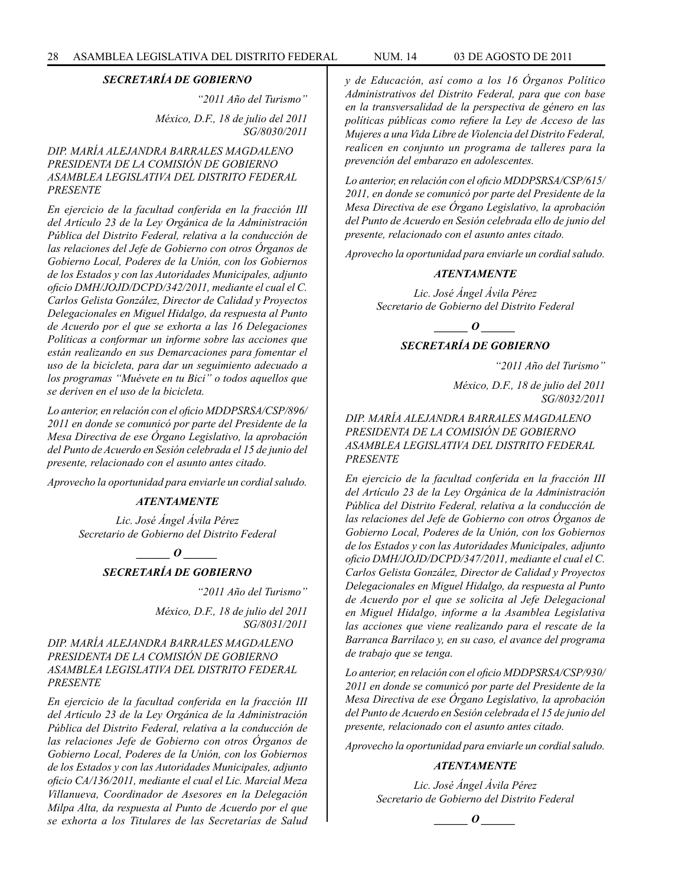*"2011 Año del Turismo" México, D.F., 18 de julio del 2011 SG/8030/2011*

#### *DIP. MARÍA ALEJANDRA BARRALES MAGDALENO PRESIDENTA DE LA COMISIÓN DE GOBIERNO ASAMBLEA LEGISLATIVA DEL DISTRITO FEDERAL PRESENTE*

*En ejercicio de la facultad conferida en la fracción III del Artículo 23 de la Ley Orgánica de la Administración Pública del Distrito Federal, relativa a la conducción de las relaciones del Jefe de Gobierno con otros Órganos de Gobierno Local, Poderes de la Unión, con los Gobiernos de los Estados y con las Autoridades Municipales, adjunto oficio DMH/JOJD/DCPD/342/2011, mediante el cual el C. Carlos Gelista González, Director de Calidad y Proyectos Delegacionales en Miguel Hidalgo, da respuesta al Punto de Acuerdo por el que se exhorta a las 16 Delegaciones Políticas a conformar un informe sobre las acciones que están realizando en sus Demarcaciones para fomentar el uso de la bicicleta, para dar un seguimiento adecuado a los programas "Muévete en tu Bici" o todos aquellos que se deriven en el uso de la bicicleta.*

*Lo anterior, en relación con el oficio MDDPSRSA/CSP/896/ 2011 en donde se comunicó por parte del Presidente de la Mesa Directiva de ese Órgano Legislativo, la aprobación del Punto de Acuerdo en Sesión celebrada el 15 de junio del presente, relacionado con el asunto antes citado.*

*Aprovecho la oportunidad para enviarle un cordial saludo.*

#### *ATENTAMENTE*

*Lic. José Ángel Ávila Pérez Secretario de Gobierno del Distrito Federal*

 $\bm{o}$ 

*SECRETARÍA DE GOBIERNO*

*"2011 Año del Turismo"*

*México, D.F., 18 de julio del 2011 SG/8031/2011*

#### *DIP. MARÍA ALEJANDRA BARRALES MAGDALENO PRESIDENTA DE LA COMISIÓN DE GOBIERNO ASAMBLEA LEGISLATIVA DEL DISTRITO FEDERAL PRESENTE*

*En ejercicio de la facultad conferida en la fracción III del Artículo 23 de la Ley Orgánica de la Administración Pública del Distrito Federal, relativa a la conducción de las relaciones Jefe de Gobierno con otros Órganos de Gobierno Local, Poderes de la Unión, con los Gobiernos de los Estados y con las Autoridades Municipales, adjunto oficio CA/136/2011, mediante el cual el Lic. Marcial Meza Villanueva, Coordinador de Asesores en la Delegación Milpa Alta, da respuesta al Punto de Acuerdo por el que se exhorta a los Titulares de las Secretarías de Salud* 

*y de Educación, así como a los 16 Órganos Político Administrativos del Distrito Federal, para que con base en la transversalidad de la perspectiva de género en las políticas públicas como refiere la Ley de Acceso de las Mujeres a una Vida Libre de Violencia del Distrito Federal, realicen en conjunto un programa de talleres para la prevención del embarazo en adolescentes.*

*Lo anterior, en relación con el oficio MDDPSRSA/CSP/615/ 2011, en donde se comunicó por parte del Presidente de la Mesa Directiva de ese Órgano Legislativo, la aprobación del Punto de Acuerdo en Sesión celebrada ello de junio del presente, relacionado con el asunto antes citado.*

*Aprovecho la oportunidad para enviarle un cordial saludo.*

#### *ATENTAMENTE*

*Lic. José Ángel Ávila Pérez Secretario de Gobierno del Distrito Federal*

*\_\_\_\_\_\_ O \_\_\_\_\_\_*

#### *SECRETARÍA DE GOBIERNO*

*"2011 Año del Turismo"*

*México, D.F., 18 de julio del 2011 SG/8032/2011*

*DIP. MARÍA ALEJANDRA BARRALES MAGDALENO PRESIDENTA DE LA COMISIÓN DE GOBIERNO ASAMBLEA LEGISLATIVA DEL DISTRITO FEDERAL PRESENTE*

*En ejercicio de la facultad conferida en la fracción III del Artículo 23 de la Ley Orgánica de la Administración Pública del Distrito Federal, relativa a la conducción de las relaciones del Jefe de Gobierno con otros Órganos de Gobierno Local, Poderes de la Unión, con los Gobiernos de los Estados y con las Autoridades Municipales, adjunto oficio DMH/JOJD/DCPD/347/2011, mediante el cual el C. Carlos Gelista González, Director de Calidad y Proyectos Delegacionales en Miguel Hidalgo, da respuesta al Punto de Acuerdo por el que se solicita al Jefe Delegacional en Miguel Hidalgo, informe a la Asamblea Legislativa las acciones que viene realizando para el rescate de la Barranca Barrilaco y, en su caso, el avance del programa de trabajo que se tenga.*

*Lo anterior, en relación con el oficio MDDPSRSA/CSP/930/ 2011 en donde se comunicó por parte del Presidente de la Mesa Directiva de ese Órgano Legislativo, la aprobación del Punto de Acuerdo en Sesión celebrada el 15 de junio del presente, relacionado con el asunto antes citado.*

*Aprovecho la oportunidad para enviarle un cordial saludo.*

#### *ATENTAMENTE*

*Lic. José Ángel Ávila Pérez Secretario de Gobierno del Distrito Federal*

 $\bm{o}$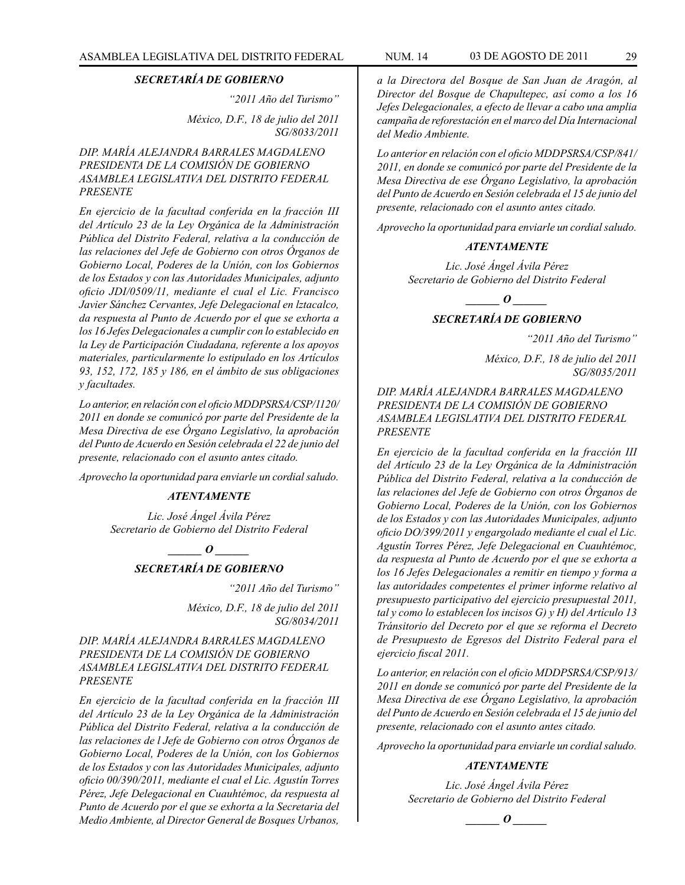*"2011 Año del Turismo"*

*México, D.F., 18 de julio del 2011 SG/8033/2011*

#### *DIP. MARÍA ALEJANDRA BARRALES MAGDALENO PRESIDENTA DE LA COMISIÓN DE GOBIERNO ASAMBLEA LEGISLATIVA DEL DISTRITO FEDERAL PRESENTE*

*En ejercicio de la facultad conferida en la fracción III del Artículo 23 de la Ley Orgánica de la Administración Pública del Distrito Federal, relativa a la conducción de las relaciones del Jefe de Gobierno con otros Órganos de Gobierno Local, Poderes de la Unión, con los Gobiernos de los Estados y con las Autoridades Municipales, adjunto oficio JDI/0509/11, mediante el cual el Lic. Francisco Javier Sánchez Cervantes, Jefe Delegacional en lztacalco, da respuesta al Punto de Acuerdo por el que se exhorta a los 16 Jefes Delegacionales a cumplir con lo establecido en la Ley de Participación Ciudadana, referente a los apoyos materiales, particularmente lo estipulado en los Artículos 93, 152, 172, 185 y 186, en el ámbito de sus obligaciones y facultades.*

*Lo anterior, en relación con el oficio MDDPSRSA/CSP/1120/ 2011 en donde se comunicó por parte del Presidente de la Mesa Directiva de ese Órgano Legislativo, la aprobación del Punto de Acuerdo en Sesión celebrada el 22 de junio del presente, relacionado con el asunto antes citado.*

*Aprovecho la oportunidad para enviarle un cordial saludo.*

#### *ATENTAMENTE*

*Lic. José Ángel Ávila Pérez Secretario de Gobierno del Distrito Federal*

*\_\_\_\_\_\_ O \_\_\_\_\_\_*

## *SECRETARÍA DE GOBIERNO*

*"2011 Año del Turismo"*

*México, D.F., 18 de julio del 2011 SG/8034/2011*

#### *DIP. MARÍA ALEJANDRA BARRALES MAGDALENO PRESIDENTA DE LA COMISIÓN DE GOBIERNO ASAMBLEA LEGISLATIVA DEL DISTRITO FEDERAL PRESENTE*

*En ejercicio de la facultad conferida en la fracción III del Artículo 23 de la Ley Orgánica de la Administración Pública del Distrito Federal, relativa a la conducción de las relaciones de l Jefe de Gobierno con otros Órganos de Gobierno Local, Poderes de la Unión, con los Gobiernos de los Estados y con las Autoridades Municipales, adjunto oficio 00/390/2011, mediante el cual el Lic. Agustín Torres Pérez, Jefe Delegacional en Cuauhtémoc, da respuesta al Punto de Acuerdo por el que se exhorta a la Secretaria del Medio Ambiente, al Director General de Bosques Urbanos,* 

*a la Directora del Bosque de San Juan de Aragón, al Director del Bosque de Chapultepec, así como a los 16 Jefes Delegacionales, a efecto de llevar a cabo una amplia campaña de reforestación en el marco del Día Internacional del Medio Ambiente.*

*Lo anterior en relación con el oficio MDDPSRSA/CSP/841/ 2011, en donde se comunicó por parte del Presidente de la Mesa Directiva de ese Órgano Legislativo, la aprobación del Punto de Acuerdo en Sesión celebrada el 15 de junio del presente, relacionado con el asunto antes citado.*

*Aprovecho la oportunidad para enviarle un cordial saludo.*

#### *ATENTAMENTE*

*Lic. José Ángel Ávila Pérez Secretario de Gobierno del Distrito Federal*

> *\_\_\_\_\_\_ O \_\_\_\_\_\_ SECRETARÍA DE GOBIERNO*

> > *"2011 Año del Turismo"*

*México, D.F., 18 de julio del 2011 SG/8035/2011*

#### *DIP. MARÍA ALEJANDRA BARRALES MAGDALENO PRESIDENTA DE LA COMISIÓN DE GOBIERNO ASAMBLEA LEGISLATIVA DEL DISTRITO FEDERAL PRESENTE*

*En ejercicio de la facultad conferida en la fracción III del Artículo 23 de la Ley Orgánica de la Administración Pública del Distrito Federal, relativa a la conducción de las relaciones del Jefe de Gobierno con otros Órganos de Gobierno Local, Poderes de la Unión, con los Gobiernos de los Estados y con las Autoridades Municipales, adjunto oficio DO/399/2011 y engargolado mediante el cual el Lic. Agustín Torres Pérez, Jefe Delegacional en Cuauhtémoc, da respuesta al Punto de Acuerdo por el que se exhorta a los 16 Jefes Delegacionales a remitir en tiempo y forma a las autoridades competentes el primer informe relativo al presupuesto participativo del ejercicio presupuestal 2011, tal y como lo establecen los incisos G) y H) del Artículo 13 Tránsitorio del Decreto por el que se reforma el Decreto de Presupuesto de Egresos del Distrito Federal para el ejercicio fiscal 2011.*

*Lo anterior, en relación con el oficio MDDPSRSA/CSP/913/ 2011 en donde se comunicó por parte del Presidente de la Mesa Directiva de ese Órgano Legislativo, la aprobación del Punto de Acuerdo en Sesión celebrada el 15 de junio del presente, relacionado con el asunto antes citado.*

*Aprovecho la oportunidad para enviarle un cordial saludo.*

#### *ATENTAMENTE*

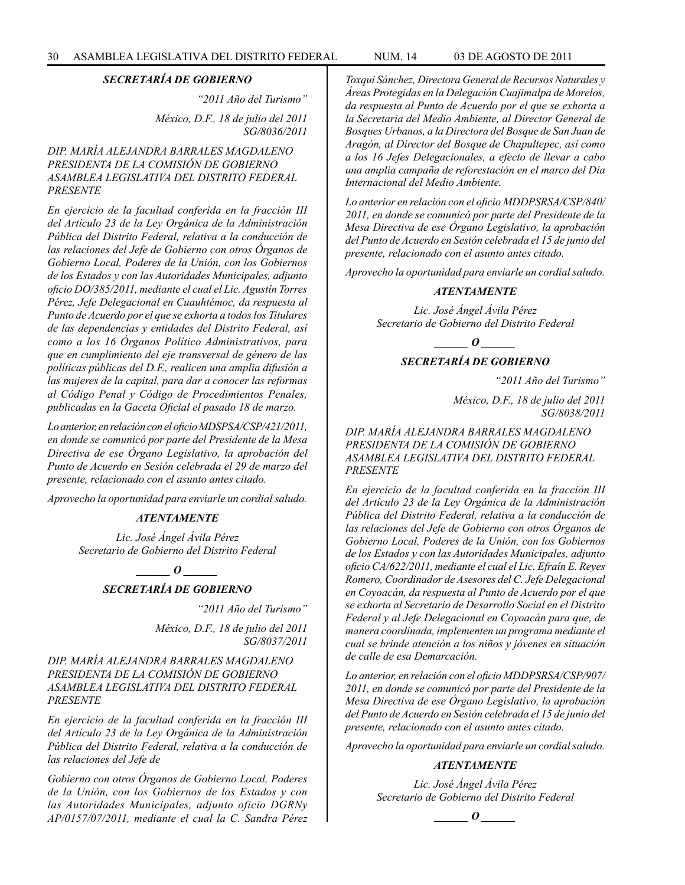*"2011 Año del Turismo" México, D.F., 18 de julio del 2011 SG/8036/2011*

#### *DIP. MARÍA ALEJANDRA BARRALES MAGDALENO PRESIDENTA DE LA COMISIÓN DE GOBIERNO ASAMBLEA LEGISLATIVA DEL DISTRITO FEDERAL PRESENTE*

*En ejercicio de la facultad conferida en la fracción III del Artículo 23 de la Ley Orgánica de la Administración Pública del Distrito Federal, relativa a la conducción de las relaciones del Jefe de Gobierno con otros Órganos de Gobierno Local, Poderes de la Unión, con los Gobiernos de los Estados y con las Autoridades Municipales, adjunto oficio DO/385/2011, mediante el cual el Lic. Agustín Torres Pérez, Jefe Delegacional en Cuauhtémoc, da respuesta al Punto de Acuerdo por el que se exhorta a todos los Titulares de las dependencias y entidades del Distrito Federal, así como a los 16 Órganos Político Administrativos, para que en cumplimiento del eje transversal de género de las políticas públicas del D.F., realicen una amplia difusión a las mujeres de la capital, para dar a conocer las reformas al Código Penal y Código de Procedimientos Penales, publicadas en la Gaceta Oficial el pasado 18 de marzo.*

*Lo anterior, en relación con el oficio MDSPSA/CSP/421/2011, en donde se comunicó por parte del Presidente de la Mesa Directiva de ese Órgano Legislativo, la aprobación del Punto de Acuerdo en Sesión celebrada el 29 de marzo del presente, relacionado con el asunto antes citado.*

*Aprovecho la oportunidad para enviarle un cordial saludo.*

#### *ATENTAMENTE*

*Lic. José Ángel Ávila Pérez Secretario de Gobierno del Distrito Federal*

> *\_\_\_\_\_\_ O \_\_\_\_\_\_ SECRETARÍA DE GOBIERNO*

> > *"2011 Año del Turismo"*

*México, D.F., 18 de julio del 2011 SG/8037/2011*

#### *DIP. MARÍA ALEJANDRA BARRALES MAGDALENO PRESIDENTA DE LA COMISIÓN DE GOBIERNO ASAMBLEA LEGISLATIVA DEL DISTRITO FEDERAL PRESENTE*

*En ejercicio de la facultad conferida en la fracción III del Artículo 23 de la Ley Orgánica de la Administración Pública del Distrito Federal, relativa a la conducción de las relaciones del Jefe de* 

*Gobierno con otros Órganos de Gobierno Local, Poderes de la Unión, con los Gobiernos de los Estados y con las Autoridades Municipales, adjunto oficio DGRNy AP/0157/07/2011, mediante el cual la C. Sandra Pérez*  *Toxqui Sánchez, Directora General de Recursos Naturales y Áreas Protegidas en la Delegación Cuajimalpa de Morelos, da respuesta al Punto de Acuerdo por el que se exhorta a la Secretaria del Medio Ambiente, al Director General de Bosques Urbanos, a la Directora del Bosque de San Juan de Aragón, al Director del Bosque de Chapultepec, así como a los 16 Jefes Delegacionales, a efecto de llevar a cabo una amplia campaña de reforestación en el marco del Día Internacional del Medio Ambiente.*

*Lo anterior en relación con el oficio MDDPSRSA/CSP/840/ 2011, en donde se comunicó por parte del Presidente de la Mesa Directiva de ese Órgano Legislativo, la aprobación del Punto de Acuerdo en Sesión celebrada el 15 de junio del presente, relacionado con el asunto antes citado.*

*Aprovecho la oportunidad para enviarle un cordial saludo.*

#### *ATENTAMENTE*

*Lic. José Ángel Ávila Pérez Secretario de Gobierno del Distrito Federal*

*\_\_\_\_\_\_ O \_\_\_\_\_\_*

#### *SECRETARÍA DE GOBIERNO*

*"2011 Año del Turismo"*

*México, D.F., 18 de julio del 2011 SG/8038/2011*

*DIP. MARÍA ALEJANDRA BARRALES MAGDALENO PRESIDENTA DE LA COMISIÓN DE GOBIERNO ASAMBLEA LEGISLATIVA DEL DISTRITO FEDERAL PRESENTE*

*En ejercicio de la facultad conferida en la fracción III del Artículo 23 de la Ley Orgánica de la Administración Pública del Distrito Federal, relativa a la conducción de las relaciones del Jefe de Gobierno con otros Órganos de Gobierno Local, Poderes de la Unión, con los Gobiernos de los Estados y con las Autoridades Municipales, adjunto oficio CA/622/2011, mediante el cual el Lic. Efraín E. Reyes Romero, Coordinador de Asesores del C. Jefe Delegacional en Coyoacán, da respuesta al Punto de Acuerdo por el que se exhorta al Secretario de Desarrollo Social en el Distrito Federal y al Jefe Delegacional en Coyoacán para que, de manera coordinada, implementen un programa mediante el cual se brinde atención a los niños y jóvenes en situación de calle de esa Demarcación.*

*Lo anterior, en relación con el oficio MDDPSRSA/CSP/907/ 2011, en donde se comunicó por parte del Presidente de la Mesa Directiva de ese Órgano Legislativo, la aprobación del Punto de Acuerdo en Sesión celebrada el 15 de junio del presente, relacionado con el asunto antes citado.*

*Aprovecho la oportunidad para enviarle un cordial saludo.*

#### *ATENTAMENTE*

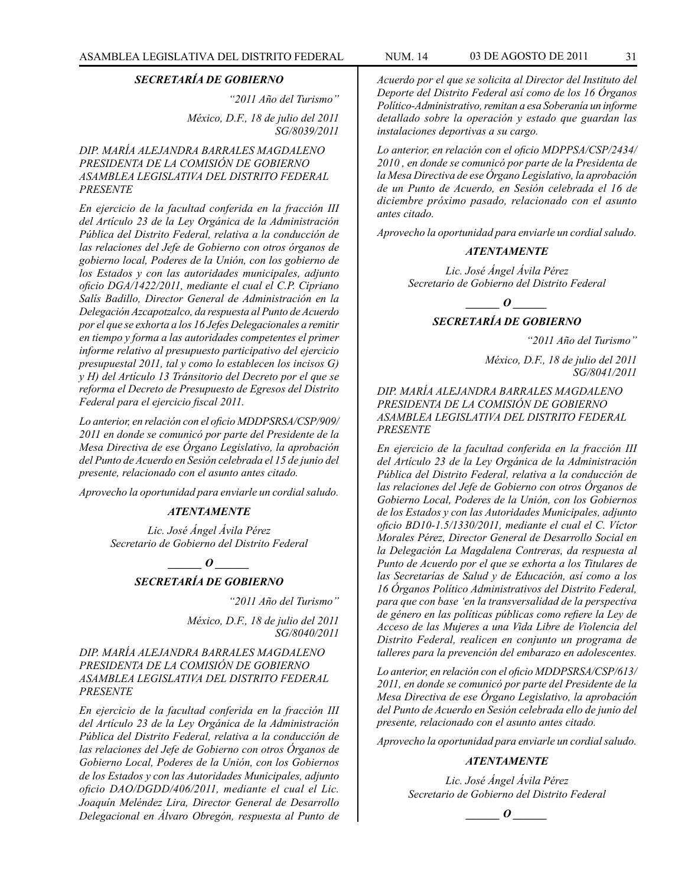*"2011 Año del Turismo"*

*México, D.F., 18 de julio del 2011 SG/8039/2011*

*DIP. MARÍA ALEJANDRA BARRALES MAGDALENO PRESIDENTA DE LA COMISIÓN DE GOBIERNO ASAMBLEA LEGISLATIVA DEL DISTRITO FEDERAL PRESENTE*

*En ejercicio de la facultad conferida en la fracción III del Artículo 23 de la Ley Orgánica de la Administración Pública del Distrito Federal, relativa a la conducción de las relaciones del Jefe de Gobierno con otros órganos de gobierno local, Poderes de la Unión, con los gobierno de los Estados y con las autoridades municipales, adjunto oficio DGA/1422/2011, mediante el cual el C.P. Cipriano Salís Badillo, Director General de Administración en la Delegación Azcapotzalco, da respuesta al Punto de Acuerdo por el que se exhorta a los 16 Jefes Delegacionales a remitir en tiempo y forma a las autoridades competentes el primer informe relativo al presupuesto participativo del ejercicio presupuestal 2011, tal y como lo establecen los incisos G) y H) del Artículo 13 Tránsitorio del Decreto por el que se reforma el Decreto de Presupuesto de Egresos del Distrito Federal para el ejercicio fiscal 2011.*

*Lo anterior, en relación con el oficio MDDPSRSA/CSP/909/ 2011 en donde se comunicó por parte del Presidente de la Mesa Directiva de ese Órgano Legislativo, la aprobación del Punto de Acuerdo en Sesión celebrada el 15 de junio del presente, relacionado con el asunto antes citado.*

*Aprovecho la oportunidad para enviarle un cordial saludo.*

#### *ATENTAMENTE*

*Lic. José Ángel Ávila Pérez Secretario de Gobierno del Distrito Federal*

*\_\_\_\_\_\_ O \_\_\_\_\_\_*

#### *SECRETARÍA DE GOBIERNO*

*"2011 Año del Turismo"*

*México, D.F., 18 de julio del 2011 SG/8040/2011*

#### *DIP. MARÍA ALEJANDRA BARRALES MAGDALENO PRESIDENTA DE LA COMISIÓN DE GOBIERNO ASAMBLEA LEGISLATIVA DEL DISTRITO FEDERAL PRESENTE*

*En ejercicio de la facultad conferida en la fracción III del Artículo 23 de la Ley Orgánica de la Administración Pública del Distrito Federal, relativa a la conducción de las relaciones del Jefe de Gobierno con otros Órganos de Gobierno Local, Poderes de la Unión, con los Gobiernos de los Estados y con las Autoridades Municipales, adjunto oficio DAO/DGDD/406/2011, mediante el cual el Lic. Joaquín Meléndez Lira, Director General de Desarrollo Delegacional en Álvaro Obregón, respuesta al Punto de*  *Acuerdo por el que se solicita al Director del Instituto del Deporte del Distrito Federal así como de los 16 Órganos Político-Administrativo, remitan a esa Soberanía un informe detallado sobre la operación y estado que guardan las instalaciones deportivas a su cargo.*

*Lo anterior, en relación con el oficio MDPPSA/CSP/2434/ 2010 , en donde se comunicó por parte de la Presidenta de la Mesa Directiva de ese Órgano Legislativo, la aprobación de un Punto de Acuerdo, en Sesión celebrada el 16 de diciembre próximo pasado, relacionado con el asunto antes citado.*

*Aprovecho la oportunidad para enviarle un cordial saludo.*

#### *ATENTAMENTE*

*Lic. José Ángel Ávila Pérez Secretario de Gobierno del Distrito Federal*

*\_\_\_\_\_\_ O \_\_\_\_\_\_*

#### *SECRETARÍA DE GOBIERNO*

*"2011 Año del Turismo"*

*México, D.F., 18 de julio del 2011 SG/8041/2011*

#### *DIP. MARÍA ALEJANDRA BARRALES MAGDALENO PRESIDENTA DE LA COMISIÓN DE GOBIERNO ASAMBLEA LEGISLATIVA DEL DISTRITO FEDERAL PRESENTE*

*En ejercicio de la facultad conferida en la fracción III del Artículo 23 de la Ley Orgánica de la Administración Pública del Distrito Federal, relativa a la conducción de las relaciones del Jefe de Gobierno con otros Órganos de Gobierno Local, Poderes de la Unión, con los Gobiernos de los Estados y con las Autoridades Municipales, adjunto oficio BD10-1.5/1330/2011, mediante el cual el C. Víctor Morales Pérez, Director General de Desarrollo Social en la Delegación La Magdalena Contreras, da respuesta al Punto de Acuerdo por el que se exhorta a los Titulares de las Secretarías de Salud y de Educación, así como a los 16 Órganos Político Administrativos del Distrito Federal, para que con base 'en la transversalidad de la perspectiva de género en las políticas públicas como refiere la Ley de Acceso de las Mujeres a una Vida Libre de Violencia del Distrito Federal, realicen en conjunto un programa de talleres para la prevención del embarazo en adolescentes.*

*Lo anterior, en relación con el oficio MDDPSRSA/CSP/613/ 2011, en donde se comunicó por parte del Presidente de la Mesa Directiva de ese Órgano Legislativo, la aprobación del Punto de Acuerdo en Sesión celebrada ello de junio del presente, relacionado con el asunto antes citado.*

*Aprovecho la oportunidad para enviarle un cordial saludo.*

#### *ATENTAMENTE*

$$
\_\_o\_
$$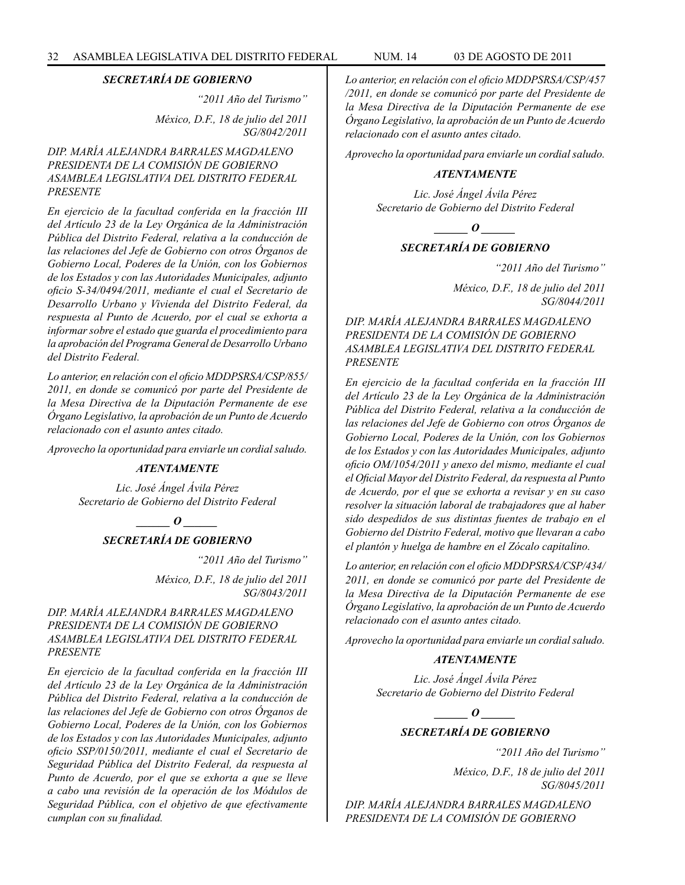*"2011 Año del Turismo" México, D.F., 18 de julio del 2011 SG/8042/2011*

#### *DIP. MARÍA ALEJANDRA BARRALES MAGDALENO PRESIDENTA DE LA COMISIÓN DE GOBIERNO ASAMBLEA LEGISLATIVA DEL DISTRITO FEDERAL PRESENTE*

*En ejercicio de la facultad conferida en la fracción III del Artículo 23 de la Ley Orgánica de la Administración Pública del Distrito Federal, relativa a la conducción de las relaciones del Jefe de Gobierno con otros Órganos de Gobierno Local, Poderes de la Unión, con los Gobiernos de los Estados y con las Autoridades Municipales, adjunto oficio S-34/0494/2011, mediante el cual el Secretario de Desarrollo Urbano y Vivienda del Distrito Federal, da respuesta al Punto de Acuerdo, por el cual se exhorta a informar sobre el estado que guarda el procedimiento para la aprobación del Programa General de Desarrollo Urbano del Distrito Federal.*

*Lo anterior, en relación con el oficio MDDPSRSA/CSP/855/ 2011, en donde se comunicó por parte del Presidente de la Mesa Directiva de la Diputación Permanente de ese Órgano Legislativo, la aprobación de un Punto de Acuerdo relacionado con el asunto antes citado.*

*Aprovecho la oportunidad para enviarle un cordial saludo.*

#### *ATENTAMENTE*

*Lic. José Ángel Ávila Pérez Secretario de Gobierno del Distrito Federal*

*\_\_\_\_\_\_ O \_\_\_\_\_\_*

#### *SECRETARÍA DE GOBIERNO*

*"2011 Año del Turismo"*

*México, D.F., 18 de julio del 2011 SG/8043/2011*

#### *DIP. MARÍA ALEJANDRA BARRALES MAGDALENO PRESIDENTA DE LA COMISIÓN DE GOBIERNO ASAMBLEA LEGISLATIVA DEL DISTRITO FEDERAL PRESENTE*

*En ejercicio de la facultad conferida en la fracción III del Artículo 23 de la Ley Orgánica de la Administración Pública del Distrito Federal, relativa a la conducción de las relaciones del Jefe de Gobierno con otros Órganos de Gobierno Local, Poderes de la Unión, con los Gobiernos de los Estados y con las Autoridades Municipales, adjunto oficio SSP/0150/2011, mediante el cual el Secretario de Seguridad Pública del Distrito Federal, da respuesta al Punto de Acuerdo, por el que se exhorta a que se lleve a cabo una revisión de la operación de los Módulos de Seguridad Pública, con el objetivo de que efectivamente cumplan con su finalidad.*

*Lo anterior, en relación con el oficio MDDPSRSA/CSP/457 /2011, en donde se comunicó por parte del Presidente de la Mesa Directiva de la Diputación Permanente de ese Órgano Legislativo, la aprobación de un Punto de Acuerdo relacionado con el asunto antes citado.*

*Aprovecho la oportunidad para enviarle un cordial saludo.*

#### *ATENTAMENTE*

*Lic. José Ángel Ávila Pérez Secretario de Gobierno del Distrito Federal*

 $\bm{o}$ 

#### *SECRETARÍA DE GOBIERNO*

*"2011 Año del Turismo"*

*México, D.F., 18 de julio del 2011 SG/8044/2011*

*DIP. MARÍA ALEJANDRA BARRALES MAGDALENO PRESIDENTA DE LA COMISIÓN DE GOBIERNO ASAMBLEA LEGISLATIVA DEL DISTRITO FEDERAL PRESENTE*

*En ejercicio de la facultad conferida en la fracción III del Artículo 23 de la Ley Orgánica de la Administración Pública del Distrito Federal, relativa a la conducción de las relaciones del Jefe de Gobierno con otros Órganos de Gobierno Local, Poderes de la Unión, con los Gobiernos de los Estados y con las Autoridades Municipales, adjunto oficio OM/1054/2011 y anexo del mismo, mediante el cual el Oficial Mayor del Distrito Federal, da respuesta al Punto de Acuerdo, por el que se exhorta a revisar y en su caso resolver la situación laboral de trabajadores que al haber sido despedidos de sus distintas fuentes de trabajo en el Gobierno del Distrito Federal, motivo que llevaran a cabo el plantón y huelga de hambre en el Zócalo capitalino.*

*Lo anterior, en relación con el oficio MDDPSRSA/CSP/434/ 2011, en donde se comunicó por parte del Presidente de la Mesa Directiva de la Diputación Permanente de ese Órgano Legislativo, la aprobación de un Punto de Acuerdo relacionado con el asunto antes citado.*

*Aprovecho la oportunidad para enviarle un cordial saludo.*

#### *ATENTAMENTE*

*Lic. José Ángel Ávila Pérez Secretario de Gobierno del Distrito Federal*

*\_\_\_\_\_\_ O \_\_\_\_\_\_*

## *SECRETARÍA DE GOBIERNO*

*"2011 Año del Turismo"*

*México, D.F., 18 de julio del 2011 SG/8045/2011*

*DIP. MARÍA ALEJANDRA BARRALES MAGDALENO PRESIDENTA DE LA COMISIÓN DE GOBIERNO*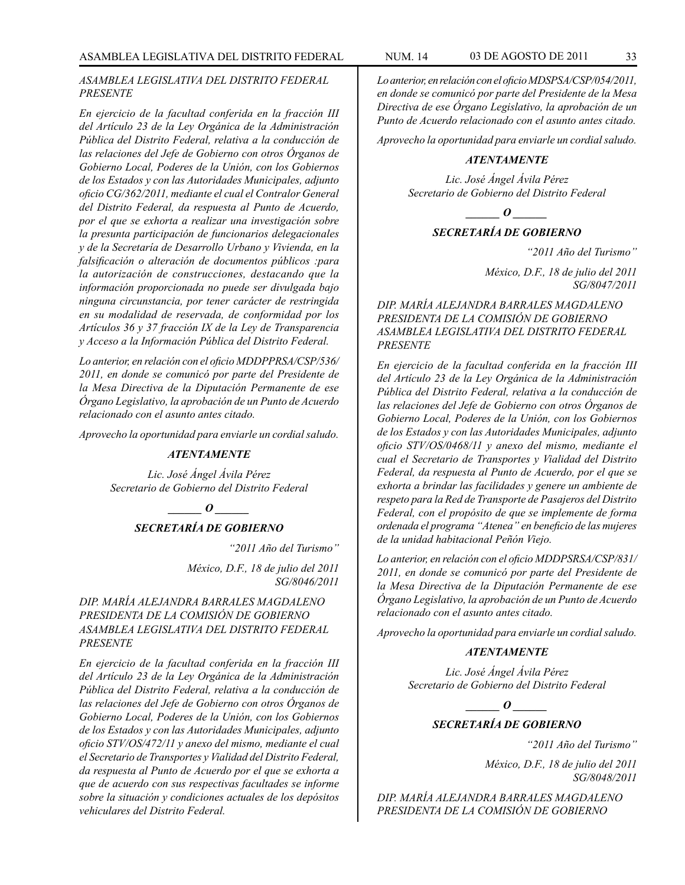#### *ASAMBLEA LEGISLATIVA DEL DISTRITO FEDERAL PRESENTE*

*En ejercicio de la facultad conferida en la fracción III del Artículo 23 de la Ley Orgánica de la Administración Pública del Distrito Federal, relativa a la conducción de las relaciones del Jefe de Gobierno con otros Órganos de Gobierno Local, Poderes de la Unión, con los Gobiernos de los Estados y con las Autoridades Municipales, adjunto oficio CG/362/2011, mediante el cual el Contralor General del Distrito Federal, da respuesta al Punto de Acuerdo, por el que se exhorta a realizar una investigación sobre la presunta participación de funcionarios delegacionales y de la Secretaría de Desarrollo Urbano y Vivienda, en la falsificación o alteración de documentos públicos :para la autorización de construcciones, destacando que la información proporcionada no puede ser divulgada bajo ninguna circunstancia, por tener carácter de restringida en su modalidad de reservada, de conformidad por los Artículos 36 y 37 fracción IX de la Ley de Transparencia y Acceso a la Información Pública del Distrito Federal.*

*Lo anterior, en relación con el oficio MDDPPRSA/CSP/536/ 2011, en donde se comunicó por parte del Presidente de la Mesa Directiva de la Diputación Permanente de ese Órgano Legislativo, la aprobación de un Punto de Acuerdo relacionado con el asunto antes citado.*

*Aprovecho la oportunidad para enviarle un cordial saludo.*

#### *ATENTAMENTE*

*Lic. José Ángel Ávila Pérez Secretario de Gobierno del Distrito Federal*

*\_\_\_\_\_\_ O \_\_\_\_\_\_*

#### *SECRETARÍA DE GOBIERNO*

*"2011 Año del Turismo"*

*México, D.F., 18 de julio del 2011 SG/8046/2011*

#### *DIP. MARÍA ALEJANDRA BARRALES MAGDALENO PRESIDENTA DE LA COMISIÓN DE GOBIERNO ASAMBLEA LEGISLATIVA DEL DISTRITO FEDERAL PRESENTE*

*En ejercicio de la facultad conferida en la fracción III del Artículo 23 de la Ley Orgánica de la Administración Pública del Distrito Federal, relativa a la conducción de las relaciones del Jefe de Gobierno con otros Órganos de Gobierno Local, Poderes de la Unión, con los Gobiernos de los Estados y con las Autoridades Municipales, adjunto oficio STV/OS/472/11 y anexo del mismo, mediante el cual el Secretario de Transportes y Vialidad del Distrito Federal, da respuesta al Punto de Acuerdo por el que se exhorta a que de acuerdo con sus respectivas facultades se informe sobre la situación y condiciones actuales de los depósitos vehiculares del Distrito Federal.*

*Lo anterior, en relación con el oficio MDSPSA/CSP/054/2011, en donde se comunicó por parte del Presidente de la Mesa Directiva de ese Órgano Legislativo, la aprobación de un Punto de Acuerdo relacionado con el asunto antes citado.*

*Aprovecho la oportunidad para enviarle un cordial saludo.*

#### *ATENTAMENTE*

*Lic. José Ángel Ávila Pérez Secretario de Gobierno del Distrito Federal*

*\_\_\_\_\_\_ O \_\_\_\_\_\_*

#### *SECRETARÍA DE GOBIERNO*

*"2011 Año del Turismo"*

*México, D.F., 18 de julio del 2011 SG/8047/2011*

*DIP. MARÍA ALEJANDRA BARRALES MAGDALENO PRESIDENTA DE LA COMISIÓN DE GOBIERNO ASAMBLEA LEGISLATIVA DEL DISTRITO FEDERAL PRESENTE*

*En ejercicio de la facultad conferida en la fracción III del Artículo 23 de la Ley Orgánica de la Administración Pública del Distrito Federal, relativa a la conducción de las relaciones del Jefe de Gobierno con otros Órganos de Gobierno Local, Poderes de la Unión, con los Gobiernos de los Estados y con las Autoridades Municipales, adjunto oficio STV/OS/0468/11 y anexo del mismo, mediante el cual el Secretario de Transportes y Vialidad del Distrito Federal, da respuesta al Punto de Acuerdo, por el que se exhorta a brindar las facilidades y genere un ambiente de respeto para la Red de Transporte de Pasajeros del Distrito Federal, con el propósito de que se implemente de forma ordenada el programa "Atenea" en beneficio de las mujeres de la unidad habitacional Peñón Viejo.*

*Lo anterior, en relación con el oficio MDDPSRSA/CSP/831/ 2011, en donde se comunicó por parte del Presidente de la Mesa Directiva de la Diputación Permanente de ese Órgano Legislativo, la aprobación de un Punto de Acuerdo relacionado con el asunto antes citado.*

*Aprovecho la oportunidad para enviarle un cordial saludo.*

#### *ATENTAMENTE*

*Lic. José Ángel Ávila Pérez Secretario de Gobierno del Distrito Federal*

*\_\_\_\_\_\_ O \_\_\_\_\_\_*

# *SECRETARÍA DE GOBIERNO*

*"2011 Año del Turismo"*

*México, D.F., 18 de julio del 2011 SG/8048/2011*

*DIP. MARÍA ALEJANDRA BARRALES MAGDALENO PRESIDENTA DE LA COMISIÓN DE GOBIERNO*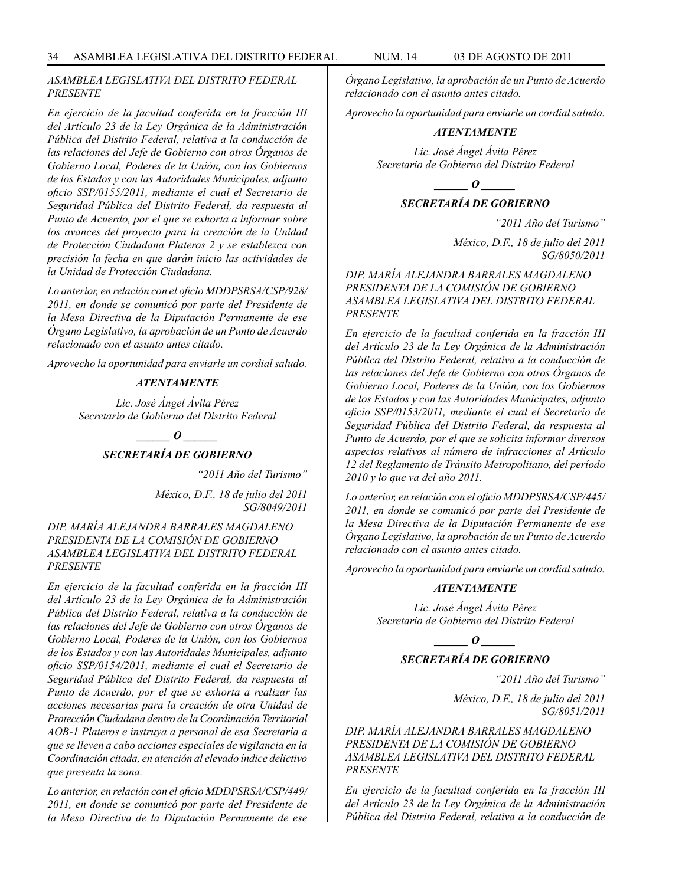#### *ASAMBLEA LEGISLATIVA DEL DISTRITO FEDERAL PRESENTE*

*En ejercicio de la facultad conferida en la fracción III del Artículo 23 de la Ley Orgánica de la Administración Pública del Distrito Federal, relativa a la conducción de las relaciones del Jefe de Gobierno con otros Órganos de Gobierno Local, Poderes de la Unión, con los Gobiernos de los Estados y con las Autoridades Municipales, adjunto oficio SSP/0155/2011, mediante el cual el Secretario de Seguridad Pública del Distrito Federal, da respuesta al Punto de Acuerdo, por el que se exhorta a informar sobre los avances del proyecto para la creación de la Unidad de Protección Ciudadana Plateros 2 y se establezca con precisión la fecha en que darán inicio las actividades de la Unidad de Protección Ciudadana.*

*Lo anterior, en relación con el oficio MDDPSRSA/CSP/928/ 2011, en donde se comunicó por parte del Presidente de la Mesa Directiva de la Diputación Permanente de ese Órgano Legislativo, la aprobación de un Punto de Acuerdo relacionado con el asunto antes citado.*

*Aprovecho la oportunidad para enviarle un cordial saludo.*

#### *ATENTAMENTE*

*Lic. José Ángel Ávila Pérez Secretario de Gobierno del Distrito Federal*



## *SECRETARÍA DE GOBIERNO*

*"2011 Año del Turismo"*

*México, D.F., 18 de julio del 2011 SG/8049/2011*

#### *DIP. MARÍA ALEJANDRA BARRALES MAGDALENO PRESIDENTA DE LA COMISIÓN DE GOBIERNO ASAMBLEA LEGISLATIVA DEL DISTRITO FEDERAL PRESENTE*

*En ejercicio de la facultad conferida en la fracción III del Artículo 23 de la Ley Orgánica de la Administración Pública del Distrito Federal, relativa a la conducción de las relaciones del Jefe de Gobierno con otros Órganos de Gobierno Local, Poderes de la Unión, con los Gobiernos de los Estados y con las Autoridades Municipales, adjunto oficio SSP/0154/2011, mediante el cual el Secretario de Seguridad Pública del Distrito Federal, da respuesta al Punto de Acuerdo, por el que se exhorta a realizar las acciones necesarias para la creación de otra Unidad de Protección Ciudadana dentro de la Coordinación Territorial AOB-1 Plateros e instruya a personal de esa Secretaría a que se lleven a cabo acciones especiales de vigilancia en la Coordinación citada, en atención al elevado índice delictivo que presenta la zona.*

*Lo anterior, en relación con el oficio MDDPSRSA/CSP/449/ 2011, en donde se comunicó por parte del Presidente de la Mesa Directiva de la Diputación Permanente de ese* 

*Órgano Legislativo, la aprobación de un Punto de Acuerdo relacionado con el asunto antes citado.*

*Aprovecho la oportunidad para enviarle un cordial saludo.*

#### *ATENTAMENTE*

*Lic. José Ángel Ávila Pérez Secretario de Gobierno del Distrito Federal*

*\_\_\_\_\_\_ O \_\_\_\_\_\_*

#### *SECRETARÍA DE GOBIERNO*

*"2011 Año del Turismo"*

*México, D.F., 18 de julio del 2011 SG/8050/2011*

*DIP. MARÍA ALEJANDRA BARRALES MAGDALENO PRESIDENTA DE LA COMISIÓN DE GOBIERNO ASAMBLEA LEGISLATIVA DEL DISTRITO FEDERAL PRESENTE*

*En ejercicio de la facultad conferida en la fracción III del Artículo 23 de la Ley Orgánica de la Administración Pública del Distrito Federal, relativa a la conducción de las relaciones del Jefe de Gobierno con otros Órganos de Gobierno Local, Poderes de la Unión, con los Gobiernos de los Estados y con las Autoridades Municipales, adjunto oficio SSP/0153/2011, mediante el cual el Secretario de Seguridad Pública del Distrito Federal, da respuesta al Punto de Acuerdo, por el que se solicita informar diversos aspectos relativos al número de infracciones al Artículo 12 del Reglamento de Tránsito Metropolitano, del período 2010 y lo que va del año 2011.*

*Lo anterior, en relación con el oficio MDDPSRSA/CSP/445/ 2011, en donde se comunicó por parte del Presidente de la Mesa Directiva de la Diputación Permanente de ese Órgano Legislativo, la aprobación de un Punto de Acuerdo relacionado con el asunto antes citado.*

*Aprovecho la oportunidad para enviarle un cordial saludo.*

#### *ATENTAMENTE*

*Lic. José Ángel Ávila Pérez Secretario de Gobierno del Distrito Federal*

#### *\_\_\_\_\_\_ O \_\_\_\_\_\_*

#### *SECRETARÍA DE GOBIERNO*

*"2011 Año del Turismo"*

*México, D.F., 18 de julio del 2011 SG/8051/2011*

*DIP. MARÍA ALEJANDRA BARRALES MAGDALENO PRESIDENTA DE LA COMISIÓN DE GOBIERNO ASAMBLEA LEGISLATIVA DEL DISTRITO FEDERAL PRESENTE*

*En ejercicio de la facultad conferida en la fracción III del Artículo 23 de la Ley Orgánica de la Administración Pública del Distrito Federal, relativa a la conducción de*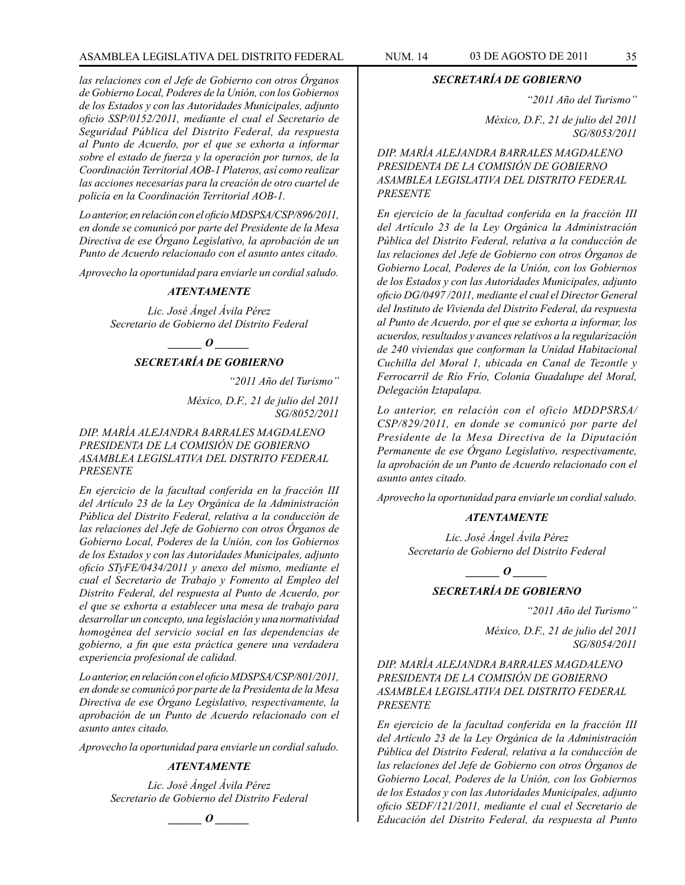#### ASAMBLEA LEGISLATIVA DEL DISTRITO FEDERAL NUM. 14 03 de AGOSTO de 2011 35

*las relaciones con el Jefe de Gobierno con otros Órganos de Gobierno Local, Poderes de la Unión, con los Gobiernos de los Estados y con las Autoridades Municipales, adjunto oficio SSP/0152/2011, mediante el cual el Secretario de Seguridad Pública del Distrito Federal, da respuesta al Punto de Acuerdo, por el que se exhorta a informar sobre el estado de fuerza y la operación por turnos, de la Coordinación Territorial AOB-1 Plateros, así como realizar las acciones necesarias para la creación de otro cuartel de policía en la Coordinación Territorial AOB-1.*

*Lo anterior, en relación con el oficio MDSPSA/CSP/896/2011, en donde se comunicó por parte del Presidente de la Mesa Directiva de ese Órgano Legislativo, la aprobación de un Punto de Acuerdo relacionado con el asunto antes citado.*

*Aprovecho la oportunidad para enviarle un cordial saludo.*

#### *ATENTAMENTE*

*Lic. José Ángel Ávila Pérez Secretario de Gobierno del Distrito Federal*

*\_\_\_\_\_\_ O \_\_\_\_\_\_*

#### *SECRETARÍA DE GOBIERNO*

*"2011 Año del Turismo"*

*México, D.F., 21 de julio del 2011 SG/8052/2011*

#### *DIP. MARÍA ALEJANDRA BARRALES MAGDALENO PRESIDENTA DE LA COMISIÓN DE GOBIERNO ASAMBLEA LEGISLATIVA DEL DISTRITO FEDERAL PRESENTE*

*En ejercicio de la facultad conferida en la fracción III del Artículo 23 de la Ley Orgánica de la Administración Pública del Distrito Federal, relativa a la conducción de las relaciones del Jefe de Gobierno con otros Órganos de Gobierno Local, Poderes de la Unión, con los Gobiernos de los Estados y con las Autoridades Municipales, adjunto oficio STyFE/0434/2011 y anexo del mismo, mediante el cual el Secretario de Trabajo y Fomento al Empleo del Distrito Federal, del respuesta al Punto de Acuerdo, por el que se exhorta a establecer una mesa de trabajo para desarrollar un concepto, una legislación y una normatividad homogénea del servicio social en las dependencias de gobierno, a fin que esta práctica genere una verdadera experiencia profesional de calidad.*

*Lo anterior, en relación con el oficio MDSPSA/CSP/801/2011, en donde se comunicó por parte de la Presidenta de la Mesa Directiva de ese Órgano Legislativo, respectivamente, la aprobación de un Punto de Acuerdo relacionado con el asunto antes citado.*

*Aprovecho la oportunidad para enviarle un cordial saludo.*

#### *ATENTAMENTE*

*Lic. José Ángel Ávila Pérez Secretario de Gobierno del Distrito Federal*

*\_\_\_\_\_\_ O \_\_\_\_\_\_*

#### *SECRETARÍA DE GOBIERNO*

*"2011 Año del Turismo"*

*México, D.F., 21 de julio del 2011 SG/8053/2011*

*DIP. MARÍA ALEJANDRA BARRALES MAGDALENO PRESIDENTA DE LA COMISIÓN DE GOBIERNO ASAMBLEA LEGISLATIVA DEL DISTRITO FEDERAL PRESENTE*

*En ejercicio de la facultad conferida en la fracción III del Artículo 23 de la Ley Orgánica la Administración Pública del Distrito Federal, relativa a la conducción de las relaciones del Jefe de Gobierno con otros Órganos de Gobierno Local, Poderes de la Unión, con los Gobiernos de los Estados y con las Autoridades Municipales, adjunto oficio DG/0497 /2011, mediante el cual el Director General del Instituto de Vivienda del Distrito Federal, da respuesta al Punto de Acuerdo, por el que se exhorta a informar, los acuerdos, resultados y avances relativos a la regularización de 240 viviendas que conforman la Unidad Habitacional Cuchilla del Moral 1, ubicada en Canal de Tezontle y Ferrocarril de Río Frío, Colonia Guadalupe del Moral, Delegación Iztapalapa.*

*Lo anterior, en relación con el oficio MDDPSRSA/ CSP/829/2011, en donde se comunicó por parte del Presidente de la Mesa Directiva de la Diputación Permanente de ese Órgano Legislativo, respectivamente, la aprobación de un Punto de Acuerdo relacionado con el asunto antes citado.*

*Aprovecho la oportunidad para enviarle un cordial saludo.*

#### *ATENTAMENTE*

*Lic. José Ángel Ávila Pérez Secretario de Gobierno del Distrito Federal*

*\_\_\_\_\_\_ O \_\_\_\_\_\_*

#### *SECRETARÍA DE GOBIERNO*

*"2011 Año del Turismo"*

*México, D.F., 21 de julio del 2011 SG/8054/2011*

#### *DIP. MARÍA ALEJANDRA BARRALES MAGDALENO PRESIDENTA DE LA COMISIÓN DE GOBIERNO ASAMBLEA LEGISLATIVA DEL DISTRITO FEDERAL PRESENTE*

*En ejercicio de la facultad conferida en la fracción III del Artículo 23 de la Ley Orgánica de la Administración Pública del Distrito Federal, relativa a la conducción de las relaciones del Jefe de Gobierno con otros Órganos de Gobierno Local, Poderes de la Unión, con los Gobiernos de los Estados y con las Autoridades Municipales, adjunto oficio SEDF/121/2011, mediante el cual el Secretario de Educación del Distrito Federal, da respuesta al Punto*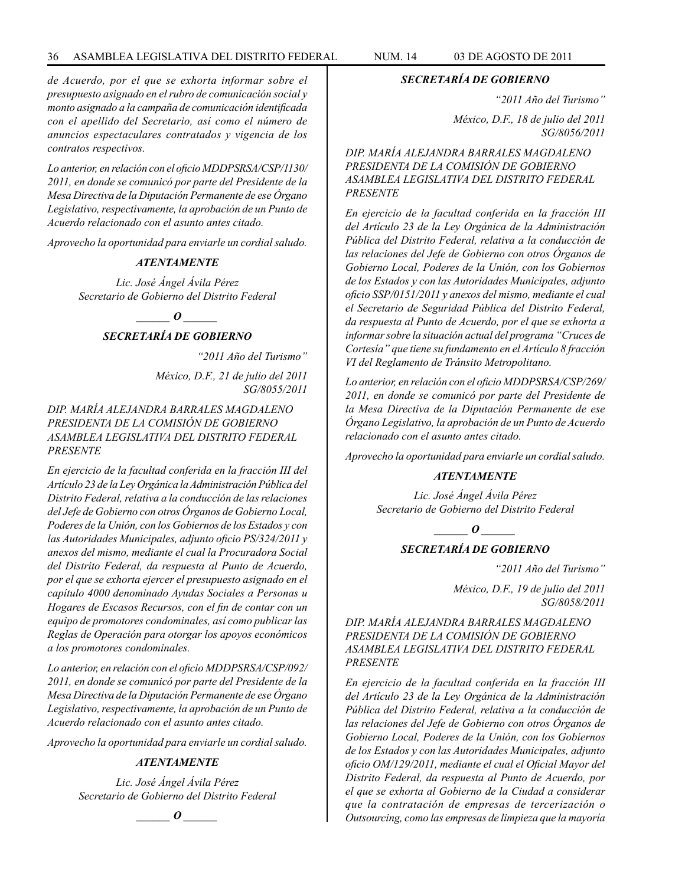#### 36 ASAMBLEA LEGISLATIVA DEL DISTRITO FEDERAL NUM. 14 03 de AGOSTO de 2011

*de Acuerdo, por el que se exhorta informar sobre el presupuesto asignado en el rubro de comunicación social y monto asignado a la campaña de comunicación identificada con el apellido del Secretario, así como el número de anuncios espectaculares contratados y vigencia de los contratos respectivos.*

*Lo anterior, en relación con el oficio MDDPSRSA/CSP/1130/ 2011, en donde se comunicó por parte del Presidente de la Mesa Directiva de la Diputación Permanente de ese Órgano Legislativo, respectivamente, la aprobación de un Punto de Acuerdo relacionado con el asunto antes citado.* 

*Aprovecho la oportunidad para enviarle un cordial saludo.*

#### *ATENTAMENTE*

*Lic. José Ángel Ávila Pérez Secretario de Gobierno del Distrito Federal*

 $\bm{o}$ 

# *SECRETARÍA DE GOBIERNO*

*"2011 Año del Turismo"*

*México, D.F., 21 de julio del 2011 SG/8055/2011*

#### *DIP. MARÍA ALEJANDRA BARRALES MAGDALENO PRESIDENTA DE LA COMISIÓN DE GOBIERNO ASAMBLEA LEGISLATIVA DEL DISTRITO FEDERAL PRESENTE*

*En ejercicio de la facultad conferida en la fracción III del Artículo 23 de la Ley Orgánica la Administración Pública del Distrito Federal, relativa a la conducción de las relaciones del Jefe de Gobierno con otros Órganos de Gobierno Local, Poderes de la Unión, con los Gobiernos de los Estados y con las Autoridades Municipales, adjunto oficio PS/324/2011 y anexos del mismo, mediante el cual la Procuradora Social del Distrito Federal, da respuesta al Punto de Acuerdo, por el que se exhorta ejercer el presupuesto asignado en el capítulo 4000 denominado Ayudas Sociales a Personas u Hogares de Escasos Recursos, con el fin de contar con un equipo de promotores condominales, así como publicar las Reglas de Operación para otorgar los apoyos económicos a los promotores condominales.*

*Lo anterior, en relación con el oficio MDDPSRSA/CSP/092/ 2011, en donde se comunicó por parte del Presidente de la Mesa Directiva de la Diputación Permanente de ese Órgano Legislativo, respectivamente, la aprobación de un Punto de Acuerdo relacionado con el asunto antes citado.*

*Aprovecho la oportunidad para enviarle un cordial saludo.*

#### *ATENTAMENTE*

*Lic. José Ángel Ávila Pérez Secretario de Gobierno del Distrito Federal*

$$
\_\_o\_
$$

#### *SECRETARÍA DE GOBIERNO*

*"2011 Año del Turismo"*

*México, D.F., 18 de julio del 2011 SG/8056/2011*

*DIP. MARÍA ALEJANDRA BARRALES MAGDALENO PRESIDENTA DE LA COMISIÓN DE GOBIERNO ASAMBLEA LEGISLATIVA DEL DISTRITO FEDERAL PRESENTE*

*En ejercicio de la facultad conferida en la fracción III del Artículo 23 de la Ley Orgánica de la Administración Pública del Distrito Federal, relativa a la conducción de las relaciones del Jefe de Gobierno con otros Órganos de Gobierno Local, Poderes de la Unión, con los Gobiernos de los Estados y con las Autoridades Municipales, adjunto oficio SSP/0151/2011 y anexos del mismo, mediante el cual el Secretario de Seguridad Pública del Distrito Federal, da respuesta al Punto de Acuerdo, por el que se exhorta a informar sobre la situación actual del programa "Cruces de Cortesía" que tiene su fundamento en el Artículo 8 fracción VI del Reglamento de Tránsito Metropolitano.*

*Lo anterior, en relación con el oficio MDDPSRSA/CSP/269/ 2011, en donde se comunicó por parte del Presidente de la Mesa Directiva de la Diputación Permanente de ese Órgano Legislativo, la aprobación de un Punto de Acuerdo relacionado con el asunto antes citado.*

*Aprovecho la oportunidad para enviarle un cordial saludo.*

#### *ATENTAMENTE*

*Lic. José Ángel Ávila Pérez Secretario de Gobierno del Distrito Federal*

 $\bm{o}$ 

#### *SECRETARÍA DE GOBIERNO*

*"2011 Año del Turismo"*

*México, D.F., 19 de julio del 2011 SG/8058/2011*

*DIP. MARÍA ALEJANDRA BARRALES MAGDALENO PRESIDENTA DE LA COMISIÓN DE GOBIERNO ASAMBLEA LEGISLATIVA DEL DISTRITO FEDERAL PRESENTE*

*En ejercicio de la facultad conferida en la fracción III del Artículo 23 de la Ley Orgánica de la Administración Pública del Distrito Federal, relativa a la conducción de las relaciones del Jefe de Gobierno con otros Órganos de Gobierno Local, Poderes de la Unión, con los Gobiernos de los Estados y con las Autoridades Municipales, adjunto oficio OM/129/2011, mediante el cual el Oficial Mayor del Distrito Federal, da respuesta al Punto de Acuerdo, por el que se exhorta al Gobierno de la Ciudad a considerar que la contratación de empresas de tercerización o Outsourcing, como las empresas de limpieza que la mayoría*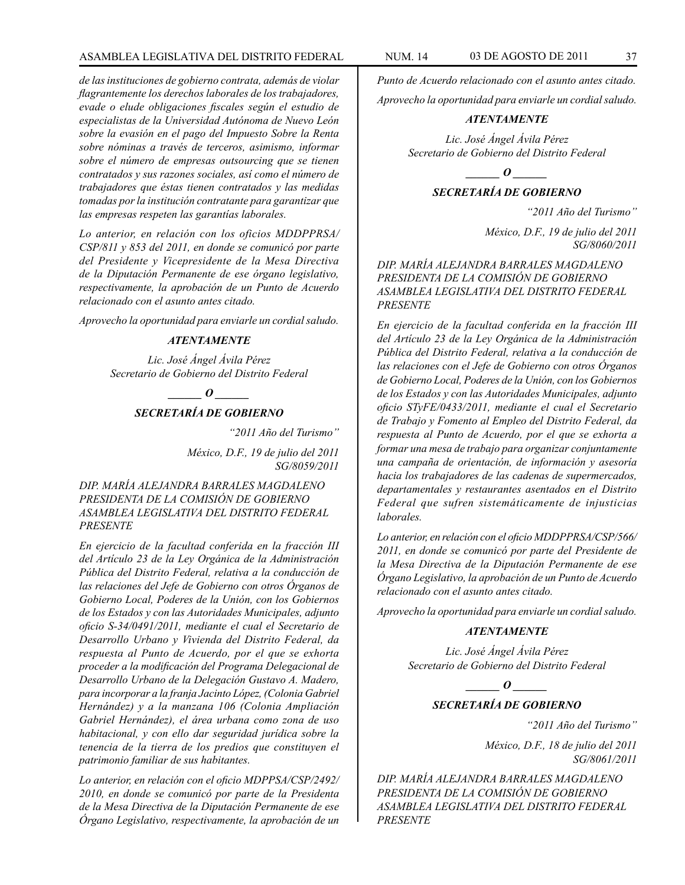## ASAMBLEA LEGISLATIVA DEL DISTRITO FEDERAL NUM. 14 03 de AGOSTO de 2011 37

*de las instituciones de gobierno contrata, además de violar flagrantemente los derechos laborales de los trabajadores, evade o elude obligaciones fiscales según el estudio de especialistas de la Universidad Autónoma de Nuevo León sobre la evasión en el pago del Impuesto Sobre la Renta sobre nóminas a través de terceros, asimismo, informar sobre el número de empresas outsourcing que se tienen contratados y sus razones sociales, así como el número de trabajadores que éstas tienen contratados y las medidas tomadas por la institución contratante para garantizar que las empresas respeten las garantías laborales.*

*Lo anterior, en relación con los oficios MDDPPRSA/ CSP/811 y 853 del 2011, en donde se comunicó por parte del Presidente y Vicepresidente de la Mesa Directiva de la Diputación Permanente de ese órgano legislativo, respectivamente, la aprobación de un Punto de Acuerdo relacionado con el asunto antes citado.*

*Aprovecho la oportunidad para enviarle un cordial saludo.*

## *ATENTAMENTE*

*Lic. José Ángel Ávila Pérez Secretario de Gobierno del Distrito Federal*

*\_\_\_\_\_\_ O \_\_\_\_\_\_*

## *SECRETARÍA DE GOBIERNO*

*"2011 Año del Turismo"*

*México, D.F., 19 de julio del 2011 SG/8059/2011*

# *DIP. MARÍA ALEJANDRA BARRALES MAGDALENO PRESIDENTA DE LA COMISIÓN DE GOBIERNO ASAMBLEA LEGISLATIVA DEL DISTRITO FEDERAL PRESENTE*

*En ejercicio de la facultad conferida en la fracción III del Artículo 23 de la Ley Orgánica de la Administración Pública del Distrito Federal, relativa a la conducción de las relaciones del Jefe de Gobierno con otros Órganos de Gobierno Local, Poderes de la Unión, con los Gobiernos de los Estados y con las Autoridades Municipales, adjunto oficio S-34/0491/2011, mediante el cual el Secretario de Desarrollo Urbano y Vivienda del Distrito Federal, da respuesta al Punto de Acuerdo, por el que se exhorta proceder a la modificación del Programa Delegacional de Desarrollo Urbano de la Delegación Gustavo A. Madero, para incorporar a la franja Jacinto López, (Colonia Gabriel Hernández) y a la manzana 106 (Colonia Ampliación Gabriel Hernández), el área urbana como zona de uso habitacional, y con ello dar seguridad jurídica sobre la tenencia de la tierra de los predios que constituyen el patrimonio familiar de sus habitantes.*

*Lo anterior, en relación con el oficio MDPPSA/CSP/2492/ 2010, en donde se comunicó por parte de la Presidenta de la Mesa Directiva de la Diputación Permanente de ese Órgano Legislativo, respectivamente, la aprobación de un* 

*Punto de Acuerdo relacionado con el asunto antes citado.*

*Aprovecho la oportunidad para enviarle un cordial saludo.*

## *ATENTAMENTE*

*Lic. José Ángel Ávila Pérez Secretario de Gobierno del Distrito Federal*

*\_\_\_\_\_\_ O \_\_\_\_\_\_*

# *SECRETARÍA DE GOBIERNO*

*"2011 Año del Turismo"*

*México, D.F., 19 de julio del 2011 SG/8060/2011*

*DIP. MARÍA ALEJANDRA BARRALES MAGDALENO PRESIDENTA DE LA COMISIÓN DE GOBIERNO ASAMBLEA LEGISLATIVA DEL DISTRITO FEDERAL PRESENTE*

*En ejercicio de la facultad conferida en la fracción III del Artículo 23 de la Ley Orgánica de la Administración Pública del Distrito Federal, relativa a la conducción de las relaciones con el Jefe de Gobierno con otros Órganos de Gobierno Local, Poderes de la Unión, con los Gobiernos de los Estados y con las Autoridades Municipales, adjunto oficio STyFE/0433/2011, mediante el cual el Secretario de Trabajo y Fomento al Empleo del Distrito Federal, da respuesta al Punto de Acuerdo, por el que se exhorta a formar una mesa de trabajo para organizar conjuntamente una campaña de orientación, de información y asesoría hacia los trabajadores de las cadenas de supermercados, departamentales y restaurantes asentados en el Distrito Federal que sufren sistemáticamente de injusticias laborales.*

*Lo anterior, en relación con el oficio MDDPPRSA/CSP/566/ 2011, en donde se comunicó por parte del Presidente de la Mesa Directiva de la Diputación Permanente de ese Órgano Legislativo, la aprobación de un Punto de Acuerdo relacionado con el asunto antes citado.*

*Aprovecho la oportunidad para enviarle un cordial saludo.*

#### *ATENTAMENTE*

*Lic. José Ángel Ávila Pérez Secretario de Gobierno del Distrito Federal*

*d*  $\boldsymbol{\theta}$ 

# *SECRETARÍA DE GOBIERNO*

*"2011 Año del Turismo"*

*México, D.F., 18 de julio del 2011 SG/8061/2011*

*DIP. MARÍA ALEJANDRA BARRALES MAGDALENO PRESIDENTA DE LA COMISIÓN DE GOBIERNO ASAMBLEA LEGISLATIVA DEL DISTRITO FEDERAL PRESENTE*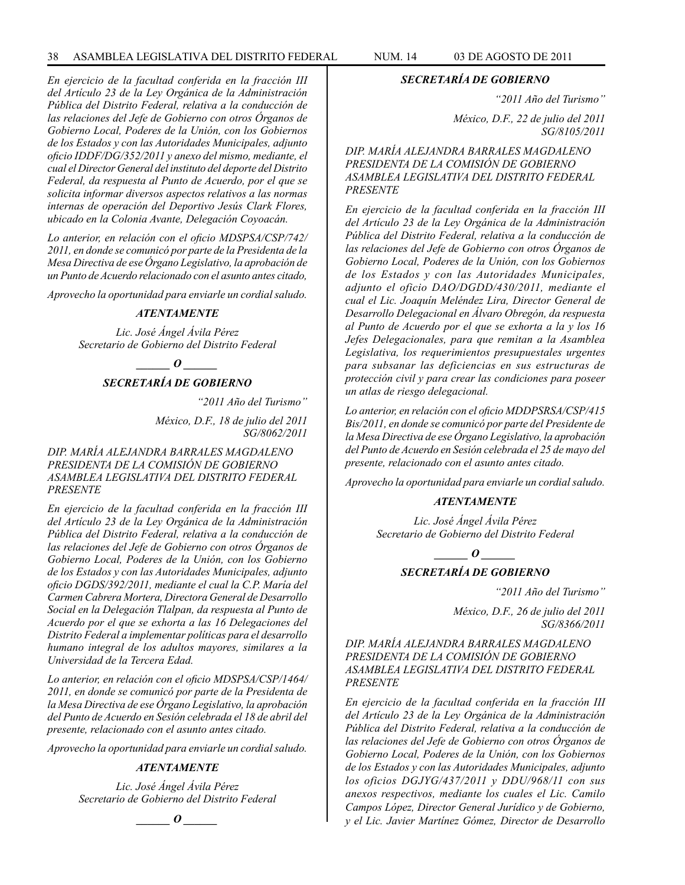*En ejercicio de la facultad conferida en la fracción III del Artículo 23 de la Ley Orgánica de la Administración Pública del Distrito Federal, relativa a la conducción de las relaciones del Jefe de Gobierno con otros Órganos de Gobierno Local, Poderes de la Unión, con los Gobiernos de los Estados y con las Autoridades Municipales, adjunto oficio IDDF/DG/352/2011 y anexo del mismo, mediante, el cual el Director General del instituto del deporte del Distrito Federal, da respuesta al Punto de Acuerdo, por el que se solicita informar diversos aspectos relativos a las normas internas de operación del Deportivo Jesús Clark Flores, ubicado en la Colonia Avante, Delegación Coyoacán.*

*Lo anterior, en relación con el oficio MDSPSA/CSP/742/ 2011, en donde se comunicó por parte de la Presidenta de la Mesa Directiva de ese Órgano Legislativo, la aprobación de un Punto de Acuerdo relacionado con el asunto antes citado,*

*Aprovecho la oportunidad para enviarle un cordial saludo.*

## *ATENTAMENTE*

*Lic. José Ángel Ávila Pérez Secretario de Gobierno del Distrito Federal*

*o*  $\boldsymbol{o}$ 

# *SECRETARÍA DE GOBIERNO*

*"2011 Año del Turismo"*

*México, D.F., 18 de julio del 2011 SG/8062/2011*

## *DIP. MARÍA ALEJANDRA BARRALES MAGDALENO PRESIDENTA DE LA COMISIÓN DE GOBIERNO ASAMBLEA LEGISLATIVA DEL DISTRITO FEDERAL PRESENTE*

*En ejercicio de la facultad conferida en la fracción III del Artículo 23 de la Ley Orgánica de la Administración Pública del Distrito Federal, relativa a la conducción de las relaciones del Jefe de Gobierno con otros Órganos de Gobierno Local, Poderes de la Unión, con los Gobierno de los Estados y con las Autoridades Municipales, adjunto oficio DGDS/392/2011, mediante el cual la C.P. María del Carmen Cabrera Mortera, Directora General de Desarrollo Social en la Delegación Tlalpan, da respuesta al Punto de Acuerdo por el que se exhorta a las 16 Delegaciones del Distrito Federal a implementar políticas para el desarrollo humano integral de los adultos mayores, similares a la Universidad de la Tercera Edad.*

*Lo anterior, en relación con el oficio MDSPSA/CSP/1464/ 2011, en donde se comunicó por parte de la Presidenta de la Mesa Directiva de ese Órgano Legislativo, la aprobación del Punto de Acuerdo en Sesión celebrada el 18 de abril del presente, relacionado con el asunto antes citado.*

*Aprovecho la oportunidad para enviarle un cordial saludo.*

## *ATENTAMENTE*

*Lic. José Ángel Ávila Pérez Secretario de Gobierno del Distrito Federal*

$$
\_\_o\_
$$

#### *SECRETARÍA DE GOBIERNO*

*"2011 Año del Turismo"*

*México, D.F., 22 de julio del 2011 SG/8105/2011*

*DIP. MARÍA ALEJANDRA BARRALES MAGDALENO PRESIDENTA DE LA COMISIÓN DE GOBIERNO ASAMBLEA LEGISLATIVA DEL DISTRITO FEDERAL PRESENTE*

*En ejercicio de la facultad conferida en la fracción III del Artículo 23 de la Ley Orgánica de la Administración Pública del Distrito Federal, relativa a la conducción de las relaciones del Jefe de Gobierno con otros Órganos de Gobierno Local, Poderes de la Unión, con los Gobiernos de los Estados y con las Autoridades Municipales, adjunto el oficio DAO/DGDD/430/2011, mediante el cual el Lic. Joaquín Meléndez Lira, Director General de Desarrollo Delegacional en Álvaro Obregón, da respuesta al Punto de Acuerdo por el que se exhorta a la y los 16 Jefes Delegacionales, para que remitan a la Asamblea Legislativa, los requerimientos presupuestales urgentes para subsanar las deficiencias en sus estructuras de protección civil y para crear las condiciones para poseer un atlas de riesgo delegacional.*

*Lo anterior, en relación con el oficio MDDPSRSA/CSP/415 Bis/2011, en donde se comunicó por parte del Presidente de la Mesa Directiva de ese Órgano Legislativo, la aprobación del Punto de Acuerdo en Sesión celebrada el 25 de mayo del presente, relacionado con el asunto antes citado.*

*Aprovecho la oportunidad para enviarle un cordial saludo.*

## *ATENTAMENTE*

*Lic. José Ángel Ávila Pérez Secretario de Gobierno del Distrito Federal*

*o*  $\theta$ 

# *SECRETARÍA DE GOBIERNO*

*"2011 Año del Turismo"*

*México, D.F., 26 de julio del 2011 SG/8366/2011*

*DIP. MARÍA ALEJANDRA BARRALES MAGDALENO PRESIDENTA DE LA COMISIÓN DE GOBIERNO ASAMBLEA LEGISLATIVA DEL DISTRITO FEDERAL PRESENTE*

*En ejercicio de la facultad conferida en la fracción III del Artículo 23 de la Ley Orgánica de la Administración Pública del Distrito Federal, relativa a la conducción de las relaciones del Jefe de Gobierno con otros Órganos de Gobierno Local, Poderes de la Unión, con los Gobiernos de los Estados y con las Autoridades Municipales, adjunto los oficios DGJYG/437/2011 y DDU/968/11 con sus anexos respectivos, mediante los cuales el Lic. Camilo Campos López, Director General Jurídico y de Gobierno, y el Lic. Javier Martínez Gómez, Director de Desarrollo*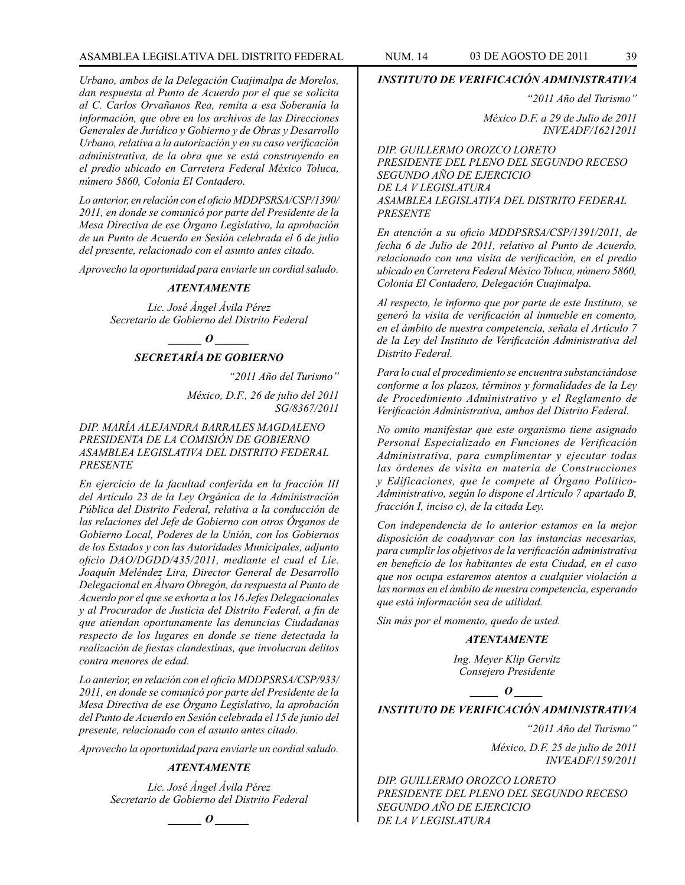## ASAMBLEA LEGISLATIVA DEL DISTRITO FEDERAL NUM. 14 03 DE AGOSTO DE 2011 39

*Urbano, ambos de la Delegación Cuajimalpa de Morelos, dan respuesta al Punto de Acuerdo por el que se solicita al C. Carlos Orvañanos Rea, remita a esa Soberanía la información, que obre en los archivos de las Direcciones Generales de Jurídico y Gobierno y de Obras y Desarrollo Urbano, relativa a la autorización y en su caso verificación administrativa, de la obra que se está construyendo en el predio ubicado en Carretera Federal México Toluca, número 5860, Colonia El Contadero.*

*Lo anterior, en relación con el oficio MDDPSRSA/CSP/1390/ 2011, en donde se comunicó por parte del Presidente de la Mesa Directiva de ese Órgano Legislativo, la aprobación de un Punto de Acuerdo en Sesión celebrada el 6 de julio del presente, relacionado con el asunto antes citado.*

*Aprovecho la oportunidad para enviarle un cordial saludo.*

#### *ATENTAMENTE*

*Lic. José Ángel Ávila Pérez Secretario de Gobierno del Distrito Federal*

 $\bm{o}$ 

# *SECRETARÍA DE GOBIERNO*

*"2011 Año del Turismo"*

*México, D.F., 26 de julio del 2011 SG/8367/2011*

*DIP. MARÍA ALEJANDRA BARRALES MAGDALENO PRESIDENTA DE LA COMISIÓN DE GOBIERNO ASAMBLEA LEGISLATIVA DEL DISTRITO FEDERAL PRESENTE*

*En ejercicio de la facultad conferida en la fracción III del Artículo 23 de la Ley Orgánica de la Administración Pública del Distrito Federal, relativa a la conducción de las relaciones del Jefe de Gobierno con otros Órganos de Gobierno Local, Poderes de la Unión, con los Gobiernos de los Estados y con las Autoridades Municipales, adjunto oficio DAO/DGDD/435/2011, mediante el cual el Líe. Joaquín Meléndez Lira, Director General de Desarrollo Delegacional en Álvaro Obregón, da respuesta al Punto de Acuerdo por el que se exhorta a los 16 Jefes Delegacionales y al Procurador de Justicia del Distrito Federal, a fin de que atiendan oportunamente las denuncias Ciudadanas respecto de los lugares en donde se tiene detectada la realización de fiestas clandestinas, que involucran delitos contra menores de edad.*

*Lo anterior, en relación con el oficio MDDPSRSA/CSP/933/ 2011, en donde se comunicó por parte del Presidente de la Mesa Directiva de ese Órgano Legislativo, la aprobación del Punto de Acuerdo en Sesión celebrada el 15 de junio del presente, relacionado con el asunto antes citado.*

*Aprovecho la oportunidad para enviarle un cordial saludo.*

# *ATENTAMENTE*

*Lic. José Ángel Ávila Pérez Secretario de Gobierno del Distrito Federal*

*\_\_\_\_\_\_ O \_\_\_\_\_\_*

#### *INSTITUTO DE VERIFICACIÓN ADMINISTRATIVA*

*"2011 Año del Turismo"*

*México D.F. a 29 de Julio de 2011 INVEADF/16212011*

*DIP. GUILLERMO OROZCO LORETO PRESIDENTE DEL PLENO DEL SEGUNDO RECESO SEGUNDO AÑO DE EJERCICIO DE LA V LEGISLATURA ASAMBLEA LEGISLATIVA DEL DISTRITO FEDERAL PRESENTE*

*En atención a su oficio MDDPSRSA/CSP/1391/2011, de fecha 6 de Julio de 2011, relativo al Punto de Acuerdo, relacionado con una visita de verificación, en el predio ubicado en Carretera Federal México Toluca, número 5860, Colonia El Contadero, Delegación Cuajimalpa.*

*Al respecto, le informo que por parte de este Instituto, se generó la visita de verificación al inmueble en comento, en el ámbito de nuestra competencia, señala el Artículo 7 de la Ley del Instituto de Verificación Administrativa del Distrito Federal.*

*Para lo cual el procedimiento se encuentra substanciándose conforme a los plazos, términos y formalidades de la Ley de Procedimiento Administrativo y el Reglamento de Verificación Administrativa, ambos del Distrito Federal.*

*No omito manifestar que este organismo tiene asignado Personal Especializado en Funciones de Verificación Administrativa, para cumplimentar y ejecutar todas las órdenes de visita en materia de Construcciones y Edificaciones, que le compete al Órgano Político-Administrativo, según lo dispone el Artículo 7 apartado B, fracción I, inciso c), de la citada Ley.*

*Con independencia de lo anterior estamos en la mejor disposición de coadyuvar con las instancias necesarias, para cumplir los objetivos de la verificación administrativa en beneficio de los habitantes de esta Ciudad, en el caso que nos ocupa estaremos atentos a cualquier violación a las normas en el ámbito de nuestra competencia, esperando que está información sea de utilidad.*

*Sin más por el momento, quedo de usted.*

#### *ATENTAMENTE*

*Ing. Meyer Klip Gervitz Consejero Presidente*

*\_\_\_\_\_ O \_\_\_\_\_*

# *INSTITUTO DE VERIFICACIÓN ADMINISTRATIVA*

*"2011 Año del Turismo"*

*México, D.F. 25 de julio de 2011 INVEADF/159/2011*

*DIP. GUILLERMO OROZCO LORETO PRESIDENTE DEL PLENO DEL SEGUNDO RECESO SEGUNDO AÑO DE EJERCICIO DE LA V LEGISLATURA*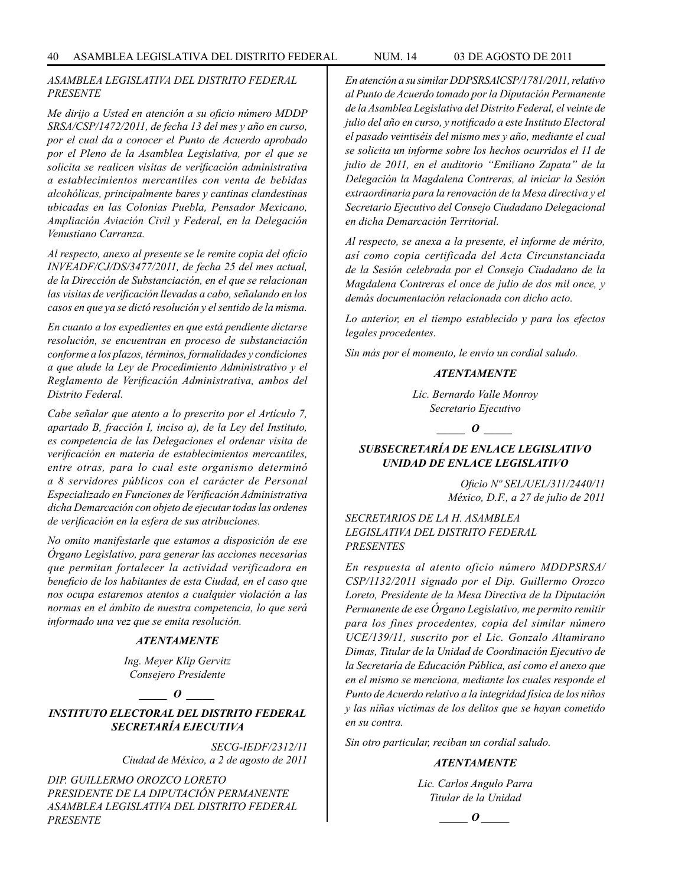## *ASAMBLEA LEGISLATIVA DEL DISTRITO FEDERAL PRESENTE*

*Me dirijo a Usted en atención a su oficio número MDDP SRSA/CSP/1472/2011, de fecha 13 del mes y año en curso, por el cual da a conocer el Punto de Acuerdo aprobado por el Pleno de la Asamblea Legislativa, por el que se solicita se realicen visitas de verificación administrativa a establecimientos mercantiles con venta de bebidas alcohólicas, principalmente bares y cantinas clandestinas ubicadas en las Colonias Puebla, Pensador Mexicano, Ampliación Aviación Civil y Federal, en la Delegación Venustiano Carranza.*

*Al respecto, anexo al presente se le remite copia del oficio INVEADF/CJ/DS/3477/2011, de fecha 25 del mes actual, de la Dirección de Substanciación, en el que se relacionan las visitas de verificación llevadas a cabo, señalando en los casos en que ya se dictó resolución y el sentido de la misma.*

*En cuanto a los expedientes en que está pendiente dictarse resolución, se encuentran en proceso de substanciación conforme a los plazos, términos, formalidades y condiciones a que alude la Ley de Procedimiento Administrativo y el Reglamento de Verificación Administrativa, ambos del Distrito Federal.*

*Cabe señalar que atento a lo prescrito por el Artículo 7, apartado B, fracción I, inciso a), de la Ley del Instituto, es competencia de las Delegaciones el ordenar visita de verificación en materia de establecimientos mercantiles, entre otras, para lo cual este organismo determinó a 8 servidores públicos con el carácter de Personal Especializado en Funciones de Verificación Administrativa dicha Demarcación con objeto de ejecutar todas las ordenes de verificación en la esfera de sus atribuciones.*

*No omito manifestarle que estamos a disposición de ese Órgano Legislativo, para generar las acciones necesarias que permitan fortalecer la actividad verificadora en beneficio de los habitantes de esta Ciudad, en el caso que nos ocupa estaremos atentos a cualquier violación a las normas en el ámbito de nuestra competencia, lo que será informado una vez que se emita resolución.*

#### *ATENTAMENTE*

*Ing. Meyer Klip Gervitz Consejero Presidente*

*\_\_\_\_\_ O \_\_\_\_\_*

# *INSTITUTO ELECTORAL DEL DISTRITO FEDERAL SECRETARÍA EJECUTIVA*

*SECG-IEDF/2312/11 Ciudad de México, a 2 de agosto de 2011*

*DIP. GUILLERMO OROZCO LORETO PRESIDENTE DE LA DIPUTACIÓN PERMANENTE ASAMBLEA LEGISLATIVA DEL DISTRITO FEDERAL PRESENTE*

*En atención a su similar DDPSRSAlCSP/1781/2011, relativo al Punto de Acuerdo tomado por la Diputación Permanente de la Asamblea Legislativa del Distrito Federal, el veinte de julio del año en curso, y notificado a este Instituto Electoral el pasado veintiséis del mismo mes y año, mediante el cual se solicita un informe sobre los hechos ocurridos el 11 de julio de 2011, en el auditorio "Emiliano Zapata" de la Delegación la Magdalena Contreras, al iniciar la Sesión extraordinaria para la renovación de la Mesa directiva y el Secretario Ejecutivo del Consejo Ciudadano Delegacional en dicha Demarcación Territorial.*

*Al respecto, se anexa a la presente, el informe de mérito, así como copia certificada del Acta Circunstanciada de la Sesión celebrada por el Consejo Ciudadano de la Magdalena Contreras el once de julio de dos mil once, y demás documentación relacionada con dicho acto.*

*Lo anterior, en el tiempo establecido y para los efectos legales procedentes.* 

*Sin más por el momento, le envío un cordial saludo.*

#### *ATENTAMENTE*

*Lic. Bernardo Valle Monroy Secretario Ejecutivo*

*\_\_\_\_\_ O \_\_\_\_\_*

# *SUBSECRETARÍA DE ENLACE LEGISLATIVO UNIDAD DE ENLACE LEGISLATIVO*

*Oficio Nº SEL/UEL/311/2440/11 México, D.F., a 27 de julio de 2011*

*SECRETARIOS DE LA H. ASAMBLEA LEGISLATIVA DEL DISTRITO FEDERAL PRESENTES*

*En respuesta al atento oficio número MDDPSRSA/ CSP/1132/2011 signado por el Dip. Guillermo Orozco Loreto, Presidente de la Mesa Directiva de la Diputación Permanente de ese Órgano Legislativo, me permito remitir para los fines procedentes, copia del similar número UCE/139/11, suscrito por el Lic. Gonzalo Altamirano Dimas, Titular de la Unidad de Coordinación Ejecutivo de la Secretaría de Educación Pública, así como el anexo que en el mismo se menciona, mediante los cuales responde el Punto de Acuerdo relativo a la integridad física de los niños y las niñas víctimas de los delitos que se hayan cometido en su contra.*

*Sin otro particular, reciban un cordial saludo.*

#### *ATENTAMENTE*

*Lic. Carlos Angulo Parra Titular de la Unidad*

$$
\_\_o\_
$$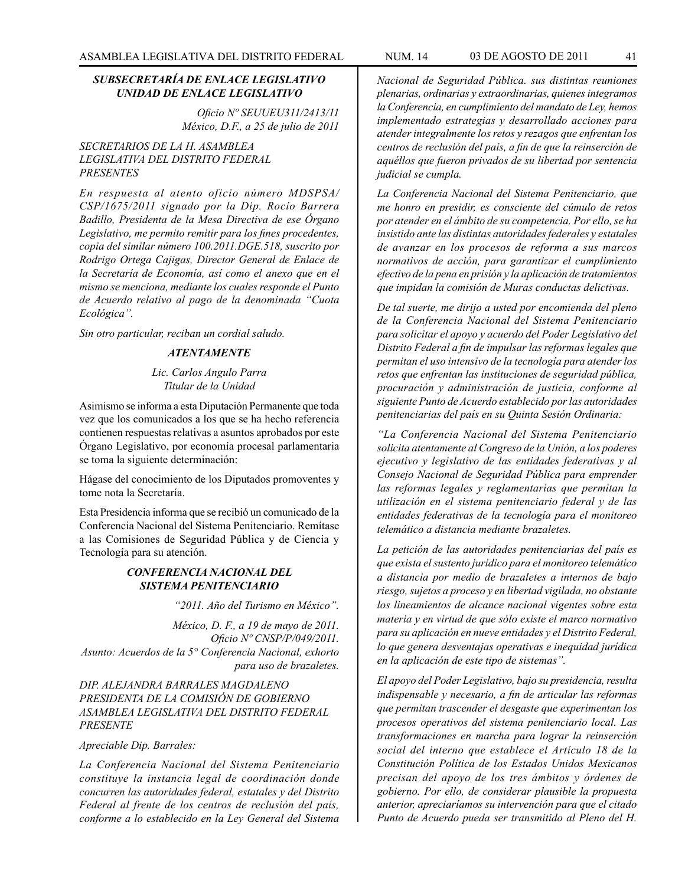# *SUBSECRETARÍA DE ENLACE LEGISLATIVO UNIDAD DE ENLACE LEGISLATIVO*

*Oficio Nº SEUUEU311/2413/11 México, D.F., a 25 de julio de 2011*

# *SECRETARIOS DE LA H. ASAMBLEA LEGISLATIVA DEL DISTRITO FEDERAL PRESENTES*

*En respuesta al atento oficio número MDSPSA/ CSP/1675/2011 signado por la Dip. Rocío Barrera Badillo, Presidenta de la Mesa Directiva de ese Órgano Legislativo, me permito remitir para los fines procedentes, copia del similar número 100.2011.DGE.518, suscrito por Rodrigo Ortega Cajigas, Director General de Enlace de la Secretaría de Economía, así como el anexo que en el mismo se menciona, mediante los cuales responde el Punto de Acuerdo relativo al pago de la denominada "Cuota Ecológica".*

*Sin otro particular, reciban un cordial saludo.*

#### *ATENTAMENTE*

*Lic. Carlos Angulo Parra Titular de la Unidad*

Asimismo se informa a esta Diputación Permanente que toda vez que los comunicados a los que se ha hecho referencia contienen respuestas relativas a asuntos aprobados por este Órgano Legislativo, por economía procesal parlamentaria se toma la siguiente determinación:

Hágase del conocimiento de los Diputados promoventes y tome nota la Secretaría.

Esta Presidencia informa que se recibió un comunicado de la Conferencia Nacional del Sistema Penitenciario. Remítase a las Comisiones de Seguridad Pública y de Ciencia y Tecnología para su atención.

## *CONFERENCIA NACIONAL DEL SISTEMA PENITENCIARIO*

*"2011. Año del Turismo en México".*

*México, D. F., a 19 de mayo de 2011. Oficio Nº CNSP/P/049/2011. Asunto: Acuerdos de la 5° Conferencia Nacional, exhorto para uso de brazaletes.*

# *DIP. ALEJANDRA BARRALES MAGDALENO PRESIDENTA DE LA COMISIÓN DE GOBIERNO ASAMBLEA LEGISLATIVA DEL DISTRITO FEDERAL PRESENTE*

#### *Apreciable Dip. Barrales:*

*La Conferencia Nacional del Sistema Penitenciario constituye la instancia legal de coordinación donde concurren las autoridades federal, estatales y del Distrito Federal al frente de los centros de reclusión del país, conforme a lo establecido en la Ley General del Sistema* 

*Nacional de Seguridad Pública. sus distintas reuniones plenarias, ordinarias y extraordinarias, quienes integramos la Conferencia, en cumplimiento del mandato de Ley, hemos implementado estrategias y desarrollado acciones para atender integralmente los retos y rezagos que enfrentan los centros de reclusión del país, a fin de que la reinserción de aquéllos que fueron privados de su libertad por sentencia judicial se cumpla.*

*La Conferencia Nacional del Sistema Penitenciario, que me honro en presidir, es consciente del cúmulo de retos por atender en el ámbito de su competencia. Por ello, se ha insistido ante las distintas autoridades federales y estatales de avanzar en los procesos de reforma a sus marcos normativos de acción, para garantizar el cumplimiento efectivo de la pena en prisión y la aplicación de tratamientos que impidan la comisión de Muras conductas delictivas.* 

*De tal suerte, me dirijo a usted por encomienda del pleno de la Conferencia Nacional del Sistema Penitenciario para solicitar el apoyo y acuerdo del Poder Legislativo del Distrito Federal a fin de impulsar las reformas legales que permitan el uso intensivo de la tecnología para atender los retos que enfrentan las instituciones de seguridad pública, procuración y administración de justicia, conforme al siguiente Punto de Acuerdo establecido por las autoridades penitenciarias del país en su Quinta Sesión Ordinaria:*

*"La Conferencia Nacional del Sistema Penitenciario solicita atentamente al Congreso de la Unión, a los poderes ejecutivo y legislativo de las entidades federativas y al Consejo Nacional de Seguridad Pública para emprender las reformas legales y reglamentarias que permitan la utilización en el sistema penitenciario federal y de las entidades federativas de la tecnología para el monitoreo telemático a distancia mediante brazaletes.*

*La petición de las autoridades penitenciarias del país es que exista el sustento jurídico para el monitoreo telemático a distancia por medio de brazaletes a internos de bajo riesgo, sujetos a proceso y en libertad vigilada, no obstante los lineamientos de alcance nacional vigentes sobre esta materia y en virtud de que sólo existe el marco normativo para su aplicación en nueve entidades y el Distrito Federal, lo que genera desventajas operativas e inequidad jurídica en la aplicación de este tipo de sistemas".*

*El apoyo del Poder Legislativo, bajo su presidencia, resulta indispensable y necesario, a fin de articular las reformas que permitan trascender el desgaste que experimentan los procesos operativos del sistema penitenciario local. Las transformaciones en marcha para lograr la reinserción social del interno que establece el Artículo 18 de la Constitución Política de los Estados Unidos Mexicanos precisan del apoyo de los tres ámbitos y órdenes de gobierno. Por ello, de considerar plausible la propuesta anterior, apreciaríamos su intervención para que el citado Punto de Acuerdo pueda ser transmitido al Pleno del H.*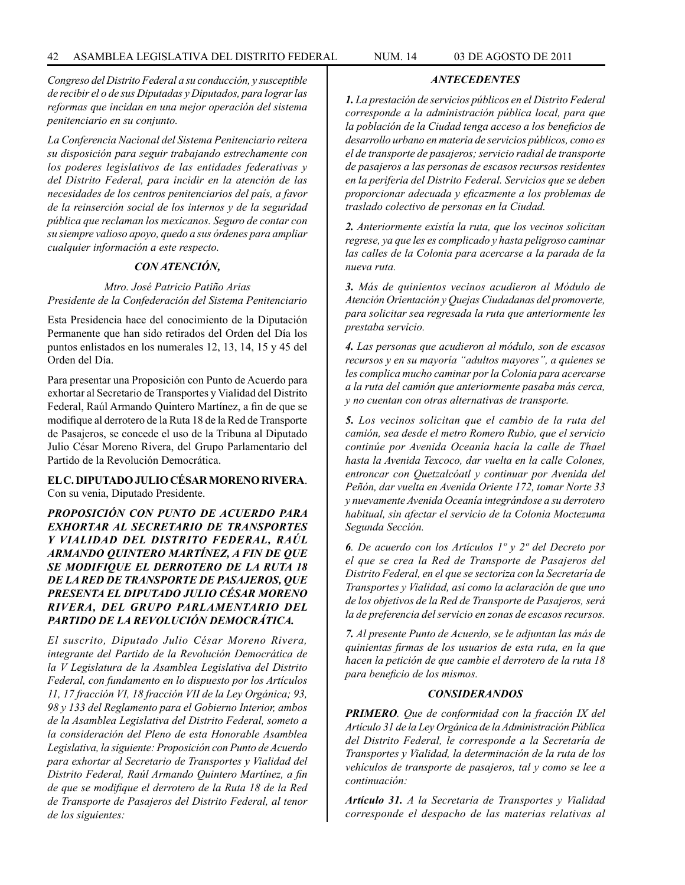*Congreso del Distrito Federal a su conducción, y susceptible de recibir el o de sus Diputadas y Diputados, para lograr las reformas que incidan en una mejor operación del sistema penitenciario en su conjunto.*

*La Conferencia Nacional del Sistema Penitenciario reitera su disposición para seguir trabajando estrechamente con los poderes legislativos de las entidades federativas y del Distrito Federal, para incidir en la atención de las necesidades de los centros penitenciarios del país, a favor de la reinserción social de los internos y de la seguridad pública que reclaman los mexicanos. Seguro de contar con su siempre valioso apoyo, quedo a sus órdenes para ampliar cualquier información a este respecto.*

# *CON ATENCIÓN,*

## *Mtro. José Patricio Patiño Arias Presidente de la Confederación del Sistema Penitenciario*

Esta Presidencia hace del conocimiento de la Diputación Permanente que han sido retirados del Orden del Día los puntos enlistados en los numerales 12, 13, 14, 15 y 45 del Orden del Día.

Para presentar una Proposición con Punto de Acuerdo para exhortar al Secretario de Transportes y Vialidad del Distrito Federal, Raúl Armando Quintero Martínez, a fin de que se modifique al derrotero de la Ruta 18 de la Red de Transporte de Pasajeros, se concede el uso de la Tribuna al Diputado Julio César Moreno Rivera, del Grupo Parlamentario del Partido de la Revolución Democrática.

**EL C. DIPUTADO JULIO CÉSAR MORENO RIVERA**. Con su venia, Diputado Presidente.

*PROPOSICIÓN CON PUNTO DE ACUERDO PARA EXHORTAR AL SECRETARIO DE TRANSPORTES Y VIALIDAD DEL DISTRITO FEDERAL, RAÚL ARMANDO QUINTERO MARTÍNEZ, A FIN DE QUE SE MODIFIQUE EL DERROTERO DE LA RUTA 18 DE LA RED DE TRANSPORTE DE PASAJEROS, QUE PRESENTA EL DIPUTADO JULIO CÉSAR MORENO RIVERA, DEL GRUPO PARLAMENTARIO DEL PARTIDO DE LA REVOLUCIÓN DEMOCRÁTICA.*

*El suscrito, Diputado Julio César Moreno Rivera, integrante del Partido de la Revolución Democrática de la V Legislatura de la Asamblea Legislativa del Distrito Federal, con fundamento en lo dispuesto por los Artículos 11, 17 fracción VI, 18 fracción VII de la Ley Orgánica; 93, 98 y 133 del Reglamento para el Gobierno Interior, ambos de la Asamblea Legislativa del Distrito Federal, someto a la consideración del Pleno de esta Honorable Asamblea Legislativa, la siguiente: Proposición con Punto de Acuerdo para exhortar al Secretario de Transportes y Vialidad del Distrito Federal, Raúl Armando Quintero Martínez, a fin de que se modifique el derrotero de la Ruta 18 de la Red de Transporte de Pasajeros del Distrito Federal, al tenor de los siguientes:*

*ANTECEDENTES*

*1. La prestación de servicios públicos en el Distrito Federal corresponde a la administración pública local, para que la población de la Ciudad tenga acceso a los beneficios de desarrollo urbano en materia de servicios públicos, como es el de transporte de pasajeros; servicio radial de transporte de pasajeros a las personas de escasos recursos residentes en la periferia del Distrito Federal. Servicios que se deben proporcionar adecuada y eficazmente a los problemas de traslado colectivo de personas en la Ciudad.*

*2. Anteriormente existía la ruta, que los vecinos solicitan regrese, ya que les es complicado y hasta peligroso caminar las calles de la Colonia para acercarse a la parada de la nueva ruta.*

*3. Más de quinientos vecinos acudieron al Módulo de Atención Orientación y Quejas Ciudadanas del promoverte, para solicitar sea regresada la ruta que anteriormente les prestaba servicio.*

*4. Las personas que acudieron al módulo, son de escasos recursos y en su mayoría "adultos mayores", a quienes se les complica mucho caminar por la Colonia para acercarse a la ruta del camión que anteriormente pasaba más cerca, y no cuentan con otras alternativas de transporte.*

*5. Los vecinos solicitan que el cambio de la ruta del camión, sea desde el metro Romero Rubio, que el servicio continúe por Avenida Oceanía hacía la calle de Thael hasta la Avenida Texcoco, dar vuelta en la calle Colones, entroncar con Quetzalcóatl y continuar por Avenida del Peñón, dar vuelta en Avenida Oriente 172, tomar Norte 33 y nuevamente Avenida Oceanía integrándose a su derrotero habitual, sin afectar el servicio de la Colonia Moctezuma Segunda Sección.*

*6. De acuerdo con los Artículos 1º y 2º del Decreto por el que se crea la Red de Transporte de Pasajeros del Distrito Federal, en el que se sectoriza con la Secretaría de Transportes y Vialidad, así como la aclaración de que uno de los objetivos de la Red de Transporte de Pasajeros, será la de preferencia del servicio en zonas de escasos recursos.*

*7. Al presente Punto de Acuerdo, se le adjuntan las más de quinientas firmas de los usuarios de esta ruta, en la que hacen la petición de que cambie el derrotero de la ruta 18 para beneficio de los mismos.*

#### *CONSIDERANDOS*

*PRIMERO. Que de conformidad con la fracción IX del Artículo 31 de la Ley Orgánica de la Administración Pública del Distrito Federal, le corresponde a la Secretaría de Transportes y Vialidad, la determinación de la ruta de los vehículos de transporte de pasajeros, tal y como se lee a continuación:*

*Artículo 31. A la Secretaría de Transportes y Vialidad corresponde el despacho de las materias relativas al*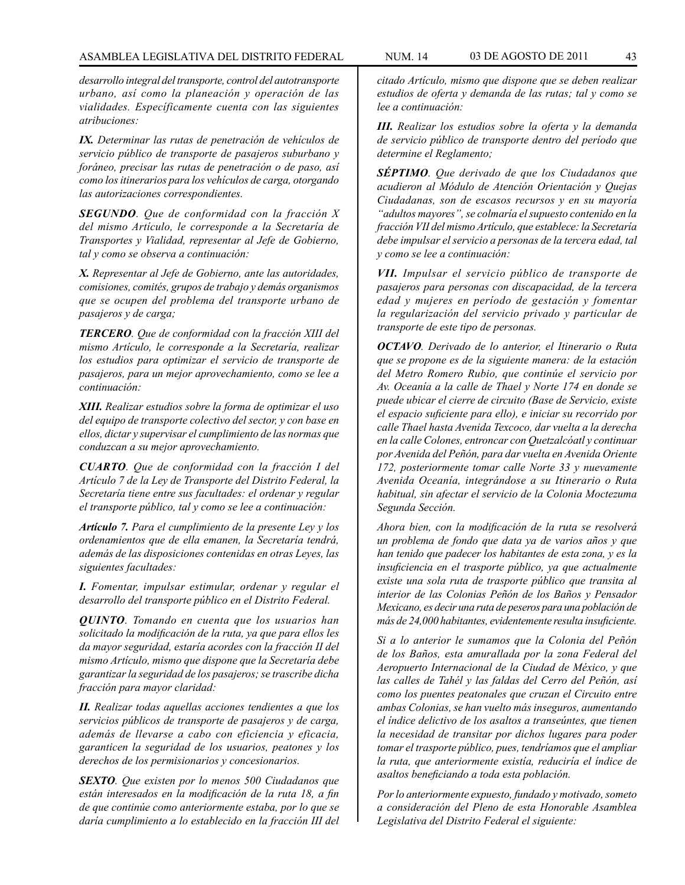*desarrollo integral del transporte, control del autotransporte urbano, así como la planeación y operación de las vialidades. Específicamente cuenta con las siguientes atribuciones:*

*IX. Determinar las rutas de penetración de vehículos de servicio público de transporte de pasajeros suburbano y foráneo, precisar las rutas de penetración o de paso, así como los itinerarios para los vehículos de carga, otorgando las autorizaciones correspondientes.*

*SEGUNDO. Que de conformidad con la fracción X del mismo Artículo, le corresponde a la Secretaría de Transportes y Vialidad, representar al Jefe de Gobierno, tal y como se observa a continuación:*

*X. Representar al Jefe de Gobierno, ante las autoridades, comisiones, comités, grupos de trabajo y demás organismos que se ocupen del problema del transporte urbano de pasajeros y de carga;*

*TERCERO. Que de conformidad con la fracción XIII del mismo Artículo, le corresponde a la Secretaría, realizar los estudios para optimizar el servicio de transporte de pasajeros, para un mejor aprovechamiento, como se lee a continuación:*

*XIII. Realizar estudios sobre la forma de optimizar el uso del equipo de transporte colectivo del sector, y con base en ellos, dictar y supervisar el cumplimiento de las normas que conduzcan a su mejor aprovechamiento.*

*CUARTO. Que de conformidad con la fracción I del Artículo 7 de la Ley de Transporte del Distrito Federal, la Secretaría tiene entre sus facultades: el ordenar y regular el transporte público, tal y como se lee a continuación:*

*Artículo 7. Para el cumplimiento de la presente Ley y los ordenamientos que de ella emanen, la Secretaría tendrá, además de las disposiciones contenidas en otras Leyes, las siguientes facultades:*

*I. Fomentar, impulsar estimular, ordenar y regular el desarrollo del transporte público en el Distrito Federal.*

*QUINTO. Tomando en cuenta que los usuarios han solicitado la modificación de la ruta, ya que para ellos les da mayor seguridad, estaría acordes con la fracción II del mismo Artículo, mismo que dispone que la Secretaría debe garantizar la seguridad de los pasajeros; se trascribe dicha fracción para mayor claridad:*

*II. Realizar todas aquellas acciones tendientes a que los servicios públicos de transporte de pasajeros y de carga, además de llevarse a cabo con eficiencia y eficacia, garanticen la seguridad de los usuarios, peatones y los derechos de los permisionarios y concesionarios.*

*SEXTO. Que existen por lo menos 500 Ciudadanos que están interesados en la modificación de la ruta 18, a fin de que continúe como anteriormente estaba, por lo que se daría cumplimiento a lo establecido en la fracción III del* 

*citado Artículo, mismo que dispone que se deben realizar estudios de oferta y demanda de las rutas; tal y como se lee a continuación:*

*III. Realizar los estudios sobre la oferta y la demanda de servicio público de transporte dentro del período que determine el Reglamento;*

*SÉPTIMO. Que derivado de que los Ciudadanos que acudieron al Módulo de Atención Orientación y Quejas Ciudadanas, son de escasos recursos y en su mayoría "adultos mayores", se colmaría el supuesto contenido en la fracción VII del mismo Artículo, que establece: la Secretaría debe impulsar el servicio a personas de la tercera edad, tal y como se lee a continuación:*

*VII. Impulsar el servicio público de transporte de pasajeros para personas con discapacidad, de la tercera edad y mujeres en período de gestación y fomentar la regularización del servicio privado y particular de transporte de este tipo de personas.*

*OCTAVO. Derivado de lo anterior, el Itinerario o Ruta que se propone es de la siguiente manera: de la estación del Metro Romero Rubio, que continúe el servicio por Av. Oceanía a la calle de Thael y Norte 174 en donde se puede ubicar el cierre de circuito (Base de Servicio, existe el espacio suficiente para ello), e iniciar su recorrido por calle Thael hasta Avenida Texcoco, dar vuelta a la derecha en la calle Colones, entroncar con Quetzalcóatl y continuar por Avenida del Peñón, para dar vuelta en Avenida Oriente 172, posteriormente tomar calle Norte 33 y nuevamente Avenida Oceanía, integrándose a su Itinerario o Ruta habitual, sin afectar el servicio de la Colonia Moctezuma Segunda Sección.*

*Ahora bien, con la modificación de la ruta se resolverá un problema de fondo que data ya de varios años y que han tenido que padecer los habitantes de esta zona, y es la insuficiencia en el trasporte público, ya que actualmente existe una sola ruta de trasporte público que transita al interior de las Colonias Peñón de los Baños y Pensador Mexicano, es decir una ruta de peseros para una población de más de 24,000 habitantes, evidentemente resulta insuficiente.*

*Si a lo anterior le sumamos que la Colonia del Peñón de los Baños, esta amurallada por la zona Federal del Aeropuerto Internacional de la Ciudad de México, y que las calles de Tahél y las faldas del Cerro del Peñón, así como los puentes peatonales que cruzan el Circuito entre ambas Colonias, se han vuelto más inseguros, aumentando el índice delictivo de los asaltos a transeúntes, que tienen la necesidad de transitar por dichos lugares para poder tomar el trasporte público, pues, tendríamos que el ampliar la ruta, que anteriormente existía, reduciría el índice de asaltos beneficiando a toda esta población.*

*Por lo anteriormente expuesto, fundado y motivado, someto a consideración del Pleno de esta Honorable Asamblea Legislativa del Distrito Federal el siguiente:*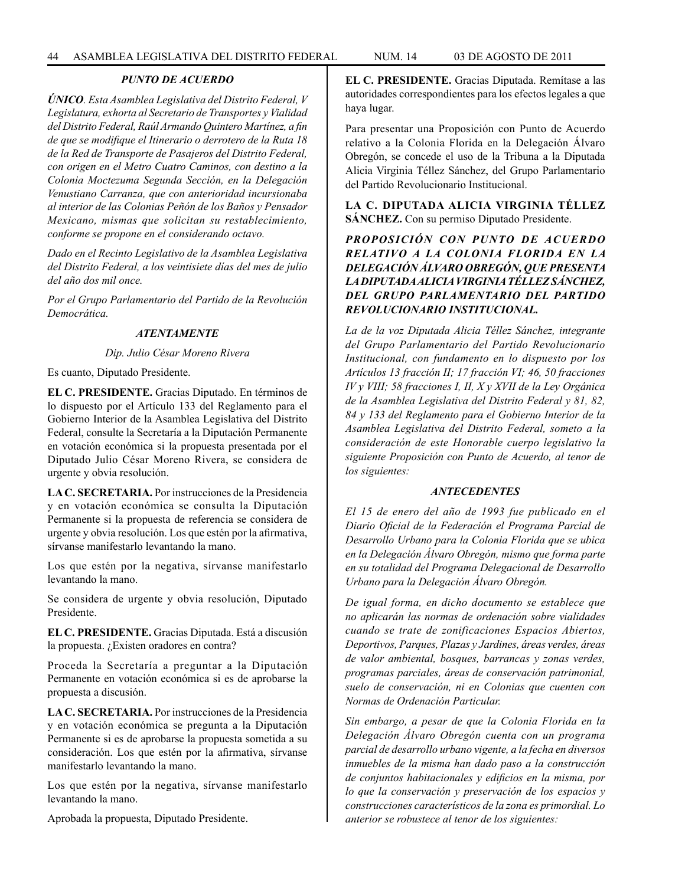## *PUNTO DE ACUERDO*

*ÚNICO. Esta Asamblea Legislativa del Distrito Federal, V Legislatura, exhorta al Secretario de Transportes y Vialidad del Distrito Federal, Raúl Armando Quintero Martínez, a fin de que se modifique el Itinerario o derrotero de la Ruta 18 de la Red de Transporte de Pasajeros del Distrito Federal, con origen en el Metro Cuatro Caminos, con destino a la Colonia Moctezuma Segunda Sección, en la Delegación Venustiano Carranza, que con anterioridad incursionaba al interior de las Colonias Peñón de los Baños y Pensador Mexicano, mismas que solicitan su restablecimiento, conforme se propone en el considerando octavo.*

*Dado en el Recinto Legislativo de la Asamblea Legislativa del Distrito Federal, a los veintisiete días del mes de julio del año dos mil once.*

*Por el Grupo Parlamentario del Partido de la Revolución Democrática.*

#### *ATENTAMENTE*

*Dip. Julio César Moreno Rivera*

Es cuanto, Diputado Presidente.

**EL C. PRESIDENTE.** Gracias Diputado. En términos de lo dispuesto por el Artículo 133 del Reglamento para el Gobierno Interior de la Asamblea Legislativa del Distrito Federal, consulte la Secretaría a la Diputación Permanente en votación económica si la propuesta presentada por el Diputado Julio César Moreno Rivera, se considera de urgente y obvia resolución.

**LA C. SECRETARIA.** Por instrucciones de la Presidencia y en votación económica se consulta la Diputación Permanente si la propuesta de referencia se considera de urgente y obvia resolución. Los que estén por la afirmativa, sírvanse manifestarlo levantando la mano.

Los que estén por la negativa, sírvanse manifestarlo levantando la mano.

Se considera de urgente y obvia resolución, Diputado Presidente.

**EL C. PRESIDENTE.** Gracias Diputada. Está a discusión la propuesta. ¿Existen oradores en contra?

Proceda la Secretaría a preguntar a la Diputación Permanente en votación económica si es de aprobarse la propuesta a discusión.

**LA C. SECRETARIA.** Por instrucciones de la Presidencia y en votación económica se pregunta a la Diputación Permanente si es de aprobarse la propuesta sometida a su consideración. Los que estén por la afirmativa, sírvanse manifestarlo levantando la mano.

Los que estén por la negativa, sírvanse manifestarlo levantando la mano.

Aprobada la propuesta, Diputado Presidente.

**EL C. PRESIDENTE.** Gracias Diputada. Remítase a las autoridades correspondientes para los efectos legales a que haya lugar.

Para presentar una Proposición con Punto de Acuerdo relativo a la Colonia Florida en la Delegación Álvaro Obregón, se concede el uso de la Tribuna a la Diputada Alicia Virginia Téllez Sánchez, del Grupo Parlamentario del Partido Revolucionario Institucional.

**LA C. DIPUTADA ALICIA VIRGINIA TÉLLEZ SÁNCHEZ.** Con su permiso Diputado Presidente.

*PROPOSICIÓN CON PUNTO DE ACUERDO RELATIVO A LA COLONIA FLORIDA EN LA DELEGACIÓN ÁLVARO OBREGÓN, QUE PRESENTA LA DIPUTADA ALICIA VIRGINIA TÉLLEZ SÁNCHEZ, DEL GRUPO PARLAMENTARIO DEL PARTIDO REVOLUCIONARIO INSTITUCIONAL.*

*La de la voz Diputada Alicia Téllez Sánchez, integrante del Grupo Parlamentario del Partido Revolucionario Institucional, con fundamento en lo dispuesto por los Artículos 13 fracción II; 17 fracción VI; 46, 50 fracciones IV y VIII; 58 fracciones I, II, X y XVII de la Ley Orgánica de la Asamblea Legislativa del Distrito Federal y 81, 82, 84 y 133 del Reglamento para el Gobierno Interior de la Asamblea Legislativa del Distrito Federal, someto a la consideración de este Honorable cuerpo legislativo la siguiente Proposición con Punto de Acuerdo, al tenor de los siguientes:*

#### *ANTECEDENTES*

*El 15 de enero del año de 1993 fue publicado en el Diario Oficial de la Federación el Programa Parcial de Desarrollo Urbano para la Colonia Florida que se ubica en la Delegación Álvaro Obregón, mismo que forma parte en su totalidad del Programa Delegacional de Desarrollo Urbano para la Delegación Álvaro Obregón.*

*De igual forma, en dicho documento se establece que no aplicarán las normas de ordenación sobre vialidades cuando se trate de zonificaciones Espacios Abiertos, Deportivos, Parques, Plazas y Jardines, áreas verdes, áreas de valor ambiental, bosques, barrancas y zonas verdes, programas parciales, áreas de conservación patrimonial, suelo de conservación, ni en Colonias que cuenten con Normas de Ordenación Particular.*

*Sin embargo, a pesar de que la Colonia Florida en la Delegación Álvaro Obregón cuenta con un programa parcial de desarrollo urbano vigente, a la fecha en diversos inmuebles de la misma han dado paso a la construcción de conjuntos habitacionales y edificios en la misma, por lo que la conservación y preservación de los espacios y construcciones característicos de la zona es primordial. Lo anterior se robustece al tenor de los siguientes:*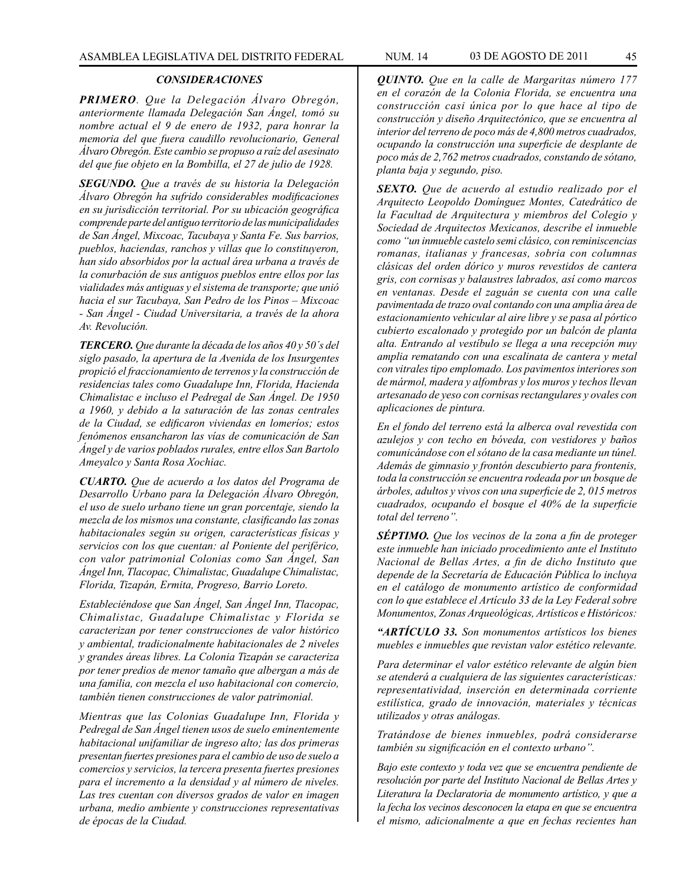## *CONSIDERACIONES*

*PRIMERO. Que la Delegación Álvaro Obregón, anteriormente llamada Delegación San Ángel, tomó su nombre actual el 9 de enero de 1932, para honrar la memoria del que fuera caudillo revolucionario, General Álvaro Obregón. Este cambio se propuso a raíz del asesinato del que fue objeto en la Bombilla, el 27 de julio de 1928.*

*SEGUNDO. Que a través de su historia la Delegación Álvaro Obregón ha sufrido considerables modificaciones en su jurisdicción territorial. Por su ubicación geográfica comprende parte del antiguo territorio de las municipalidades de San Ángel, Mixcoac, Tacubaya y Santa Fe. Sus barrios, pueblos, haciendas, ranchos y villas que lo constituyeron, han sido absorbidos por la actual área urbana a través de la conurbación de sus antiguos pueblos entre ellos por las vialidades más antiguas y el sistema de transporte; que unió hacia el sur Tacubaya, San Pedro de los Pinos – Mixcoac - San Ángel - Ciudad Universitaria, a través de la ahora Av. Revolución.*

*TERCERO. Que durante la década de los años 40 y 50´s del siglo pasado, la apertura de la Avenida de los Insurgentes propició el fraccionamiento de terrenos y la construcción de residencias tales como Guadalupe Inn, Florida, Hacienda Chimalistac e incluso el Pedregal de San Ángel. De 1950 a 1960, y debido a la saturación de las zonas centrales de la Ciudad, se edificaron viviendas en lomeríos; estos fenómenos ensancharon las vías de comunicación de San Ángel y de varios poblados rurales, entre ellos San Bartolo Ameyalco y Santa Rosa Xochiac.*

*CUARTO. Que de acuerdo a los datos del Programa de Desarrollo Urbano para la Delegación Álvaro Obregón, el uso de suelo urbano tiene un gran porcentaje, siendo la mezcla de los mismos una constante, clasificando las zonas habitacionales según su origen, características físicas y servicios con los que cuentan: al Poniente del periférico, con valor patrimonial Colonias como San Ángel, San Ángel Inn, Tlacopac, Chimalistac, Guadalupe Chimalistac, Florida, Tizapán, Ermita, Progreso, Barrio Loreto.*

*Estableciéndose que San Ángel, San Ángel Inn, Tlacopac, Chimalistac, Guadalupe Chimalistac y Florida se caracterizan por tener construcciones de valor histórico y ambiental, tradicionalmente habitacionales de 2 niveles y grandes áreas libres. La Colonia Tizapán se caracteriza por tener predios de menor tamaño que albergan a más de una familia, con mezcla el uso habitacional con comercio, también tienen construcciones de valor patrimonial.*

*Mientras que las Colonias Guadalupe Inn, Florida y Pedregal de San Ángel tienen usos de suelo eminentemente habitacional unifamiliar de ingreso alto; las dos primeras presentan fuertes presiones para el cambio de uso de suelo a comercios y servicios, la tercera presenta fuertes presiones para el incremento a la densidad y al número de niveles. Las tres cuentan con diversos grados de valor en imagen urbana, medio ambiente y construcciones representativas de épocas de la Ciudad.*

*QUINTO. Que en la calle de Margaritas número 177 en el corazón de la Colonia Florida, se encuentra una construcción casi única por lo que hace al tipo de construcción y diseño Arquitectónico, que se encuentra al interior del terreno de poco más de 4,800 metros cuadrados, ocupando la construcción una superficie de desplante de poco más de 2,762 metros cuadrados, constando de sótano, planta baja y segundo, piso.*

*SEXTO. Que de acuerdo al estudio realizado por el Arquitecto Leopoldo Domínguez Montes, Catedrático de la Facultad de Arquitectura y miembros del Colegio y Sociedad de Arquitectos Mexicanos, describe el inmueble como "un inmueble castelo semi clásico, con reminiscencias romanas, italianas y francesas, sobria con columnas clásicas del orden dórico y muros revestidos de cantera gris, con cornisas y balaustres labrados, así como marcos en ventanas. Desde el zaguán se cuenta con una calle pavimentada de trazo oval contando con una amplia área de estacionamiento vehicular al aire libre y se pasa al pórtico cubierto escalonado y protegido por un balcón de planta alta. Entrando al vestíbulo se llega a una recepción muy amplia rematando con una escalinata de cantera y metal con vitrales tipo emplomado. Los pavimentos interiores son de mármol, madera y alfombras y los muros y techos llevan artesanado de yeso con cornisas rectangulares y ovales con aplicaciones de pintura.*

*En el fondo del terreno está la alberca oval revestida con azulejos y con techo en bóveda, con vestidores y baños comunicándose con el sótano de la casa mediante un túnel. Además de gimnasio y frontón descubierto para frontenis, toda la construcción se encuentra rodeada por un bosque de árboles, adultos y vivos con una superficie de 2, 015 metros cuadrados, ocupando el bosque el 40% de la superficie total del terreno".*

*SÉPTIMO. Que los vecinos de la zona a fin de proteger este inmueble han iniciado procedimiento ante el Instituto Nacional de Bellas Artes, a fin de dicho Instituto que depende de la Secretaría de Educación Pública lo incluya en el catálogo de monumento artístico de conformidad con lo que establece el Artículo 33 de la Ley Federal sobre Monumentos, Zonas Arqueológicas, Artísticos e Históricos:*

*"ARTÍCULO 33. Son monumentos artísticos los bienes muebles e inmuebles que revistan valor estético relevante.*

*Para determinar el valor estético relevante de algún bien se atenderá a cualquiera de las siguientes características: representatividad, inserción en determinada corriente estilística, grado de innovación, materiales y técnicas utilizados y otras análogas.* 

*Tratándose de bienes inmuebles, podrá considerarse también su significación en el contexto urbano".*

*Bajo este contexto y toda vez que se encuentra pendiente de resolución por parte del Instituto Nacional de Bellas Artes y Literatura la Declaratoria de monumento artístico, y que a la fecha los vecinos desconocen la etapa en que se encuentra el mismo, adicionalmente a que en fechas recientes han*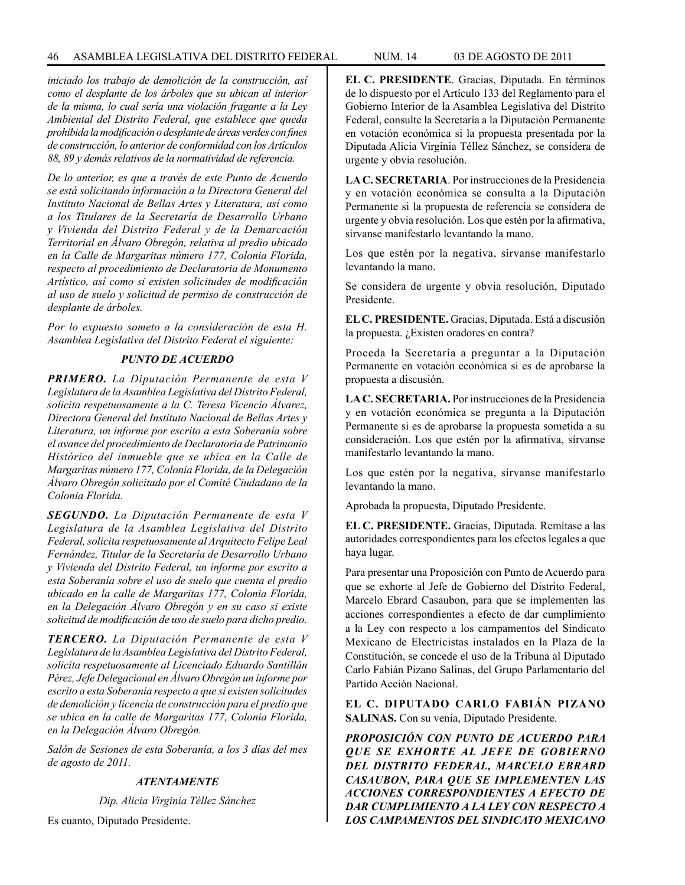*iniciado los trabajo de demolición de la construcción, así como el desplante de los árboles que su ubican al interior de la misma, lo cual sería una violación fragante a la Ley Ambiental del Distrito Federal, que establece que queda prohibida la modificación o desplante de áreas verdes con fines de construcción, lo anterior de conformidad con los Artículos 88, 89 y demás relativos de la normatividad de referencia.*

*De lo anterior, es que a través de este Punto de Acuerdo se está solicitando información a la Directora General del Instituto Nacional de Bellas Artes y Literatura, así como a los Titulares de la Secretaría de Desarrollo Urbano y Vivienda del Distrito Federal y de la Demarcación Territorial en Álvaro Obregón, relativa al predio ubicado en la Calle de Margaritas número 177, Colonia Florida, respecto al procedimiento de Declaratoria de Monumento Artístico, así como si existen solicitudes de modificación al uso de suelo y solicitud de permiso de construcción de desplante de árboles.*

*Por lo expuesto someto a la consideración de esta H. Asamblea Legislativa del Distrito Federal el siguiente:*

## *PUNTO DE ACUERDO*

*PRIMERO. La Diputación Permanente de esta V Legislatura de la Asamblea Legislativa del Distrito Federal, solicita respetuosamente a la C. Teresa Vicencio Álvarez, Directora General del Instituto Nacional de Bellas Artes y Literatura, un informe por escrito a esta Soberanía sobre el avance del procedimiento de Declaratoria de Patrimonio Histórico del inmueble que se ubica en la Calle de Margaritas número 177, Colonia Florida, de la Delegación Álvaro Obregón solicitado por el Comité Ciudadano de la Colonia Florida.*

*SEGUNDO. La Diputación Permanente de esta V Legislatura de la Asamblea Legislativa del Distrito Federal, solicita respetuosamente al Arquitecto Felipe Leal Fernández, Titular de la Secretaría de Desarrollo Urbano y Vivienda del Distrito Federal, un informe por escrito a esta Soberanía sobre el uso de suelo que cuenta el predio ubicado en la calle de Margaritas 177, Colonia Florida, en la Delegación Álvaro Obregón y en su caso si existe solicitud de modificación de uso de suelo para dicho predio.*

*TERCERO. La Diputación Permanente de esta V Legislatura de la Asamblea Legislativa del Distrito Federal, solicita respetuosamente al Licenciado Eduardo Santillán Pérez, Jefe Delegacional en Álvaro Obregón un informe por escrito a esta Soberanía respecto a que si existen solicitudes de demolición y licencia de construcción para el predio que se ubica en la calle de Margaritas 177, Colonia Florida, en la Delegación Álvaro Obregón.*

*Salón de Sesiones de esta Soberanía, a los 3 días del mes de agosto de 2011.*

#### *ATENTAMENTE*

*Dip. Alicia Virginia Téllez Sánchez*

Es cuanto, Diputado Presidente.

**EL C. PRESIDENTE**. Gracias, Diputada. En términos de lo dispuesto por el Artículo 133 del Reglamento para el Gobierno Interior de la Asamblea Legislativa del Distrito Federal, consulte la Secretaría a la Diputación Permanente en votación económica si la propuesta presentada por la Diputada Alicia Virginia Téllez Sánchez, se considera de urgente y obvia resolución.

**LA C. SECRETARIA**. Por instrucciones de la Presidencia y en votación económica se consulta a la Diputación Permanente si la propuesta de referencia se considera de urgente y obvia resolución. Los que estén por la afirmativa, sírvanse manifestarlo levantando la mano.

Los que estén por la negativa, sírvanse manifestarlo levantando la mano.

Se considera de urgente y obvia resolución, Diputado Presidente.

**EL C. PRESIDENTE.** Gracias, Diputada. Está a discusión la propuesta. ¿Existen oradores en contra?

Proceda la Secretaría a preguntar a la Diputación Permanente en votación económica si es de aprobarse la propuesta a discusión.

**LA C. SECRETARIA.** Por instrucciones de la Presidencia y en votación económica se pregunta a la Diputación Permanente si es de aprobarse la propuesta sometida a su consideración. Los que estén por la afirmativa, sírvanse manifestarlo levantando la mano.

Los que estén por la negativa, sírvanse manifestarlo levantando la mano.

Aprobada la propuesta, Diputado Presidente.

**EL C. PRESIDENTE.** Gracias, Diputada. Remítase a las autoridades correspondientes para los efectos legales a que haya lugar.

Para presentar una Proposición con Punto de Acuerdo para que se exhorte al Jefe de Gobierno del Distrito Federal, Marcelo Ebrard Casaubon, para que se implementen las acciones correspondientes a efecto de dar cumplimiento a la Ley con respecto a los campamentos del Sindicato Mexicano de Electricistas instalados en la Plaza de la Constitución, se concede el uso de la Tribuna al Diputado Carlo Fabián Pizano Salinas, del Grupo Parlamentario del Partido Acción Nacional.

**EL C. DIPUTADO CARLO FABIÁN PIZANO SALINAS.** Con su venia, Diputado Presidente.

*PROPOSICIÓN CON PUNTO DE ACUERDO PARA QUE SE EXHORTE AL JEFE DE GOBIERNO DEL DISTRITO FEDERAL, MARCELO EBRARD CASAUBON, PARA QUE SE IMPLEMENTEN LAS ACCIONES CORRESPONDIENTES A EFECTO DE DAR CUMPLIMIENTO A LA LEY CON RESPECTO A LOS CAMPAMENTOS DEL SINDICATO MEXICANO*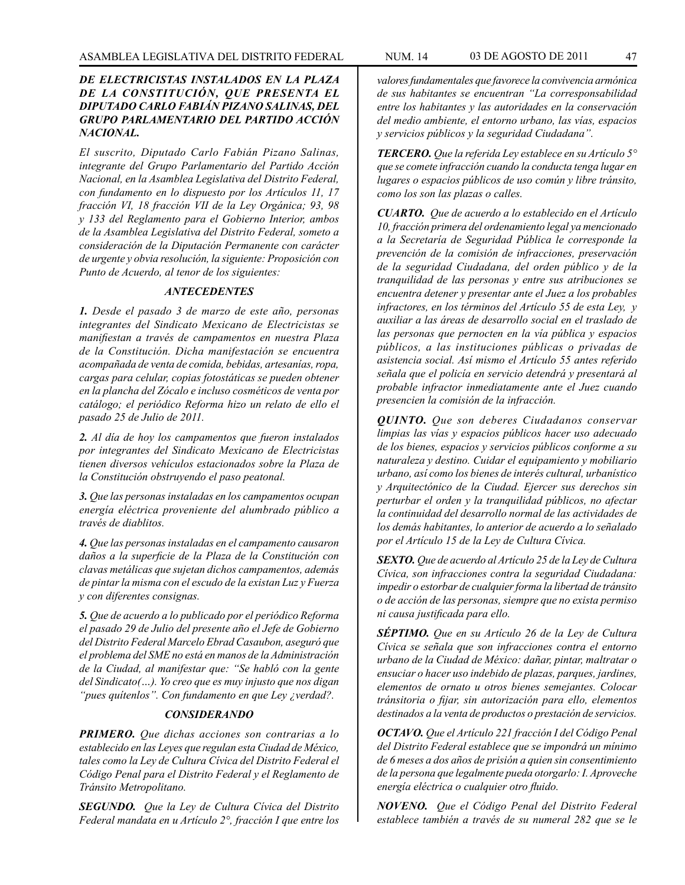## *DE ELECTRICISTAS INSTALADOS EN LA PLAZA DE LA CONSTITUCIÓN, QUE PRESENTA EL DIPUTADO CARLO FABIÁN PIZANO SALINAS, DEL GRUPO PARLAMENTARIO DEL PARTIDO ACCIÓN NACIONAL.*

*El suscrito, Diputado Carlo Fabián Pizano Salinas, integrante del Grupo Parlamentario del Partido Acción Nacional, en la Asamblea Legislativa del Distrito Federal, con fundamento en lo dispuesto por los Artículos 11, 17 fracción VI, 18 fracción VII de la Ley Orgánica; 93, 98 y 133 del Reglamento para el Gobierno Interior, ambos de la Asamblea Legislativa del Distrito Federal, someto a consideración de la Diputación Permanente con carácter de urgente y obvia resolución, la siguiente: Proposición con Punto de Acuerdo, al tenor de los siguientes:*

## *ANTECEDENTES*

*1. Desde el pasado 3 de marzo de este año, personas integrantes del Sindicato Mexicano de Electricistas se manifiestan a través de campamentos en nuestra Plaza de la Constitución. Dicha manifestación se encuentra acompañada de venta de comida, bebidas, artesanías, ropa, cargas para celular, copias fotostáticas se pueden obtener en la plancha del Zócalo e incluso cosméticos de venta por catálogo; el periódico Reforma hizo un relato de ello el pasado 25 de Julio de 2011.*

*2. Al día de hoy los campamentos que fueron instalados por integrantes del Sindicato Mexicano de Electricistas tienen diversos vehículos estacionados sobre la Plaza de la Constitución obstruyendo el paso peatonal.*

*3. Que las personas instaladas en los campamentos ocupan energía eléctrica proveniente del alumbrado público a través de diablitos.*

*4. Que las personas instaladas en el campamento causaron daños a la superficie de la Plaza de la Constitución con clavas metálicas que sujetan dichos campamentos, además de pintar la misma con el escudo de la existan Luz y Fuerza y con diferentes consignas.*

*5. Que de acuerdo a lo publicado por el periódico Reforma el pasado 29 de Julio del presente año el Jefe de Gobierno del Distrito Federal Marcelo Ebrad Casaubon, aseguró que el problema del SME no está en manos de la Administración de la Ciudad, al manifestar que: "Se habló con la gente del Sindicato(…). Yo creo que es muy injusto que nos digan "pues quítenlos". Con fundamento en que Ley ¿verdad?.*

#### *CONSIDERANDO*

*PRIMERO. Que dichas acciones son contrarias a lo establecido en las Leyes que regulan esta Ciudad de México, tales como la Ley de Cultura Cívica del Distrito Federal el Código Penal para el Distrito Federal y el Reglamento de Tránsito Metropolitano.*

*SEGUNDO. Que la Ley de Cultura Cívica del Distrito Federal mandata en u Artículo 2°, fracción I que entre los* 

*valores fundamentales que favorece la convivencia armónica de sus habitantes se encuentran "La corresponsabilidad entre los habitantes y las autoridades en la conservación del medio ambiente, el entorno urbano, las vías, espacios y servicios públicos y la seguridad Ciudadana".*

*TERCERO. Que la referida Ley establece en su Artículo 5° que se comete infracción cuando la conducta tenga lugar en lugares o espacios públicos de uso común y libre tránsito, como los son las plazas o calles.*

*CUARTO. Que de acuerdo a lo establecido en el Artículo 10, fracción primera del ordenamiento legal ya mencionado a la Secretaría de Seguridad Pública le corresponde la prevención de la comisión de infracciones, preservación de la seguridad Ciudadana, del orden público y de la tranquilidad de las personas y entre sus atribuciones se encuentra detener y presentar ante el Juez a los probables infractores, en los términos del Artículo 55 de esta Ley, y auxiliar a las áreas de desarrollo social en el traslado de las personas que pernocten en la vía pública y espacios públicos, a las instituciones públicas o privadas de asistencia social. Así mismo el Artículo 55 antes referido señala que el policía en servicio detendrá y presentará al probable infractor inmediatamente ante el Juez cuando presencien la comisión de la infracción.*

*QUINTO. Que son deberes Ciudadanos conservar limpias las vías y espacios públicos hacer uso adecuado de los bienes, espacios y servicios públicos conforme a su naturaleza y destino. Cuidar el equipamiento y mobiliario urbano, así como los bienes de interés cultural, urbanístico y Arquitectónico de la Ciudad. Ejercer sus derechos sin perturbar el orden y la tranquilidad públicos, no afectar la continuidad del desarrollo normal de las actividades de los demás habitantes, lo anterior de acuerdo a lo señalado por el Artículo 15 de la Ley de Cultura Cívica.*

*SEXTO. Que de acuerdo al Artículo 25 de la Ley de Cultura Cívica, son infracciones contra la seguridad Ciudadana: impedir o estorbar de cualquier forma la libertad de tránsito o de acción de las personas, siempre que no exista permiso ni causa justificada para ello.*

*SÉPTIMO. Que en su Artículo 26 de la Ley de Cultura Cívica se señala que son infracciones contra el entorno urbano de la Ciudad de México: dañar, pintar, maltratar o ensuciar o hacer uso indebido de plazas, parques, jardines, elementos de ornato u otros bienes semejantes. Colocar tránsitoria o fijar, sin autorización para ello, elementos destinados a la venta de productos o prestación de servicios.* 

*OCTAVO. Que el Artículo 221 fracción I del Código Penal del Distrito Federal establece que se impondrá un mínimo de 6 meses a dos años de prisión a quien sin consentimiento de la persona que legalmente pueda otorgarlo: I. Aproveche energía eléctrica o cualquier otro fluido.*

*NOVENO. Que el Código Penal del Distrito Federal establece también a través de su numeral 282 que se le*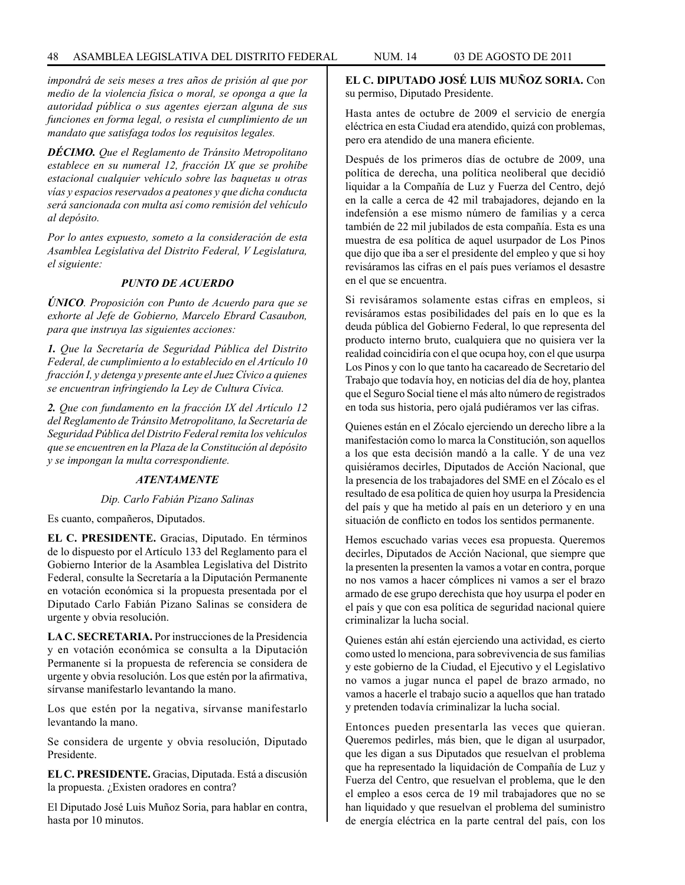*impondrá de seis meses a tres años de prisión al que por medio de la violencia física o moral, se oponga a que la autoridad pública o sus agentes ejerzan alguna de sus funciones en forma legal, o resista el cumplimiento de un mandato que satisfaga todos los requisitos legales.*

*DÉCIMO. Que el Reglamento de Tránsito Metropolitano establece en su numeral 12, fracción IX que se prohíbe estacional cualquier vehículo sobre las baquetas u otras vías y espacios reservados a peatones y que dicha conducta será sancionada con multa así como remisión del vehículo al depósito.*

*Por lo antes expuesto, someto a la consideración de esta Asamblea Legislativa del Distrito Federal, V Legislatura, el siguiente:*

## *PUNTO DE ACUERDO*

*ÚNICO. Proposición con Punto de Acuerdo para que se exhorte al Jefe de Gobierno, Marcelo Ebrard Casaubon, para que instruya las siguientes acciones:*

*1. Que la Secretaría de Seguridad Pública del Distrito Federal, de cumplimiento a lo establecido en el Artículo 10 fracción I, y detenga y presente ante el Juez Cívico a quienes se encuentran infringiendo la Ley de Cultura Cívica.*

*2. Que con fundamento en la fracción IX del Artículo 12 del Reglamento de Tránsito Metropolitano, la Secretaría de Seguridad Pública del Distrito Federal remita los vehículos que se encuentren en la Plaza de la Constitución al depósito y se impongan la multa correspondiente.*

## *ATENTAMENTE*

*Dip. Carlo Fabián Pizano Salinas*

Es cuanto, compañeros, Diputados.

**EL C. PRESIDENTE.** Gracias, Diputado. En términos de lo dispuesto por el Artículo 133 del Reglamento para el Gobierno Interior de la Asamblea Legislativa del Distrito Federal, consulte la Secretaría a la Diputación Permanente en votación económica si la propuesta presentada por el Diputado Carlo Fabián Pizano Salinas se considera de urgente y obvia resolución.

**LA C. SECRETARIA.** Por instrucciones de la Presidencia y en votación económica se consulta a la Diputación Permanente si la propuesta de referencia se considera de urgente y obvia resolución. Los que estén por la afirmativa, sírvanse manifestarlo levantando la mano.

Los que estén por la negativa, sírvanse manifestarlo levantando la mano.

Se considera de urgente y obvia resolución, Diputado Presidente.

**EL C. PRESIDENTE.** Gracias, Diputada. Está a discusión la propuesta. ¿Existen oradores en contra?

El Diputado José Luis Muñoz Soria, para hablar en contra, hasta por 10 minutos.

**EL C. DIPUTADO JOSÉ LUIS MUÑOZ SORIA.** Con su permiso, Diputado Presidente.

Hasta antes de octubre de 2009 el servicio de energía eléctrica en esta Ciudad era atendido, quizá con problemas, pero era atendido de una manera eficiente.

Después de los primeros días de octubre de 2009, una política de derecha, una política neoliberal que decidió liquidar a la Compañía de Luz y Fuerza del Centro, dejó en la calle a cerca de 42 mil trabajadores, dejando en la indefensión a ese mismo número de familias y a cerca también de 22 mil jubilados de esta compañía. Esta es una muestra de esa política de aquel usurpador de Los Pinos que dijo que iba a ser el presidente del empleo y que si hoy revisáramos las cifras en el país pues veríamos el desastre en el que se encuentra.

Si revisáramos solamente estas cifras en empleos, si revisáramos estas posibilidades del país en lo que es la deuda pública del Gobierno Federal, lo que representa del producto interno bruto, cualquiera que no quisiera ver la realidad coincidiría con el que ocupa hoy, con el que usurpa Los Pinos y con lo que tanto ha cacareado de Secretario del Trabajo que todavía hoy, en noticias del día de hoy, plantea que el Seguro Social tiene el más alto número de registrados en toda sus historia, pero ojalá pudiéramos ver las cifras.

Quienes están en el Zócalo ejerciendo un derecho libre a la manifestación como lo marca la Constitución, son aquellos a los que esta decisión mandó a la calle. Y de una vez quisiéramos decirles, Diputados de Acción Nacional, que la presencia de los trabajadores del SME en el Zócalo es el resultado de esa política de quien hoy usurpa la Presidencia del país y que ha metido al país en un deterioro y en una situación de conflicto en todos los sentidos permanente.

Hemos escuchado varias veces esa propuesta. Queremos decirles, Diputados de Acción Nacional, que siempre que la presenten la presenten la vamos a votar en contra, porque no nos vamos a hacer cómplices ni vamos a ser el brazo armado de ese grupo derechista que hoy usurpa el poder en el país y que con esa política de seguridad nacional quiere criminalizar la lucha social.

Quienes están ahí están ejerciendo una actividad, es cierto como usted lo menciona, para sobrevivencia de sus familias y este gobierno de la Ciudad, el Ejecutivo y el Legislativo no vamos a jugar nunca el papel de brazo armado, no vamos a hacerle el trabajo sucio a aquellos que han tratado y pretenden todavía criminalizar la lucha social.

Entonces pueden presentarla las veces que quieran. Queremos pedirles, más bien, que le digan al usurpador, que les digan a sus Diputados que resuelvan el problema que ha representado la liquidación de Compañía de Luz y Fuerza del Centro, que resuelvan el problema, que le den el empleo a esos cerca de 19 mil trabajadores que no se han liquidado y que resuelvan el problema del suministro de energía eléctrica en la parte central del país, con los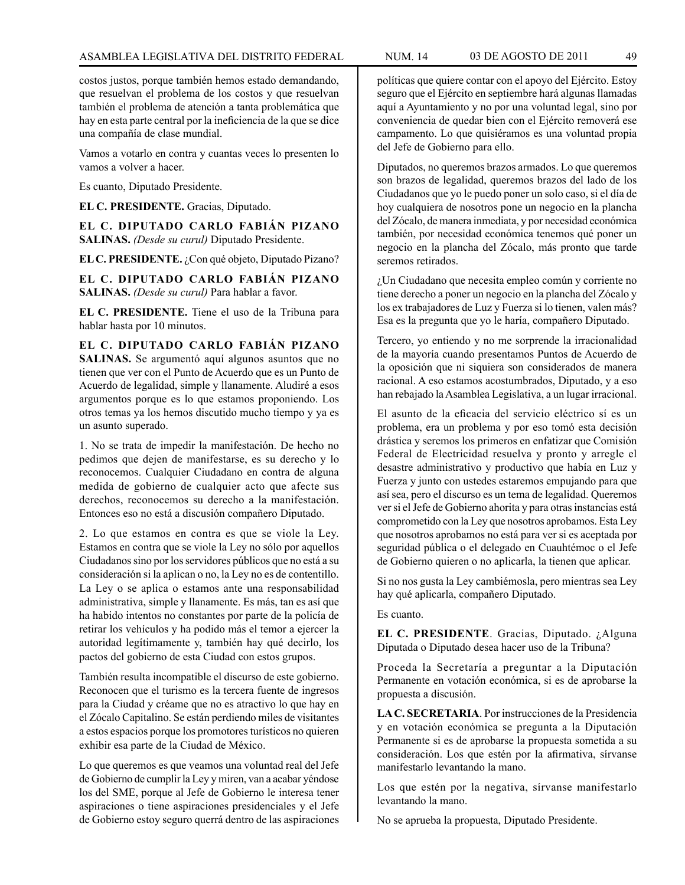costos justos, porque también hemos estado demandando, que resuelvan el problema de los costos y que resuelvan también el problema de atención a tanta problemática que hay en esta parte central por la ineficiencia de la que se dice una compañía de clase mundial.

Vamos a votarlo en contra y cuantas veces lo presenten lo vamos a volver a hacer.

Es cuanto, Diputado Presidente.

**EL C. PRESIDENTE.** Gracias, Diputado.

**EL C. DIPUTADO CARLO FABIÁN PIZANO SALINAS.** *(Desde su curul)* Diputado Presidente.

**EL C. PRESIDENTE.** ¿Con qué objeto, Diputado Pizano?

**EL C. DIPUTADO CARLO FABIÁN PIZANO SALINAS.** *(Desde su curul)* Para hablar a favor.

**EL C. PRESIDENTE.** Tiene el uso de la Tribuna para hablar hasta por 10 minutos.

**EL C. DIPUTADO CARLO FABIÁN PIZANO SALINAS.** Se argumentó aquí algunos asuntos que no tienen que ver con el Punto de Acuerdo que es un Punto de Acuerdo de legalidad, simple y llanamente. Aludiré a esos argumentos porque es lo que estamos proponiendo. Los otros temas ya los hemos discutido mucho tiempo y ya es un asunto superado.

1. No se trata de impedir la manifestación. De hecho no pedimos que dejen de manifestarse, es su derecho y lo reconocemos. Cualquier Ciudadano en contra de alguna medida de gobierno de cualquier acto que afecte sus derechos, reconocemos su derecho a la manifestación. Entonces eso no está a discusión compañero Diputado.

2. Lo que estamos en contra es que se viole la Ley. Estamos en contra que se viole la Ley no sólo por aquellos Ciudadanos sino por los servidores públicos que no está a su consideración si la aplican o no, la Ley no es de contentillo. La Ley o se aplica o estamos ante una responsabilidad administrativa, simple y llanamente. Es más, tan es así que ha habido intentos no constantes por parte de la policía de retirar los vehículos y ha podido más el temor a ejercer la autoridad legítimamente y, también hay qué decirlo, los pactos del gobierno de esta Ciudad con estos grupos.

También resulta incompatible el discurso de este gobierno. Reconocen que el turismo es la tercera fuente de ingresos para la Ciudad y créame que no es atractivo lo que hay en el Zócalo Capitalino. Se están perdiendo miles de visitantes a estos espacios porque los promotores turísticos no quieren exhibir esa parte de la Ciudad de México.

Lo que queremos es que veamos una voluntad real del Jefe de Gobierno de cumplir la Ley y miren, van a acabar yéndose los del SME, porque al Jefe de Gobierno le interesa tener aspiraciones o tiene aspiraciones presidenciales y el Jefe de Gobierno estoy seguro querrá dentro de las aspiraciones políticas que quiere contar con el apoyo del Ejército. Estoy seguro que el Ejército en septiembre hará algunas llamadas aquí a Ayuntamiento y no por una voluntad legal, sino por conveniencia de quedar bien con el Ejército removerá ese campamento. Lo que quisiéramos es una voluntad propia del Jefe de Gobierno para ello.

Diputados, no queremos brazos armados. Lo que queremos son brazos de legalidad, queremos brazos del lado de los Ciudadanos que yo le puedo poner un solo caso, si el día de hoy cualquiera de nosotros pone un negocio en la plancha del Zócalo, de manera inmediata, y por necesidad económica también, por necesidad económica tenemos qué poner un negocio en la plancha del Zócalo, más pronto que tarde seremos retirados.

¿Un Ciudadano que necesita empleo común y corriente no tiene derecho a poner un negocio en la plancha del Zócalo y los ex trabajadores de Luz y Fuerza si lo tienen, valen más? Esa es la pregunta que yo le haría, compañero Diputado.

Tercero, yo entiendo y no me sorprende la irracionalidad de la mayoría cuando presentamos Puntos de Acuerdo de la oposición que ni siquiera son considerados de manera racional. A eso estamos acostumbrados, Diputado, y a eso han rebajado la Asamblea Legislativa, a un lugar irracional.

El asunto de la eficacia del servicio eléctrico sí es un problema, era un problema y por eso tomó esta decisión drástica y seremos los primeros en enfatizar que Comisión Federal de Electricidad resuelva y pronto y arregle el desastre administrativo y productivo que había en Luz y Fuerza y junto con ustedes estaremos empujando para que así sea, pero el discurso es un tema de legalidad. Queremos ver si el Jefe de Gobierno ahorita y para otras instancias está comprometido con la Ley que nosotros aprobamos. Esta Ley que nosotros aprobamos no está para ver si es aceptada por seguridad pública o el delegado en Cuauhtémoc o el Jefe de Gobierno quieren o no aplicarla, la tienen que aplicar.

Si no nos gusta la Ley cambiémosla, pero mientras sea Ley hay qué aplicarla, compañero Diputado.

Es cuanto.

**EL C. PRESIDENTE**. Gracias, Diputado. ¿Alguna Diputada o Diputado desea hacer uso de la Tribuna?

Proceda la Secretaría a preguntar a la Diputación Permanente en votación económica, si es de aprobarse la propuesta a discusión.

**LA C. SECRETARIA**. Por instrucciones de la Presidencia y en votación económica se pregunta a la Diputación Permanente si es de aprobarse la propuesta sometida a su consideración. Los que estén por la afirmativa, sírvanse manifestarlo levantando la mano.

Los que estén por la negativa, sírvanse manifestarlo levantando la mano.

No se aprueba la propuesta, Diputado Presidente.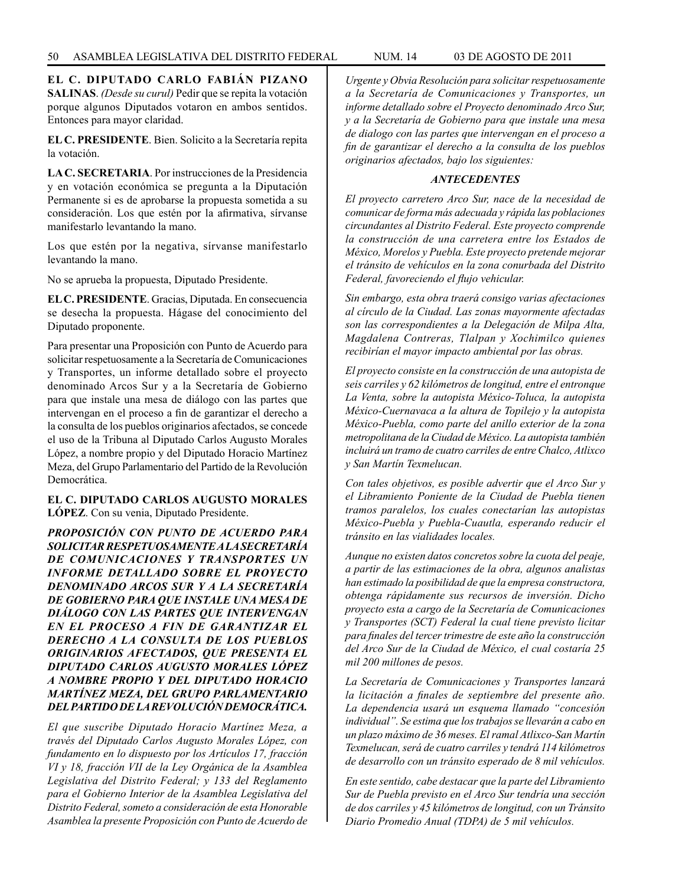**EL C. DIPUTADO CARLO FABIÁN PIZANO SALINAS**. *(Desde su curul)* Pedir que se repita la votación porque algunos Diputados votaron en ambos sentidos. Entonces para mayor claridad.

**EL C. PRESIDENTE**. Bien. Solicito a la Secretaría repita la votación.

**LA C. SECRETARIA**. Por instrucciones de la Presidencia y en votación económica se pregunta a la Diputación Permanente si es de aprobarse la propuesta sometida a su consideración. Los que estén por la afirmativa, sírvanse manifestarlo levantando la mano.

Los que estén por la negativa, sírvanse manifestarlo levantando la mano.

No se aprueba la propuesta, Diputado Presidente.

**EL C. PRESIDENTE**. Gracias, Diputada. En consecuencia se desecha la propuesta. Hágase del conocimiento del Diputado proponente.

Para presentar una Proposición con Punto de Acuerdo para solicitar respetuosamente a la Secretaría de Comunicaciones y Transportes, un informe detallado sobre el proyecto denominado Arcos Sur y a la Secretaría de Gobierno para que instale una mesa de diálogo con las partes que intervengan en el proceso a fin de garantizar el derecho a la consulta de los pueblos originarios afectados, se concede el uso de la Tribuna al Diputado Carlos Augusto Morales López, a nombre propio y del Diputado Horacio Martínez Meza, del Grupo Parlamentario del Partido de la Revolución Democrática.

## **EL C. DIPUTADO CARLOS AUGUSTO MORALES LÓPEZ**. Con su venia, Diputado Presidente.

*PROPOSICIÓN CON PUNTO DE ACUERDO PARA SOLICITAR RESPETUOSAMENTE A LA SECRETARÍA DE COMUNICACIONES Y TRANSPORTES UN INFORME DETALLADO SOBRE EL PROYECTO DENOMINADO ARCOS SUR Y A LA SECRETARÍA DE GOBIERNO PARA QUE INSTALE UNA MESA DE DIÁLOGO CON LAS PARTES QUE INTERVENGAN EN EL PROCESO A FIN DE GARANTIZAR EL DERECHO A LA CONSULTA DE LOS PUEBLOS ORIGINARIOS AFECTADOS, QUE PRESENTA EL DIPUTADO CARLOS AUGUSTO MORALES LÓPEZ A NOMBRE PROPIO Y DEL DIPUTADO HORACIO MARTÍNEZ MEZA, DEL GRUPO PARLAMENTARIO DEL PARTIDO DE LA REVOLUCIÓN DEMOCRÁTICA.*

*El que suscribe Diputado Horacio Martínez Meza, a través del Diputado Carlos Augusto Morales López, con fundamento en lo dispuesto por los Artículos 17, fracción VI y 18, fracción VII de la Ley Orgánica de la Asamblea Legislativa del Distrito Federal; y 133 del Reglamento para el Gobierno Interior de la Asamblea Legislativa del Distrito Federal, someto a consideración de esta Honorable Asamblea la presente Proposición con Punto de Acuerdo de* 

*Urgente y Obvia Resolución para solicitar respetuosamente a la Secretaría de Comunicaciones y Transportes, un informe detallado sobre el Proyecto denominado Arco Sur, y a la Secretaría de Gobierno para que instale una mesa de dialogo con las partes que intervengan en el proceso a fin de garantizar el derecho a la consulta de los pueblos originarios afectados, bajo los siguientes:*

# *ANTECEDENTES*

*El proyecto carretero Arco Sur, nace de la necesidad de comunicar de forma más adecuada y rápida las poblaciones circundantes al Distrito Federal. Este proyecto comprende la construcción de una carretera entre los Estados de México, Morelos y Puebla. Este proyecto pretende mejorar el tránsito de vehículos en la zona conurbada del Distrito Federal, favoreciendo el flujo vehicular.*

*Sin embargo, esta obra traerá consigo varias afectaciones al círculo de la Ciudad. Las zonas mayormente afectadas son las correspondientes a la Delegación de Milpa Alta, Magdalena Contreras, Tlalpan y Xochimilco quienes recibirían el mayor impacto ambiental por las obras.*

*El proyecto consiste en la construcción de una autopista de seis carriles y 62 kilómetros de longitud, entre el entronque La Venta, sobre la autopista México-Toluca, la autopista México-Cuernavaca a la altura de Topilejo y la autopista México-Puebla, como parte del anillo exterior de la zona metropolitana de la Ciudad de México. La autopista también incluirá un tramo de cuatro carriles de entre Chalco, Atlixco y San Martín Texmelucan.*

*Con tales objetivos, es posible advertir que el Arco Sur y el Libramiento Poniente de la Ciudad de Puebla tienen tramos paralelos, los cuales conectarían las autopistas México-Puebla y Puebla-Cuautla, esperando reducir el tránsito en las vialidades locales.*

*Aunque no existen datos concretos sobre la cuota del peaje, a partir de las estimaciones de la obra, algunos analistas han estimado la posibilidad de que la empresa constructora, obtenga rápidamente sus recursos de inversión. Dicho proyecto esta a cargo de la Secretaría de Comunicaciones y Transportes (SCT) Federal la cual tiene previsto licitar para finales del tercer trimestre de este año la construcción del Arco Sur de la Ciudad de México, el cual costaría 25 mil 200 millones de pesos.*

*La Secretaría de Comunicaciones y Transportes lanzará la licitación a finales de septiembre del presente año. La dependencia usará un esquema llamado "concesión individual". Se estima que los trabajos se llevarán a cabo en un plazo máximo de 36 meses. El ramal Atlixco-San Martín Texmelucan, será de cuatro carriles y tendrá 114 kilómetros de desarrollo con un tránsito esperado de 8 mil vehículos.*

*En este sentido, cabe destacar que la parte del Libramiento Sur de Puebla previsto en el Arco Sur tendría una sección de dos carriles y 45 kilómetros de longitud, con un Tránsito Diario Promedio Anual (TDPA) de 5 mil vehículos.*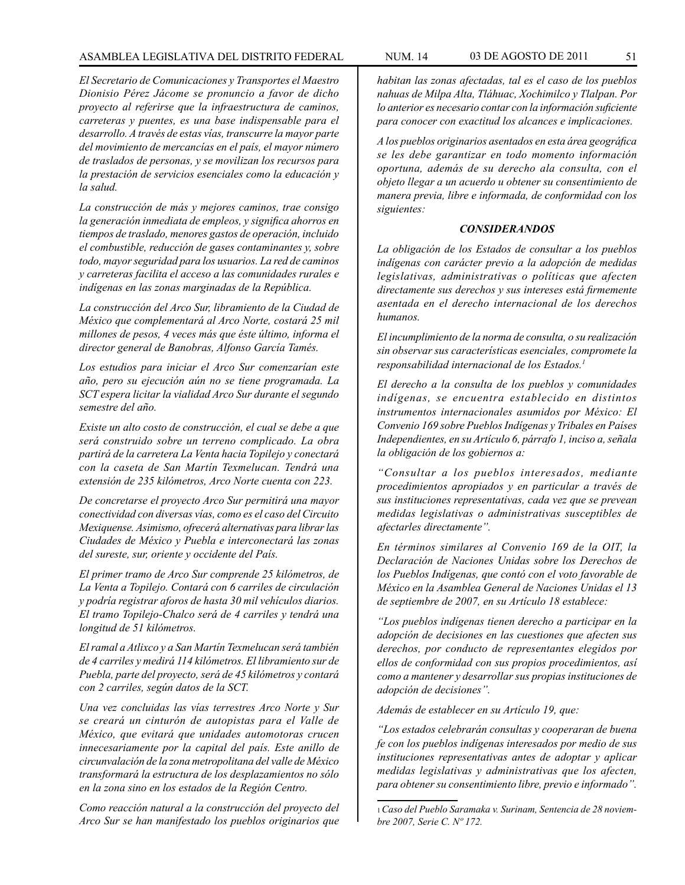## ASAMBLEA LEGISLATIVA DEL DISTRITO FEDERAL NUM. 14 03 de AGOSTO de 2011 51

*El Secretario de Comunicaciones y Transportes el Maestro Dionisio Pérez Jácome se pronuncio a favor de dicho proyecto al referirse que la infraestructura de caminos, carreteras y puentes, es una base indispensable para el desarrollo. A través de estas vías, transcurre la mayor parte del movimiento de mercancías en el país, el mayor número de traslados de personas, y se movilizan los recursos para la prestación de servicios esenciales como la educación y la salud.*

*La construcción de más y mejores caminos, trae consigo la generación inmediata de empleos, y significa ahorros en tiempos de traslado, menores gastos de operación, incluido el combustible, reducción de gases contaminantes y, sobre todo, mayor seguridad para los usuarios. La red de caminos y carreteras facilita el acceso a las comunidades rurales e indígenas en las zonas marginadas de la República.*

*La construcción del Arco Sur, libramiento de la Ciudad de México que complementará al Arco Norte, costará 25 mil millones de pesos, 4 veces más que éste último, informa el director general de Banobras, Alfonso García Tamés.*

*Los estudios para iniciar el Arco Sur comenzarían este año, pero su ejecución aún no se tiene programada. La SCT espera licitar la vialidad Arco Sur durante el segundo semestre del año.*

*Existe un alto costo de construcción, el cual se debe a que será construido sobre un terreno complicado. La obra partirá de la carretera La Venta hacia Topilejo y conectará con la caseta de San Martín Texmelucan. Tendrá una extensión de 235 kilómetros, Arco Norte cuenta con 223.*

*De concretarse el proyecto Arco Sur permitirá una mayor conectividad con diversas vías, como es el caso del Circuito Mexiquense. Asimismo, ofrecerá alternativas para librar las Ciudades de México y Puebla e interconectará las zonas del sureste, sur, oriente y occidente del País.*

*El primer tramo de Arco Sur comprende 25 kilómetros, de La Venta a Topilejo. Contará con 6 carriles de circulación y podría registrar aforos de hasta 30 mil vehículos diarios. El tramo Topilejo-Chalco será de 4 carriles y tendrá una longitud de 51 kilómetros.*

*El ramal a Atlixco y a San Martín Texmelucan será también de 4 carriles y medirá 114 kilómetros. El libramiento sur de Puebla, parte del proyecto, será de 45 kilómetros y contará con 2 carriles, según datos de la SCT.*

*Una vez concluidas las vías terrestres Arco Norte y Sur se creará un cinturón de autopistas para el Valle de México, que evitará que unidades automotoras crucen innecesariamente por la capital del país. Este anillo de circunvalación de la zona metropolitana del valle de México transformará la estructura de los desplazamientos no sólo en la zona sino en los estados de la Región Centro.*

*Como reacción natural a la construcción del proyecto del Arco Sur se han manifestado los pueblos originarios que* 

*habitan las zonas afectadas, tal es el caso de los pueblos nahuas de Milpa Alta, Tláhuac, Xochimilco y Tlalpan. Por lo anterior es necesario contar con la información suficiente para conocer con exactitud los alcances e implicaciones.*

*A los pueblos originarios asentados en esta área geográfica se les debe garantizar en todo momento información oportuna, además de su derecho ala consulta, con el objeto llegar a un acuerdo u obtener su consentimiento de manera previa, libre e informada, de conformidad con los siguientes:*

#### *CONSIDERANDOS*

*La obligación de los Estados de consultar a los pueblos indígenas con carácter previo a la adopción de medidas legislativas, administrativas o políticas que afecten directamente sus derechos y sus intereses está firmemente asentada en el derecho internacional de los derechos humanos.*

*El incumplimiento de la norma de consulta, o su realización sin observar sus características esenciales, compromete la responsabilidad internacional de los Estados.1*

*El derecho a la consulta de los pueblos y comunidades indígenas, se encuentra establecido en distintos instrumentos internacionales asumidos por México: El Convenio 169 sobre Pueblos Indígenas y Tribales en Países Independientes, en su Artículo 6, párrafo 1, inciso a, señala la obligación de los gobiernos a:*

*"Consultar a los pueblos interesados, mediante procedimientos apropiados y en particular a través de sus instituciones representativas, cada vez que se prevean medidas legislativas o administrativas susceptibles de afectarles directamente".*

*En términos similares al Convenio 169 de la OIT, la Declaración de Naciones Unidas sobre los Derechos de los Pueblos Indígenas, que contó con el voto favorable de México en la Asamblea General de Naciones Unidas el 13 de septiembre de 2007, en su Artículo 18 establece:*

*"Los pueblos indígenas tienen derecho a participar en la adopción de decisiones en las cuestiones que afecten sus derechos, por conducto de representantes elegidos por ellos de conformidad con sus propios procedimientos, así como a mantener y desarrollar sus propias instituciones de adopción de decisiones".*

*Además de establecer en su Artículo 19, que:*

*"Los estados celebrarán consultas y cooperaran de buena fe con los pueblos indígenas interesados por medio de sus instituciones representativas antes de adoptar y aplicar medidas legislativas y administrativas que los afecten, para obtener su consentimiento libre, previo e informado".*

<sup>1</sup>*Caso del Pueblo Saramaka v. Surinam, Sentencia de 28 noviembre 2007, Serie C. Nº 172.*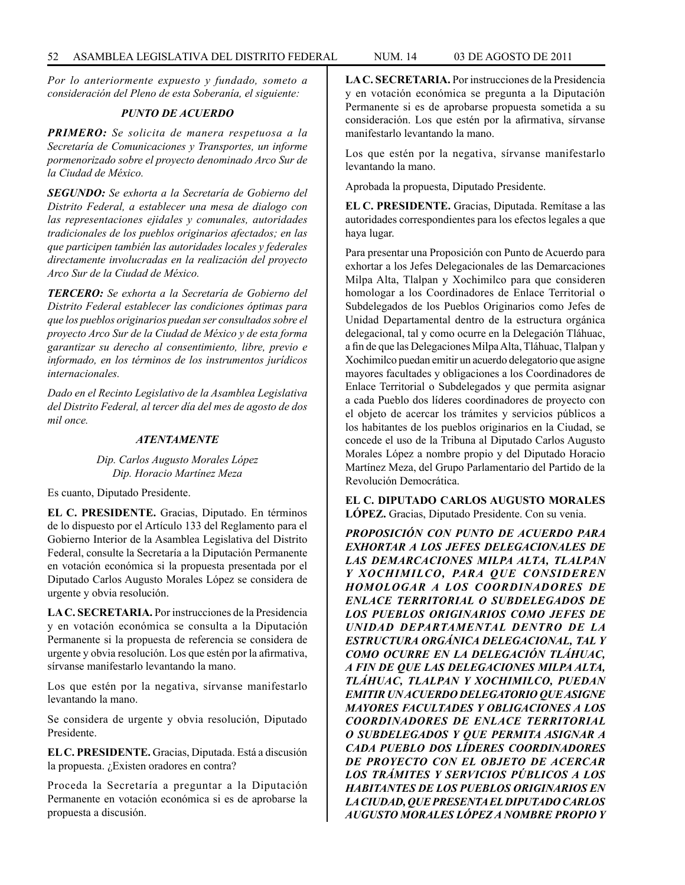*Por lo anteriormente expuesto y fundado, someto a consideración del Pleno de esta Soberanía, el siguiente:*

## *PUNTO DE ACUERDO*

*PRIMERO: Se solicita de manera respetuosa a la Secretaría de Comunicaciones y Transportes, un informe pormenorizado sobre el proyecto denominado Arco Sur de la Ciudad de México.*

*SEGUNDO: Se exhorta a la Secretaría de Gobierno del Distrito Federal, a establecer una mesa de dialogo con las representaciones ejidales y comunales, autoridades tradicionales de los pueblos originarios afectados; en las que participen también las autoridades locales y federales directamente involucradas en la realización del proyecto Arco Sur de la Ciudad de México.*

*TERCERO: Se exhorta a la Secretaría de Gobierno del Distrito Federal establecer las condiciones óptimas para que los pueblos originarios puedan ser consultados sobre el proyecto Arco Sur de la Ciudad de México y de esta forma garantizar su derecho al consentimiento, libre, previo e informado, en los términos de los instrumentos jurídicos internacionales.*

*Dado en el Recinto Legislativo de la Asamblea Legislativa del Distrito Federal, al tercer día del mes de agosto de dos mil once.*

#### *ATENTAMENTE*

## *Dip. Carlos Augusto Morales López Dip. Horacio Martínez Meza*

Es cuanto, Diputado Presidente.

**EL C. PRESIDENTE.** Gracias, Diputado. En términos de lo dispuesto por el Artículo 133 del Reglamento para el Gobierno Interior de la Asamblea Legislativa del Distrito Federal, consulte la Secretaría a la Diputación Permanente en votación económica si la propuesta presentada por el Diputado Carlos Augusto Morales López se considera de urgente y obvia resolución.

**LA C. SECRETARIA.** Por instrucciones de la Presidencia y en votación económica se consulta a la Diputación Permanente si la propuesta de referencia se considera de urgente y obvia resolución. Los que estén por la afirmativa, sírvanse manifestarlo levantando la mano.

Los que estén por la negativa, sírvanse manifestarlo levantando la mano.

Se considera de urgente y obvia resolución, Diputado Presidente.

**EL C. PRESIDENTE.** Gracias, Diputada. Está a discusión la propuesta. ¿Existen oradores en contra?

Proceda la Secretaría a preguntar a la Diputación Permanente en votación económica si es de aprobarse la propuesta a discusión.

**LA C. SECRETARIA.** Por instrucciones de la Presidencia y en votación económica se pregunta a la Diputación Permanente si es de aprobarse propuesta sometida a su consideración. Los que estén por la afirmativa, sírvanse manifestarlo levantando la mano.

Los que estén por la negativa, sírvanse manifestarlo levantando la mano.

Aprobada la propuesta, Diputado Presidente.

**EL C. PRESIDENTE.** Gracias, Diputada. Remítase a las autoridades correspondientes para los efectos legales a que haya lugar.

Para presentar una Proposición con Punto de Acuerdo para exhortar a los Jefes Delegacionales de las Demarcaciones Milpa Alta, Tlalpan y Xochimilco para que consideren homologar a los Coordinadores de Enlace Territorial o Subdelegados de los Pueblos Originarios como Jefes de Unidad Departamental dentro de la estructura orgánica delegacional, tal y como ocurre en la Delegación Tláhuac, a fin de que las Delegaciones Milpa Alta, Tláhuac, Tlalpan y Xochimilco puedan emitir un acuerdo delegatorio que asigne mayores facultades y obligaciones a los Coordinadores de Enlace Territorial o Subdelegados y que permita asignar a cada Pueblo dos líderes coordinadores de proyecto con el objeto de acercar los trámites y servicios públicos a los habitantes de los pueblos originarios en la Ciudad, se concede el uso de la Tribuna al Diputado Carlos Augusto Morales López a nombre propio y del Diputado Horacio Martínez Meza, del Grupo Parlamentario del Partido de la Revolución Democrática.

## **EL C. DIPUTADO CARLOS AUGUSTO MORALES LÓPEZ.** Gracias, Diputado Presidente. Con su venia.

*PROPOSICIÓN CON PUNTO DE ACUERDO PARA EXHORTAR A LOS JEFES DELEGACIONALES DE LAS DEMARCACIONES MILPA ALTA, TLALPAN Y XOCHIMILCO, PARA QUE CONSIDEREN HOMOLOGAR A LOS COORDINADORES DE ENLACE TERRITORIAL O SUBDELEGADOS DE LOS PUEBLOS ORIGINARIOS COMO JEFES DE UNIDAD DEPARTAMENTAL DENTRO DE LA ESTRUCTURA ORGÁNICA DELEGACIONAL, TAL Y COMO OCURRE EN LA DELEGACIÓN TLÁHUAC, A FIN DE QUE LAS DELEGACIONES MILPA ALTA, TLÁHUAC, TLALPAN Y XOCHIMILCO, PUEDAN EMITIR UN ACUERDO DELEGATORIO QUE ASIGNE MAYORES FACULTADES Y OBLIGACIONES A LOS COORDINADORES DE ENLACE TERRITORIAL O SUBDELEGADOS Y QUE PERMITA ASIGNAR A CADA PUEBLO DOS LÍDERES COORDINADORES DE PROYECTO CON EL OBJETO DE ACERCAR LOS TRÁMITES Y SERVICIOS PÚBLICOS A LOS HABITANTES DE LOS PUEBLOS ORIGINARIOS EN LA CIUDAD, QUE PRESENTA EL DIPUTADO CARLOS AUGUSTO MORALES LÓPEZ A NOMBRE PROPIO Y*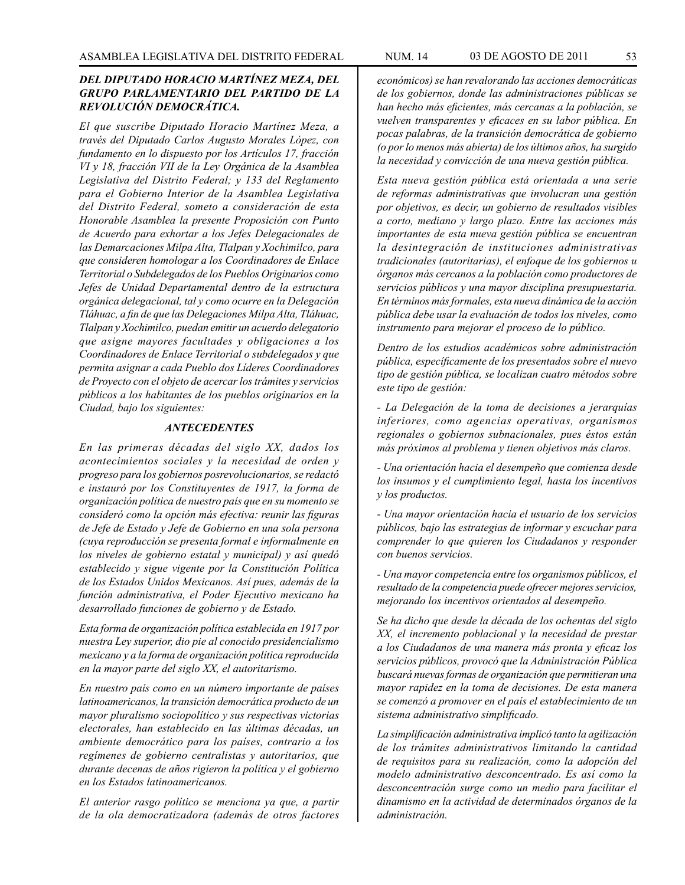## *DEL DIPUTADO HORACIO MARTÍNEZ MEZA, DEL GRUPO PARLAMENTARIO DEL PARTIDO DE LA REVOLUCIÓN DEMOCRÁTICA.*

*El que suscribe Diputado Horacio Martínez Meza, a través del Diputado Carlos Augusto Morales López, con fundamento en lo dispuesto por los Artículos 17, fracción VI y 18, fracción VII de la Ley Orgánica de la Asamblea Legislativa del Distrito Federal; y 133 del Reglamento para el Gobierno Interior de la Asamblea Legislativa del Distrito Federal, someto a consideración de esta Honorable Asamblea la presente Proposición con Punto de Acuerdo para exhortar a los Jefes Delegacionales de las Demarcaciones Milpa Alta, Tlalpan y Xochimilco, para que consideren homologar a los Coordinadores de Enlace Territorial o Subdelegados de los Pueblos Originarios como Jefes de Unidad Departamental dentro de la estructura orgánica delegacional, tal y como ocurre en la Delegación Tláhuac, a fin de que las Delegaciones Milpa Alta, Tláhuac, Tlalpan y Xochimilco, puedan emitir un acuerdo delegatorio que asigne mayores facultades y obligaciones a los Coordinadores de Enlace Territorial o subdelegados y que permita asignar a cada Pueblo dos Líderes Coordinadores de Proyecto con el objeto de acercar los trámites y servicios públicos a los habitantes de los pueblos originarios en la Ciudad, bajo los siguientes:*

#### *ANTECEDENTES*

*En las primeras décadas del siglo XX, dados los acontecimientos sociales y la necesidad de orden y progreso para los gobiernos posrevolucionarios, se redactó e instauró por los Constituyentes de 1917, la forma de organización política de nuestro país que en su momento se consideró como la opción más efectiva: reunir las figuras de Jefe de Estado y Jefe de Gobierno en una sola persona (cuya reproducción se presenta formal e informalmente en los niveles de gobierno estatal y municipal) y así quedó establecido y sigue vigente por la Constitución Política de los Estados Unidos Mexicanos. Así pues, además de la función administrativa, el Poder Ejecutivo mexicano ha desarrollado funciones de gobierno y de Estado.*

*Esta forma de organización política establecida en 1917 por nuestra Ley superior, dio pie al conocido presidencialismo mexicano y a la forma de organización política reproducida en la mayor parte del siglo XX, el autoritarismo.*

*En nuestro país como en un número importante de países latinoamericanos, la transición democrática producto de un mayor pluralismo sociopolítico y sus respectivas victorias electorales, han establecido en las últimas décadas, un ambiente democrático para los países, contrario a los regímenes de gobierno centralistas y autoritarios, que durante decenas de años rigieron la política y el gobierno en los Estados latinoamericanos.*

*El anterior rasgo político se menciona ya que, a partir de la ola democratizadora (además de otros factores* 

*económicos) se han revalorando las acciones democráticas de los gobiernos, donde las administraciones públicas se han hecho más eficientes, más cercanas a la población, se vuelven transparentes y eficaces en su labor pública. En pocas palabras, de la transición democrática de gobierno (o por lo menos más abierta) de los últimos años, ha surgido la necesidad y convicción de una nueva gestión pública.*

*Esta nueva gestión pública está orientada a una serie de reformas administrativas que involucran una gestión por objetivos, es decir, un gobierno de resultados visibles a corto, mediano y largo plazo. Entre las acciones más importantes de esta nueva gestión pública se encuentran la desintegración de instituciones administrativas tradicionales (autoritarias), el enfoque de los gobiernos u órganos más cercanos a la población como productores de servicios públicos y una mayor disciplina presupuestaria. En términos más formales, esta nueva dinámica de la acción pública debe usar la evaluación de todos los niveles, como instrumento para mejorar el proceso de lo público.*

*Dentro de los estudios académicos sobre administración pública, específicamente de los presentados sobre el nuevo tipo de gestión pública, se localizan cuatro métodos sobre este tipo de gestión:*

*- La Delegación de la toma de decisiones a jerarquías inferiores, como agencias operativas, organismos regionales o gobiernos subnacionales, pues éstos están más próximos al problema y tienen objetivos más claros.*

*- Una orientación hacia el desempeño que comienza desde los insumos y el cumplimiento legal, hasta los incentivos y los productos.*

*- Una mayor orientación hacia el usuario de los servicios públicos, bajo las estrategias de informar y escuchar para comprender lo que quieren los Ciudadanos y responder con buenos servicios.*

*- Una mayor competencia entre los organismos públicos, el resultado de la competencia puede ofrecer mejores servicios, mejorando los incentivos orientados al desempeño.*

*Se ha dicho que desde la década de los ochentas del siglo XX, el incremento poblacional y la necesidad de prestar a los Ciudadanos de una manera más pronta y eficaz los servicios públicos, provocó que la Administración Pública buscará nuevas formas de organización que permitieran una mayor rapidez en la toma de decisiones. De esta manera se comenzó a promover en el país el establecimiento de un sistema administrativo simplificado.*

*La simplificación administrativa implicó tanto la agilización de los trámites administrativos limitando la cantidad de requisitos para su realización, como la adopción del modelo administrativo desconcentrado. Es así como la desconcentración surge como un medio para facilitar el dinamismo en la actividad de determinados órganos de la administración.*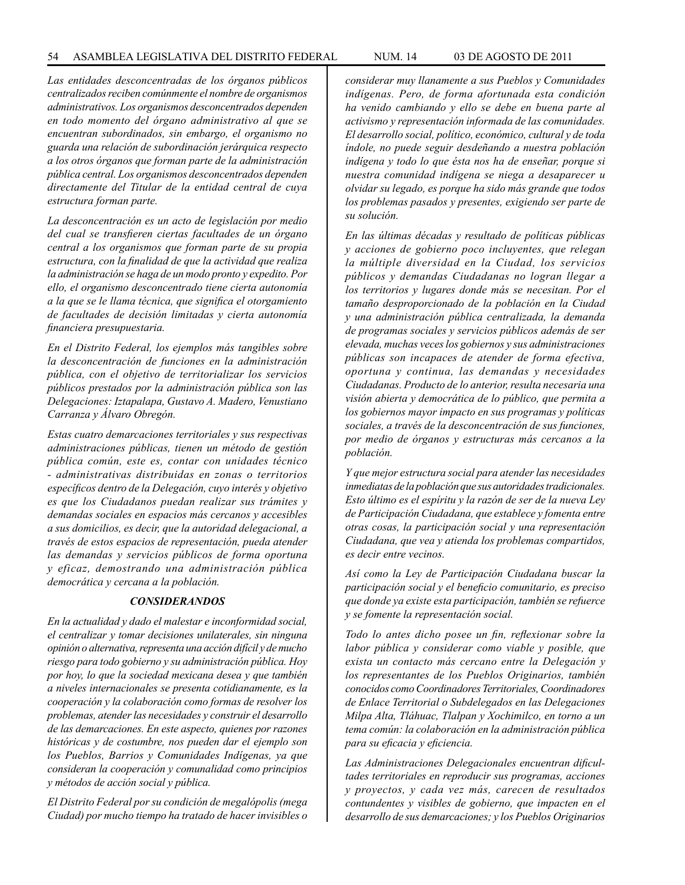*Las entidades desconcentradas de los órganos públicos centralizados reciben comúnmente el nombre de organismos administrativos. Los organismos desconcentrados dependen en todo momento del órgano administrativo al que se encuentran subordinados, sin embargo, el organismo no guarda una relación de subordinación jerárquica respecto a los otros órganos que forman parte de la administración pública central. Los organismos desconcentrados dependen directamente del Titular de la entidad central de cuya estructura forman parte.*

*La desconcentración es un acto de legislación por medio del cual se transfieren ciertas facultades de un órgano central a los organismos que forman parte de su propia estructura, con la finalidad de que la actividad que realiza la administración se haga de un modo pronto y expedito. Por ello, el organismo desconcentrado tiene cierta autonomía a la que se le llama técnica, que significa el otorgamiento de facultades de decisión limitadas y cierta autonomía financiera presupuestaria.*

*En el Distrito Federal, los ejemplos más tangibles sobre la desconcentración de funciones en la administración pública, con el objetivo de territorializar los servicios públicos prestados por la administración pública son las Delegaciones: Iztapalapa, Gustavo A. Madero, Venustiano Carranza y Álvaro Obregón.*

*Estas cuatro demarcaciones territoriales y sus respectivas administraciones públicas, tienen un método de gestión pública común, este es, contar con unidades técnico - administrativas distribuidas en zonas o territorios específicos dentro de la Delegación, cuyo interés y objetivo es que los Ciudadanos puedan realizar sus trámites y demandas sociales en espacios más cercanos y accesibles a sus domicilios, es decir, que la autoridad delegacional, a través de estos espacios de representación, pueda atender las demandas y servicios públicos de forma oportuna y eficaz, demostrando una administración pública democrática y cercana a la población.*

#### *CONSIDERANDOS*

*En la actualidad y dado el malestar e inconformidad social, el centralizar y tomar decisiones unilaterales, sin ninguna opinión o alternativa, representa una acción difícil y de mucho riesgo para todo gobierno y su administración pública. Hoy por hoy, lo que la sociedad mexicana desea y que también a niveles internacionales se presenta cotidianamente, es la cooperación y la colaboración como formas de resolver los problemas, atender las necesidades y construir el desarrollo de las demarcaciones. En este aspecto, quienes por razones históricas y de costumbre, nos pueden dar el ejemplo son los Pueblos, Barrios y Comunidades Indígenas, ya que consideran la cooperación y comunalidad como principios y métodos de acción social y pública.*

*El Distrito Federal por su condición de megalópolis (mega Ciudad) por mucho tiempo ha tratado de hacer invisibles o*  *considerar muy llanamente a sus Pueblos y Comunidades indígenas. Pero, de forma afortunada esta condición ha venido cambiando y ello se debe en buena parte al activismo y representación informada de las comunidades. El desarrollo social, político, económico, cultural y de toda índole, no puede seguir desdeñando a nuestra población indígena y todo lo que ésta nos ha de enseñar, porque si nuestra comunidad indígena se niega a desaparecer u olvidar su legado, es porque ha sido más grande que todos los problemas pasados y presentes, exigiendo ser parte de su solución.*

*En las últimas décadas y resultado de políticas públicas y acciones de gobierno poco incluyentes, que relegan la múltiple diversidad en la Ciudad, los servicios públicos y demandas Ciudadanas no logran llegar a los territorios y lugares donde más se necesitan. Por el tamaño desproporcionado de la población en la Ciudad y una administración pública centralizada, la demanda de programas sociales y servicios públicos además de ser elevada, muchas veces los gobiernos y sus administraciones públicas son incapaces de atender de forma efectiva, oportuna y continua, las demandas y necesidades Ciudadanas. Producto de lo anterior, resulta necesaria una visión abierta y democrática de lo público, que permita a los gobiernos mayor impacto en sus programas y políticas sociales, a través de la desconcentración de sus funciones, por medio de órganos y estructuras más cercanos a la población.*

*Y que mejor estructura social para atender las necesidades inmediatas de la población que sus autoridades tradicionales. Esto último es el espíritu y la razón de ser de la nueva Ley de Participación Ciudadana, que establece y fomenta entre otras cosas, la participación social y una representación Ciudadana, que vea y atienda los problemas compartidos, es decir entre vecinos.*

*Así como la Ley de Participación Ciudadana buscar la participación social y el beneficio comunitario, es preciso que donde ya existe esta participación, también se refuerce y se fomente la representación social.*

*Todo lo antes dicho posee un fin, reflexionar sobre la labor pública y considerar como viable y posible, que exista un contacto más cercano entre la Delegación y los representantes de los Pueblos Originarios, también conocidos como Coordinadores Territoriales, Coordinadores de Enlace Territorial o Subdelegados en las Delegaciones Milpa Alta, Tláhuac, Tlalpan y Xochimilco, en torno a un tema común: la colaboración en la administración pública para su eficacia y eficiencia.*

*Las Administraciones Delegacionales encuentran dificultades territoriales en reproducir sus programas, acciones y proyectos, y cada vez más, carecen de resultados contundentes y visibles de gobierno, que impacten en el desarrollo de sus demarcaciones; y los Pueblos Originarios*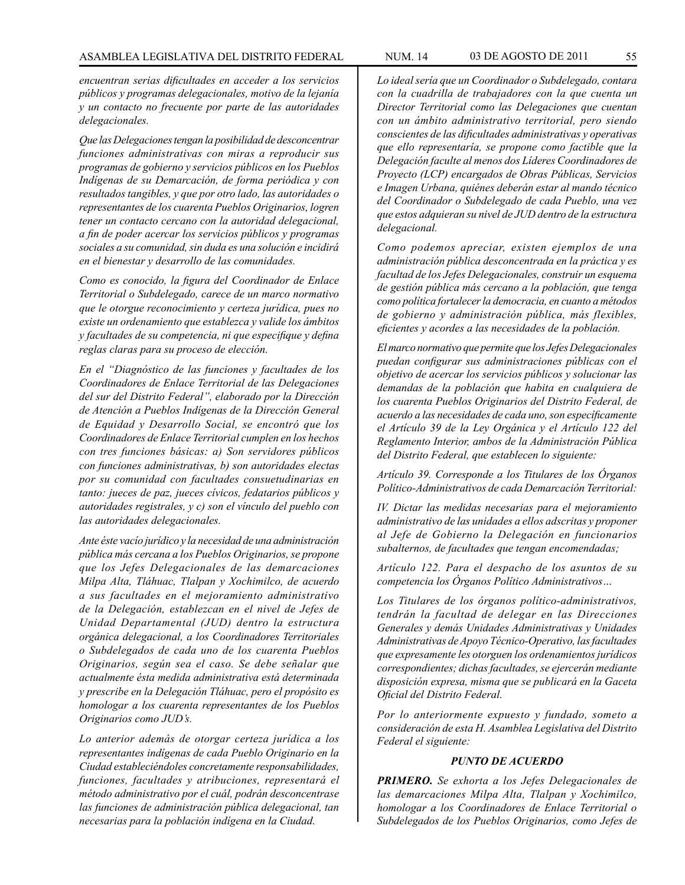*encuentran serias dificultades en acceder a los servicios públicos y programas delegacionales, motivo de la lejanía y un contacto no frecuente por parte de las autoridades delegacionales.*

*Que las Delegaciones tengan la posibilidad de desconcentrar funciones administrativas con miras a reproducir sus programas de gobierno y servicios públicos en los Pueblos Indígenas de su Demarcación, de forma periódica y con resultados tangibles, y que por otro lado, las autoridades o representantes de los cuarenta Pueblos Originarios, logren tener un contacto cercano con la autoridad delegacional, a fin de poder acercar los servicios públicos y programas sociales a su comunidad, sin duda es una solución e incidirá en el bienestar y desarrollo de las comunidades.*

*Como es conocido, la figura del Coordinador de Enlace Territorial o Subdelegado, carece de un marco normativo que le otorgue reconocimiento y certeza jurídica, pues no existe un ordenamiento que establezca y valide los ámbitos y facultades de su competencia, ni que especifique y defina reglas claras para su proceso de elección.*

*En el "Diagnóstico de las funciones y facultades de los Coordinadores de Enlace Territorial de las Delegaciones del sur del Distrito Federal", elaborado por la Dirección de Atención a Pueblos Indígenas de la Dirección General de Equidad y Desarrollo Social, se encontró que los Coordinadores de Enlace Territorial cumplen en los hechos con tres funciones básicas: a) Son servidores públicos con funciones administrativas, b) son autoridades electas por su comunidad con facultades consuetudinarias en tanto: jueces de paz, jueces cívicos, fedatarios públicos y autoridades registrales, y c) son el vínculo del pueblo con las autoridades delegacionales.*

*Ante éste vacío jurídico y la necesidad de una administración pública más cercana a los Pueblos Originarios, se propone que los Jefes Delegacionales de las demarcaciones Milpa Alta, Tláhuac, Tlalpan y Xochimilco, de acuerdo a sus facultades en el mejoramiento administrativo de la Delegación, establezcan en el nivel de Jefes de Unidad Departamental (JUD) dentro la estructura orgánica delegacional, a los Coordinadores Territoriales o Subdelegados de cada uno de los cuarenta Pueblos Originarios, según sea el caso. Se debe señalar que actualmente ésta medida administrativa está determinada y prescribe en la Delegación Tláhuac, pero el propósito es homologar a los cuarenta representantes de los Pueblos Originarios como JUD's.*

*Lo anterior además de otorgar certeza jurídica a los representantes indígenas de cada Pueblo Originario en la Ciudad estableciéndoles concretamente responsabilidades, funciones, facultades y atribuciones, representará el método administrativo por el cuál, podrán desconcentrase las funciones de administración pública delegacional, tan necesarias para la población indígena en la Ciudad.*

*Lo ideal sería que un Coordinador o Subdelegado, contara con la cuadrilla de trabajadores con la que cuenta un Director Territorial como las Delegaciones que cuentan con un ámbito administrativo territorial, pero siendo conscientes de las dificultades administrativas y operativas que ello representaría, se propone como factible que la Delegación faculte al menos dos Líderes Coordinadores de Proyecto (LCP) encargados de Obras Públicas, Servicios e Imagen Urbana, quiénes deberán estar al mando técnico del Coordinador o Subdelegado de cada Pueblo, una vez que estos adquieran su nivel de JUD dentro de la estructura delegacional.*

*Como podemos apreciar, existen ejemplos de una administración pública desconcentrada en la práctica y es facultad de los Jefes Delegacionales, construir un esquema de gestión pública más cercano a la población, que tenga como política fortalecer la democracia, en cuanto a métodos de gobierno y administración pública, más flexibles, eficientes y acordes a las necesidades de la población.*

*El marco normativo que permite que los Jefes Delegacionales puedan configurar sus administraciones públicas con el objetivo de acercar los servicios públicos y solucionar las demandas de la población que habita en cualquiera de los cuarenta Pueblos Originarios del Distrito Federal, de acuerdo a las necesidades de cada uno, son específicamente el Artículo 39 de la Ley Orgánica y el Artículo 122 del Reglamento Interior, ambos de la Administración Pública del Distrito Federal, que establecen lo siguiente:*

*Artículo 39. Corresponde a los Titulares de los Órganos Político-Administrativos de cada Demarcación Territorial:*

*IV. Dictar las medidas necesarias para el mejoramiento administrativo de las unidades a ellos adscritas y proponer al Jefe de Gobierno la Delegación en funcionarios subalternos, de facultades que tengan encomendadas;*

*Artículo 122. Para el despacho de los asuntos de su competencia los Órganos Político Administrativos…*

*Los Titulares de los órganos político-administrativos, tendrán la facultad de delegar en las Direcciones Generales y demás Unidades Administrativas y Unidades Administrativas de Apoyo Técnico-Operativo, las facultades que expresamente les otorguen los ordenamientos jurídicos correspondientes; dichas facultades, se ejercerán mediante disposición expresa, misma que se publicará en la Gaceta Oficial del Distrito Federal.*

*Por lo anteriormente expuesto y fundado, someto a consideración de esta H. Asamblea Legislativa del Distrito Federal el siguiente:*

#### *PUNTO DE ACUERDO*

*PRIMERO. Se exhorta a los Jefes Delegacionales de las demarcaciones Milpa Alta, Tlalpan y Xochimilco, homologar a los Coordinadores de Enlace Territorial o Subdelegados de los Pueblos Originarios, como Jefes de*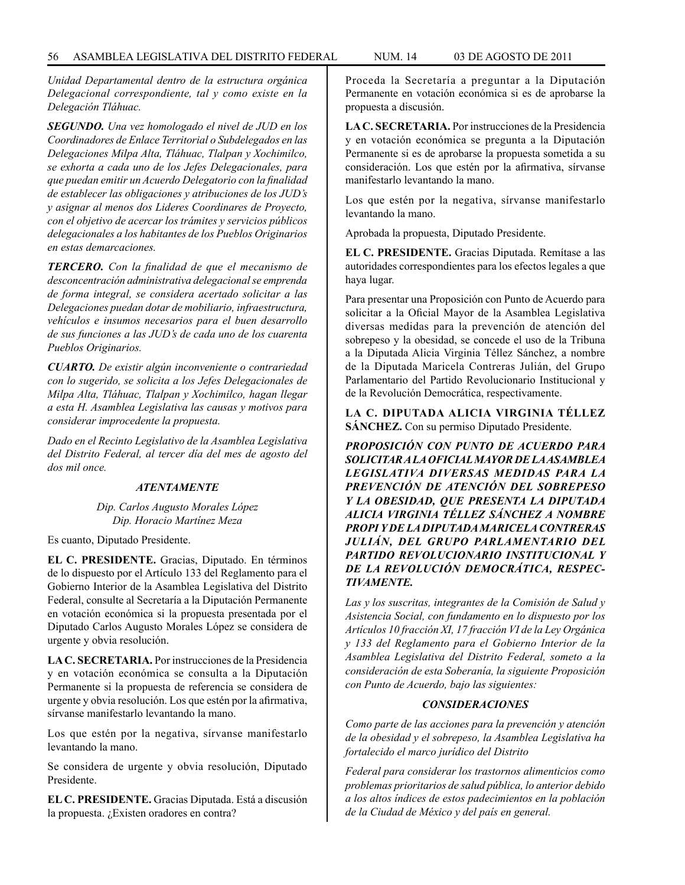*Unidad Departamental dentro de la estructura orgánica Delegacional correspondiente, tal y como existe en la Delegación Tláhuac.*

*SEGUNDO. Una vez homologado el nivel de JUD en los Coordinadores de Enlace Territorial o Subdelegados en las Delegaciones Milpa Alta, Tláhuac, Tlalpan y Xochimilco, se exhorta a cada uno de los Jefes Delegacionales, para que puedan emitir un Acuerdo Delegatorio con la finalidad de establecer las obligaciones y atribuciones de los JUD's y asignar al menos dos Lideres Coordinares de Proyecto, con el objetivo de acercar los trámites y servicios públicos delegacionales a los habitantes de los Pueblos Originarios en estas demarcaciones.*

*TERCERO. Con la finalidad de que el mecanismo de desconcentración administrativa delegacional se emprenda de forma integral, se considera acertado solicitar a las Delegaciones puedan dotar de mobiliario, infraestructura, vehículos e insumos necesarios para el buen desarrollo de sus funciones a las JUD's de cada uno de los cuarenta Pueblos Originarios.* 

*CUARTO. De existir algún inconveniente o contrariedad con lo sugerido, se solicita a los Jefes Delegacionales de Milpa Alta, Tláhuac, Tlalpan y Xochimilco, hagan llegar a esta H. Asamblea Legislativa las causas y motivos para considerar improcedente la propuesta.*

*Dado en el Recinto Legislativo de la Asamblea Legislativa del Distrito Federal, al tercer día del mes de agosto del dos mil once.*

## *ATENTAMENTE*

*Dip. Carlos Augusto Morales López Dip. Horacio Martínez Meza*

Es cuanto, Diputado Presidente.

**EL C. PRESIDENTE.** Gracias, Diputado. En términos de lo dispuesto por el Artículo 133 del Reglamento para el Gobierno Interior de la Asamblea Legislativa del Distrito Federal, consulte al Secretaría a la Diputación Permanente en votación económica si la propuesta presentada por el Diputado Carlos Augusto Morales López se considera de urgente y obvia resolución.

**LA C. SECRETARIA.** Por instrucciones de la Presidencia y en votación económica se consulta a la Diputación Permanente si la propuesta de referencia se considera de urgente y obvia resolución. Los que estén por la afirmativa, sírvanse manifestarlo levantando la mano.

Los que estén por la negativa, sírvanse manifestarlo levantando la mano.

Se considera de urgente y obvia resolución, Diputado Presidente.

**EL C. PRESIDENTE.** Gracias Diputada. Está a discusión la propuesta. ¿Existen oradores en contra?

Proceda la Secretaría a preguntar a la Diputación Permanente en votación económica si es de aprobarse la propuesta a discusión.

**LA C. SECRETARIA.** Por instrucciones de la Presidencia y en votación económica se pregunta a la Diputación Permanente si es de aprobarse la propuesta sometida a su consideración. Los que estén por la afirmativa, sírvanse manifestarlo levantando la mano.

Los que estén por la negativa, sírvanse manifestarlo levantando la mano.

Aprobada la propuesta, Diputado Presidente.

**EL C. PRESIDENTE.** Gracias Diputada. Remítase a las autoridades correspondientes para los efectos legales a que haya lugar.

Para presentar una Proposición con Punto de Acuerdo para solicitar a la Oficial Mayor de la Asamblea Legislativa diversas medidas para la prevención de atención del sobrepeso y la obesidad, se concede el uso de la Tribuna a la Diputada Alicia Virginia Téllez Sánchez, a nombre de la Diputada Maricela Contreras Julián, del Grupo Parlamentario del Partido Revolucionario Institucional y de la Revolución Democrática, respectivamente.

**LA C. DIPUTADA ALICIA VIRGINIA TÉLLEZ SÁNCHEZ.** Con su permiso Diputado Presidente.

*PROPOSICIÓN CON PUNTO DE ACUERDO PARA SOLICITAR A LA OFICIAL MAYOR DE LA ASAMBLEA LEGISLATIVA DIVERSAS MEDIDAS PARA LA PREVENCIÓN DE ATENCIÓN DEL SOBREPESO Y LA OBESIDAD, QUE PRESENTA LA DIPUTADA ALICIA VIRGINIA TÉLLEZ SÁNCHEZ A NOMBRE PROPI Y DE LA DIPUTADA MARICELA CONTRERAS JULIÁN, DEL GRUPO PARLAMENTARIO DEL PARTIDO REVOLUCIONARIO INSTITUCIONAL Y DE LA REVOLUCIÓN DEMOCRÁTICA, RESPEC-TIVAMENTE.*

*Las y los suscritas, integrantes de la Comisión de Salud y Asistencia Social, con fundamento en lo dispuesto por los Artículos 10 fracción XI, 17 fracción VI de la Ley Orgánica y 133 del Reglamento para el Gobierno Interior de la Asamblea Legislativa del Distrito Federal, someto a la consideración de esta Soberanía, la siguiente Proposición con Punto de Acuerdo, bajo las siguientes:*

#### *CONSIDERACIONES*

*Como parte de las acciones para la prevención y atención de la obesidad y el sobrepeso, la Asamblea Legislativa ha fortalecido el marco jurídico del Distrito*

*Federal para considerar los trastornos alimenticios como problemas prioritarios de salud pública, lo anterior debido a los altos índices de estos padecimientos en la población de la Ciudad de México y del país en general.*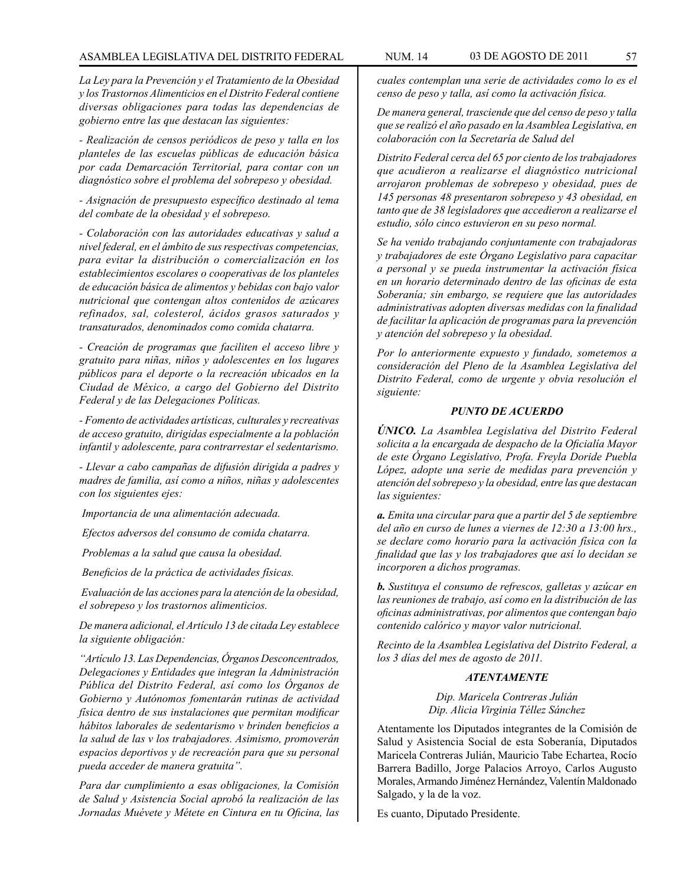*La Ley para la Prevención y el Tratamiento de la Obesidad y los Trastornos Alimenticios en el Distrito Federal contiene diversas obligaciones para todas las dependencias de gobierno entre las que destacan las siguientes:*

*- Realización de censos periódicos de peso y talla en los planteles de las escuelas públicas de educación básica por cada Demarcación Territorial, para contar con un diagnóstico sobre el problema del sobrepeso y obesidad.*

*- Asignación de presupuesto específico destinado al tema del combate de la obesidad y el sobrepeso.*

*- Colaboración con las autoridades educativas y salud a nivel federal, en el ámbito de sus respectivas competencias, para evitar la distribución o comercialización en los establecimientos escolares o cooperativas de los planteles de educación básica de alimentos y bebidas con bajo valor nutricional que contengan altos contenidos de azúcares refinados, sal, colesterol, ácidos grasos saturados y transaturados, denominados como comida chatarra.*

*- Creación de programas que faciliten el acceso libre y gratuito para niñas, niños y adolescentes en los lugares públicos para el deporte o la recreación ubicados en la Ciudad de México, a cargo del Gobierno del Distrito Federal y de las Delegaciones Políticas.*

*- Fomento de actividades artísticas, culturales y recreativas de acceso gratuito, dirigidas especialmente a la población infantil y adolescente, para contrarrestar el sedentarismo.*

*- Llevar a cabo campañas de difusión dirigida a padres y madres de familia, así como a niños, niñas y adolescentes con los siguientes ejes:* 

 *Importancia de una alimentación adecuada.*

 *Efectos adversos del consumo de comida chatarra.*

 *Problemas a la salud que causa la obesidad.*

 *Beneficios de la práctica de actividades físicas.*

 *Evaluación de las acciones para la atención de la obesidad, el sobrepeso y los trastornos alimenticios.*

*De manera adicional, el Artículo 13 de citada Ley establece la siguiente obligación:*

*"Artículo 13. Las Dependencias, Órganos Desconcentrados, Delegaciones y Entidades que integran la Administración Pública del Distrito Federal, así como los Órganos de Gobierno y Autónomos fomentarán rutinas de actividad física dentro de sus instalaciones que permitan modificar hábitos laborales de sedentarismo v brinden beneficios a la salud de las v los trabajadores. Asimismo, promoverán espacios deportivos y de recreación para que su personal pueda acceder de manera gratuita".*

*Para dar cumplimiento a esas obligaciones, la Comisión de Salud y Asistencia Social aprobó la realización de las Jornadas Muévete y Métete en Cintura en tu Oficina, las* 

*cuales contemplan una serie de actividades como lo es el censo de peso y talla, así como la activación física.*

*De manera general, trasciende que del censo de peso y talla que se realizó el año pasado en la Asamblea Legislativa, en colaboración con la Secretaría de Salud del*

*Distrito Federal cerca del 65 por ciento de los trabajadores que acudieron a realizarse el diagnóstico nutricional arrojaron problemas de sobrepeso y obesidad, pues de 145 personas 48 presentaron sobrepeso y 43 obesidad, en tanto que de 38 legisladores que accedieron a realizarse el estudio, sólo cinco estuvieron en su peso normal.*

*Se ha venido trabajando conjuntamente con trabajadoras y trabajadores de este Órgano Legislativo para capacitar a personal y se pueda instrumentar la activación física en un horario determinado dentro de las oficinas de esta Soberanía; sin embargo, se requiere que las autoridades administrativas adopten diversas medidas con la finalidad de facilitar la aplicación de programas para la prevención y atención del sobrepeso y la obesidad.*

*Por lo anteriormente expuesto y fundado, sometemos a consideración del Pleno de la Asamblea Legislativa del Distrito Federal, como de urgente y obvia resolución el siguiente:*

#### *PUNTO DE ACUERDO*

*ÚNICO. La Asamblea Legislativa del Distrito Federal solicita a la encargada de despacho de la Oficialía Mayor de este Órgano Legislativo, Profa. Freyla Doride Puebla López, adopte una serie de medidas para prevención y atención del sobrepeso y la obesidad, entre las que destacan las siguientes:*

*a. Emita una circular para que a partir del 5 de septiembre del año en curso de lunes a viernes de 12:30 a 13:00 hrs., se declare como horario para la activación física con la finalidad que las y los trabajadores que así lo decidan se incorporen a dichos programas.*

*b. Sustituya el consumo de refrescos, galletas y azúcar en las reuniones de trabajo, así como en la distribución de las oficinas administrativas, por alimentos que contengan bajo contenido calórico y mayor valor nutricional.*

*Recinto de la Asamblea Legislativa del Distrito Federal, a los 3 días del mes de agosto de 2011.*

## *ATENTAMENTE*

*Dip. Maricela Contreras Julián Dip. Alicia Virginia Téllez Sánchez*

Atentamente los Diputados integrantes de la Comisión de Salud y Asistencia Social de esta Soberanía, Diputados Maricela Contreras Julián, Mauricio Tabe Echartea, Rocío Barrera Badillo, Jorge Palacios Arroyo, Carlos Augusto Morales, Armando Jiménez Hernández, Valentín Maldonado Salgado, y la de la voz.

Es cuanto, Diputado Presidente.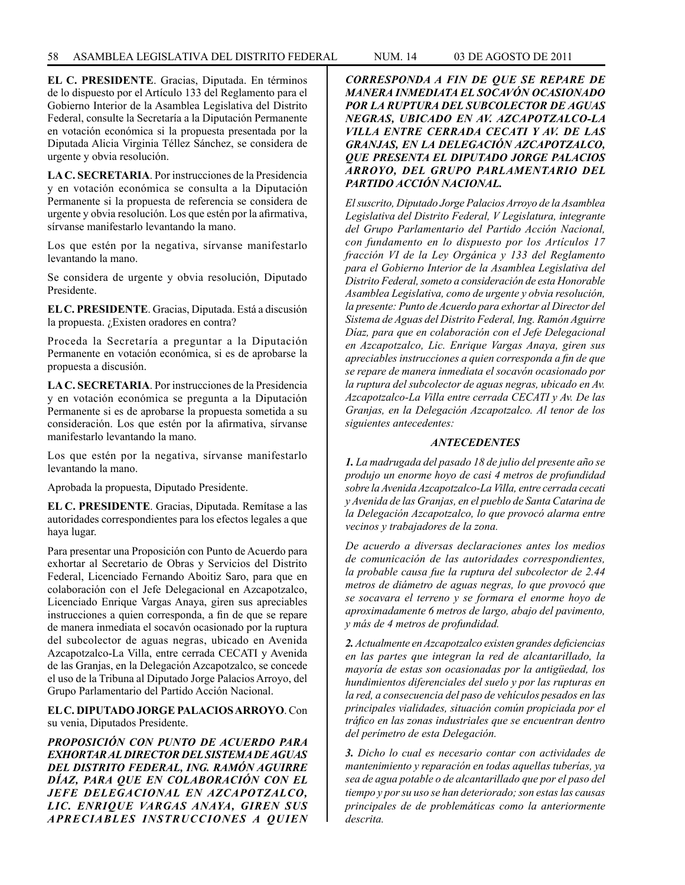**EL C. PRESIDENTE**. Gracias, Diputada. En términos de lo dispuesto por el Artículo 133 del Reglamento para el Gobierno Interior de la Asamblea Legislativa del Distrito Federal, consulte la Secretaría a la Diputación Permanente en votación económica si la propuesta presentada por la Diputada Alicia Virginia Téllez Sánchez, se considera de urgente y obvia resolución.

**LA C. SECRETARIA**. Por instrucciones de la Presidencia y en votación económica se consulta a la Diputación Permanente si la propuesta de referencia se considera de urgente y obvia resolución. Los que estén por la afirmativa, sírvanse manifestarlo levantando la mano.

Los que estén por la negativa, sírvanse manifestarlo levantando la mano.

Se considera de urgente y obvia resolución, Diputado Presidente.

**EL C. PRESIDENTE**. Gracias, Diputada. Está a discusión la propuesta. ¿Existen oradores en contra?

Proceda la Secretaría a preguntar a la Diputación Permanente en votación económica, si es de aprobarse la propuesta a discusión.

**LA C. SECRETARIA**. Por instrucciones de la Presidencia y en votación económica se pregunta a la Diputación Permanente si es de aprobarse la propuesta sometida a su consideración. Los que estén por la afirmativa, sírvanse manifestarlo levantando la mano.

Los que estén por la negativa, sírvanse manifestarlo levantando la mano.

Aprobada la propuesta, Diputado Presidente.

**EL C. PRESIDENTE**. Gracias, Diputada. Remítase a las autoridades correspondientes para los efectos legales a que haya lugar.

Para presentar una Proposición con Punto de Acuerdo para exhortar al Secretario de Obras y Servicios del Distrito Federal, Licenciado Fernando Aboitiz Saro, para que en colaboración con el Jefe Delegacional en Azcapotzalco, Licenciado Enrique Vargas Anaya, giren sus apreciables instrucciones a quien corresponda, a fin de que se repare de manera inmediata el socavón ocasionado por la ruptura del subcolector de aguas negras, ubicado en Avenida Azcapotzalco-La Villa, entre cerrada CECATI y Avenida de las Granjas, en la Delegación Azcapotzalco, se concede el uso de la Tribuna al Diputado Jorge Palacios Arroyo, del Grupo Parlamentario del Partido Acción Nacional.

**EL C. DIPUTADO JORGE PALACIOS ARROYO**. Con su venia, Diputados Presidente.

*PROPOSICIÓN CON PUNTO DE ACUERDO PARA EXHORTAR AL DIRECTOR DEL SISTEMA DE AGUAS DEL DISTRITO FEDERAL, ING. RAMÓN AGUIRRE DÍAZ, PARA QUE EN COLABORACIÓN CON EL JEFE DELEGACIONAL EN AZCAPOTZALCO, LIC. ENRIQUE VARGAS ANAYA, GIREN SUS APRECIABLES INSTRUCCIONES A QUIEN*  *CORRESPONDA A FIN DE QUE SE REPARE DE MANERA INMEDIATA EL SOCAVÓN OCASIONADO POR LA RUPTURA DEL SUBCOLECTOR DE AGUAS NEGRAS, UBICADO EN AV. AZCAPOTZALCO-LA VILLA ENTRE CERRADA CECATI Y AV. DE LAS GRANJAS, EN LA DELEGACIÓN AZCAPOTZALCO, QUE PRESENTA EL DIPUTADO JORGE PALACIOS ARROYO, DEL GRUPO PARLAMENTARIO DEL PARTIDO ACCIÓN NACIONAL.* 

*El suscrito, Diputado Jorge Palacios Arroyo de la Asamblea Legislativa del Distrito Federal, V Legislatura, integrante del Grupo Parlamentario del Partido Acción Nacional, con fundamento en lo dispuesto por los Artículos 17 fracción VI de la Ley Orgánica y 133 del Reglamento para el Gobierno Interior de la Asamblea Legislativa del Distrito Federal, someto a consideración de esta Honorable Asamblea Legislativa, como de urgente y obvia resolución, la presente: Punto de Acuerdo para exhortar al Director del Sistema de Aguas del Distrito Federal, Ing. Ramón Aguirre Díaz, para que en colaboración con el Jefe Delegacional en Azcapotzalco, Lic. Enrique Vargas Anaya, giren sus apreciables instrucciones a quien corresponda a fin de que se repare de manera inmediata el socavón ocasionado por la ruptura del subcolector de aguas negras, ubicado en Av. Azcapotzalco-La Villa entre cerrada CECATI y Av. De las Granjas, en la Delegación Azcapotzalco. Al tenor de los siguientes antecedentes:*

# *ANTECEDENTES*

*1. La madrugada del pasado 18 de julio del presente año se produjo un enorme hoyo de casi 4 metros de profundidad sobre la Avenida Azcapotzalco-La Villa, entre cerrada cecati y Avenida de las Granjas, en el pueblo de Santa Catarina de la Delegación Azcapotzalco, lo que provocó alarma entre vecinos y trabajadores de la zona.*

*De acuerdo a diversas declaraciones antes los medios de comunicación de las autoridades correspondientes, la probable causa fue la ruptura del subcolector de 2.44 metros de diámetro de aguas negras, lo que provocó que se socavara el terreno y se formara el enorme hoyo de aproximadamente 6 metros de largo, abajo del pavimento, y más de 4 metros de profundidad.*

*2. Actualmente en Azcapotzalco existen grandes deficiencias en las partes que integran la red de alcantarillado, la mayoría de estas son ocasionadas por la antigüedad, los hundimientos diferenciales del suelo y por las rupturas en la red, a consecuencia del paso de vehículos pesados en las principales vialidades, situación común propiciada por el tráfico en las zonas industriales que se encuentran dentro del perímetro de esta Delegación.*

*3. Dicho lo cual es necesario contar con actividades de mantenimiento y reparación en todas aquellas tuberías, ya sea de agua potable o de alcantarillado que por el paso del tiempo y por su uso se han deteriorado; son estas las causas principales de de problemáticas como la anteriormente descrita.*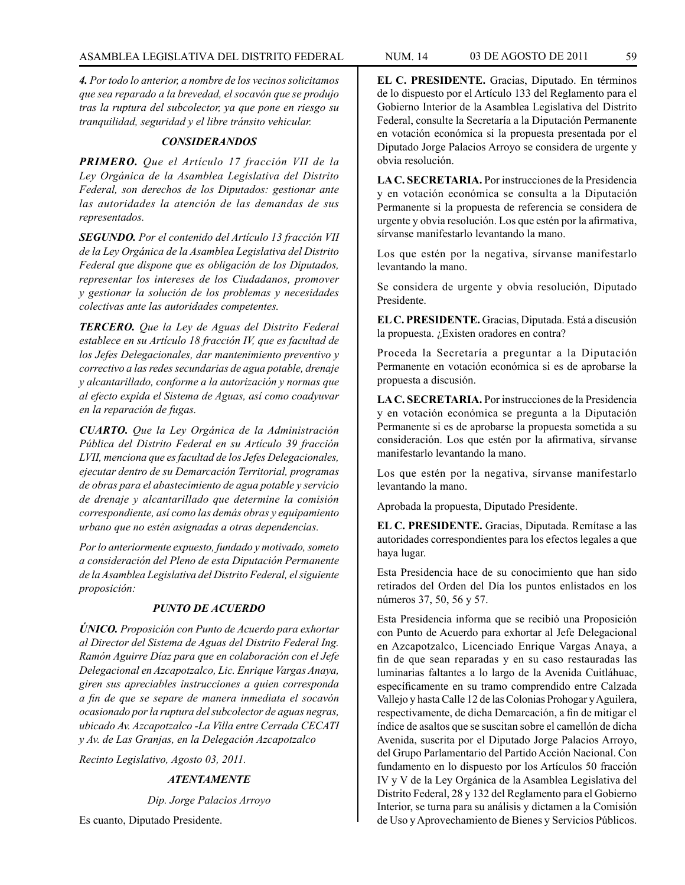*4. Por todo lo anterior, a nombre de los vecinos solicitamos que sea reparado a la brevedad, el socavón que se produjo tras la ruptura del subcolector, ya que pone en riesgo su tranquilidad, seguridad y el libre tránsito vehicular.*

## *CONSIDERANDOS*

*PRIMERO. Que el Artículo 17 fracción VII de la Ley Orgánica de la Asamblea Legislativa del Distrito Federal, son derechos de los Diputados: gestionar ante las autoridades la atención de las demandas de sus representados.*

*SEGUNDO. Por el contenido del Artículo 13 fracción VII de la Ley Orgánica de la Asamblea Legislativa del Distrito Federal que dispone que es obligación de los Diputados, representar los intereses de los Ciudadanos, promover y gestionar la solución de los problemas y necesidades colectivas ante las autoridades competentes.*

*TERCERO. Que la Ley de Aguas del Distrito Federal establece en su Artículo 18 fracción IV, que es facultad de los Jefes Delegacionales, dar mantenimiento preventivo y correctivo a las redes secundarias de agua potable, drenaje y alcantarillado, conforme a la autorización y normas que al efecto expida el Sistema de Aguas, así como coadyuvar en la reparación de fugas.*

*CUARTO. Que la Ley Orgánica de la Administración Pública del Distrito Federal en su Artículo 39 fracción LVII, menciona que es facultad de los Jefes Delegacionales, ejecutar dentro de su Demarcación Territorial, programas de obras para el abastecimiento de agua potable y servicio de drenaje y alcantarillado que determine la comisión correspondiente, así como las demás obras y equipamiento urbano que no estén asignadas a otras dependencias.*

*Por lo anteriormente expuesto, fundado y motivado, someto a consideración del Pleno de esta Diputación Permanente de la Asamblea Legislativa del Distrito Federal, el siguiente proposición:*

## *PUNTO DE ACUERDO*

*ÚNICO. Proposición con Punto de Acuerdo para exhortar al Director del Sistema de Aguas del Distrito Federal Ing. Ramón Aguirre Díaz para que en colaboración con el Jefe Delegacional en Azcapotzalco, Lic. Enrique Vargas Anaya, giren sus apreciables instrucciones a quien corresponda a fin de que se separe de manera inmediata el socavón ocasionado por la ruptura del subcolector de aguas negras, ubicado Av. Azcapotzalco -La Villa entre Cerrada CECATI y Av. de Las Granjas, en la Delegación Azcapotzalco* 

*Recinto Legislativo, Agosto 03, 2011.*

# *ATENTAMENTE*

*Dip. Jorge Palacios Arroyo*

Es cuanto, Diputado Presidente.

**EL C. PRESIDENTE.** Gracias, Diputado. En términos de lo dispuesto por el Artículo 133 del Reglamento para el Gobierno Interior de la Asamblea Legislativa del Distrito Federal, consulte la Secretaría a la Diputación Permanente en votación económica si la propuesta presentada por el Diputado Jorge Palacios Arroyo se considera de urgente y obvia resolución.

**LA C. SECRETARIA.** Por instrucciones de la Presidencia y en votación económica se consulta a la Diputación Permanente si la propuesta de referencia se considera de urgente y obvia resolución. Los que estén por la afirmativa, sírvanse manifestarlo levantando la mano.

Los que estén por la negativa, sírvanse manifestarlo levantando la mano.

Se considera de urgente y obvia resolución, Diputado Presidente.

**EL C. PRESIDENTE.** Gracias, Diputada. Está a discusión la propuesta. ¿Existen oradores en contra?

Proceda la Secretaría a preguntar a la Diputación Permanente en votación económica si es de aprobarse la propuesta a discusión.

**LA C. SECRETARIA.** Por instrucciones de la Presidencia y en votación económica se pregunta a la Diputación Permanente si es de aprobarse la propuesta sometida a su consideración. Los que estén por la afirmativa, sírvanse manifestarlo levantando la mano.

Los que estén por la negativa, sírvanse manifestarlo levantando la mano.

Aprobada la propuesta, Diputado Presidente.

**EL C. PRESIDENTE.** Gracias, Diputada. Remítase a las autoridades correspondientes para los efectos legales a que haya lugar.

Esta Presidencia hace de su conocimiento que han sido retirados del Orden del Día los puntos enlistados en los números 37, 50, 56 y 57.

Esta Presidencia informa que se recibió una Proposición con Punto de Acuerdo para exhortar al Jefe Delegacional en Azcapotzalco, Licenciado Enrique Vargas Anaya, a fin de que sean reparadas y en su caso restauradas las luminarias faltantes a lo largo de la Avenida Cuitláhuac, específicamente en su tramo comprendido entre Calzada Vallejo y hasta Calle 12 de las Colonias Prohogar y Aguilera, respectivamente, de dicha Demarcación, a fin de mitigar el índice de asaltos que se suscitan sobre el camellón de dicha Avenida, suscrita por el Diputado Jorge Palacios Arroyo, del Grupo Parlamentario del Partido Acción Nacional. Con fundamento en lo dispuesto por los Artículos 50 fracción IV y V de la Ley Orgánica de la Asamblea Legislativa del Distrito Federal, 28 y 132 del Reglamento para el Gobierno Interior, se turna para su análisis y dictamen a la Comisión de Uso y Aprovechamiento de Bienes y Servicios Públicos.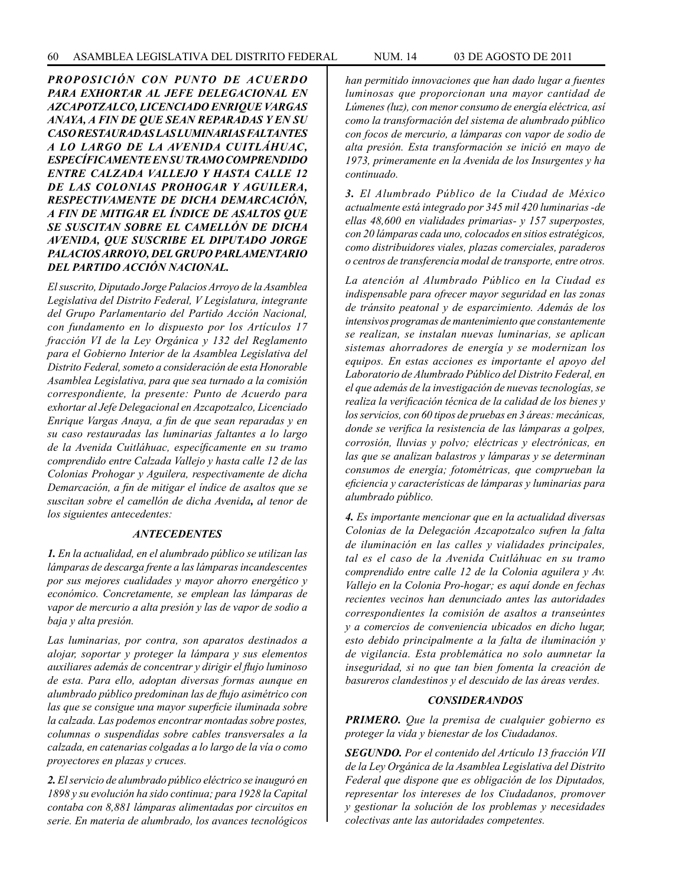*PROPOSICIÓN CON PUNTO DE ACUERDO PARA EXHORTAR AL JEFE DELEGACIONAL EN AZCAPOTZALCO, LICENCIADO ENRIQUE VARGAS ANAYA, A FIN DE QUE SEAN REPARADAS Y EN SU CASO RESTAURADAS LAS LUMINARIAS FALTANTES A LO LARGO DE LA AVENIDA CUITLÁHUAC, ESPECÍFICAMENTE EN SU TRAMO COMPRENDIDO ENTRE CALZADA VALLEJO Y HASTA CALLE 12 DE LAS COLONIAS PROHOGAR Y AGUILERA, RESPECTIVAMENTE DE DICHA DEMARCACIÓN, A FIN DE MITIGAR EL ÍNDICE DE ASALTOS QUE SE SUSCITAN SOBRE EL CAMELLÓN DE DICHA AVENIDA, QUE SUSCRIBE EL DIPUTADO JORGE PALACIOS ARROYO, DEL GRUPO PARLAMENTARIO DEL PARTIDO ACCIÓN NACIONAL.*

*El suscrito, Diputado Jorge Palacios Arroyo de la Asamblea Legislativa del Distrito Federal, V Legislatura, integrante del Grupo Parlamentario del Partido Acción Nacional, con fundamento en lo dispuesto por los Artículos 17 fracción VI de la Ley Orgánica y 132 del Reglamento para el Gobierno Interior de la Asamblea Legislativa del Distrito Federal, someto a consideración de esta Honorable Asamblea Legislativa, para que sea turnado a la comisión correspondiente, la presente: Punto de Acuerdo para exhortar al Jefe Delegacional en Azcapotzalco, Licenciado Enrique Vargas Anaya, a fin de que sean reparadas y en su caso restauradas las luminarias faltantes a lo largo de la Avenida Cuitláhuac, específicamente en su tramo comprendido entre Calzada Vallejo y hasta calle 12 de las Colonias Prohogar y Aguilera, respectivamente de dicha Demarcación, a fin de mitigar el índice de asaltos que se suscitan sobre el camellón de dicha Avenida, al tenor de los siguientes antecedentes:*

## *ANTECEDENTES*

*1. En la actualidad, en el alumbrado público se utilizan las lámparas de descarga frente a las lámparas incandescentes por sus mejores cualidades y mayor ahorro energético y económico. Concretamente, se emplean las lámparas de vapor de mercurio a alta presión y las de vapor de sodio a baja y alta presión.*

*Las luminarias, por contra, son aparatos destinados a alojar, soportar y proteger la lámpara y sus elementos auxiliares además de concentrar y dirigir el flujo luminoso de esta. Para ello, adoptan diversas formas aunque en alumbrado público predominan las de flujo asimétrico con las que se consigue una mayor superficie iluminada sobre la calzada. Las podemos encontrar montadas sobre postes, columnas o suspendidas sobre cables transversales a la calzada, en catenarias colgadas a lo largo de la vía o como proyectores en plazas y cruces.*

*2. El servicio de alumbrado público eléctrico se inauguró en 1898 y su evolución ha sido continua; para 1928 la Capital contaba con 8,881 lámparas alimentadas por circuitos en serie. En materia de alumbrado, los avances tecnológicos* 

*han permitido innovaciones que han dado lugar a fuentes luminosas que proporcionan una mayor cantidad de Lúmenes (luz), con menor consumo de energía eléctrica, así como la transformación del sistema de alumbrado público con focos de mercurio, a lámparas con vapor de sodio de alta presión. Esta transformación se inició en mayo de 1973, primeramente en la Avenida de los Insurgentes y ha continuado.*

*3. El Alumbrado Público de la Ciudad de México actualmente está integrado por 345 mil 420 luminarias -de ellas 48,600 en vialidades primarias- y 157 superpostes, con 20 lámparas cada uno, colocados en sitios estratégicos, como distribuidores viales, plazas comerciales, paraderos o centros de transferencia modal de transporte, entre otros.*

*La atención al Alumbrado Público en la Ciudad es indispensable para ofrecer mayor seguridad en las zonas de tránsito peatonal y de esparcimiento. Además de los intensivos programas de mantenimiento que constantemente se realizan, se instalan nuevas luminarias, se aplican sistemas ahorradores de energía y se modernizan los equipos. En estas acciones es importante el apoyo del Laboratorio de Alumbrado Público del Distrito Federal, en el que además de la investigación de nuevas tecnologías, se realiza la verificación técnica de la calidad de los bienes y los servicios, con 60 tipos de pruebas en 3 áreas: mecánicas, donde se verifica la resistencia de las lámparas a golpes, corrosión, lluvias y polvo; eléctricas y electrónicas, en las que se analizan balastros y lámparas y se determinan consumos de energía; fotométricas, que comprueban la eficiencia y características de lámparas y luminarias para alumbrado público.*

*4. Es importante mencionar que en la actualidad diversas Colonias de la Delegación Azcapotzalco sufren la falta de iluminación en las calles y vialidades principales, tal es el caso de la Avenida Cuitláhuac en su tramo comprendido entre calle 12 de la Colonia aguilera y Av. Vallejo en la Colonia Pro-hogar; es aquí donde en fechas recientes vecinos han denunciado antes las autoridades correspondientes la comisión de asaltos a transeúntes y a comercios de conveniencia ubicados en dicho lugar, esto debido principalmente a la falta de iluminación y de vigilancia. Esta problemática no solo aumnetar la inseguridad, si no que tan bien fomenta la creación de basureros clandestinos y el descuido de las áreas verdes.*

## *CONSIDERANDOS*

*PRIMERO. Que la premisa de cualquier gobierno es proteger la vida y bienestar de los Ciudadanos.*

*SEGUNDO. Por el contenido del Artículo 13 fracción VII de la Ley Orgánica de la Asamblea Legislativa del Distrito Federal que dispone que es obligación de los Diputados, representar los intereses de los Ciudadanos, promover y gestionar la solución de los problemas y necesidades colectivas ante las autoridades competentes.*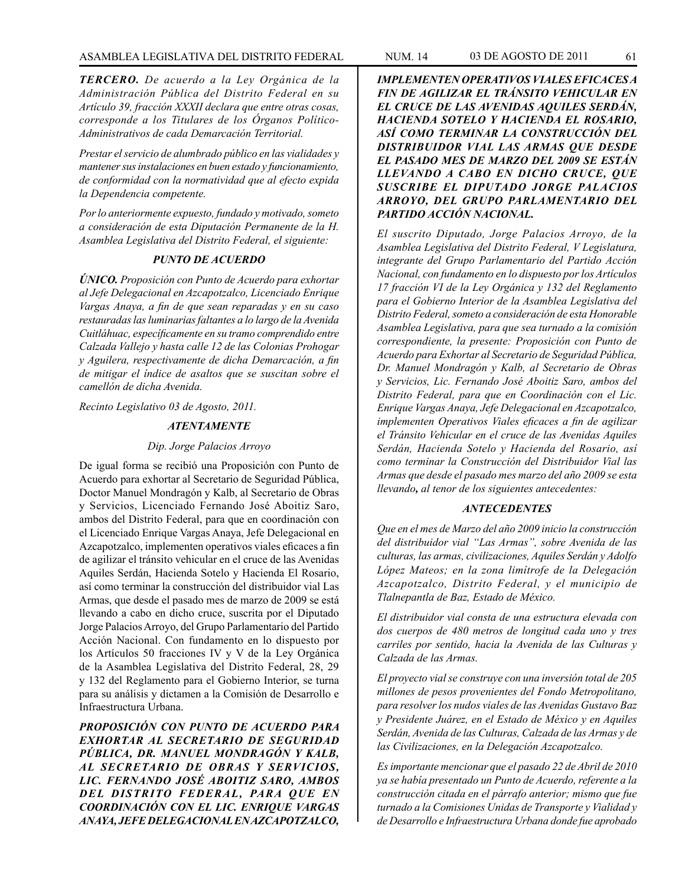*TERCERO. De acuerdo a la Ley Orgánica de la Administración Pública del Distrito Federal en su Artículo 39, fracción XXXII declara que entre otras cosas, corresponde a los Titulares de los Órganos Político-Administrativos de cada Demarcación Territorial.*

*Prestar el servicio de alumbrado público en las vialidades y mantener sus instalaciones en buen estado y funcionamiento, de conformidad con la normatividad que al efecto expida la Dependencia competente.*

*Por lo anteriormente expuesto, fundado y motivado, someto a consideración de esta Diputación Permanente de la H. Asamblea Legislativa del Distrito Federal, el siguiente:*

#### *PUNTO DE ACUERDO*

*ÚNICO. Proposición con Punto de Acuerdo para exhortar al Jefe Delegacional en Azcapotzalco, Licenciado Enrique Vargas Anaya, a fin de que sean reparadas y en su caso restauradas las luminarias faltantes a lo largo de la Avenida Cuitláhuac, específicamente en su tramo comprendido entre Calzada Vallejo y hasta calle 12 de las Colonias Prohogar y Aguilera, respectivamente de dicha Demarcación, a fin de mitigar el índice de asaltos que se suscitan sobre el camellón de dicha Avenida.*

*Recinto Legislativo 03 de Agosto, 2011.*

# *ATENTAMENTE*

#### *Dip. Jorge Palacios Arroyo*

De igual forma se recibió una Proposición con Punto de Acuerdo para exhortar al Secretario de Seguridad Pública, Doctor Manuel Mondragón y Kalb, al Secretario de Obras y Servicios, Licenciado Fernando José Aboitiz Saro, ambos del Distrito Federal, para que en coordinación con el Licenciado Enrique Vargas Anaya, Jefe Delegacional en Azcapotzalco, implementen operativos viales eficaces a fin de agilizar el tránsito vehicular en el cruce de las Avenidas Aquiles Serdán, Hacienda Sotelo y Hacienda El Rosario, así como terminar la construcción del distribuidor vial Las Armas, que desde el pasado mes de marzo de 2009 se está llevando a cabo en dicho cruce, suscrita por el Diputado Jorge Palacios Arroyo, del Grupo Parlamentario del Partido Acción Nacional. Con fundamento en lo dispuesto por los Artículos 50 fracciones IV y V de la Ley Orgánica de la Asamblea Legislativa del Distrito Federal, 28, 29 y 132 del Reglamento para el Gobierno Interior, se turna para su análisis y dictamen a la Comisión de Desarrollo e Infraestructura Urbana.

*PROPOSICIÓN CON PUNTO DE ACUERDO PARA EXHORTAR AL SECRETARIO DE SEGURIDAD PÚBLICA, DR. MANUEL MONDRAGÓN Y KALB, AL SECRETARIO DE OBRAS Y SERVICIOS, LIC. FERNANDO JOSÉ ABOITIZ SARO, AMBOS DEL DISTRITO FEDERAL, PARA QUE EN COORDINACIÓN CON EL LIC. ENRIQUE VARGAS ANAYA, JEFE DELEGACIONAL EN AZCAPOTZALCO,* 

*IMPLEMENTEN OPERATIVOS VIALES EFICACES A FIN DE AGILIZAR EL TRÁNSITO VEHICULAR EN EL CRUCE DE LAS AVENIDAS AQUILES SERDÁN, HACIENDA SOTELO Y HACIENDA EL ROSARIO, ASÍ COMO TERMINAR LA CONSTRUCCIÓN DEL DISTRIBUIDOR VIAL LAS ARMAS QUE DESDE EL PASADO MES DE MARZO DEL 2009 SE ESTÁN LLEVANDO A CABO EN DICHO CRUCE, QUE SUSCRIBE EL DIPUTADO JORGE PALACIOS ARROYO, DEL GRUPO PARLAMENTARIO DEL PARTIDO ACCIÓN NACIONAL.*

*El suscrito Diputado, Jorge Palacios Arroyo, de la Asamblea Legislativa del Distrito Federal, V Legislatura, integrante del Grupo Parlamentario del Partido Acción Nacional, con fundamento en lo dispuesto por los Artículos 17 fracción VI de la Ley Orgánica y 132 del Reglamento para el Gobierno Interior de la Asamblea Legislativa del Distrito Federal, someto a consideración de esta Honorable Asamblea Legislativa, para que sea turnado a la comisión correspondiente, la presente: Proposición con Punto de Acuerdo para Exhortar al Secretario de Seguridad Pública, Dr. Manuel Mondragón y Kalb, al Secretario de Obras y Servicios, Lic. Fernando José Aboitiz Saro, ambos del Distrito Federal, para que en Coordinación con el Lic. Enrique Vargas Anaya, Jefe Delegacional en Azcapotzalco, implementen Operativos Viales eficaces a fin de agilizar el Tránsito Vehicular en el cruce de las Avenidas Aquiles Serdán, Hacienda Sotelo y Hacienda del Rosario, así como terminar la Construcción del Distribuidor Vial las Armas que desde el pasado mes marzo del año 2009 se esta llevando, al tenor de los siguientes antecedentes:*

#### *ANTECEDENTES*

*Que en el mes de Marzo del año 2009 inicio la construcción del distribuidor vial "Las Armas", sobre Avenida de las culturas, las armas, civilizaciones, Aquiles Serdán y Adolfo López Mateos; en la zona limítrofe de la Delegación Azcapotzalco, Distrito Federal, y el municipio de Tlalnepantla de Baz, Estado de México.*

*El distribuidor vial consta de una estructura elevada con dos cuerpos de 480 metros de longitud cada uno y tres carriles por sentido, hacia la Avenida de las Culturas y Calzada de las Armas.*

*El proyecto vial se construye con una inversión total de 205 millones de pesos provenientes del Fondo Metropolitano, para resolver los nudos viales de las Avenidas Gustavo Baz y Presidente Juárez, en el Estado de México y en Aquiles Serdán, Avenida de las Culturas, Calzada de las Armas y de las Civilizaciones, en la Delegación Azcapotzalco.*

*Es importante mencionar que el pasado 22 de Abril de 2010 ya se había presentado un Punto de Acuerdo, referente a la construcción citada en el párrafo anterior; mismo que fue turnado a la Comisiones Unidas de Transporte y Vialidad y de Desarrollo e Infraestructura Urbana donde fue aprobado*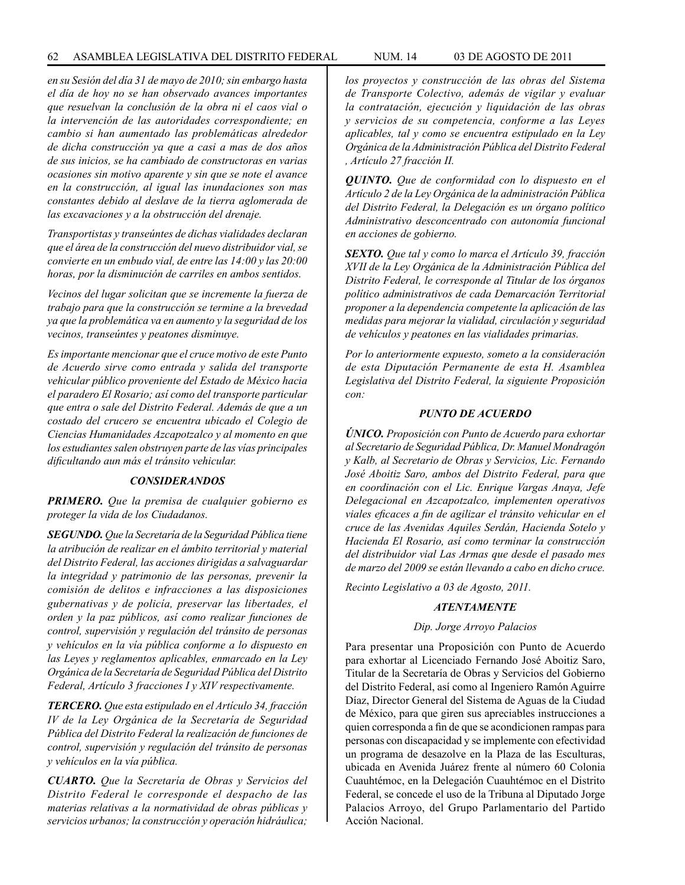*en su Sesión del día 31 de mayo de 2010; sin embargo hasta el día de hoy no se han observado avances importantes que resuelvan la conclusión de la obra ni el caos vial o la intervención de las autoridades correspondiente; en cambio si han aumentado las problemáticas alrededor de dicha construcción ya que a casi a mas de dos años de sus inicios, se ha cambiado de constructoras en varias ocasiones sin motivo aparente y sin que se note el avance en la construcción, al igual las inundaciones son mas constantes debido al deslave de la tierra aglomerada de las excavaciones y a la obstrucción del drenaje.*

*Transportistas y transeúntes de dichas vialidades declaran que el área de la construcción del nuevo distribuidor vial, se convierte en un embudo vial, de entre las 14:00 y las 20:00 horas, por la disminución de carriles en ambos sentidos.*

*Vecinos del lugar solicitan que se incremente la fuerza de trabajo para que la construcción se termine a la brevedad ya que la problemática va en aumento y la seguridad de los vecinos, transeúntes y peatones disminuye.*

*Es importante mencionar que el cruce motivo de este Punto de Acuerdo sirve como entrada y salida del transporte vehicular público proveniente del Estado de México hacia el paradero El Rosario; así como del transporte particular que entra o sale del Distrito Federal. Además de que a un costado del crucero se encuentra ubicado el Colegio de Ciencias Humanidades Azcapotzalco y al momento en que los estudiantes salen obstruyen parte de las vías principales dificultando aun más el tránsito vehicular.*

## *CONSIDERANDOS*

*PRIMERO. Que la premisa de cualquier gobierno es proteger la vida de los Ciudadanos.*

*SEGUNDO. Que la Secretaría de la Seguridad Pública tiene la atribución de realizar en el ámbito territorial y material del Distrito Federal, las acciones dirigidas a salvaguardar la integridad y patrimonio de las personas, prevenir la comisión de delitos e infracciones a las disposiciones gubernativas y de policía, preservar las libertades, el orden y la paz públicos, así como realizar funciones de control, supervisión y regulación del tránsito de personas y vehículos en la vía pública conforme a lo dispuesto en las Leyes y reglamentos aplicables, enmarcado en la Ley Orgánica de la Secretaría de Seguridad Pública del Distrito Federal, Artículo 3 fracciones I y XIV respectivamente.*

*TERCERO. Que esta estipulado en el Artículo 34, fracción IV de la Ley Orgánica de la Secretaría de Seguridad Pública del Distrito Federal la realización de funciones de control, supervisión y regulación del tránsito de personas y vehículos en la vía pública.*

*CUARTO. Que la Secretaría de Obras y Servicios del Distrito Federal le corresponde el despacho de las materias relativas a la normatividad de obras públicas y servicios urbanos; la construcción y operación hidráulica;* 

*los proyectos y construcción de las obras del Sistema de Transporte Colectivo, además de vigilar y evaluar la contratación, ejecución y liquidación de las obras y servicios de su competencia, conforme a las Leyes aplicables, tal y como se encuentra estipulado en la Ley Orgánica de la Administración Pública del Distrito Federal* 

*QUINTO. Que de conformidad con lo dispuesto en el Artículo 2 de la Ley Orgánica de la administración Pública del Distrito Federal, la Delegación es un órgano político Administrativo desconcentrado con autonomía funcional en acciones de gobierno.*

*, Artículo 27 fracción II.*

*SEXTO. Que tal y como lo marca el Artículo 39, fracción XVII de la Ley Orgánica de la Administración Pública del Distrito Federal, le corresponde al Titular de los órganos político administrativos de cada Demarcación Territorial proponer a la dependencia competente la aplicación de las medidas para mejorar la vialidad, circulación y seguridad de vehículos y peatones en las vialidades primarias.*

*Por lo anteriormente expuesto, someto a la consideración de esta Diputación Permanente de esta H. Asamblea Legislativa del Distrito Federal, la siguiente Proposición con:*

## *PUNTO DE ACUERDO*

*ÚNICO. Proposición con Punto de Acuerdo para exhortar al Secretario de Seguridad Pública, Dr. Manuel Mondragón y Kalb, al Secretario de Obras y Servicios, Lic. Fernando José Aboitiz Saro, ambos del Distrito Federal, para que en coordinación con el Lic. Enrique Vargas Anaya, Jefe Delegacional en Azcapotzalco, implementen operativos viales eficaces a fin de agilizar el tránsito vehicular en el cruce de las Avenidas Aquiles Serdán, Hacienda Sotelo y Hacienda El Rosario, así como terminar la construcción del distribuidor vial Las Armas que desde el pasado mes de marzo del 2009 se están llevando a cabo en dicho cruce.*

*Recinto Legislativo a 03 de Agosto, 2011.*

#### *ATENTAMENTE*

#### *Dip. Jorge Arroyo Palacios*

Para presentar una Proposición con Punto de Acuerdo para exhortar al Licenciado Fernando José Aboitiz Saro, Titular de la Secretaría de Obras y Servicios del Gobierno del Distrito Federal, así como al Ingeniero Ramón Aguirre Díaz, Director General del Sistema de Aguas de la Ciudad de México, para que giren sus apreciables instrucciones a quien corresponda a fin de que se acondicionen rampas para personas con discapacidad y se implemente con efectividad un programa de desazolve en la Plaza de las Esculturas, ubicada en Avenida Juárez frente al número 60 Colonia Cuauhtémoc, en la Delegación Cuauhtémoc en el Distrito Federal, se concede el uso de la Tribuna al Diputado Jorge Palacios Arroyo, del Grupo Parlamentario del Partido Acción Nacional.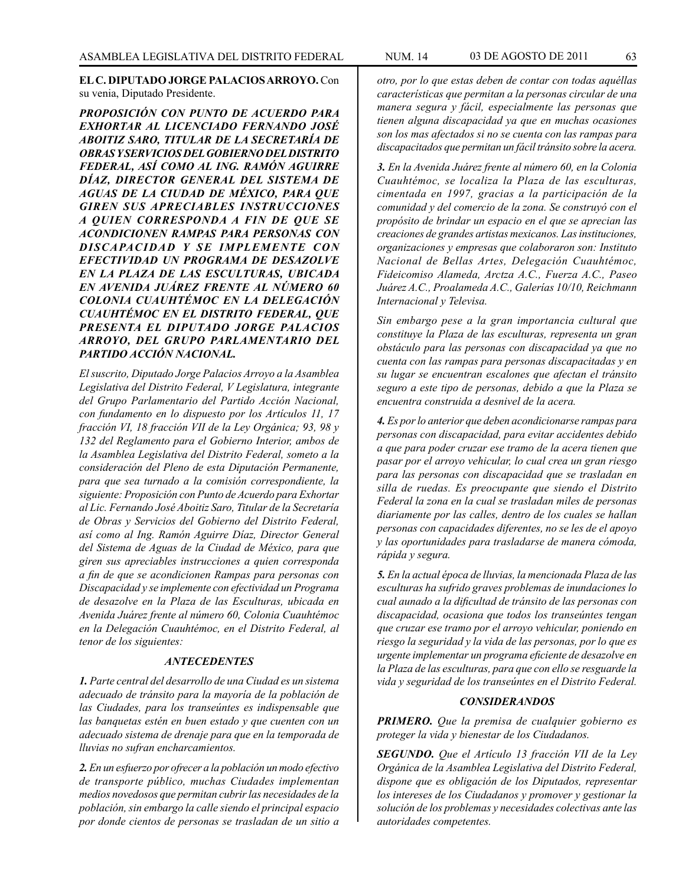## **EL C. DIPUTADO JORGE PALACIOS ARROYO.** Con su venia, Diputado Presidente.

*PROPOSICIÓN CON PUNTO DE ACUERDO PARA EXHORTAR AL LICENCIADO FERNANDO JOSÉ ABOITIZ SARO, TITULAR DE LA SECRETARÍA DE OBRAS Y SERVICIOS DEL GOBIERNO DEL DISTRITO FEDERAL, ASÍ COMO AL ING. RAMÓN AGUIRRE DÍAZ, DIRECTOR GENERAL DEL SISTEMA DE AGUAS DE LA CIUDAD DE MÉXICO, PARA QUE GIREN SUS APRECIABLES INSTRUCCIONES A QUIEN CORRESPONDA A FIN DE QUE SE ACONDICIONEN RAMPAS PARA PERSONAS CON DISCAPACIDAD Y SE IMPLEMENTE CON EFECTIVIDAD UN PROGRAMA DE DESAZOLVE EN LA PLAZA DE LAS ESCULTURAS, UBICADA EN AVENIDA JUÁREZ FRENTE AL NÚMERO 60 COLONIA CUAUHTÉMOC EN LA DELEGACIÓN CUAUHTÉMOC EN EL DISTRITO FEDERAL, QUE PRESENTA EL DIPUTADO JORGE PALACIOS ARROYO, DEL GRUPO PARLAMENTARIO DEL PARTIDO ACCIÓN NACIONAL.*

*El suscrito, Diputado Jorge Palacios Arroyo a la Asamblea Legislativa del Distrito Federal, V Legislatura, integrante del Grupo Parlamentario del Partido Acción Nacional, con fundamento en lo dispuesto por los Artículos 11, 17 fracción VI, 18 fracción VII de la Ley Orgánica; 93, 98 y 132 del Reglamento para el Gobierno Interior, ambos de la Asamblea Legislativa del Distrito Federal, someto a la consideración del Pleno de esta Diputación Permanente, para que sea turnado a la comisión correspondiente, la siguiente: Proposición con Punto de Acuerdo para Exhortar al Lic. Fernando José Aboitiz Saro, Titular de la Secretaría de Obras y Servicios del Gobierno del Distrito Federal, así como al Ing. Ramón Aguirre Díaz, Director General del Sistema de Aguas de la Ciudad de México, para que giren sus apreciables instrucciones a quien corresponda a fin de que se acondicionen Rampas para personas con Discapacidad y se implemente con efectividad un Programa de desazolve en la Plaza de las Esculturas, ubicada en Avenida Juárez frente al número 60, Colonia Cuauhtémoc en la Delegación Cuauhtémoc, en el Distrito Federal, al tenor de los siguientes:*

#### *ANTECEDENTES*

*1. Parte central del desarrollo de una Ciudad es un sistema adecuado de tránsito para la mayoría de la población de las Ciudades, para los transeúntes es indispensable que las banquetas estén en buen estado y que cuenten con un adecuado sistema de drenaje para que en la temporada de lluvias no sufran encharcamientos.*

*2. En un esfuerzo por ofrecer a la población un modo efectivo de transporte público, muchas Ciudades implementan medios novedosos que permitan cubrir las necesidades de la población, sin embargo la calle siendo el principal espacio por donde cientos de personas se trasladan de un sitio a*  *otro, por lo que estas deben de contar con todas aquéllas características que permitan a la personas circular de una manera segura y fácil, especialmente las personas que tienen alguna discapacidad ya que en muchas ocasiones son los mas afectados si no se cuenta con las rampas para discapacitados que permitan un fácil tránsito sobre la acera.*

*3. En la Avenida Juárez frente al número 60, en la Colonia Cuauhtémoc, se localiza la Plaza de las esculturas, cimentada en 1997, gracias a la participación de la comunidad y del comercio de la zona. Se construyó con el propósito de brindar un espacio en el que se aprecian las creaciones de grandes artistas mexicanos. Las instituciones, organizaciones y empresas que colaboraron son: Instituto Nacional de Bellas Artes, Delegación Cuauhtémoc, Fideicomiso Alameda, Arctza A.C., Fuerza A.C., Paseo Juárez A.C., Proalameda A.C., Galerías 10/10, Reichmann Internacional y Televisa.*

*Sin embargo pese a la gran importancia cultural que constituye la Plaza de las esculturas, representa un gran obstáculo para las personas con discapacidad ya que no cuenta con las rampas para personas discapacitadas y en su lugar se encuentran escalones que afectan el tránsito seguro a este tipo de personas, debido a que la Plaza se encuentra construida a desnivel de la acera.*

*4. Es por lo anterior que deben acondicionarse rampas para personas con discapacidad, para evitar accidentes debido a que para poder cruzar ese tramo de la acera tienen que pasar por el arroyo vehicular, lo cual crea un gran riesgo para las personas con discapacidad que se trasladan en silla de ruedas. Es preocupante que siendo el Distrito Federal la zona en la cual se trasladan miles de personas diariamente por las calles, dentro de los cuales se hallan personas con capacidades diferentes, no se les de el apoyo y las oportunidades para trasladarse de manera cómoda, rápida y segura.*

*5. En la actual época de lluvias, la mencionada Plaza de las esculturas ha sufrido graves problemas de inundaciones lo cual aunado a la dificultad de tránsito de las personas con discapacidad, ocasiona que todos los transeúntes tengan que cruzar ese tramo por el arroyo vehicular, poniendo en riesgo la seguridad y la vida de las personas, por lo que es urgente implementar un programa eficiente de desazolve en la Plaza de las esculturas, para que con ello se resguarde la vida y seguridad de los transeúntes en el Distrito Federal.*

#### *CONSIDERANDOS*

*PRIMERO. Que la premisa de cualquier gobierno es proteger la vida y bienestar de los Ciudadanos.*

*SEGUNDO. Que el Artículo 13 fracción VII de la Ley Orgánica de la Asamblea Legislativa del Distrito Federal, dispone que es obligación de los Diputados, representar los intereses de los Ciudadanos y promover y gestionar la solución de los problemas y necesidades colectivas ante las autoridades competentes.*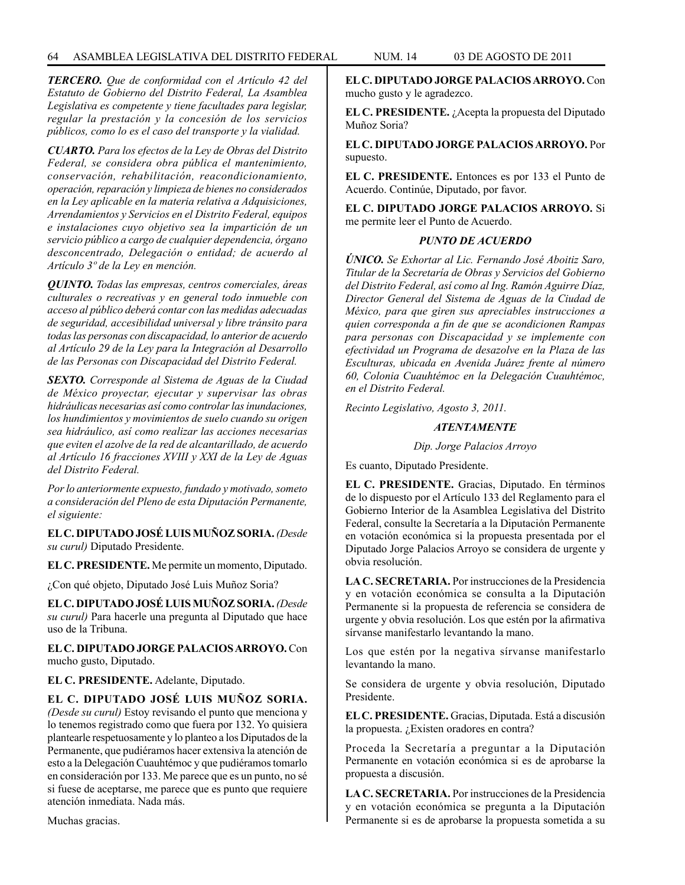*TERCERO. Que de conformidad con el Artículo 42 del Estatuto de Gobierno del Distrito Federal, La Asamblea Legislativa es competente y tiene facultades para legislar, regular la prestación y la concesión de los servicios públicos, como lo es el caso del transporte y la vialidad.*

*CUARTO. Para los efectos de la Ley de Obras del Distrito Federal, se considera obra pública el mantenimiento, conservación, rehabilitación, reacondicionamiento, operación, reparación y limpieza de bienes no considerados en la Ley aplicable en la materia relativa a Adquisiciones, Arrendamientos y Servicios en el Distrito Federal, equipos e instalaciones cuyo objetivo sea la impartición de un servicio público a cargo de cualquier dependencia, órgano desconcentrado, Delegación o entidad; de acuerdo al Artículo 3º de la Ley en mención.*

*QUINTO. Todas las empresas, centros comerciales, áreas culturales o recreativas y en general todo inmueble con acceso al público deberá contar con las medidas adecuadas de seguridad, accesibilidad universal y libre tránsito para todas las personas con discapacidad, lo anterior de acuerdo al Artículo 29 de la Ley para la Integración al Desarrollo de las Personas con Discapacidad del Distrito Federal.*

*SEXTO. Corresponde al Sistema de Aguas de la Ciudad de México proyectar, ejecutar y supervisar las obras hidráulicas necesarias así como controlar las inundaciones, los hundimientos y movimientos de suelo cuando su origen sea hidráulico, así como realizar las acciones necesarias que eviten el azolve de la red de alcantarillado, de acuerdo al Artículo 16 fracciones XVIII y XXI de la Ley de Aguas del Distrito Federal.*

*Por lo anteriormente expuesto, fundado y motivado, someto a consideración del Pleno de esta Diputación Permanente, el siguiente:*

**EL C. DIPUTADO JOSÉ LUIS MUÑOZ SORIA.** *(Desde su curul)* Diputado Presidente.

**EL C. PRESIDENTE.** Me permite un momento, Diputado.

¿Con qué objeto, Diputado José Luis Muñoz Soria?

**EL C. DIPUTADO JOSÉ LUIS MUÑOZ SORIA.** *(Desde su curul)* Para hacerle una pregunta al Diputado que hace uso de la Tribuna.

**EL C. DIPUTADO JORGE PALACIOS ARROYO.** Con mucho gusto, Diputado.

**EL C. PRESIDENTE.** Adelante, Diputado.

**EL C. DIPUTADO JOSÉ LUIS MUÑOZ SORIA.** *(Desde su curul)* Estoy revisando el punto que menciona y lo tenemos registrado como que fuera por 132. Yo quisiera plantearle respetuosamente y lo planteo a los Diputados de la Permanente, que pudiéramos hacer extensiva la atención de esto a la Delegación Cuauhtémoc y que pudiéramos tomarlo en consideración por 133. Me parece que es un punto, no sé si fuese de aceptarse, me parece que es punto que requiere atención inmediata. Nada más.

Muchas gracias.

**EL C. DIPUTADO JORGE PALACIOS ARROYO.** Con mucho gusto y le agradezco.

**EL C. PRESIDENTE.** ¿Acepta la propuesta del Diputado Muñoz Soria?

**EL C. DIPUTADO JORGE PALACIOS ARROYO.** Por supuesto.

**EL C. PRESIDENTE.** Entonces es por 133 el Punto de Acuerdo. Continúe, Diputado, por favor.

**EL C. DIPUTADO JORGE PALACIOS ARROYO.** Si me permite leer el Punto de Acuerdo.

#### *PUNTO DE ACUERDO*

*ÚNICO. Se Exhortar al Lic. Fernando José Aboitiz Saro, Titular de la Secretaría de Obras y Servicios del Gobierno del Distrito Federal, así como al Ing. Ramón Aguirre Díaz, Director General del Sistema de Aguas de la Ciudad de México, para que giren sus apreciables instrucciones a quien corresponda a fin de que se acondicionen Rampas para personas con Discapacidad y se implemente con efectividad un Programa de desazolve en la Plaza de las Esculturas, ubicada en Avenida Juárez frente al número 60, Colonia Cuauhtémoc en la Delegación Cuauhtémoc, en el Distrito Federal.*

*Recinto Legislativo, Agosto 3, 2011.*

#### *ATENTAMENTE*

*Dip. Jorge Palacios Arroyo*

Es cuanto, Diputado Presidente.

**EL C. PRESIDENTE.** Gracias, Diputado. En términos de lo dispuesto por el Artículo 133 del Reglamento para el Gobierno Interior de la Asamblea Legislativa del Distrito Federal, consulte la Secretaría a la Diputación Permanente en votación económica si la propuesta presentada por el Diputado Jorge Palacios Arroyo se considera de urgente y obvia resolución.

**LA C. SECRETARIA.** Por instrucciones de la Presidencia y en votación económica se consulta a la Diputación Permanente si la propuesta de referencia se considera de urgente y obvia resolución. Los que estén por la afirmativa sírvanse manifestarlo levantando la mano.

Los que estén por la negativa sírvanse manifestarlo levantando la mano.

Se considera de urgente y obvia resolución, Diputado Presidente.

**EL C. PRESIDENTE.** Gracias, Diputada. Está a discusión la propuesta. ¿Existen oradores en contra?

Proceda la Secretaría a preguntar a la Diputación Permanente en votación económica si es de aprobarse la propuesta a discusión.

**LA C. SECRETARIA.** Por instrucciones de la Presidencia y en votación económica se pregunta a la Diputación Permanente si es de aprobarse la propuesta sometida a su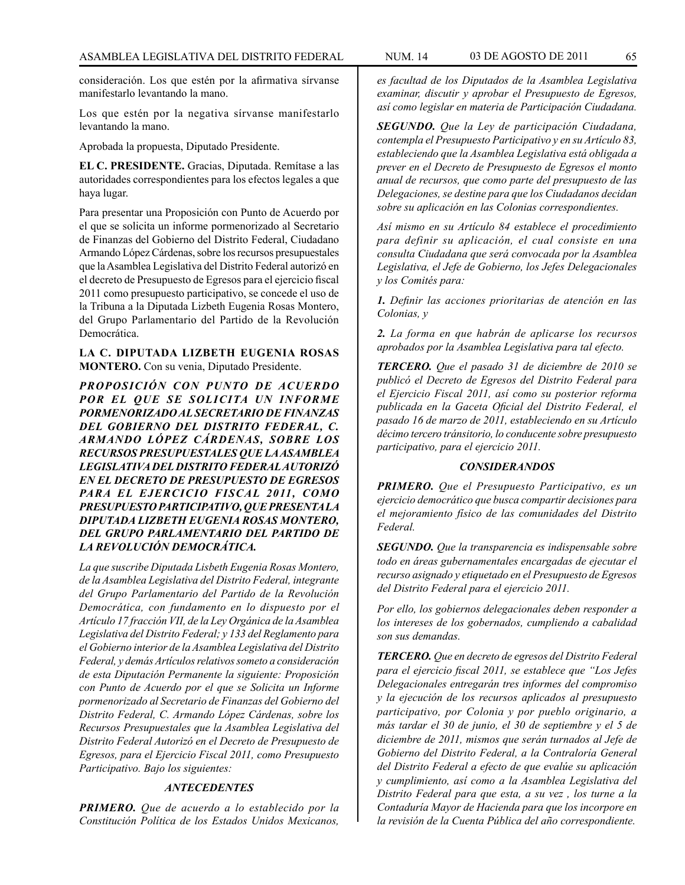consideración. Los que estén por la afirmativa sírvanse manifestarlo levantando la mano.

Los que estén por la negativa sírvanse manifestarlo levantando la mano.

Aprobada la propuesta, Diputado Presidente.

**EL C. PRESIDENTE.** Gracias, Diputada. Remítase a las autoridades correspondientes para los efectos legales a que haya lugar.

Para presentar una Proposición con Punto de Acuerdo por el que se solicita un informe pormenorizado al Secretario de Finanzas del Gobierno del Distrito Federal, Ciudadano Armando López Cárdenas, sobre los recursos presupuestales que la Asamblea Legislativa del Distrito Federal autorizó en el decreto de Presupuesto de Egresos para el ejercicio fiscal 2011 como presupuesto participativo, se concede el uso de la Tribuna a la Diputada Lizbeth Eugenia Rosas Montero, del Grupo Parlamentario del Partido de la Revolución Democrática.

**LA C. DIPUTADA LIZBETH EUGENIA ROSAS MONTERO.** Con su venia, Diputado Presidente.

*PROPOSICIÓN CON PUNTO DE ACUERDO POR EL QUE SE SOLICITA UN INFORME PORMENORIZADO AL SECRETARIO DE FINANZAS DEL GOBIERNO DEL DISTRITO FEDERAL, C. ARMANDO LÓPEZ CÁRDENAS, SOBRE LOS RECURSOS PRESUPUESTALES QUE LA ASAMBLEA LEGISLATIVA DEL DISTRITO FEDERAL AUTORIZÓ EN EL DECRETO DE PRESUPUESTO DE EGRESOS PARA EL EJERCICIO FISCAL 2011, COMO PRESUPUESTO PARTICIPATIVO, QUE PRESENTA LA DIPUTADA LIZBETH EUGENIA ROSAS MONTERO, DEL GRUPO PARLAMENTARIO DEL PARTIDO DE LA REVOLUCIÓN DEMOCRÁTICA.*

*La que suscribe Diputada Lisbeth Eugenia Rosas Montero, de la Asamblea Legislativa del Distrito Federal, integrante del Grupo Parlamentario del Partido de la Revolución Democrática, con fundamento en lo dispuesto por el Artículo 17 fracción VII, de la Ley Orgánica de la Asamblea Legislativa del Distrito Federal; y 133 del Reglamento para el Gobierno interior de la Asamblea Legislativa del Distrito Federal, y demás Artículos relativos someto a consideración de esta Diputación Permanente la siguiente: Proposición con Punto de Acuerdo por el que se Solicita un Informe pormenorizado al Secretario de Finanzas del Gobierno del Distrito Federal, C. Armando López Cárdenas, sobre los Recursos Presupuestales que la Asamblea Legislativa del Distrito Federal Autorizó en el Decreto de Presupuesto de Egresos, para el Ejercicio Fiscal 2011, como Presupuesto Participativo. Bajo los siguientes:*

# *ANTECEDENTES*

*PRIMERO. Que de acuerdo a lo establecido por la Constitución Política de los Estados Unidos Mexicanos,*  *es facultad de los Diputados de la Asamblea Legislativa examinar, discutir y aprobar el Presupuesto de Egresos, así como legislar en materia de Participación Ciudadana.*

*SEGUNDO. Que la Ley de participación Ciudadana, contempla el Presupuesto Participativo y en su Artículo 83, estableciendo que la Asamblea Legislativa está obligada a prever en el Decreto de Presupuesto de Egresos el monto anual de recursos, que como parte del presupuesto de las Delegaciones, se destine para que los Ciudadanos decidan sobre su aplicación en las Colonias correspondientes.*

*Así mismo en su Artículo 84 establece el procedimiento para definir su aplicación, el cual consiste en una consulta Ciudadana que será convocada por la Asamblea Legislativa, el Jefe de Gobierno, los Jefes Delegacionales y los Comités para:*

*1. Definir las acciones prioritarias de atención en las Colonias, y*

*2. La forma en que habrán de aplicarse los recursos aprobados por la Asamblea Legislativa para tal efecto.*

*TERCERO. Que el pasado 31 de diciembre de 2010 se publicó el Decreto de Egresos del Distrito Federal para el Ejercicio Fiscal 2011, así como su posterior reforma publicada en la Gaceta Oficial del Distrito Federal, el pasado 16 de marzo de 2011, estableciendo en su Artículo décimo tercero tránsitorio, lo conducente sobre presupuesto participativo, para el ejercicio 2011.*

#### *CONSIDERANDOS*

*PRIMERO. Que el Presupuesto Participativo, es un ejercicio democrático que busca compartir decisiones para el mejoramiento físico de las comunidades del Distrito Federal.*

*SEGUNDO. Que la transparencia es indispensable sobre todo en áreas gubernamentales encargadas de ejecutar el recurso asignado y etiquetado en el Presupuesto de Egresos del Distrito Federal para el ejercicio 2011.*

*Por ello, los gobiernos delegacionales deben responder a los intereses de los gobernados, cumpliendo a cabalidad son sus demandas.*

*TERCERO. Que en decreto de egresos del Distrito Federal para el ejercicio fiscal 2011, se establece que "Los Jefes Delegacionales entregarán tres informes del compromiso y la ejecución de los recursos aplicados al presupuesto participativo, por Colonia y por pueblo originario, a más tardar el 30 de junio, el 30 de septiembre y el 5 de diciembre de 2011, mismos que serán turnados al Jefe de Gobierno del Distrito Federal, a la Contraloría General del Distrito Federal a efecto de que evalúe su aplicación y cumplimiento, así como a la Asamblea Legislativa del Distrito Federal para que esta, a su vez , los turne a la Contaduría Mayor de Hacienda para que los incorpore en la revisión de la Cuenta Pública del año correspondiente.*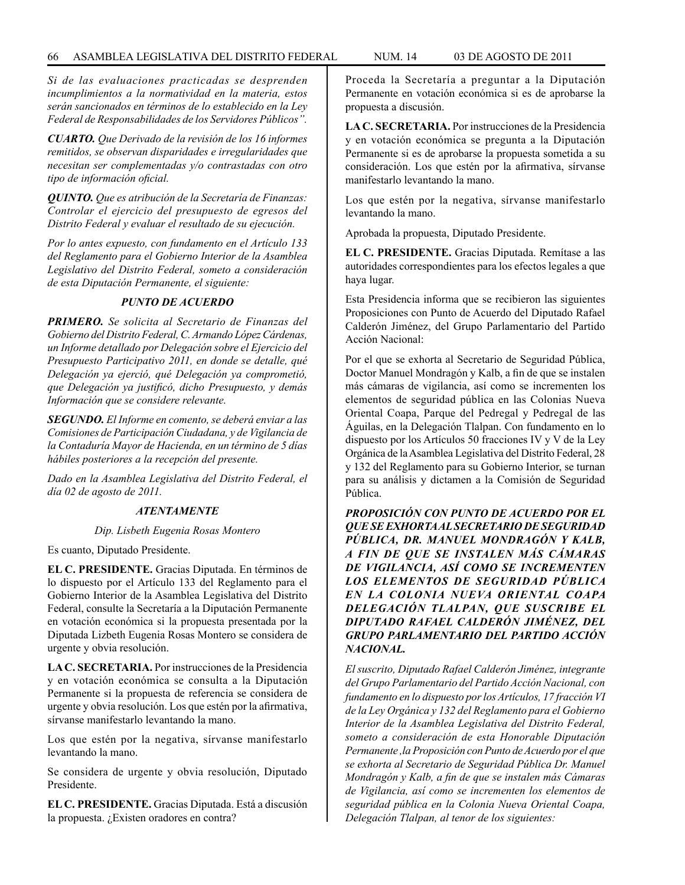*Si de las evaluaciones practicadas se desprenden incumplimientos a la normatividad en la materia, estos serán sancionados en términos de lo establecido en la Ley Federal de Responsabilidades de los Servidores Públicos".*

*CUARTO. Que Derivado de la revisión de los 16 informes remitidos, se observan disparidades e irregularidades que necesitan ser complementadas y/o contrastadas con otro tipo de información oficial.*

*QUINTO. Que es atribución de la Secretaría de Finanzas: Controlar el ejercicio del presupuesto de egresos del Distrito Federal y evaluar el resultado de su ejecución.*

*Por lo antes expuesto, con fundamento en el Artículo 133 del Reglamento para el Gobierno Interior de la Asamblea Legislativo del Distrito Federal, someto a consideración de esta Diputación Permanente, el siguiente:*

#### *PUNTO DE ACUERDO*

*PRIMERO. Se solicita al Secretario de Finanzas del Gobierno del Distrito Federal, C. Armando López Cárdenas, un Informe detallado por Delegación sobre el Ejercicio del Presupuesto Participativo 2011, en donde se detalle, qué Delegación ya ejerció, qué Delegación ya comprometió, que Delegación ya justificó, dicho Presupuesto, y demás Información que se considere relevante.*

*SEGUNDO. El Informe en comento, se deberá enviar a las Comisiones de Participación Ciudadana, y de Vigilancia de la Contaduría Mayor de Hacienda, en un término de 5 días hábiles posteriores a la recepción del presente.*

*Dado en la Asamblea Legislativa del Distrito Federal, el día 02 de agosto de 2011.*

## *ATENTAMENTE*

#### *Dip. Lisbeth Eugenia Rosas Montero*

Es cuanto, Diputado Presidente.

**EL C. PRESIDENTE.** Gracias Diputada. En términos de lo dispuesto por el Artículo 133 del Reglamento para el Gobierno Interior de la Asamblea Legislativa del Distrito Federal, consulte la Secretaría a la Diputación Permanente en votación económica si la propuesta presentada por la Diputada Lizbeth Eugenia Rosas Montero se considera de urgente y obvia resolución.

**LA C. SECRETARIA.** Por instrucciones de la Presidencia y en votación económica se consulta a la Diputación Permanente si la propuesta de referencia se considera de urgente y obvia resolución. Los que estén por la afirmativa, sírvanse manifestarlo levantando la mano.

Los que estén por la negativa, sírvanse manifestarlo levantando la mano.

Se considera de urgente y obvia resolución, Diputado Presidente.

**EL C. PRESIDENTE.** Gracias Diputada. Está a discusión la propuesta. ¿Existen oradores en contra?

Proceda la Secretaría a preguntar a la Diputación Permanente en votación económica si es de aprobarse la propuesta a discusión.

**LA C. SECRETARIA.** Por instrucciones de la Presidencia y en votación económica se pregunta a la Diputación Permanente si es de aprobarse la propuesta sometida a su consideración. Los que estén por la afirmativa, sírvanse manifestarlo levantando la mano.

Los que estén por la negativa, sírvanse manifestarlo levantando la mano.

Aprobada la propuesta, Diputado Presidente.

**EL C. PRESIDENTE.** Gracias Diputada. Remítase a las autoridades correspondientes para los efectos legales a que haya lugar.

Esta Presidencia informa que se recibieron las siguientes Proposiciones con Punto de Acuerdo del Diputado Rafael Calderón Jiménez, del Grupo Parlamentario del Partido Acción Nacional:

Por el que se exhorta al Secretario de Seguridad Pública, Doctor Manuel Mondragón y Kalb, a fin de que se instalen más cámaras de vigilancia, así como se incrementen los elementos de seguridad pública en las Colonias Nueva Oriental Coapa, Parque del Pedregal y Pedregal de las Águilas, en la Delegación Tlalpan. Con fundamento en lo dispuesto por los Artículos 50 fracciones IV y V de la Ley Orgánica de la Asamblea Legislativa del Distrito Federal, 28 y 132 del Reglamento para su Gobierno Interior, se turnan para su análisis y dictamen a la Comisión de Seguridad Pública.

*PROPOSICIÓN CON PUNTO DE ACUERDO POR EL QUE SE EXHORTA AL SECRETARIO DE SEGURIDAD PÚBLICA, DR. MANUEL MONDRAGÓN Y KALB, A FIN DE QUE SE INSTALEN MÁS CÁMARAS DE VIGILANCIA, ASÍ COMO SE INCREMENTEN LOS ELEMENTOS DE SEGURIDAD PÚBLICA EN LA COLONIA NUEVA ORIENTAL COAPA DELEGACIÓN TLALPAN, QUE SUSCRIBE EL DIPUTADO RAFAEL CALDERÓN JIMÉNEZ, DEL GRUPO PARLAMENTARIO DEL PARTIDO ACCIÓN NACIONAL.*

*El suscrito, Diputado Rafael Calderón Jiménez, integrante del Grupo Parlamentario del Partido Acción Nacional, con fundamento en lo dispuesto por los Artículos, 17 fracción VI de la Ley Orgánica y 132 del Reglamento para el Gobierno Interior de la Asamblea Legislativa del Distrito Federal, someto a consideración de esta Honorable Diputación Permanente ,la Proposición con Punto de Acuerdo por el que se exhorta al Secretario de Seguridad Pública Dr. Manuel Mondragón y Kalb, a fin de que se instalen más Cámaras de Vigilancia, así como se incrementen los elementos de seguridad pública en la Colonia Nueva Oriental Coapa, Delegación Tlalpan, al tenor de los siguientes:*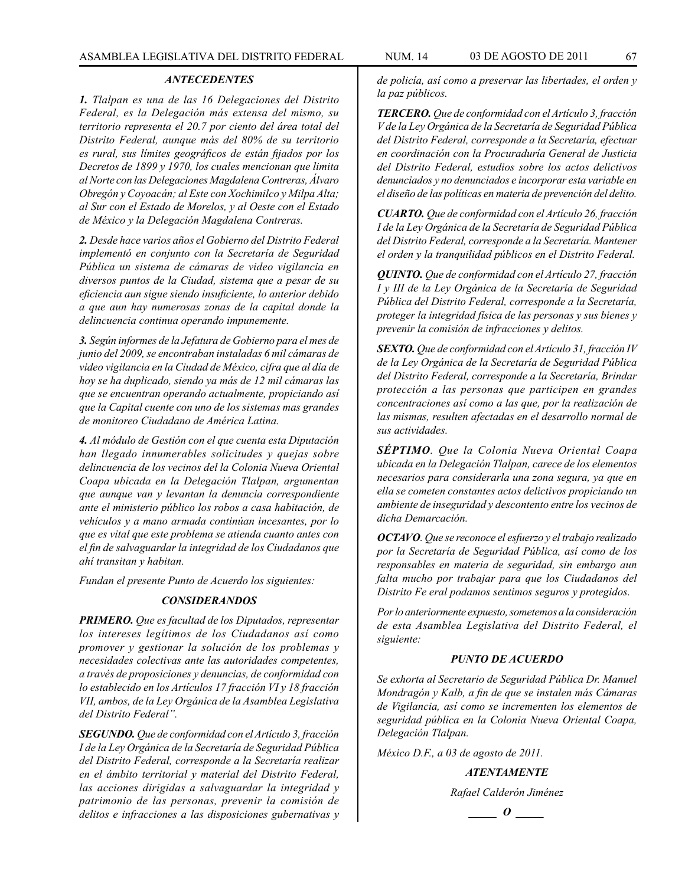#### *ANTECEDENTES*

*1. Tlalpan es una de las 16 Delegaciones del Distrito Federal, es la Delegación más extensa del mismo, su territorio representa el 20.7 por ciento del área total del Distrito Federal, aunque más del 80% de su territorio es rural, sus límites geográficos de están fijados por los Decretos de 1899 y 1970, los cuales mencionan que limita al Norte con las Delegaciones Magdalena Contreras, Álvaro Obregón y Coyoacán; al Este con Xochimilco y Milpa Alta; al Sur con el Estado de Morelos, y al Oeste con el Estado de México y la Delegación Magdalena Contreras.*

*2. Desde hace varios años el Gobierno del Distrito Federal implementó en conjunto con la Secretaría de Seguridad Pública un sistema de cámaras de video vigilancia en diversos puntos de la Ciudad, sistema que a pesar de su eficiencia aun sigue siendo insuficiente, lo anterior debido a que aun hay numerosas zonas de la capital donde la delincuencia continua operando impunemente.*

*3. Según informes de la Jefatura de Gobierno para el mes de junio del 2009, se encontraban instaladas 6 mil cámaras de video vigilancia en la Ciudad de México, cifra que al día de hoy se ha duplicado, siendo ya más de 12 mil cámaras las que se encuentran operando actualmente, propiciando así que la Capital cuente con uno de los sistemas mas grandes de monitoreo Ciudadano de América Latina.*

*4. Al módulo de Gestión con el que cuenta esta Diputación han llegado innumerables solicitudes y quejas sobre delincuencia de los vecinos del la Colonia Nueva Oriental Coapa ubicada en la Delegación Tlalpan, argumentan que aunque van y levantan la denuncia correspondiente ante el ministerio público los robos a casa habitación, de vehículos y a mano armada continúan incesantes, por lo que es vital que este problema se atienda cuanto antes con el fin de salvaguardar la integridad de los Ciudadanos que ahí transitan y habitan.*

*Fundan el presente Punto de Acuerdo los siguientes:*

#### *CONSIDERANDOS*

*PRIMERO. Que es facultad de los Diputados, representar los intereses legítimos de los Ciudadanos así como promover y gestionar la solución de los problemas y necesidades colectivas ante las autoridades competentes, a través de proposiciones y denuncias, de conformidad con lo establecido en los Artículos 17 fracción VI y 18 fracción VII, ambos, de la Ley Orgánica de la Asamblea Legislativa del Distrito Federal".*

*SEGUNDO. Que de conformidad con el Artículo 3, fracción I de la Ley Orgánica de la Secretaría de Seguridad Pública del Distrito Federal, corresponde a la Secretaría realizar en el ámbito territorial y material del Distrito Federal, las acciones dirigidas a salvaguardar la integridad y patrimonio de las personas, prevenir la comisión de delitos e infracciones a las disposiciones gubernativas y* 

*de policía, así como a preservar las libertades, el orden y la paz públicos.*

*TERCERO. Que de conformidad con el Artículo 3, fracción V de la Ley Orgánica de la Secretaría de Seguridad Pública del Distrito Federal, corresponde a la Secretaría, efectuar en coordinación con la Procuraduría General de Justicia del Distrito Federal, estudios sobre los actos delictivos denunciados y no denunciados e incorporar esta variable en el diseño de las políticas en materia de prevención del delito.*

*CUARTO. Que de conformidad con el Artículo 26, fracción I de la Ley Orgánica de la Secretaría de Seguridad Pública del Distrito Federal, corresponde a la Secretaría. Mantener el orden y la tranquilidad públicos en el Distrito Federal.*

*QUINTO. Que de conformidad con el Artículo 27, fracción I y III de la Ley Orgánica de la Secretaría de Seguridad Pública del Distrito Federal, corresponde a la Secretaría, proteger la integridad física de las personas y sus bienes y prevenir la comisión de infracciones y delitos.*

*SEXTO. Que de conformidad con el Artículo 31, fracción IV de la Ley Orgánica de la Secretaría de Seguridad Pública del Distrito Federal, corresponde a la Secretaría, Brindar protección a las personas que participen en grandes concentraciones así como a las que, por la realización de las mismas, resulten afectadas en el desarrollo normal de sus actividades.*

*SÉPTIMO. Que la Colonia Nueva Oriental Coapa ubicada en la Delegación Tlalpan, carece de los elementos necesarios para considerarla una zona segura, ya que en ella se cometen constantes actos delictivos propiciando un ambiente de inseguridad y descontento entre los vecinos de dicha Demarcación.*

*OCTAVO. Que se reconoce el esfuerzo y el trabajo realizado por la Secretaría de Seguridad Pública, así como de los responsables en materia de seguridad, sin embargo aun falta mucho por trabajar para que los Ciudadanos del Distrito Fe eral podamos sentimos seguros y protegidos.* 

*Por lo anteriormente expuesto, sometemos a la consideración de esta Asamblea Legislativa del Distrito Federal, el siguiente:*

## *PUNTO DE ACUERDO*

*Se exhorta al Secretario de Seguridad Pública Dr. Manuel Mondragón y Kalb, a fin de que se instalen más Cámaras de Vigilancia, así como se incrementen los elementos de seguridad pública en la Colonia Nueva Oriental Coapa, Delegación Tlalpan.*

*México D.F., a 03 de agosto de 2011.*

*ATENTAMENTE*

*Rafael Calderón Jiménez*

*\_\_\_\_\_ O \_\_\_\_\_*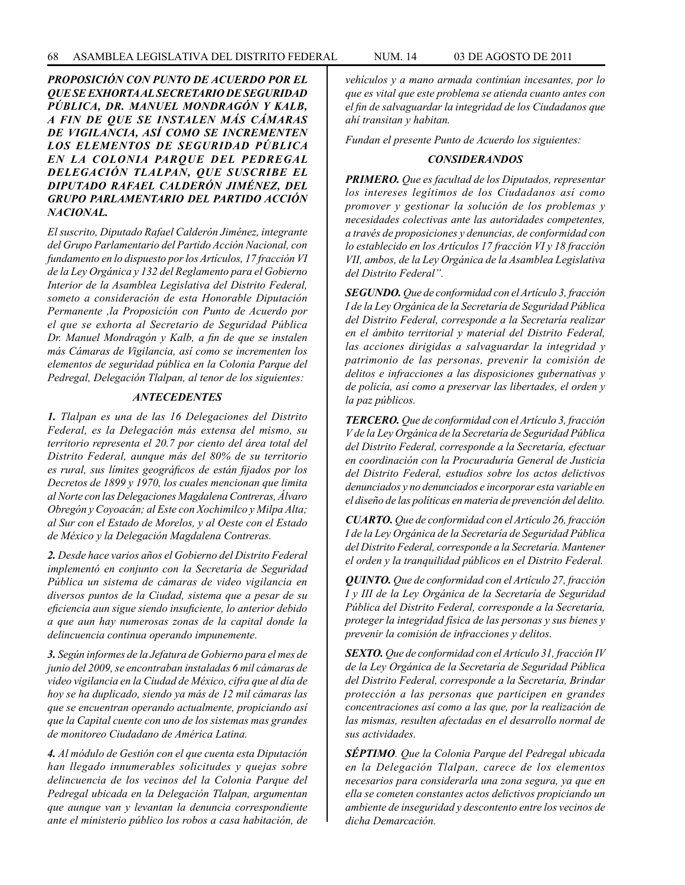*PROPOSICIÓN CON PUNTO DE ACUERDO POR EL QUE SE EXHORTA AL SECRETARIO DE SEGURIDAD PÚBLICA, DR. MANUEL MONDRAGÓN Y KALB, A FIN DE QUE SE INSTALEN MÁS CÁMARAS DE VIGILANCIA, ASÍ COMO SE INCREMENTEN LOS ELEMENTOS DE SEGURIDAD PÚBLICA EN LA COLONIA PARQUE DEL PEDREGAL DELEGACIÓN TLALPAN, QUE SUSCRIBE EL DIPUTADO RAFAEL CALDERÓN JIMÉNEZ, DEL GRUPO PARLAMENTARIO DEL PARTIDO ACCIÓN NACIONAL.*

*El suscrito, Diputado Rafael Calderón Jiménez, integrante del Grupo Parlamentario del Partido Acción Nacional, con fundamento en lo dispuesto por los Artículos, 17 fracción VI de la Ley Orgánica y 132 del Reglamento para el Gobierno Interior de la Asamblea Legislativa del Distrito Federal, someto a consideración de esta Honorable Diputación Permanente ,la Proposición con Punto de Acuerdo por el que se exhorta al Secretario de Seguridad Pública Dr. Manuel Mondragón y Kalb, a fin de que se instalen más Cámaras de Vigilancia, así como se incrementen los elementos de seguridad pública en la Colonia Parque del Pedregal, Delegación Tlalpan, al tenor de los siguientes:*

#### *ANTECEDENTES*

*1. Tlalpan es una de las 16 Delegaciones del Distrito Federal, es la Delegación más extensa del mismo, su territorio representa el 20.7 por ciento del área total del Distrito Federal, aunque más del 80% de su territorio es rural, sus límites geográficos de están fijados por los Decretos de 1899 y 1970, los cuales mencionan que limita al Norte con las Delegaciones Magdalena Contreras, Álvaro Obregón y Coyoacán; al Este con Xochimilco y Milpa Alta; al Sur con el Estado de Morelos, y al Oeste con el Estado de México y la Delegación Magdalena Contreras.*

*2. Desde hace varios años el Gobierno del Distrito Federal implementó en conjunto con la Secretaría de Seguridad Pública un sistema de cámaras de video vigilancia en diversos puntos de la Ciudad, sistema que a pesar de su eficiencia aun sigue siendo insuficiente, lo anterior debido a que aun hay numerosas zonas de la capital donde la delincuencia continua operando impunemente.*

*3. Según informes de la Jefatura de Gobierno para el mes de junio del 2009, se encontraban instaladas 6 mil cámaras de video vigilancia en la Ciudad de México, cifra que al día de hoy se ha duplicado, siendo ya más de 12 mil cámaras las que se encuentran operando actualmente, propiciando así que la Capital cuente con uno de los sistemas mas grandes de monitoreo Ciudadano de América Latina.*

*4. Al módulo de Gestión con el que cuenta esta Diputación han llegado innumerables solicitudes y quejas sobre delincuencia de los vecinos del la Colonia Parque del Pedregal ubicada en la Delegación Tlalpan, argumentan que aunque van y levantan la denuncia correspondiente ante el ministerio público los robos a casa habitación, de*  *vehículos y a mano armada continúan incesantes, por lo que es vital que este problema se atienda cuanto antes con el fin de salvaguardar la integridad de los Ciudadanos que ahí transitan y habitan.*

*Fundan el presente Punto de Acuerdo los siguientes:*

#### *CONSIDERANDOS*

*PRIMERO. Que es facultad de los Diputados, representar los intereses legítimos de los Ciudadanos así como promover y gestionar la solución de los problemas y necesidades colectivas ante las autoridades competentes, a través de proposiciones y denuncias, de conformidad con lo establecido en los Artículos 17 fracción VI y 18 fracción VII, ambos, de la Ley Orgánica de la Asamblea Legislativa del Distrito Federal".*

*SEGUNDO. Que de conformidad con el Artículo 3, fracción I de la Ley Orgánica de la Secretaría de Seguridad Pública del Distrito Federal, corresponde a la Secretaría realizar en el ámbito territorial y material del Distrito Federal, las acciones dirigidas a salvaguardar la integridad y patrimonio de las personas, prevenir la comisión de delitos e infracciones a las disposiciones gubernativas y de policía, así como a preservar las libertades, el orden y la paz públicos.*

*TERCERO. Que de conformidad con el Artículo 3, fracción V de la Ley Orgánica de la Secretaría de Seguridad Pública del Distrito Federal, corresponde a la Secretaría, efectuar en coordinación con la Procuraduría General de Justicia del Distrito Federal, estudios sobre los actos delictivos denunciados y no denunciados e incorporar esta variable en el diseño de las políticas en materia de prevención del delito.*

*CUARTO. Que de conformidad con el Artículo 26, fracción I de la Ley Orgánica de la Secretaría de Seguridad Pública del Distrito Federal, corresponde a la Secretaría. Mantener el orden y la tranquilidad públicos en el Distrito Federal.*

*QUINTO. Que de conformidad con el Artículo 27, fracción I y III de la Ley Orgánica de la Secretaría de Seguridad Pública del Distrito Federal, corresponde a la Secretaría, proteger la integridad física de las personas y sus bienes y prevenir la comisión de infracciones y delitos.*

*SEXTO. Que de conformidad con el Artículo 31, fracción IV de la Ley Orgánica de la Secretaría de Seguridad Pública del Distrito Federal, corresponde a la Secretaría, Brindar protección a las personas que participen en grandes concentraciones así como a las que, por la realización de las mismas, resulten afectadas en el desarrollo normal de sus actividades.*

*SÉPTIMO. Que la Colonia Parque del Pedregal ubicada en la Delegación Tlalpan, carece de los elementos necesarios para considerarla una zona segura, ya que en ella se cometen constantes actos delictivos propiciando un ambiente de inseguridad y descontento entre los vecinos de dicha Demarcación.*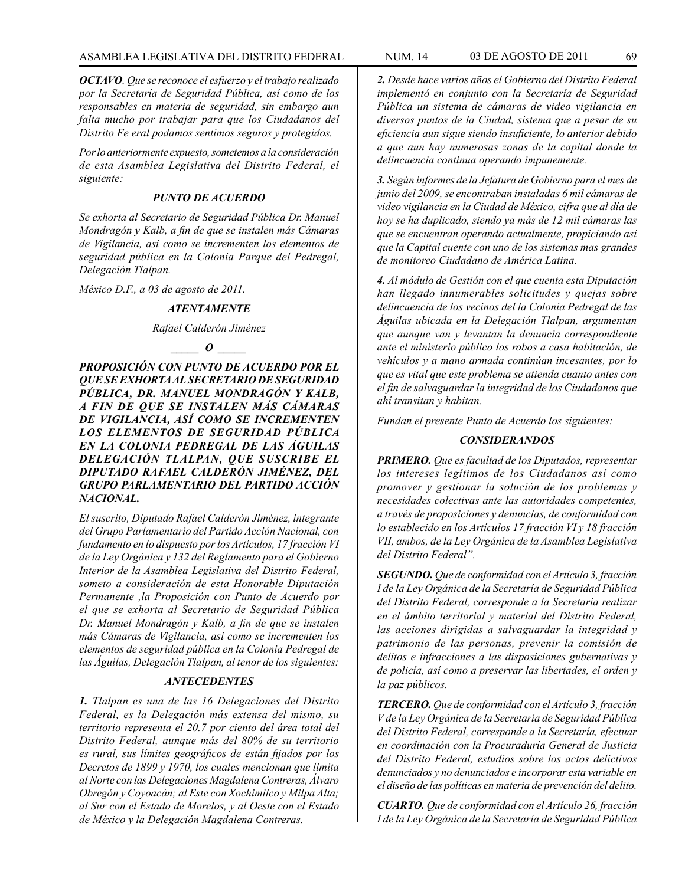*OCTAVO. Que se reconoce el esfuerzo y el trabajo realizado por la Secretaría de Seguridad Pública, así como de los responsables en materia de seguridad, sin embargo aun falta mucho por trabajar para que los Ciudadanos del Distrito Fe eral podamos sentimos seguros y protegidos.* 

*Por lo anteriormente expuesto, sometemos a la consideración de esta Asamblea Legislativa del Distrito Federal, el siguiente:*

#### *PUNTO DE ACUERDO*

*Se exhorta al Secretario de Seguridad Pública Dr. Manuel Mondragón y Kalb, a fin de que se instalen más Cámaras de Vigilancia, así como se incrementen los elementos de seguridad pública en la Colonia Parque del Pedregal, Delegación Tlalpan.*

*México D.F., a 03 de agosto de 2011.*

#### *ATENTAMENTE*

#### *Rafael Calderón Jiménez*

#### *\_\_\_\_\_ O \_\_\_\_\_*

*PROPOSICIÓN CON PUNTO DE ACUERDO POR EL QUE SE EXHORTA AL SECRETARIO DE SEGURIDAD PÚBLICA, DR. MANUEL MONDRAGÓN Y KALB, A FIN DE QUE SE INSTALEN MÁS CÁMARAS DE VIGILANCIA, ASÍ COMO SE INCREMENTEN LOS ELEMENTOS DE SEGURIDAD PÚBLICA EN LA COLONIA PEDREGAL DE LAS ÁGUILAS DELEGACIÓN TLALPAN, QUE SUSCRIBE EL DIPUTADO RAFAEL CALDERÓN JIMÉNEZ, DEL GRUPO PARLAMENTARIO DEL PARTIDO ACCIÓN NACIONAL.*

*El suscrito, Diputado Rafael Calderón Jiménez, integrante del Grupo Parlamentario del Partido Acción Nacional, con fundamento en lo dispuesto por los Artículos, 17 fracción VI de la Ley Orgánica y 132 del Reglamento para el Gobierno Interior de la Asamblea Legislativa del Distrito Federal, someto a consideración de esta Honorable Diputación Permanente ,la Proposición con Punto de Acuerdo por el que se exhorta al Secretario de Seguridad Pública Dr. Manuel Mondragón y Kalb, a fin de que se instalen más Cámaras de Vigilancia, así como se incrementen los elementos de seguridad pública en la Colonia Pedregal de las Águilas, Delegación Tlalpan, al tenor de los siguientes:*

# *ANTECEDENTES*

*1. Tlalpan es una de las 16 Delegaciones del Distrito Federal, es la Delegación más extensa del mismo, su territorio representa el 20.7 por ciento del área total del Distrito Federal, aunque más del 80% de su territorio es rural, sus límites geográficos de están fijados por los Decretos de 1899 y 1970, los cuales mencionan que limita al Norte con las Delegaciones Magdalena Contreras, Álvaro Obregón y Coyoacán; al Este con Xochimilco y Milpa Alta; al Sur con el Estado de Morelos, y al Oeste con el Estado de México y la Delegación Magdalena Contreras.*

*2. Desde hace varios años el Gobierno del Distrito Federal implementó en conjunto con la Secretaría de Seguridad Pública un sistema de cámaras de video vigilancia en diversos puntos de la Ciudad, sistema que a pesar de su eficiencia aun sigue siendo insuficiente, lo anterior debido a que aun hay numerosas zonas de la capital donde la delincuencia continua operando impunemente.*

*3. Según informes de la Jefatura de Gobierno para el mes de junio del 2009, se encontraban instaladas 6 mil cámaras de video vigilancia en la Ciudad de México, cifra que al día de hoy se ha duplicado, siendo ya más de 12 mil cámaras las que se encuentran operando actualmente, propiciando así que la Capital cuente con uno de los sistemas mas grandes de monitoreo Ciudadano de América Latina.*

*4. Al módulo de Gestión con el que cuenta esta Diputación han llegado innumerables solicitudes y quejas sobre delincuencia de los vecinos del la Colonia Pedregal de las Águilas ubicada en la Delegación Tlalpan, argumentan que aunque van y levantan la denuncia correspondiente ante el ministerio público los robos a casa habitación, de vehículos y a mano armada continúan incesantes, por lo que es vital que este problema se atienda cuanto antes con el fin de salvaguardar la integridad de los Ciudadanos que ahí transitan y habitan.*

*Fundan el presente Punto de Acuerdo los siguientes:*

#### *CONSIDERANDOS*

*PRIMERO. Que es facultad de los Diputados, representar los intereses legítimos de los Ciudadanos así como promover y gestionar la solución de los problemas y necesidades colectivas ante las autoridades competentes, a través de proposiciones y denuncias, de conformidad con lo establecido en los Artículos 17 fracción VI y 18 fracción VII, ambos, de la Ley Orgánica de la Asamblea Legislativa del Distrito Federal".*

*SEGUNDO. Que de conformidad con el Artículo 3, fracción I de la Ley Orgánica de la Secretaría de Seguridad Pública del Distrito Federal, corresponde a la Secretaría realizar en el ámbito territorial y material del Distrito Federal, las acciones dirigidas a salvaguardar la integridad y patrimonio de las personas, prevenir la comisión de delitos e infracciones a las disposiciones gubernativas y de policía, así como a preservar las libertades, el orden y la paz públicos.*

*TERCERO. Que de conformidad con el Artículo 3, fracción V de la Ley Orgánica de la Secretaría de Seguridad Pública del Distrito Federal, corresponde a la Secretaría, efectuar en coordinación con la Procuraduría General de Justicia del Distrito Federal, estudios sobre los actos delictivos denunciados y no denunciados e incorporar esta variable en el diseño de las políticas en materia de prevención del delito.*

*CUARTO. Que de conformidad con el Artículo 26, fracción I de la Ley Orgánica de la Secretaría de Seguridad Pública*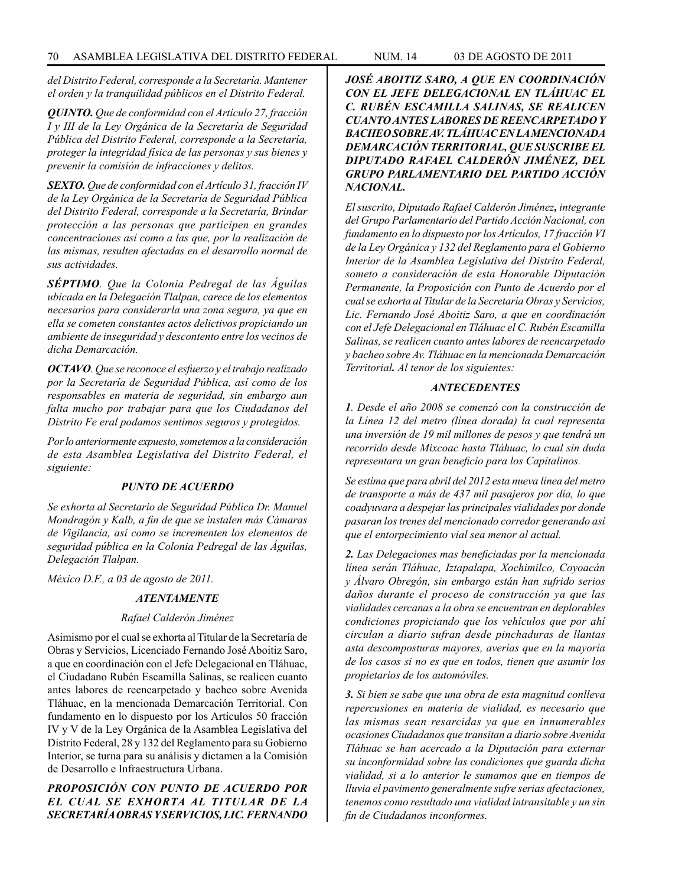*del Distrito Federal, corresponde a la Secretaría. Mantener el orden y la tranquilidad públicos en el Distrito Federal.*

*QUINTO. Que de conformidad con el Artículo 27, fracción I y III de la Ley Orgánica de la Secretaría de Seguridad Pública del Distrito Federal, corresponde a la Secretaría, proteger la integridad física de las personas y sus bienes y prevenir la comisión de infracciones y delitos.*

*SEXTO. Que de conformidad con el Artículo 31, fracción IV de la Ley Orgánica de la Secretaría de Seguridad Pública del Distrito Federal, corresponde a la Secretaría, Brindar protección a las personas que participen en grandes concentraciones así como a las que, por la realización de las mismas, resulten afectadas en el desarrollo normal de sus actividades.*

*SÉPTIMO. Que la Colonia Pedregal de las Águilas ubicada en la Delegación Tlalpan, carece de los elementos necesarios para considerarla una zona segura, ya que en ella se cometen constantes actos delictivos propiciando un ambiente de inseguridad y descontento entre los vecinos de dicha Demarcación.*

*OCTAVO. Que se reconoce el esfuerzo y el trabajo realizado por la Secretaría de Seguridad Pública, así como de los responsables en materia de seguridad, sin embargo aun falta mucho por trabajar para que los Ciudadanos del Distrito Fe eral podamos sentimos seguros y protegidos.* 

*Por lo anteriormente expuesto, sometemos a la consideración de esta Asamblea Legislativa del Distrito Federal, el siguiente:*

#### *PUNTO DE ACUERDO*

*Se exhorta al Secretario de Seguridad Pública Dr. Manuel Mondragón y Kalb, a fin de que se instalen más Cámaras de Vigilancia, así como se incrementen los elementos de seguridad pública en la Colonia Pedregal de las Águilas, Delegación Tlalpan.*

*México D.F., a 03 de agosto de 2011.*

#### *ATENTAMENTE*

#### *Rafael Calderón Jiménez*

Asimismo por el cual se exhorta al Titular de la Secretaría de Obras y Servicios, Licenciado Fernando José Aboitiz Saro, a que en coordinación con el Jefe Delegacional en Tláhuac, el Ciudadano Rubén Escamilla Salinas, se realicen cuanto antes labores de reencarpetado y bacheo sobre Avenida Tláhuac, en la mencionada Demarcación Territorial. Con fundamento en lo dispuesto por los Artículos 50 fracción IV y V de la Ley Orgánica de la Asamblea Legislativa del Distrito Federal, 28 y 132 del Reglamento para su Gobierno Interior, se turna para su análisis y dictamen a la Comisión de Desarrollo e Infraestructura Urbana.

# *PROPOSICIÓN CON PUNTO DE ACUERDO POR EL CUAL SE EXHORTA AL TITULAR DE LA SECRETARÍA OBRAS Y SERVICIOS, LIC. FERNANDO*

*JOSÉ ABOITIZ SARO, A QUE EN COORDINACIÓN CON EL JEFE DELEGACIONAL EN TLÁHUAC EL C. RUBÉN ESCAMILLA SALINAS, SE REALICEN CUANTO ANTES LABORES DE REENCARPETADO Y BACHEO SOBRE AV. TLÁHUAC EN LA MENCIONADA DEMARCACIÓN TERRITORIAL, QUE SUSCRIBE EL DIPUTADO RAFAEL CALDERÓN JIMÉNEZ, DEL GRUPO PARLAMENTARIO DEL PARTIDO ACCIÓN NACIONAL.*

*El suscrito, Diputado Rafael Calderón Jiménez, integrante del Grupo Parlamentario del Partido Acción Nacional, con fundamento en lo dispuesto por los Artículos, 17 fracción VI de la Ley Orgánica y 132 del Reglamento para el Gobierno Interior de la Asamblea Legislativa del Distrito Federal, someto a consideración de esta Honorable Diputación Permanente, la Proposición con Punto de Acuerdo por el cual se exhorta al Titular de la Secretaría Obras y Servicios, Lic. Fernando José Aboitiz Saro, a que en coordinación con el Jefe Delegacional en Tláhuac el C. Rubén Escamilla Salinas, se realicen cuanto antes labores de reencarpetado y bacheo sobre Av. Tláhuac en la mencionada Demarcación Territorial. Al tenor de los siguientes:*

#### *ANTECEDENTES*

*1. Desde el año 2008 se comenzó con la construcción de la Línea 12 del metro (línea dorada) la cual representa una inversión de 19 mil millones de pesos y que tendrá un recorrido desde Mixcoac hasta Tláhuac, lo cual sin duda representara un gran beneficio para los Capitalinos.*

*Se estima que para abril del 2012 esta nueva línea del metro de transporte a más de 437 mil pasajeros por día, lo que coadyuvara a despejar las principales vialidades por donde pasaran los trenes del mencionado corredor generando así que el entorpecimiento vial sea menor al actual.*

*2. Las Delegaciones mas beneficiadas por la mencionada línea serán Tláhuac, Iztapalapa, Xochimilco, Coyoacán y Álvaro Obregón, sin embargo están han sufrido serios daños durante el proceso de construcción ya que las vialidades cercanas a la obra se encuentran en deplorables condiciones propiciando que los vehículos que por ahí circulan a diario sufran desde pinchaduras de llantas asta descomposturas mayores, averías que en la mayoría de los casos si no es que en todos, tienen que asumir los propietarios de los automóviles.*

*3. Si bien se sabe que una obra de esta magnitud conlleva repercusiones en materia de vialidad, es necesario que las mismas sean resarcidas ya que en innumerables ocasiones Ciudadanos que transitan a diario sobre Avenida Tláhuac se han acercado a la Diputación para externar su inconformidad sobre las condiciones que guarda dicha vialidad, si a lo anterior le sumamos que en tiempos de lluvia el pavimento generalmente sufre serias afectaciones, tenemos como resultado una vialidad intransitable y un sin fin de Ciudadanos inconformes.*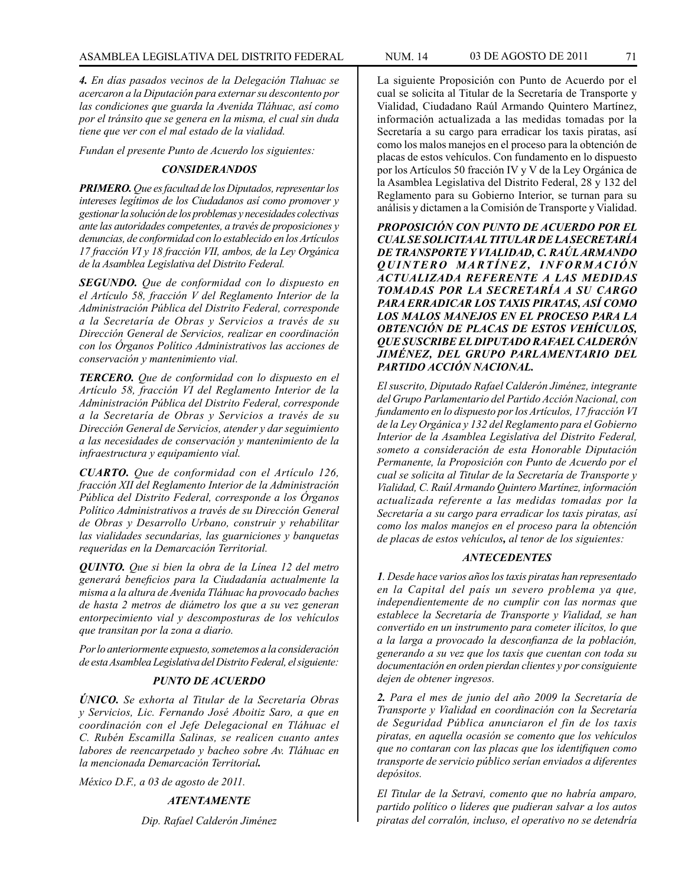*4. En días pasados vecinos de la Delegación Tlahuac se acercaron a la Diputación para externar su descontento por las condiciones que guarda la Avenida Tláhuac, así como por el tránsito que se genera en la misma, el cual sin duda tiene que ver con el mal estado de la vialidad.* 

*Fundan el presente Punto de Acuerdo los siguientes:*

#### *CONSIDERANDOS*

*PRIMERO. Que es facultad de los Diputados, representar los intereses legítimos de los Ciudadanos así como promover y gestionar la solución de los problemas y necesidades colectivas ante las autoridades competentes, a través de proposiciones y denuncias, de conformidad con lo establecido en los Artículos 17 fracción VI y 18 fracción VII, ambos, de la Ley Orgánica de la Asamblea Legislativa del Distrito Federal.*

*SEGUNDO. Que de conformidad con lo dispuesto en el Artículo 58, fracción V del Reglamento Interior de la Administración Pública del Distrito Federal, corresponde a la Secretaría de Obras y Servicios a través de su Dirección General de Servicios, realizar en coordinación con los Órganos Político Administrativos las acciones de conservación y mantenimiento vial.*

*TERCERO. Que de conformidad con lo dispuesto en el Artículo 58, fracción VI del Reglamento Interior de la Administración Pública del Distrito Federal, corresponde a la Secretaría de Obras y Servicios a través de su Dirección General de Servicios, atender y dar seguimiento a las necesidades de conservación y mantenimiento de la infraestructura y equipamiento vial.*

*CUARTO. Que de conformidad con el Artículo 126, fracción XII del Reglamento Interior de la Administración Pública del Distrito Federal, corresponde a los Órganos Político Administrativos a través de su Dirección General de Obras y Desarrollo Urbano, construir y rehabilitar las vialidades secundarias, las guarniciones y banquetas requeridas en la Demarcación Territorial.*

*QUINTO. Que si bien la obra de la Línea 12 del metro generará beneficios para la Ciudadanía actualmente la misma a la altura de Avenida Tláhuac ha provocado baches de hasta 2 metros de diámetro los que a su vez generan entorpecimiento vial y descomposturas de los vehículos que transitan por la zona a diario.*

*Por lo anteriormente expuesto, sometemos a la consideración de esta Asamblea Legislativa del Distrito Federal, el siguiente:*

#### *PUNTO DE ACUERDO*

*ÚNICO. Se exhorta al Titular de la Secretaría Obras y Servicios, Lic. Fernando José Aboitiz Saro, a que en coordinación con el Jefe Delegacional en Tláhuac el C. Rubén Escamilla Salinas, se realicen cuanto antes labores de reencarpetado y bacheo sobre Av. Tláhuac en la mencionada Demarcación Territorial.*

*México D.F., a 03 de agosto de 2011.*

#### *ATENTAMENTE*

*Dip. Rafael Calderón Jiménez*

La siguiente Proposición con Punto de Acuerdo por el cual se solicita al Titular de la Secretaría de Transporte y Vialidad, Ciudadano Raúl Armando Quintero Martínez, información actualizada a las medidas tomadas por la Secretaría a su cargo para erradicar los taxis piratas, así como los malos manejos en el proceso para la obtención de placas de estos vehículos. Con fundamento en lo dispuesto por los Artículos 50 fracción IV y V de la Ley Orgánica de la Asamblea Legislativa del Distrito Federal, 28 y 132 del Reglamento para su Gobierno Interior, se turnan para su análisis y dictamen a la Comisión de Transporte y Vialidad.

*PROPOSICIÓN CON PUNTO DE ACUERDO POR EL CUAL SE SOLICITA AL TITULAR DE LA SECRETARÍA DE TRANSPORTE Y VIALIDAD, C. RAÚL ARMANDO Q U I N T E R O M A R T Í N E Z , I N F O R M A C I Ó N ACTUALIZADA REFERENTE A LAS MEDIDAS TOMADAS POR LA SECRETARÍA A SU CARGO PARA ERRADICAR LOS TAXIS PIRATAS, ASÍ COMO LOS MALOS MANEJOS EN EL PROCESO PARA LA OBTENCIÓN DE PLACAS DE ESTOS VEHÍCULOS, QUE SUSCRIBE EL DIPUTADO RAFAEL CALDERÓN JIMÉNEZ, DEL GRUPO PARLAMENTARIO DEL PARTIDO ACCIÓN NACIONAL.* 

*El suscrito, Diputado Rafael Calderón Jiménez, integrante del Grupo Parlamentario del Partido Acción Nacional, con fundamento en lo dispuesto por los Artículos, 17 fracción VI de la Ley Orgánica y 132 del Reglamento para el Gobierno Interior de la Asamblea Legislativa del Distrito Federal, someto a consideración de esta Honorable Diputación Permanente, la Proposición con Punto de Acuerdo por el cual se solicita al Titular de la Secretaría de Transporte y Vialidad, C. Raúl Armando Quintero Martínez, información actualizada referente a las medidas tomadas por la Secretaría a su cargo para erradicar los taxis piratas, así como los malos manejos en el proceso para la obtención de placas de estos vehículos, al tenor de los siguientes:*

#### *ANTECEDENTES*

*1. Desde hace varios años los taxis piratas han representado en la Capital del país un severo problema ya que, independientemente de no cumplir con las normas que establece la Secretaría de Transporte y Vialidad, se han convertido en un instrumento para cometer ilícitos, lo que a la larga a provocado la desconfianza de la población, generando a su vez que los taxis que cuentan con toda su documentación en orden pierdan clientes y por consiguiente dejen de obtener ingresos.*

*2. Para el mes de junio del año 2009 la Secretaría de Transporte y Vialidad en coordinación con la Secretaría de Seguridad Pública anunciaron el fin de los taxis piratas, en aquella ocasión se comento que los vehículos que no contaran con las placas que los identifiquen como transporte de servicio público serían enviados a diferentes depósitos.*

*El Titular de la Setravi, comento que no habría amparo, partido político o líderes que pudieran salvar a los autos piratas del corralón, incluso, el operativo no se detendría*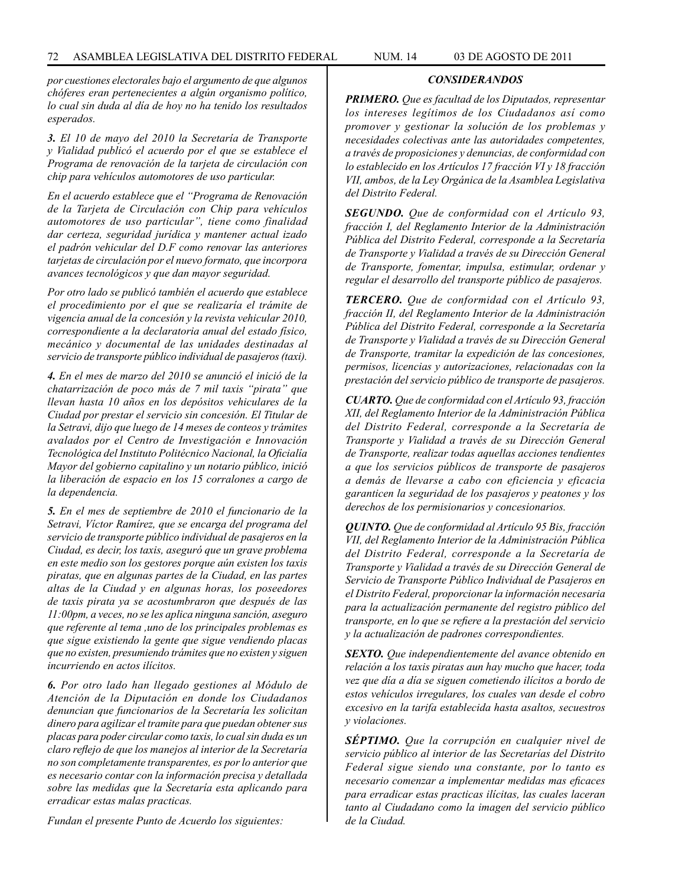*por cuestiones electorales bajo el argumento de que algunos chóferes eran pertenecientes a algún organismo político, lo cual sin duda al día de hoy no ha tenido los resultados esperados.*

*3. El 10 de mayo del 2010 la Secretaría de Transporte y Vialidad publicó el acuerdo por el que se establece el Programa de renovación de la tarjeta de circulación con chip para vehículos automotores de uso particular.*

*En el acuerdo establece que el "Programa de Renovación de la Tarjeta de Circulación con Chip para vehículos automotores de uso particular", tiene como finalidad dar certeza, seguridad jurídica y mantener actual izado el padrón vehicular del D.F como renovar las anteriores tarjetas de circulación por el nuevo formato, que incorpora avances tecnológicos y que dan mayor seguridad.*

*Por otro lado se publicó también el acuerdo que establece el procedimiento por el que se realizaría el trámite de vigencia anual de la concesión y la revista vehicular 2010, correspondiente a la declaratoria anual del estado físico, mecánico y documental de las unidades destinadas al servicio de transporte público individual de pasajeros (taxi).*

*4. En el mes de marzo del 2010 se anunció el inició de la chatarrización de poco más de 7 mil taxis "pirata" que llevan hasta 10 años en los depósitos vehiculares de la Ciudad por prestar el servicio sin concesión. El Titular de la Setravi, dijo que luego de 14 meses de conteos y trámites avalados por el Centro de Investigación e Innovación Tecnológica del Instituto Politécnico Nacional, la Oficialía Mayor del gobierno capitalino y un notario público, inició la liberación de espacio en los 15 corralones a cargo de la dependencia.*

*5. En el mes de septiembre de 2010 el funcionario de la Setravi, Víctor Ramírez, que se encarga del programa del servicio de transporte público individual de pasajeros en la Ciudad, es decir, los taxis, aseguró que un grave problema en este medio son los gestores porque aún existen los taxis piratas, que en algunas partes de la Ciudad, en las partes altas de la Ciudad y en algunas horas, los poseedores de taxis pirata ya se acostumbraron que después de las 11:00pm, a veces, no se les aplica ninguna sanción, aseguro que referente al tema ,uno de los principales problemas es que sigue existiendo la gente que sigue vendiendo placas que no existen, presumiendo trámites que no existen y siguen incurriendo en actos ilícitos.*

*6. Por otro lado han llegado gestiones al Módulo de Atención de la Diputación en donde los Ciudadanos denuncian que funcionarios de la Secretaría les solicitan dinero para agilizar el tramite para que puedan obtener sus placas para poder circular como taxis, lo cual sin duda es un claro reflejo de que los manejos al interior de la Secretaría no son completamente transparentes, es por lo anterior que es necesario contar con la información precisa y detallada sobre las medidas que la Secretaría esta aplicando para erradicar estas malas practicas.*

*Fundan el presente Punto de Acuerdo los siguientes:*

*PRIMERO. Que es facultad de los Diputados, representar los intereses legítimos de los Ciudadanos así como promover y gestionar la solución de los problemas y necesidades colectivas ante las autoridades competentes, a través de proposiciones y denuncias, de conformidad con lo establecido en los Artículos 17 fracción VI y 18 fracción VII, ambos, de la Ley Orgánica de la Asamblea Legislativa del Distrito Federal.*

*SEGUNDO. Que de conformidad con el Artículo 93, fracción I, del Reglamento Interior de la Administración Pública del Distrito Federal, corresponde a la Secretaría de Transporte y Vialidad a través de su Dirección General de Transporte, fomentar, impulsa, estimular, ordenar y regular el desarrollo del transporte público de pasajeros.*

*TERCERO. Que de conformidad con el Artículo 93, fracción II, del Reglamento Interior de la Administración Pública del Distrito Federal, corresponde a la Secretaría de Transporte y Vialidad a través de su Dirección General de Transporte, tramitar la expedición de las concesiones, permisos, licencias y autorizaciones, relacionadas con la prestación del servicio público de transporte de pasajeros.*

*CUARTO. Que de conformidad con el Artículo 93, fracción XII, del Reglamento Interior de la Administración Pública del Distrito Federal, corresponde a la Secretaría de Transporte y Vialidad a través de su Dirección General de Transporte, realizar todas aquellas acciones tendientes a que los servicios públicos de transporte de pasajeros a demás de llevarse a cabo con eficiencia y eficacia garanticen la seguridad de los pasajeros y peatones y los derechos de los permisionarios y concesionarios.*

*QUINTO. Que de conformidad al Artículo 95 Bis, fracción VII, del Reglamento Interior de la Administración Pública del Distrito Federal, corresponde a la Secretaría de Transporte y Vialidad a través de su Dirección General de Servicio de Transporte Público Individual de Pasajeros en el Distrito Federal, proporcionar la información necesaria para la actualización permanente del registro público del transporte, en lo que se refiere a la prestación del servicio y la actualización de padrones correspondientes.*

*SEXTO. Que independientemente del avance obtenido en relación a los taxis piratas aun hay mucho que hacer, toda vez que día a día se siguen cometiendo ilícitos a bordo de estos vehículos irregulares, los cuales van desde el cobro excesivo en la tarifa establecida hasta asaltos, secuestros y violaciones.*

*SÉPTIMO. Que la corrupción en cualquier nivel de servicio público al interior de las Secretarías del Distrito Federal sigue siendo una constante, por lo tanto es necesario comenzar a implementar medidas mas eficaces para erradicar estas practicas ilícitas, las cuales laceran tanto al Ciudadano como la imagen del servicio público de la Ciudad.*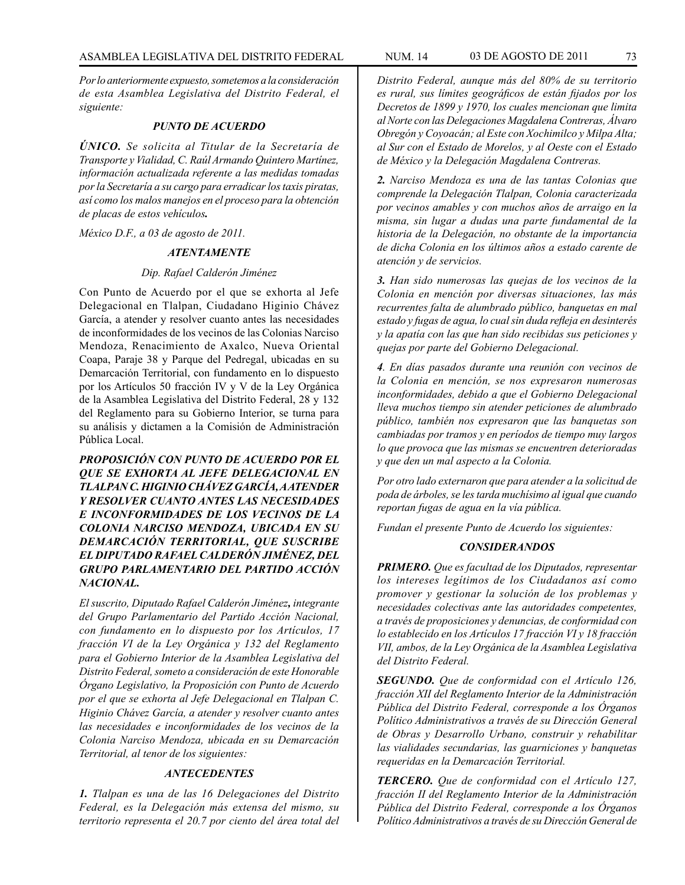*Por lo anteriormente expuesto, sometemos a la consideración de esta Asamblea Legislativa del Distrito Federal, el siguiente:*

#### *PUNTO DE ACUERDO*

*ÚNICO. Se solicita al Titular de la Secretaría de Transporte y Vialidad, C. Raúl Armando Quintero Martínez, información actualizada referente a las medidas tomadas por la Secretaría a su cargo para erradicar los taxis piratas, así como los malos manejos en el proceso para la obtención de placas de estos vehículos.*

*México D.F., a 03 de agosto de 2011.*

### *ATENTAMENTE*

#### *Dip. Rafael Calderón Jiménez*

Con Punto de Acuerdo por el que se exhorta al Jefe Delegacional en Tlalpan, Ciudadano Higinio Chávez García, a atender y resolver cuanto antes las necesidades de inconformidades de los vecinos de las Colonias Narciso Mendoza, Renacimiento de Axalco, Nueva Oriental Coapa, Paraje 38 y Parque del Pedregal, ubicadas en su Demarcación Territorial, con fundamento en lo dispuesto por los Artículos 50 fracción IV y V de la Ley Orgánica de la Asamblea Legislativa del Distrito Federal, 28 y 132 del Reglamento para su Gobierno Interior, se turna para su análisis y dictamen a la Comisión de Administración Pública Local.

*PROPOSICIÓN CON PUNTO DE ACUERDO POR EL QUE SE EXHORTA AL JEFE DELEGACIONAL EN TLALPAN C. HIGINIO CHÁVEZ GARCÍA, A ATENDER Y RESOLVER CUANTO ANTES LAS NECESIDADES E INCONFORMIDADES DE LOS VECINOS DE LA COLONIA NARCISO MENDOZA, UBICADA EN SU DEMARCACIÓN TERRITORIAL, QUE SUSCRIBE EL DIPUTADO RAFAEL CALDERÓN JIMÉNEZ, DEL GRUPO PARLAMENTARIO DEL PARTIDO ACCIÓN NACIONAL.*

*El suscrito, Diputado Rafael Calderón Jiménez, integrante del Grupo Parlamentario del Partido Acción Nacional, con fundamento en lo dispuesto por los Artículos, 17 fracción VI de la Ley Orgánica y 132 del Reglamento para el Gobierno Interior de la Asamblea Legislativa del Distrito Federal, someto a consideración de este Honorable Órgano Legislativo, la Proposición con Punto de Acuerdo por el que se exhorta al Jefe Delegacional en Tlalpan C. Higinio Chávez García, a atender y resolver cuanto antes las necesidades e inconformidades de los vecinos de la Colonia Narciso Mendoza, ubicada en su Demarcación Territorial, al tenor de los siguientes:*

# *ANTECEDENTES*

*1. Tlalpan es una de las 16 Delegaciones del Distrito Federal, es la Delegación más extensa del mismo, su territorio representa el 20.7 por ciento del área total del* 

*Distrito Federal, aunque más del 80% de su territorio es rural, sus límites geográficos de están fijados por los Decretos de 1899 y 1970, los cuales mencionan que limita al Norte con las Delegaciones Magdalena Contreras, Álvaro Obregón y Coyoacán; al Este con Xochimilco y Milpa Alta; al Sur con el Estado de Morelos, y al Oeste con el Estado de México y la Delegación Magdalena Contreras.*

*2. Narciso Mendoza es una de las tantas Colonias que comprende la Delegación Tlalpan, Colonia caracterizada por vecinos amables y con muchos años de arraigo en la misma, sin lugar a dudas una parte fundamental de la historia de la Delegación, no obstante de la importancia de dicha Colonia en los últimos años a estado carente de atención y de servicios.* 

*3. Han sido numerosas las quejas de los vecinos de la Colonia en mención por diversas situaciones, las más recurrentes falta de alumbrado público, banquetas en mal estado y fugas de agua, lo cual sin duda refleja en desinterés y la apatía con las que han sido recibidas sus peticiones y quejas por parte del Gobierno Delegacional.*

*4. En días pasados durante una reunión con vecinos de la Colonia en mención, se nos expresaron numerosas inconformidades, debido a que el Gobierno Delegacional lleva muchos tiempo sin atender peticiones de alumbrado público, también nos expresaron que las banquetas son cambiadas por tramos y en períodos de tiempo muy largos lo que provoca que las mismas se encuentren deterioradas y que den un mal aspecto a la Colonia.*

*Por otro lado externaron que para atender a la solicitud de poda de árboles, se les tarda muchísimo al igual que cuando reportan fugas de agua en la vía pública.*

*Fundan el presente Punto de Acuerdo los siguientes:*

## *CONSIDERANDOS*

*PRIMERO. Que es facultad de los Diputados, representar los intereses legítimos de los Ciudadanos así como promover y gestionar la solución de los problemas y necesidades colectivas ante las autoridades competentes, a través de proposiciones y denuncias, de conformidad con lo establecido en los Artículos 17 fracción VI y 18 fracción VII, ambos, de la Ley Orgánica de la Asamblea Legislativa del Distrito Federal.*

*SEGUNDO. Que de conformidad con el Artículo 126, fracción XII del Reglamento Interior de la Administración Pública del Distrito Federal, corresponde a los Órganos Político Administrativos a través de su Dirección General de Obras y Desarrollo Urbano, construir y rehabilitar las vialidades secundarias, las guarniciones y banquetas requeridas en la Demarcación Territorial.*

*TERCERO. Que de conformidad con el Artículo 127, fracción II del Reglamento Interior de la Administración Pública del Distrito Federal, corresponde a los Órganos Político Administrativos a través de su Dirección General de*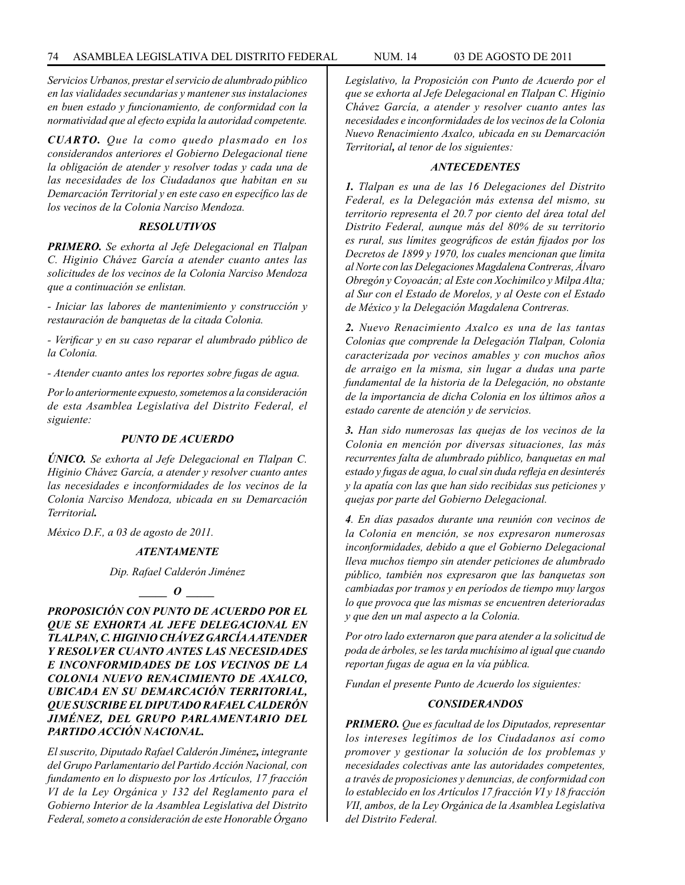*Servicios Urbanos, prestar el servicio de alumbrado público en las vialidades secundarias y mantener sus instalaciones en buen estado y funcionamiento, de conformidad con la normatividad que al efecto expida la autoridad competente.*

*CUARTO. Que la como quedo plasmado en los considerandos anteriores el Gobierno Delegacional tiene la obligación de atender y resolver todas y cada una de las necesidades de los Ciudadanos que habitan en su Demarcación Territorial y en este caso en específico las de los vecinos de la Colonia Narciso Mendoza.*

### *RESOLUTIVOS*

*PRIMERO. Se exhorta al Jefe Delegacional en Tlalpan C. Higinio Chávez García a atender cuanto antes las solicitudes de los vecinos de la Colonia Narciso Mendoza que a continuación se enlistan.*

*- Iniciar las labores de mantenimiento y construcción y restauración de banquetas de la citada Colonia.* 

*- Verificar y en su caso reparar el alumbrado público de la Colonia.*

*- Atender cuanto antes los reportes sobre fugas de agua.*

*Por lo anteriormente expuesto, sometemos a la consideración de esta Asamblea Legislativa del Distrito Federal, el siguiente:*

#### *PUNTO DE ACUERDO*

*ÚNICO. Se exhorta al Jefe Delegacional en Tlalpan C. Higinio Chávez García, a atender y resolver cuanto antes las necesidades e inconformidades de los vecinos de la Colonia Narciso Mendoza, ubicada en su Demarcación Territorial.*

*México D.F., a 03 de agosto de 2011.*

# *ATENTAMENTE*

*Dip. Rafael Calderón Jiménez*

*\_\_\_\_\_ O \_\_\_\_\_*

*PROPOSICIÓN CON PUNTO DE ACUERDO POR EL QUE SE EXHORTA AL JEFE DELEGACIONAL EN TLALPAN, C. HIGINIO CHÁVEZ GARCÍA A ATENDER Y RESOLVER CUANTO ANTES LAS NECESIDADES E INCONFORMIDADES DE LOS VECINOS DE LA COLONIA NUEVO RENACIMIENTO DE AXALCO, UBICADA EN SU DEMARCACIÓN TERRITORIAL, QUE SUSCRIBE EL DIPUTADO RAFAEL CALDERÓN JIMÉNEZ, DEL GRUPO PARLAMENTARIO DEL PARTIDO ACCIÓN NACIONAL.*

*El suscrito, Diputado Rafael Calderón Jiménez, integrante del Grupo Parlamentario del Partido Acción Nacional, con fundamento en lo dispuesto por los Artículos, 17 fracción VI de la Ley Orgánica y 132 del Reglamento para el Gobierno Interior de la Asamblea Legislativa del Distrito Federal, someto a consideración de este Honorable Órgano* 

*Legislativo, la Proposición con Punto de Acuerdo por el que se exhorta al Jefe Delegacional en Tlalpan C. Higinio Chávez García, a atender y resolver cuanto antes las necesidades e inconformidades de los vecinos de la Colonia Nuevo Renacimiento Axalco, ubicada en su Demarcación Territorial, al tenor de los siguientes:*

## *ANTECEDENTES*

*1. Tlalpan es una de las 16 Delegaciones del Distrito Federal, es la Delegación más extensa del mismo, su territorio representa el 20.7 por ciento del área total del Distrito Federal, aunque más del 80% de su territorio es rural, sus límites geográficos de están fijados por los Decretos de 1899 y 1970, los cuales mencionan que limita al Norte con las Delegaciones Magdalena Contreras, Álvaro Obregón y Coyoacán; al Este con Xochimilco y Milpa Alta; al Sur con el Estado de Morelos, y al Oeste con el Estado de México y la Delegación Magdalena Contreras.*

*2. Nuevo Renacimiento Axalco es una de las tantas Colonias que comprende la Delegación Tlalpan, Colonia caracterizada por vecinos amables y con muchos años de arraigo en la misma, sin lugar a dudas una parte fundamental de la historia de la Delegación, no obstante de la importancia de dicha Colonia en los últimos años a estado carente de atención y de servicios.* 

*3. Han sido numerosas las quejas de los vecinos de la Colonia en mención por diversas situaciones, las más recurrentes falta de alumbrado público, banquetas en mal estado y fugas de agua, lo cual sin duda refleja en desinterés y la apatía con las que han sido recibidas sus peticiones y quejas por parte del Gobierno Delegacional.*

*4. En días pasados durante una reunión con vecinos de la Colonia en mención, se nos expresaron numerosas inconformidades, debido a que el Gobierno Delegacional lleva muchos tiempo sin atender peticiones de alumbrado público, también nos expresaron que las banquetas son cambiadas por tramos y en períodos de tiempo muy largos lo que provoca que las mismas se encuentren deterioradas y que den un mal aspecto a la Colonia.*

*Por otro lado externaron que para atender a la solicitud de poda de árboles, se les tarda muchísimo al igual que cuando reportan fugas de agua en la vía pública.*

*Fundan el presente Punto de Acuerdo los siguientes:*

#### *CONSIDERANDOS*

*PRIMERO. Que es facultad de los Diputados, representar los intereses legítimos de los Ciudadanos así como promover y gestionar la solución de los problemas y necesidades colectivas ante las autoridades competentes, a través de proposiciones y denuncias, de conformidad con lo establecido en los Artículos 17 fracción VI y 18 fracción VII, ambos, de la Ley Orgánica de la Asamblea Legislativa del Distrito Federal.*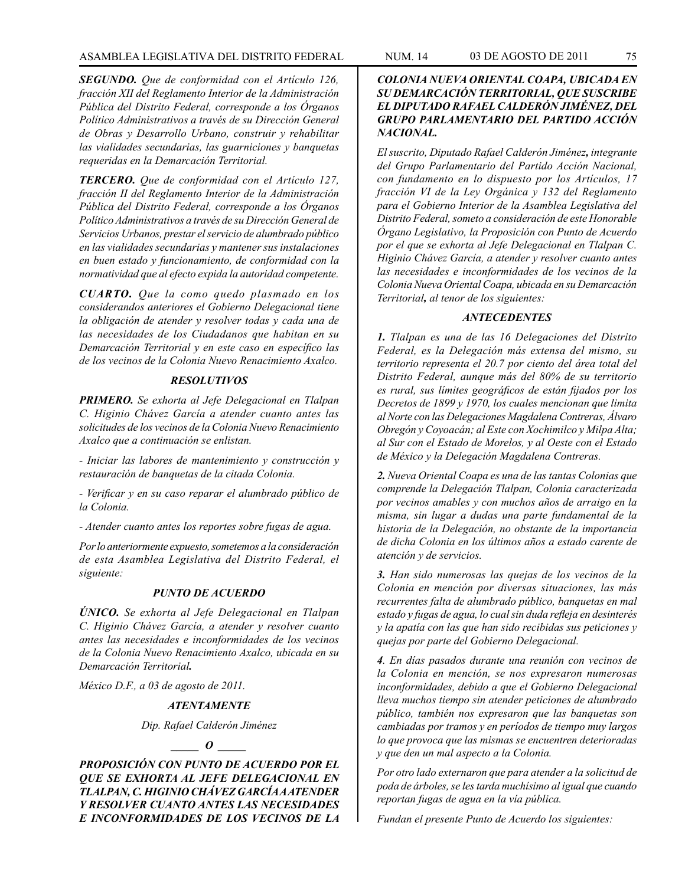*SEGUNDO. Que de conformidad con el Artículo 126, fracción XII del Reglamento Interior de la Administración Pública del Distrito Federal, corresponde a los Órganos Político Administrativos a través de su Dirección General de Obras y Desarrollo Urbano, construir y rehabilitar las vialidades secundarias, las guarniciones y banquetas requeridas en la Demarcación Territorial.*

*TERCERO. Que de conformidad con el Artículo 127, fracción II del Reglamento Interior de la Administración Pública del Distrito Federal, corresponde a los Órganos Político Administrativos a través de su Dirección General de Servicios Urbanos, prestar el servicio de alumbrado público en las vialidades secundarias y mantener sus instalaciones en buen estado y funcionamiento, de conformidad con la normatividad que al efecto expida la autoridad competente.*

*CUARTO. Que la como quedo plasmado en los considerandos anteriores el Gobierno Delegacional tiene la obligación de atender y resolver todas y cada una de las necesidades de los Ciudadanos que habitan en su Demarcación Territorial y en este caso en específico las de los vecinos de la Colonia Nuevo Renacimiento Axalco.*

### *RESOLUTIVOS*

*PRIMERO. Se exhorta al Jefe Delegacional en Tlalpan C. Higinio Chávez García a atender cuanto antes las solicitudes de los vecinos de la Colonia Nuevo Renacimiento Axalco que a continuación se enlistan.*

*- Iniciar las labores de mantenimiento y construcción y restauración de banquetas de la citada Colonia.* 

*- Verificar y en su caso reparar el alumbrado público de la Colonia.*

*- Atender cuanto antes los reportes sobre fugas de agua.*

*Por lo anteriormente expuesto, sometemos a la consideración de esta Asamblea Legislativa del Distrito Federal, el siguiente:*

### *PUNTO DE ACUERDO*

*ÚNICO. Se exhorta al Jefe Delegacional en Tlalpan C. Higinio Chávez García, a atender y resolver cuanto antes las necesidades e inconformidades de los vecinos de la Colonia Nuevo Renacimiento Axalco, ubicada en su Demarcación Territorial.*

*México D.F., a 03 de agosto de 2011.*

### *ATENTAMENTE*

*Dip. Rafael Calderón Jiménez*

# *\_\_\_\_\_ O \_\_\_\_\_*

*PROPOSICIÓN CON PUNTO DE ACUERDO POR EL QUE SE EXHORTA AL JEFE DELEGACIONAL EN TLALPAN, C. HIGINIO CHÁVEZ GARCÍA A ATENDER Y RESOLVER CUANTO ANTES LAS NECESIDADES E INCONFORMIDADES DE LOS VECINOS DE LA* 

# *COLONIA NUEVA ORIENTAL COAPA, UBICADA EN SU DEMARCACIÓN TERRITORIAL, QUE SUSCRIBE EL DIPUTADO RAFAEL CALDERÓN JIMÉNEZ, DEL GRUPO PARLAMENTARIO DEL PARTIDO ACCIÓN NACIONAL.*

*El suscrito, Diputado Rafael Calderón Jiménez, integrante del Grupo Parlamentario del Partido Acción Nacional, con fundamento en lo dispuesto por los Artículos, 17 fracción VI de la Ley Orgánica y 132 del Reglamento para el Gobierno Interior de la Asamblea Legislativa del Distrito Federal, someto a consideración de este Honorable Órgano Legislativo, la Proposición con Punto de Acuerdo por el que se exhorta al Jefe Delegacional en Tlalpan C. Higinio Chávez García, a atender y resolver cuanto antes las necesidades e inconformidades de los vecinos de la Colonia Nueva Oriental Coapa, ubicada en su Demarcación Territorial, al tenor de los siguientes:*

### *ANTECEDENTES*

*1. Tlalpan es una de las 16 Delegaciones del Distrito Federal, es la Delegación más extensa del mismo, su territorio representa el 20.7 por ciento del área total del Distrito Federal, aunque más del 80% de su territorio es rural, sus límites geográficos de están fijados por los Decretos de 1899 y 1970, los cuales mencionan que limita al Norte con las Delegaciones Magdalena Contreras, Álvaro Obregón y Coyoacán; al Este con Xochimilco y Milpa Alta; al Sur con el Estado de Morelos, y al Oeste con el Estado de México y la Delegación Magdalena Contreras.*

*2. Nueva Oriental Coapa es una de las tantas Colonias que comprende la Delegación Tlalpan, Colonia caracterizada por vecinos amables y con muchos años de arraigo en la misma, sin lugar a dudas una parte fundamental de la historia de la Delegación, no obstante de la importancia de dicha Colonia en los últimos años a estado carente de atención y de servicios.* 

*3. Han sido numerosas las quejas de los vecinos de la Colonia en mención por diversas situaciones, las más recurrentes falta de alumbrado público, banquetas en mal estado y fugas de agua, lo cual sin duda refleja en desinterés y la apatía con las que han sido recibidas sus peticiones y quejas por parte del Gobierno Delegacional.*

*4. En días pasados durante una reunión con vecinos de la Colonia en mención, se nos expresaron numerosas inconformidades, debido a que el Gobierno Delegacional lleva muchos tiempo sin atender peticiones de alumbrado público, también nos expresaron que las banquetas son cambiadas por tramos y en períodos de tiempo muy largos lo que provoca que las mismas se encuentren deterioradas y que den un mal aspecto a la Colonia.*

*Por otro lado externaron que para atender a la solicitud de poda de árboles, se les tarda muchísimo al igual que cuando reportan fugas de agua en la vía pública.*

*Fundan el presente Punto de Acuerdo los siguientes:*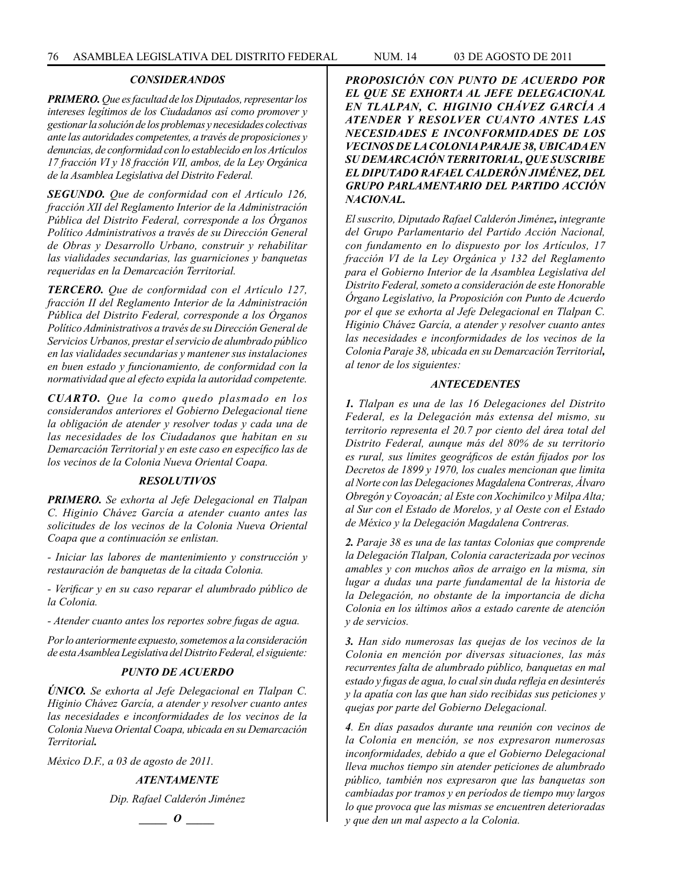# *CONSIDERANDOS*

*PRIMERO. Que es facultad de los Diputados, representar los intereses legítimos de los Ciudadanos así como promover y gestionar la solución de los problemas y necesidades colectivas ante las autoridades competentes, a través de proposiciones y denuncias, de conformidad con lo establecido en los Artículos 17 fracción VI y 18 fracción VII, ambos, de la Ley Orgánica de la Asamblea Legislativa del Distrito Federal.*

*SEGUNDO. Que de conformidad con el Artículo 126, fracción XII del Reglamento Interior de la Administración Pública del Distrito Federal, corresponde a los Órganos Político Administrativos a través de su Dirección General de Obras y Desarrollo Urbano, construir y rehabilitar las vialidades secundarias, las guarniciones y banquetas requeridas en la Demarcación Territorial.*

*TERCERO. Que de conformidad con el Artículo 127, fracción II del Reglamento Interior de la Administración Pública del Distrito Federal, corresponde a los Órganos Político Administrativos a través de su Dirección General de Servicios Urbanos, prestar el servicio de alumbrado público en las vialidades secundarias y mantener sus instalaciones en buen estado y funcionamiento, de conformidad con la normatividad que al efecto expida la autoridad competente.*

*CUARTO. Que la como quedo plasmado en los considerandos anteriores el Gobierno Delegacional tiene la obligación de atender y resolver todas y cada una de las necesidades de los Ciudadanos que habitan en su Demarcación Territorial y en este caso en específico las de los vecinos de la Colonia Nueva Oriental Coapa.*

### *RESOLUTIVOS*

*PRIMERO. Se exhorta al Jefe Delegacional en Tlalpan C. Higinio Chávez García a atender cuanto antes las solicitudes de los vecinos de la Colonia Nueva Oriental Coapa que a continuación se enlistan.*

*- Iniciar las labores de mantenimiento y construcción y restauración de banquetas de la citada Colonia.* 

*- Verificar y en su caso reparar el alumbrado público de la Colonia.*

*- Atender cuanto antes los reportes sobre fugas de agua.*

*Por lo anteriormente expuesto, sometemos a la consideración de esta Asamblea Legislativa del Distrito Federal, el siguiente:*

## *PUNTO DE ACUERDO*

*ÚNICO. Se exhorta al Jefe Delegacional en Tlalpan C. Higinio Chávez García, a atender y resolver cuanto antes las necesidades e inconformidades de los vecinos de la Colonia Nueva Oriental Coapa, ubicada en su Demarcación Territorial.*

*México D.F., a 03 de agosto de 2011.*

## *ATENTAMENTE*

*Dip. Rafael Calderón Jiménez*



*PROPOSICIÓN CON PUNTO DE ACUERDO POR EL QUE SE EXHORTA AL JEFE DELEGACIONAL EN TLALPAN, C. HIGINIO CHÁVEZ GARCÍA A ATENDER Y RESOLVER CUANTO ANTES LAS NECESIDADES E INCONFORMIDADES DE LOS VECINOS DE LA COLONIA PARAJE 38, UBICADA EN SU DEMARCACIÓN TERRITORIAL, QUE SUSCRIBE EL DIPUTADO RAFAEL CALDERÓN JIMÉNEZ, DEL GRUPO PARLAMENTARIO DEL PARTIDO ACCIÓN NACIONAL.*

*El suscrito, Diputado Rafael Calderón Jiménez, integrante del Grupo Parlamentario del Partido Acción Nacional, con fundamento en lo dispuesto por los Artículos, 17 fracción VI de la Ley Orgánica y 132 del Reglamento para el Gobierno Interior de la Asamblea Legislativa del Distrito Federal, someto a consideración de este Honorable Órgano Legislativo, la Proposición con Punto de Acuerdo por el que se exhorta al Jefe Delegacional en Tlalpan C. Higinio Chávez García, a atender y resolver cuanto antes las necesidades e inconformidades de los vecinos de la Colonia Paraje 38, ubicada en su Demarcación Territorial, al tenor de los siguientes:*

#### *ANTECEDENTES*

*1. Tlalpan es una de las 16 Delegaciones del Distrito Federal, es la Delegación más extensa del mismo, su territorio representa el 20.7 por ciento del área total del Distrito Federal, aunque más del 80% de su territorio es rural, sus límites geográficos de están fijados por los Decretos de 1899 y 1970, los cuales mencionan que limita al Norte con las Delegaciones Magdalena Contreras, Álvaro Obregón y Coyoacán; al Este con Xochimilco y Milpa Alta; al Sur con el Estado de Morelos, y al Oeste con el Estado de México y la Delegación Magdalena Contreras.*

*2. Paraje 38 es una de las tantas Colonias que comprende la Delegación Tlalpan, Colonia caracterizada por vecinos amables y con muchos años de arraigo en la misma, sin lugar a dudas una parte fundamental de la historia de la Delegación, no obstante de la importancia de dicha Colonia en los últimos años a estado carente de atención y de servicios.* 

*3. Han sido numerosas las quejas de los vecinos de la Colonia en mención por diversas situaciones, las más recurrentes falta de alumbrado público, banquetas en mal estado y fugas de agua, lo cual sin duda refleja en desinterés y la apatía con las que han sido recibidas sus peticiones y quejas por parte del Gobierno Delegacional.*

*4. En días pasados durante una reunión con vecinos de la Colonia en mención, se nos expresaron numerosas inconformidades, debido a que el Gobierno Delegacional lleva muchos tiempo sin atender peticiones de alumbrado público, también nos expresaron que las banquetas son cambiadas por tramos y en períodos de tiempo muy largos lo que provoca que las mismas se encuentren deterioradas y que den un mal aspecto a la Colonia.*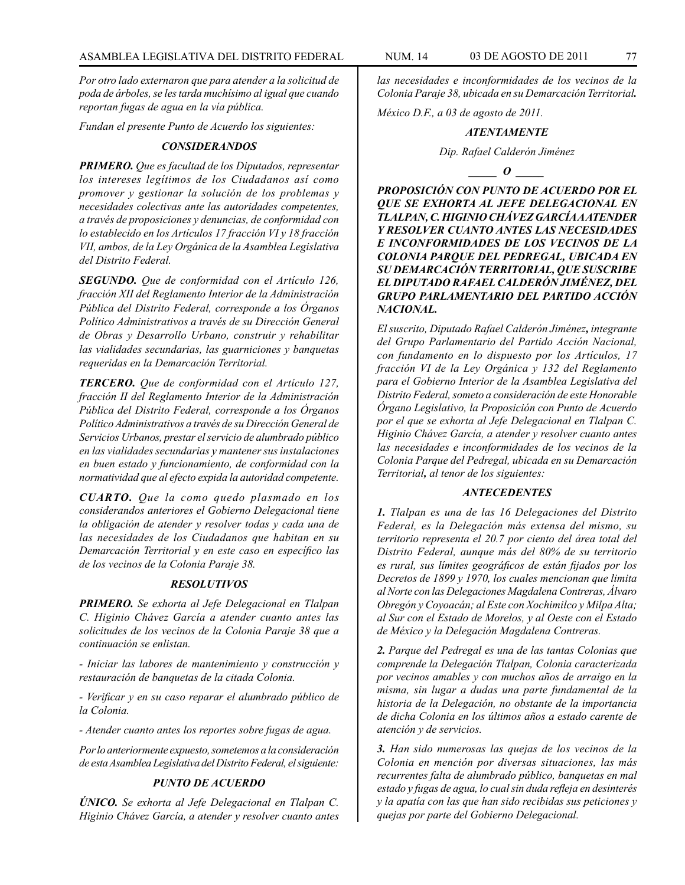*Por otro lado externaron que para atender a la solicitud de poda de árboles, se les tarda muchísimo al igual que cuando reportan fugas de agua en la vía pública.*

*Fundan el presente Punto de Acuerdo los siguientes:*

### *CONSIDERANDOS*

*PRIMERO. Que es facultad de los Diputados, representar los intereses legítimos de los Ciudadanos así como promover y gestionar la solución de los problemas y necesidades colectivas ante las autoridades competentes, a través de proposiciones y denuncias, de conformidad con lo establecido en los Artículos 17 fracción VI y 18 fracción VII, ambos, de la Ley Orgánica de la Asamblea Legislativa del Distrito Federal.*

*SEGUNDO. Que de conformidad con el Artículo 126, fracción XII del Reglamento Interior de la Administración Pública del Distrito Federal, corresponde a los Órganos Político Administrativos a través de su Dirección General de Obras y Desarrollo Urbano, construir y rehabilitar las vialidades secundarias, las guarniciones y banquetas requeridas en la Demarcación Territorial.*

*TERCERO. Que de conformidad con el Artículo 127, fracción II del Reglamento Interior de la Administración Pública del Distrito Federal, corresponde a los Órganos Político Administrativos a través de su Dirección General de Servicios Urbanos, prestar el servicio de alumbrado público en las vialidades secundarias y mantener sus instalaciones en buen estado y funcionamiento, de conformidad con la normatividad que al efecto expida la autoridad competente.*

*CUARTO. Que la como quedo plasmado en los considerandos anteriores el Gobierno Delegacional tiene la obligación de atender y resolver todas y cada una de las necesidades de los Ciudadanos que habitan en su Demarcación Territorial y en este caso en específico las de los vecinos de la Colonia Paraje 38.*

## *RESOLUTIVOS*

*PRIMERO. Se exhorta al Jefe Delegacional en Tlalpan C. Higinio Chávez García a atender cuanto antes las solicitudes de los vecinos de la Colonia Paraje 38 que a continuación se enlistan.*

*- Iniciar las labores de mantenimiento y construcción y restauración de banquetas de la citada Colonia.* 

*- Verificar y en su caso reparar el alumbrado público de la Colonia.*

*- Atender cuanto antes los reportes sobre fugas de agua.*

*Por lo anteriormente expuesto, sometemos a la consideración de esta Asamblea Legislativa del Distrito Federal, el siguiente:*

### *PUNTO DE ACUERDO*

*ÚNICO. Se exhorta al Jefe Delegacional en Tlalpan C. Higinio Chávez García, a atender y resolver cuanto antes*  *las necesidades e inconformidades de los vecinos de la Colonia Paraje 38, ubicada en su Demarcación Territorial.*

*México D.F., a 03 de agosto de 2011.*

#### *ATENTAMENTE*

#### *Dip. Rafael Calderón Jiménez*

*\_\_\_\_\_ O \_\_\_\_\_*

*PROPOSICIÓN CON PUNTO DE ACUERDO POR EL QUE SE EXHORTA AL JEFE DELEGACIONAL EN TLALPAN, C. HIGINIO CHÁVEZ GARCÍA A ATENDER Y RESOLVER CUANTO ANTES LAS NECESIDADES E INCONFORMIDADES DE LOS VECINOS DE LA COLONIA PARQUE DEL PEDREGAL, UBICADA EN SU DEMARCACIÓN TERRITORIAL, QUE SUSCRIBE EL DIPUTADO RAFAEL CALDERÓN JIMÉNEZ, DEL GRUPO PARLAMENTARIO DEL PARTIDO ACCIÓN NACIONAL.*

*El suscrito, Diputado Rafael Calderón Jiménez, integrante del Grupo Parlamentario del Partido Acción Nacional, con fundamento en lo dispuesto por los Artículos, 17 fracción VI de la Ley Orgánica y 132 del Reglamento para el Gobierno Interior de la Asamblea Legislativa del Distrito Federal, someto a consideración de este Honorable Órgano Legislativo, la Proposición con Punto de Acuerdo por el que se exhorta al Jefe Delegacional en Tlalpan C. Higinio Chávez García, a atender y resolver cuanto antes las necesidades e inconformidades de los vecinos de la Colonia Parque del Pedregal, ubicada en su Demarcación Territorial, al tenor de los siguientes:*

# *ANTECEDENTES*

*1. Tlalpan es una de las 16 Delegaciones del Distrito Federal, es la Delegación más extensa del mismo, su territorio representa el 20.7 por ciento del área total del Distrito Federal, aunque más del 80% de su territorio es rural, sus límites geográficos de están fijados por los Decretos de 1899 y 1970, los cuales mencionan que limita al Norte con las Delegaciones Magdalena Contreras, Álvaro Obregón y Coyoacán; al Este con Xochimilco y Milpa Alta; al Sur con el Estado de Morelos, y al Oeste con el Estado de México y la Delegación Magdalena Contreras.*

*2. Parque del Pedregal es una de las tantas Colonias que comprende la Delegación Tlalpan, Colonia caracterizada por vecinos amables y con muchos años de arraigo en la misma, sin lugar a dudas una parte fundamental de la historia de la Delegación, no obstante de la importancia de dicha Colonia en los últimos años a estado carente de atención y de servicios.* 

*3. Han sido numerosas las quejas de los vecinos de la Colonia en mención por diversas situaciones, las más recurrentes falta de alumbrado público, banquetas en mal estado y fugas de agua, lo cual sin duda refleja en desinterés y la apatía con las que han sido recibidas sus peticiones y quejas por parte del Gobierno Delegacional.*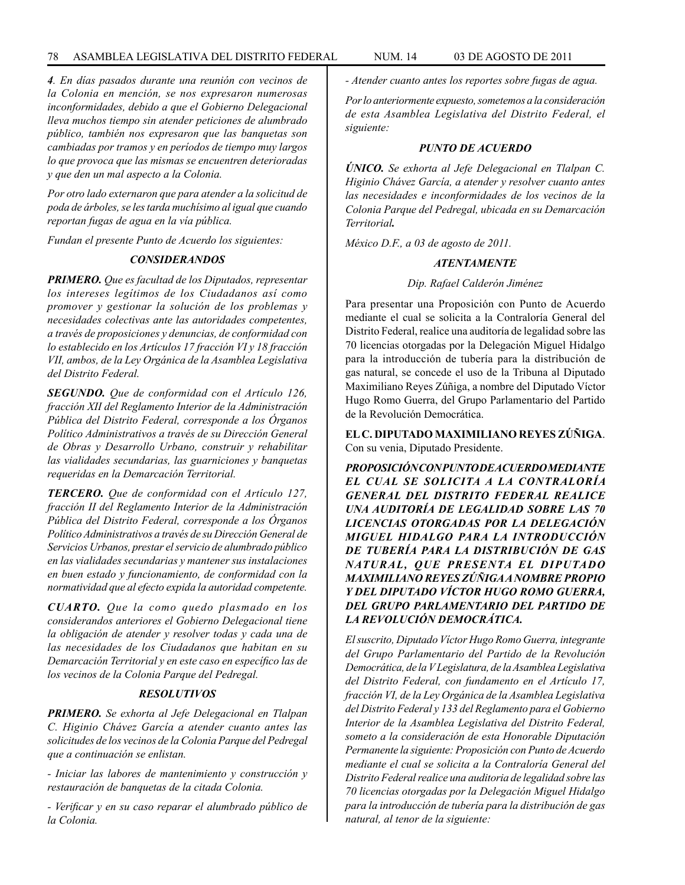*4. En días pasados durante una reunión con vecinos de la Colonia en mención, se nos expresaron numerosas inconformidades, debido a que el Gobierno Delegacional lleva muchos tiempo sin atender peticiones de alumbrado público, también nos expresaron que las banquetas son cambiadas por tramos y en períodos de tiempo muy largos lo que provoca que las mismas se encuentren deterioradas y que den un mal aspecto a la Colonia.*

*Por otro lado externaron que para atender a la solicitud de poda de árboles, se les tarda muchísimo al igual que cuando reportan fugas de agua en la vía pública.*

*Fundan el presente Punto de Acuerdo los siguientes:*

### *CONSIDERANDOS*

*PRIMERO. Que es facultad de los Diputados, representar los intereses legítimos de los Ciudadanos así como promover y gestionar la solución de los problemas y necesidades colectivas ante las autoridades competentes, a través de proposiciones y denuncias, de conformidad con lo establecido en los Artículos 17 fracción VI y 18 fracción VII, ambos, de la Ley Orgánica de la Asamblea Legislativa del Distrito Federal.*

*SEGUNDO. Que de conformidad con el Artículo 126, fracción XII del Reglamento Interior de la Administración Pública del Distrito Federal, corresponde a los Órganos Político Administrativos a través de su Dirección General de Obras y Desarrollo Urbano, construir y rehabilitar las vialidades secundarias, las guarniciones y banquetas requeridas en la Demarcación Territorial.*

*TERCERO. Que de conformidad con el Artículo 127, fracción II del Reglamento Interior de la Administración Pública del Distrito Federal, corresponde a los Órganos Político Administrativos a través de su Dirección General de Servicios Urbanos, prestar el servicio de alumbrado público en las vialidades secundarias y mantener sus instalaciones en buen estado y funcionamiento, de conformidad con la normatividad que al efecto expida la autoridad competente.*

*CUARTO. Que la como quedo plasmado en los considerandos anteriores el Gobierno Delegacional tiene la obligación de atender y resolver todas y cada una de las necesidades de los Ciudadanos que habitan en su Demarcación Territorial y en este caso en específico las de los vecinos de la Colonia Parque del Pedregal.*

# *RESOLUTIVOS*

*PRIMERO. Se exhorta al Jefe Delegacional en Tlalpan C. Higinio Chávez García a atender cuanto antes las solicitudes de los vecinos de la Colonia Parque del Pedregal que a continuación se enlistan.*

*- Iniciar las labores de mantenimiento y construcción y restauración de banquetas de la citada Colonia.* 

*- Verificar y en su caso reparar el alumbrado público de la Colonia.*

*- Atender cuanto antes los reportes sobre fugas de agua.*

*Por lo anteriormente expuesto, sometemos a la consideración de esta Asamblea Legislativa del Distrito Federal, el siguiente:*

### *PUNTO DE ACUERDO*

*ÚNICO. Se exhorta al Jefe Delegacional en Tlalpan C. Higinio Chávez García, a atender y resolver cuanto antes las necesidades e inconformidades de los vecinos de la Colonia Parque del Pedregal, ubicada en su Demarcación Territorial.*

*México D.F., a 03 de agosto de 2011.*

## *ATENTAMENTE*

## *Dip. Rafael Calderón Jiménez*

Para presentar una Proposición con Punto de Acuerdo mediante el cual se solicita a la Contraloría General del Distrito Federal, realice una auditoría de legalidad sobre las 70 licencias otorgadas por la Delegación Miguel Hidalgo para la introducción de tubería para la distribución de gas natural, se concede el uso de la Tribuna al Diputado Maximiliano Reyes Zúñiga, a nombre del Diputado Víctor Hugo Romo Guerra, del Grupo Parlamentario del Partido de la Revolución Democrática.

**EL C. DIPUTADO MAXIMILIANO REYES ZÚÑIGA**. Con su venia, Diputado Presidente.

*PROPOSICIÓN CON PUNTO DE ACUERDO MEDIANTE EL CUAL SE SOLICITA A LA CONTRALORÍA GENERAL DEL DISTRITO FEDERAL REALICE UNA AUDITORÍA DE LEGALIDAD SOBRE LAS 70 LICENCIAS OTORGADAS POR LA DELEGACIÓN MIGUEL HIDALGO PARA LA INTRODUCCIÓN DE TUBERÍA PARA LA DISTRIBUCIÓN DE GAS NATURAL, QUE PRESENTA EL DIPUTADO MAXIMILIANO REYES ZÚÑIGA A NOMBRE PROPIO Y DEL DIPUTADO VÍCTOR HUGO ROMO GUERRA, DEL GRUPO PARLAMENTARIO DEL PARTIDO DE LA REVOLUCIÓN DEMOCRÁTICA.*

*El suscrito, Diputado Víctor Hugo Romo Guerra, integrante del Grupo Parlamentario del Partido de la Revolución Democrática, de la V Legislatura, de la Asamblea Legislativa del Distrito Federal, con fundamento en el Artículo 17, fracción VI, de la Ley Orgánica de la Asamblea Legislativa del Distrito Federal y 133 del Reglamento para el Gobierno Interior de la Asamblea Legislativa del Distrito Federal, someto a la consideración de esta Honorable Diputación Permanente la siguiente: Proposición con Punto de Acuerdo mediante el cual se solicita a la Contraloría General del Distrito Federal realice una auditoria de legalidad sobre las 70 licencias otorgadas por la Delegación Miguel Hidalgo para la introducción de tubería para la distribución de gas natural, al tenor de la siguiente:*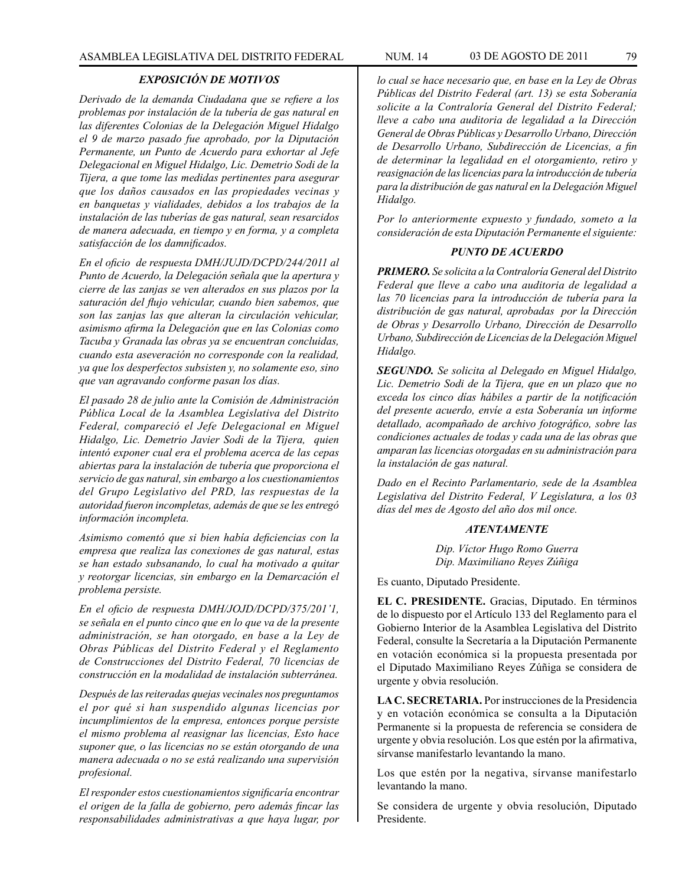## *EXPOSICIÓN DE MOTIVOS*

*Derivado de la demanda Ciudadana que se refiere a los problemas por instalación de la tubería de gas natural en las diferentes Colonias de la Delegación Miguel Hidalgo el 9 de marzo pasado fue aprobado, por la Diputación Permanente, un Punto de Acuerdo para exhortar al Jefe Delegacional en Miguel Hidalgo, Lic. Demetrio Sodi de la Tijera, a que tome las medidas pertinentes para asegurar que los daños causados en las propiedades vecinas y en banquetas y vialidades, debidos a los trabajos de la instalación de las tuberías de gas natural, sean resarcidos de manera adecuada, en tiempo y en forma, y a completa satisfacción de los damnificados.*

*En el oficio de respuesta DMH/JUJD/DCPD/244/2011 al Punto de Acuerdo, la Delegación señala que la apertura y cierre de las zanjas se ven alterados en sus plazos por la saturación del flujo vehicular, cuando bien sabemos, que son las zanjas las que alteran la circulación vehicular, asimismo afirma la Delegación que en las Colonias como Tacuba y Granada las obras ya se encuentran concluidas, cuando esta aseveración no corresponde con la realidad, ya que los desperfectos subsisten y, no solamente eso, sino que van agravando conforme pasan los días.*

*El pasado 28 de julio ante la Comisión de Administración Pública Local de la Asamblea Legislativa del Distrito Federal, compareció el Jefe Delegacional en Miguel Hidalgo, Lic. Demetrio Javier Sodi de la Tijera, quien intentó exponer cual era el problema acerca de las cepas abiertas para la instalación de tubería que proporciona el servicio de gas natural, sin embargo a los cuestionamientos del Grupo Legislativo del PRD, las respuestas de la autoridad fueron incompletas, además de que se les entregó información incompleta.*

*Asimismo comentó que si bien había deficiencias con la empresa que realiza las conexiones de gas natural, estas se han estado subsanando, lo cual ha motivado a quitar y reotorgar licencias, sin embargo en la Demarcación el problema persiste.*

*En el oficio de respuesta DMH/JOJD/DCPD/375/201'1, se señala en el punto cinco que en lo que va de la presente administración, se han otorgado, en base a la Ley de Obras Públicas del Distrito Federal y el Reglamento de Construcciones del Distrito Federal, 70 licencias de construcción en la modalidad de instalación subterránea.* 

*Después de las reiteradas quejas vecinales nos preguntamos el por qué si han suspendido algunas licencias por incumplimientos de la empresa, entonces porque persiste el mismo problema al reasignar las licencias, Esto hace suponer que, o las licencias no se están otorgando de una manera adecuada o no se está realizando una supervisión profesional.*

*El responder estos cuestionamientos significaría encontrar el origen de la falla de gobierno, pero además fincar las responsabilidades administrativas a que haya lugar, por* 

*lo cual se hace necesario que, en base en la Ley de Obras Públicas del Distrito Federal (art. 13) se esta Soberanía solicite a la Contraloría General del Distrito Federal; lleve a cabo una auditoria de legalidad a la Dirección General de Obras Públicas y Desarrollo Urbano, Dirección de Desarrollo Urbano, Subdirección de Licencias, a fin de determinar la legalidad en el otorgamiento, retiro y reasignación de las licencias para la introducción de tubería para la distribución de gas natural en la Delegación Miguel Hidalgo.*

*Por lo anteriormente expuesto y fundado, someto a la consideración de esta Diputación Permanente el siguiente:*

# *PUNTO DE ACUERDO*

*PRIMERO. Se solicita a la Contraloría General del Distrito Federal que lleve a cabo una auditoria de legalidad a las 70 licencias para la introducción de tubería para la distribución de gas natural, aprobadas por la Dirección de Obras y Desarrollo Urbano, Dirección de Desarrollo Urbano, Subdirección de Licencias de la Delegación Miguel Hidalgo.*

*SEGUNDO. Se solicita al Delegado en Miguel Hidalgo, Lic. Demetrio Sodi de la Tijera, que en un plazo que no exceda los cinco días hábiles a partir de la notificación del presente acuerdo, envíe a esta Soberanía un informe detallado, acompañado de archivo fotográfico, sobre las condiciones actuales de todas y cada una de las obras que amparan las licencias otorgadas en su administración para la instalación de gas natural.*

*Dado en el Recinto Parlamentario, sede de la Asamblea Legislativa del Distrito Federal, V Legislatura, a los 03 días del mes de Agosto del año dos mil once.*

## *ATENTAMENTE*

*Dip. Víctor Hugo Romo Guerra Dip. Maximiliano Reyes Zúñiga*

Es cuanto, Diputado Presidente.

**EL C. PRESIDENTE.** Gracias, Diputado. En términos de lo dispuesto por el Artículo 133 del Reglamento para el Gobierno Interior de la Asamblea Legislativa del Distrito Federal, consulte la Secretaría a la Diputación Permanente en votación económica si la propuesta presentada por el Diputado Maximiliano Reyes Zúñiga se considera de urgente y obvia resolución.

**LA C. SECRETARIA.** Por instrucciones de la Presidencia y en votación económica se consulta a la Diputación Permanente si la propuesta de referencia se considera de urgente y obvia resolución. Los que estén por la afirmativa, sírvanse manifestarlo levantando la mano.

Los que estén por la negativa, sírvanse manifestarlo levantando la mano.

Se considera de urgente y obvia resolución, Diputado Presidente.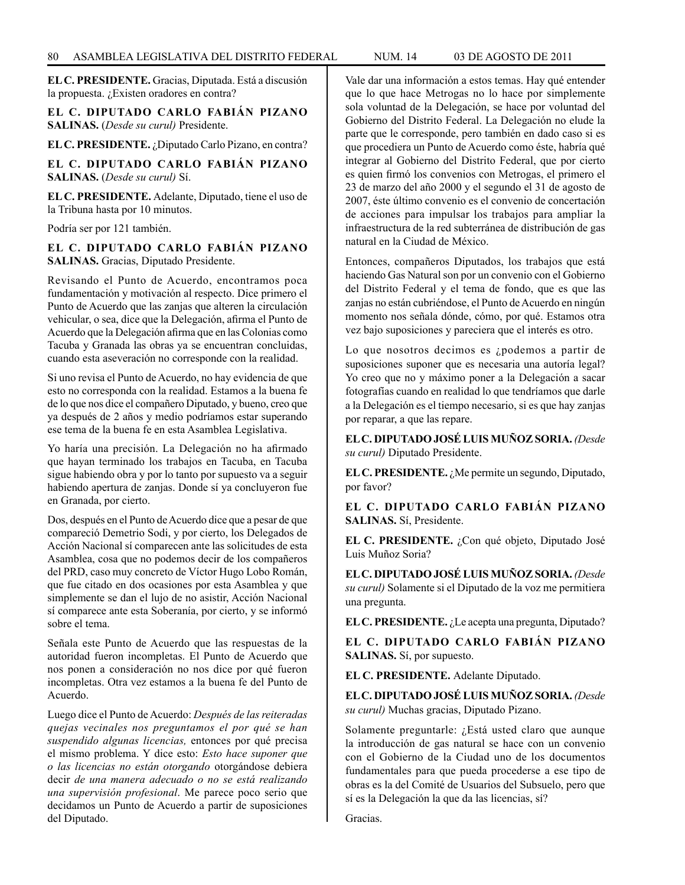**EL C. PRESIDENTE.** Gracias, Diputada. Está a discusión la propuesta. ¿Existen oradores en contra?

**EL C. DIPUTADO CARLO FABIÁN PIZANO SALINAS.** (*Desde su curul)* Presidente.

**EL C. PRESIDENTE.** ¿Diputado Carlo Pizano, en contra?

**EL C. DIPUTADO CARLO FABIÁN PIZANO SALINAS.** (*Desde su curul)* Sí.

**EL C. PRESIDENTE.** Adelante, Diputado, tiene el uso de la Tribuna hasta por 10 minutos.

Podría ser por 121 también.

**EL C. DIPUTADO CARLO FABIÁN PIZANO SALINAS.** Gracias, Diputado Presidente.

Revisando el Punto de Acuerdo, encontramos poca fundamentación y motivación al respecto. Dice primero el Punto de Acuerdo que las zanjas que alteren la circulación vehicular, o sea, dice que la Delegación, afirma el Punto de Acuerdo que la Delegación afirma que en las Colonias como Tacuba y Granada las obras ya se encuentran concluidas, cuando esta aseveración no corresponde con la realidad.

Si uno revisa el Punto de Acuerdo, no hay evidencia de que esto no corresponda con la realidad. Estamos a la buena fe de lo que nos dice el compañero Diputado, y bueno, creo que ya después de 2 años y medio podríamos estar superando ese tema de la buena fe en esta Asamblea Legislativa.

Yo haría una precisión. La Delegación no ha afirmado que hayan terminado los trabajos en Tacuba, en Tacuba sigue habiendo obra y por lo tanto por supuesto va a seguir habiendo apertura de zanjas. Donde sí ya concluyeron fue en Granada, por cierto.

Dos, después en el Punto de Acuerdo dice que a pesar de que compareció Demetrio Sodi, y por cierto, los Delegados de Acción Nacional sí comparecen ante las solicitudes de esta Asamblea, cosa que no podemos decir de los compañeros del PRD, caso muy concreto de Víctor Hugo Lobo Román, que fue citado en dos ocasiones por esta Asamblea y que simplemente se dan el lujo de no asistir, Acción Nacional sí comparece ante esta Soberanía, por cierto, y se informó sobre el tema.

Señala este Punto de Acuerdo que las respuestas de la autoridad fueron incompletas. El Punto de Acuerdo que nos ponen a consideración no nos dice por qué fueron incompletas. Otra vez estamos a la buena fe del Punto de Acuerdo.

Luego dice el Punto de Acuerdo: *Después de las reiteradas quejas vecinales nos preguntamos el por qué se han suspendido algunas licencias,* entonces por qué precisa el mismo problema. Y dice esto: *Esto hace suponer que o las licencias no están otorgando* otorgándose debiera decir *de una manera adecuado o no se está realizando una supervisión profesional*. Me parece poco serio que decidamos un Punto de Acuerdo a partir de suposiciones del Diputado.

Vale dar una información a estos temas. Hay qué entender que lo que hace Metrogas no lo hace por simplemente sola voluntad de la Delegación, se hace por voluntad del Gobierno del Distrito Federal. La Delegación no elude la parte que le corresponde, pero también en dado caso si es que procediera un Punto de Acuerdo como éste, habría qué integrar al Gobierno del Distrito Federal, que por cierto es quien firmó los convenios con Metrogas, el primero el 23 de marzo del año 2000 y el segundo el 31 de agosto de 2007, éste último convenio es el convenio de concertación de acciones para impulsar los trabajos para ampliar la infraestructura de la red subterránea de distribución de gas natural en la Ciudad de México.

Entonces, compañeros Diputados, los trabajos que está haciendo Gas Natural son por un convenio con el Gobierno del Distrito Federal y el tema de fondo, que es que las zanjas no están cubriéndose, el Punto de Acuerdo en ningún momento nos señala dónde, cómo, por qué. Estamos otra vez bajo suposiciones y pareciera que el interés es otro.

Lo que nosotros decimos es ¿podemos a partir de suposiciones suponer que es necesaria una autoría legal? Yo creo que no y máximo poner a la Delegación a sacar fotografías cuando en realidad lo que tendríamos que darle a la Delegación es el tiempo necesario, si es que hay zanjas por reparar, a que las repare.

**EL C. DIPUTADO JOSÉ LUIS MUÑOZ SORIA.** *(Desde su curul)* Diputado Presidente.

**EL C. PRESIDENTE.** ¿Me permite un segundo, Diputado, por favor?

**EL C. DIPUTADO CARLO FABIÁN PIZANO SALINAS.** Sí, Presidente.

**EL C. PRESIDENTE.** ¿Con qué objeto, Diputado José Luis Muñoz Soria?

**EL C. DIPUTADO JOSÉ LUIS MUÑOZ SORIA.** *(Desde su curul)* Solamente si el Diputado de la voz me permitiera una pregunta.

**EL C. PRESIDENTE.** ¿Le acepta una pregunta, Diputado?

**EL C. DIPUTADO CARLO FABIÁN PIZANO SALINAS.** Sí, por supuesto.

**EL C. PRESIDENTE.** Adelante Diputado.

**EL C. DIPUTADO JOSÉ LUIS MUÑOZ SORIA.** *(Desde su curul)* Muchas gracias, Diputado Pizano.

Solamente preguntarle: ¿Está usted claro que aunque la introducción de gas natural se hace con un convenio con el Gobierno de la Ciudad uno de los documentos fundamentales para que pueda procederse a ese tipo de obras es la del Comité de Usuarios del Subsuelo, pero que sí es la Delegación la que da las licencias, sí?

Gracias.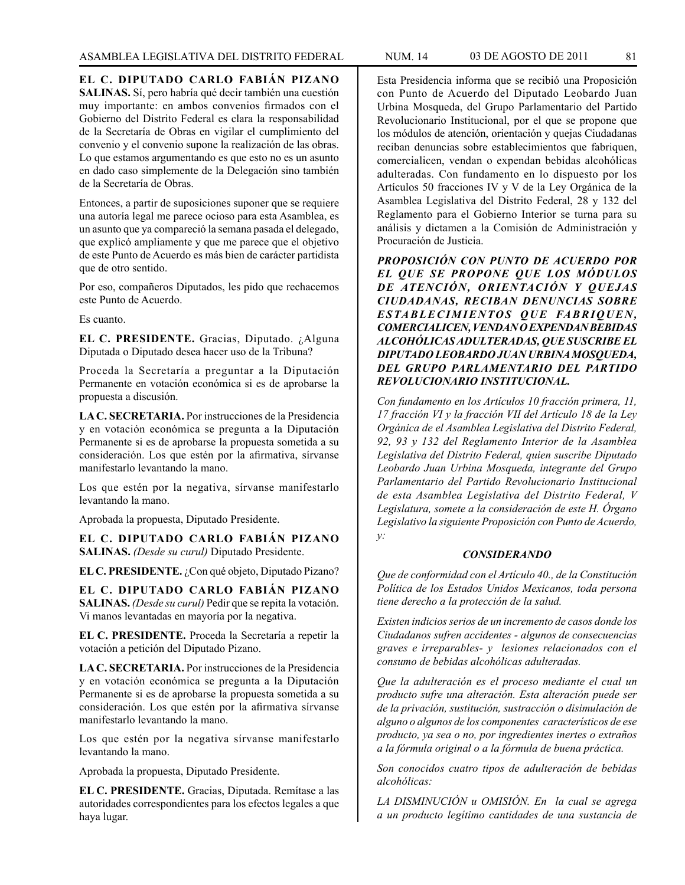**EL C. DIPUTADO CARLO FABIÁN PIZANO SALINAS.** Sí, pero habría qué decir también una cuestión muy importante: en ambos convenios firmados con el Gobierno del Distrito Federal es clara la responsabilidad de la Secretaría de Obras en vigilar el cumplimiento del convenio y el convenio supone la realización de las obras. Lo que estamos argumentando es que esto no es un asunto en dado caso simplemente de la Delegación sino también de la Secretaría de Obras.

Entonces, a partir de suposiciones suponer que se requiere una autoría legal me parece ocioso para esta Asamblea, es un asunto que ya compareció la semana pasada el delegado, que explicó ampliamente y que me parece que el objetivo de este Punto de Acuerdo es más bien de carácter partidista que de otro sentido.

Por eso, compañeros Diputados, les pido que rechacemos este Punto de Acuerdo.

Es cuanto.

**EL C. PRESIDENTE.** Gracias, Diputado. ¿Alguna Diputada o Diputado desea hacer uso de la Tribuna?

Proceda la Secretaría a preguntar a la Diputación Permanente en votación económica si es de aprobarse la propuesta a discusión.

**LA C. SECRETARIA.** Por instrucciones de la Presidencia y en votación económica se pregunta a la Diputación Permanente si es de aprobarse la propuesta sometida a su consideración. Los que estén por la afirmativa, sírvanse manifestarlo levantando la mano.

Los que estén por la negativa, sírvanse manifestarlo levantando la mano.

Aprobada la propuesta, Diputado Presidente.

**EL C. DIPUTADO CARLO FABIÁN PIZANO SALINAS.** *(Desde su curul)* Diputado Presidente.

**EL C. PRESIDENTE.** ¿Con qué objeto, Diputado Pizano?

**EL C. DIPUTADO CARLO FABIÁN PIZANO SALINAS.** *(Desde su curul)* Pedir que se repita la votación. Vi manos levantadas en mayoría por la negativa.

**EL C. PRESIDENTE.** Proceda la Secretaría a repetir la votación a petición del Diputado Pizano.

**LA C. SECRETARIA.** Por instrucciones de la Presidencia y en votación económica se pregunta a la Diputación Permanente si es de aprobarse la propuesta sometida a su consideración. Los que estén por la afirmativa sírvanse manifestarlo levantando la mano.

Los que estén por la negativa sírvanse manifestarlo levantando la mano.

Aprobada la propuesta, Diputado Presidente.

**EL C. PRESIDENTE.** Gracias, Diputada. Remítase a las autoridades correspondientes para los efectos legales a que haya lugar.

Esta Presidencia informa que se recibió una Proposición con Punto de Acuerdo del Diputado Leobardo Juan Urbina Mosqueda, del Grupo Parlamentario del Partido Revolucionario Institucional, por el que se propone que los módulos de atención, orientación y quejas Ciudadanas reciban denuncias sobre establecimientos que fabriquen, comercialicen, vendan o expendan bebidas alcohólicas adulteradas. Con fundamento en lo dispuesto por los Artículos 50 fracciones IV y V de la Ley Orgánica de la Asamblea Legislativa del Distrito Federal, 28 y 132 del Reglamento para el Gobierno Interior se turna para su análisis y dictamen a la Comisión de Administración y Procuración de Justicia.

*PROPOSICIÓN CON PUNTO DE ACUERDO POR EL QUE SE PROPONE QUE LOS MÓDULOS DE ATENCIÓN, ORIENTACIÓN Y QUEJAS CIUDADANAS, RECIBAN DENUNCIAS SOBRE*   $ESTABLECIMIENTOS$  *QUE FABRIQUEN*, *COMERCIALICEN, VENDAN O EXPENDAN BEBIDAS ALCOHÓLICAS ADULTERADAS, QUE SUSCRIBE EL DIPUTADO LEOBARDO JUAN URBINA MOSQUEDA, DEL GRUPO PARLAMENTARIO DEL PARTIDO REVOLUCIONARIO INSTITUCIONAL.* 

*Con fundamento en los Artículos 10 fracción primera, 11, 17 fracción VI y la fracción VII del Artículo 18 de la Ley Orgánica de el Asamblea Legislativa del Distrito Federal, 92, 93 y 132 del Reglamento Interior de la Asamblea Legislativa del Distrito Federal, quien suscribe Diputado Leobardo Juan Urbina Mosqueda, integrante del Grupo Parlamentario del Partido Revolucionario Institucional de esta Asamblea Legislativa del Distrito Federal, V Legislatura, somete a la consideración de este H. Órgano Legislativo la siguiente Proposición con Punto de Acuerdo, y:* 

### *CONSIDERANDO*

*Que de conformidad con el Artículo 40., de la Constitución Política de los Estados Unidos Mexicanos, toda persona tiene derecho a la protección de la salud.*

*Existen indicios serios de un incremento de casos donde los Ciudadanos sufren accidentes - algunos de consecuencias graves e irreparables- y lesiones relacionados con el consumo de bebidas alcohólicas adulteradas.*

*Que la adulteración es el proceso mediante el cual un producto sufre una alteración. Esta alteración puede ser de la privación, sustitución, sustracción o disimulación de alguno o algunos de los componentes característicos de ese producto, ya sea o no, por ingredientes inertes o extraños a la fórmula original o a la fórmula de buena práctica.*

*Son conocidos cuatro tipos de adulteración de bebidas alcohólicas:* 

*LA DISMINUCIÓN u OMISIÓN. En la cual se agrega a un producto legítimo cantidades de una sustancia de*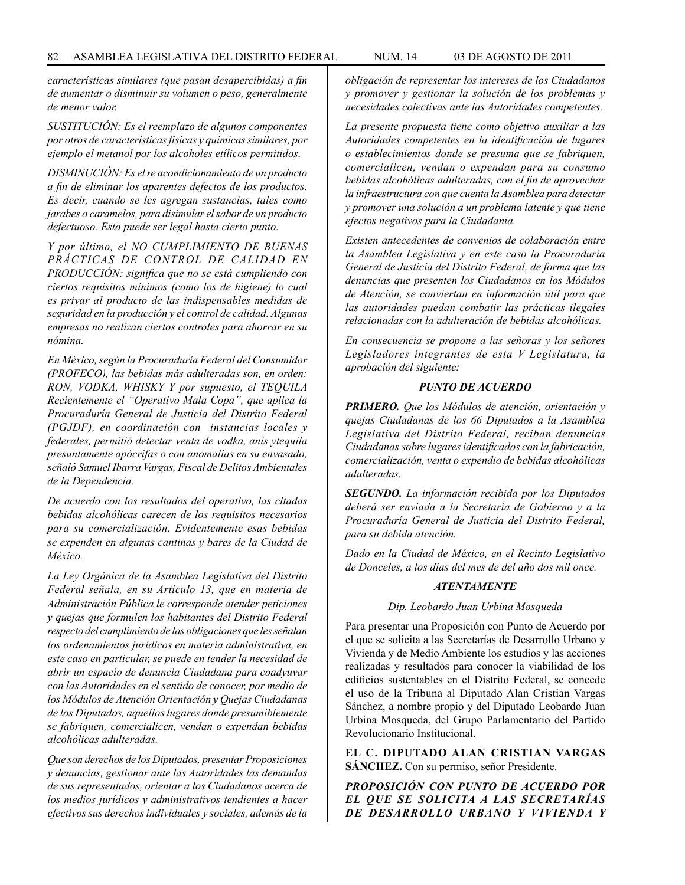*características similares (que pasan desapercibidas) a fin de aumentar o disminuir su volumen o peso, generalmente de menor valor.*

*SUSTITUCIÓN: Es el reemplazo de algunos componentes por otros de características físicas y químicas similares, por ejemplo el metanol por los alcoholes etílicos permitidos.*

*DISMINUCIÓN: Es el re acondicionamiento de un producto a fin de eliminar los aparentes defectos de los productos. Es decir, cuando se les agregan sustancias, tales como jarabes o caramelos, para disimular el sabor de un producto defectuoso. Esto puede ser legal hasta cierto punto.*

*Y por último, el NO CUMPLIMIENTO DE BUENAS PRÁCTICAS DE CONTROL DE CALIDAD EN PRODUCCIÓN: significa que no se está cumpliendo con ciertos requisitos mínimos (como los de higiene) lo cual es privar al producto de las indispensables medidas de seguridad en la producción y el control de calidad. Algunas empresas no realizan ciertos controles para ahorrar en su nómina.*

*En México, según la Procuraduría Federal del Consumidor (PROFECO), las bebidas más adulteradas son, en orden: RON, VODKA, WHISKY Y por supuesto, el TEQUILA Recientemente el "Operativo Mala Copa", que aplica la Procuraduría General de Justicia del Distrito Federal (PGJDF), en coordinación con instancias locales y federales, permitió detectar venta de vodka, anís ytequila presuntamente apócrifas o con anomalías en su envasado, señaló Samuel Ibarra Vargas, Fiscal de Delitos Ambientales de la Dependencia.*

*De acuerdo con los resultados del operativo, las citadas bebidas alcohólicas carecen de los requisitos necesarios para su comercialización. Evidentemente esas bebidas se expenden en algunas cantinas y bares de la Ciudad de México.*

*La Ley Orgánica de la Asamblea Legislativa del Distrito Federal señala, en su Artículo 13, que en materia de Administración Pública le corresponde atender peticiones y quejas que formulen los habitantes del Distrito Federal respecto del cumplimiento de las obligaciones que les señalan los ordenamientos jurídicos en materia administrativa, en este caso en particular, se puede en tender la necesidad de abrir un espacio de denuncia Ciudadana para coadyuvar con las Autoridades en el sentido de conocer, por medio de los Módulos de Atención Orientación y Quejas Ciudadanas de los Diputados, aquellos lugares donde presumiblemente se fabriquen, comercialicen, vendan o expendan bebidas alcohólicas adulteradas.*

*Que son derechos de los Diputados, presentar Proposiciones y denuncias, gestionar ante las Autoridades las demandas de sus representados, orientar a los Ciudadanos acerca de los medios jurídicos y administrativos tendientes a hacer efectivos sus derechos individuales y sociales, además de la*  *obligación de representar los intereses de los Ciudadanos y promover y gestionar la solución de los problemas y necesidades colectivas ante las Autoridades competentes.*

*La presente propuesta tiene como objetivo auxiliar a las Autoridades competentes en la identificación de lugares o establecimientos donde se presuma que se fabriquen, comercialicen, vendan o expendan para su consumo bebidas alcohólicas adulteradas, con el fin de aprovechar la infraestructura con que cuenta la Asamblea para detectar y promover una solución a un problema latente y que tiene efectos negativos para la Ciudadanía.*

*Existen antecedentes de convenios de colaboración entre la Asamblea Legislativa y en este caso la Procuraduría General de Justicia del Distrito Federal, de forma que las denuncias que presenten los Ciudadanos en los Módulos de Atención, se conviertan en información útil para que las autoridades puedan combatir las prácticas ilegales relacionadas con la adulteración de bebidas alcohólicas.*

*En consecuencia se propone a las señoras y los señores Legisladores integrantes de esta V Legislatura, la aprobación del siguiente:*

# *PUNTO DE ACUERDO*

*PRIMERO. Que los Módulos de atención, orientación y quejas Ciudadanas de los 66 Diputados a la Asamblea Legislativa del Distrito Federal, reciban denuncias Ciudadanas sobre lugares identificados con la fabricación, comercialización, venta o expendio de bebidas alcohólicas adulteradas.*

*SEGUNDO. La información recibida por los Diputados deberá ser enviada a la Secretaría de Gobierno y a la Procuraduría General de Justicia del Distrito Federal, para su debida atención.*

*Dado en la Ciudad de México, en el Recinto Legislativo de Donceles, a los días del mes de del año dos mil once.*

#### *ATENTAMENTE*

#### *Dip. Leobardo Juan Urbina Mosqueda*

Para presentar una Proposición con Punto de Acuerdo por el que se solicita a las Secretarías de Desarrollo Urbano y Vivienda y de Medio Ambiente los estudios y las acciones realizadas y resultados para conocer la viabilidad de los edificios sustentables en el Distrito Federal, se concede el uso de la Tribuna al Diputado Alan Cristian Vargas Sánchez, a nombre propio y del Diputado Leobardo Juan Urbina Mosqueda, del Grupo Parlamentario del Partido Revolucionario Institucional.

**EL C. DIPUTADO ALAN CRISTIAN VARGAS SÁNCHEZ.** Con su permiso, señor Presidente.

*PROPOSICIÓN CON PUNTO DE ACUERDO POR EL QUE SE SOLICITA A LAS SECRETARÍAS DE DESARROLLO URBANO Y VIVIENDA Y*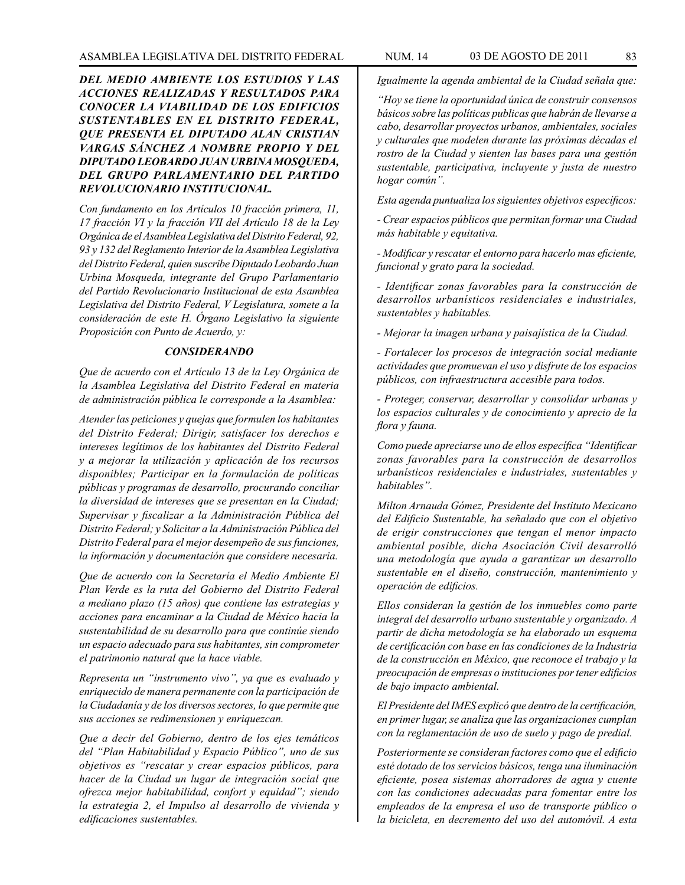*DEL MEDIO AMBIENTE LOS ESTUDIOS Y LAS ACCIONES REALIZADAS Y RESULTADOS PARA CONOCER LA VIABILIDAD DE LOS EDIFICIOS SUSTENTABLES EN EL DISTRITO FEDERAL, QUE PRESENTA EL DIPUTADO ALAN CRISTIAN VARGAS SÁNCHEZ A NOMBRE PROPIO Y DEL DIPUTADO LEOBARDO JUAN URBINA MOSQUEDA, DEL GRUPO PARLAMENTARIO DEL PARTIDO REVOLUCIONARIO INSTITUCIONAL.*

*Con fundamento en los Artículos 10 fracción primera, 11, 17 fracción VI y la fracción VII del Artículo 18 de la Ley Orgánica de el Asamblea Legislativa del Distrito Federal, 92, 93 y 132 del Reglamento Interior de la Asamblea Legislativa del Distrito Federal, quien suscribe Diputado Leobardo Juan Urbina Mosqueda, integrante del Grupo Parlamentario del Partido Revolucionario Institucional de esta Asamblea Legislativa del Distrito Federal, V Legislatura, somete a la consideración de este H. Órgano Legislativo la siguiente Proposición con Punto de Acuerdo, y:*

### *CONSIDERANDO*

*Que de acuerdo con el Artículo 13 de la Ley Orgánica de la Asamblea Legislativa del Distrito Federal en materia de administración pública le corresponde a la Asamblea:* 

*Atender las peticiones y quejas que formulen los habitantes del Distrito Federal; Dirigir, satisfacer los derechos e intereses legítimos de los habitantes del Distrito Federal y a mejorar la utilización y aplicación de los recursos disponibles; Participar en la formulación de políticas públicas y programas de desarrollo, procurando conciliar la diversidad de intereses que se presentan en la Ciudad; Supervisar y fiscalizar a la Administración Pública del Distrito Federal; y Solicitar a la Administración Pública del Distrito Federal para el mejor desempeño de sus funciones, la información y documentación que considere necesaria.*

*Que de acuerdo con la Secretaría el Medio Ambiente El Plan Verde es la ruta del Gobierno del Distrito Federal a mediano plazo (15 años) que contiene las estrategias y acciones para encaminar a la Ciudad de México hacia la sustentabilidad de su desarrollo para que continúe siendo un espacio adecuado para sus habitantes, sin comprometer el patrimonio natural que la hace viable.*

*Representa un "instrumento vivo", ya que es evaluado y enriquecido de manera permanente con la participación de la Ciudadanía y de los diversos sectores, lo que permite que sus acciones se redimensionen y enriquezcan.*

*Que a decir del Gobierno, dentro de los ejes temáticos del "Plan Habitabilidad y Espacio Público", uno de sus objetivos es "rescatar y crear espacios públicos, para hacer de la Ciudad un lugar de integración social que ofrezca mejor habitabilidad, confort y equidad"; siendo la estrategia 2, el Impulso al desarrollo de vivienda y edificaciones sustentables.*

*Igualmente la agenda ambiental de la Ciudad señala que:* 

*"Hoy se tiene la oportunidad única de construir consensos básicos sobre las políticas publicas que habrán de llevarse a cabo, desarrollar proyectos urbanos, ambientales, sociales y culturales que modelen durante las próximas décadas el rostro de la Ciudad y sienten las bases para una gestión sustentable, participativa, incluyente y justa de nuestro hogar común".*

*Esta agenda puntualiza los siguientes objetivos específicos:*

*- Crear espacios públicos que permitan formar una Ciudad más habitable y equitativa.*

*- Modificar y rescatar el entorno para hacerlo mas eficiente, funcional y grato para la sociedad.*

*- Identificar zonas favorables para la construcción de desarrollos urbanísticos residenciales e industriales, sustentables y habitables.*

*- Mejorar la imagen urbana y paisajística de la Ciudad.*

*- Fortalecer los procesos de integración social mediante actividades que promuevan el uso y disfrute de los espacios públicos, con infraestructura accesible para todos.*

*- Proteger, conservar, desarrollar y consolidar urbanas y los espacios culturales y de conocimiento y aprecio de la flora y fauna.*

*Como puede apreciarse uno de ellos específica "Identificar zonas favorables para la construcción de desarrollos urbanísticos residenciales e industriales, sustentables y habitables".*

*Milton Arnauda Gómez, Presidente del Instituto Mexicano del Edificio Sustentable, ha señalado que con el objetivo de erigir construcciones que tengan el menor impacto ambiental posible, dicha Asociación Civil desarrolló una metodología que ayuda a garantizar un desarrollo sustentable en el diseño, construcción, mantenimiento y operación de edificios.*

*Ellos consideran la gestión de los inmuebles como parte integral del desarrollo urbano sustentable y organizado. A partir de dicha metodología se ha elaborado un esquema de certificación con base en las condiciones de la Industria de la construcción en México, que reconoce el trabajo y la preocupación de empresas o instituciones por tener edificios de bajo impacto ambiental.*

*El Presidente del IMES explicó que dentro de la certificación, en primer lugar, se analiza que las organizaciones cumplan con la reglamentación de uso de suelo y pago de predial.*

*Posteriormente se consideran factores como que el edificio esté dotado de los servicios básicos, tenga una iluminación eficiente, posea sistemas ahorradores de agua y cuente con las condiciones adecuadas para fomentar entre los empleados de la empresa el uso de transporte público o la bicicleta, en decremento del uso del automóvil. A esta*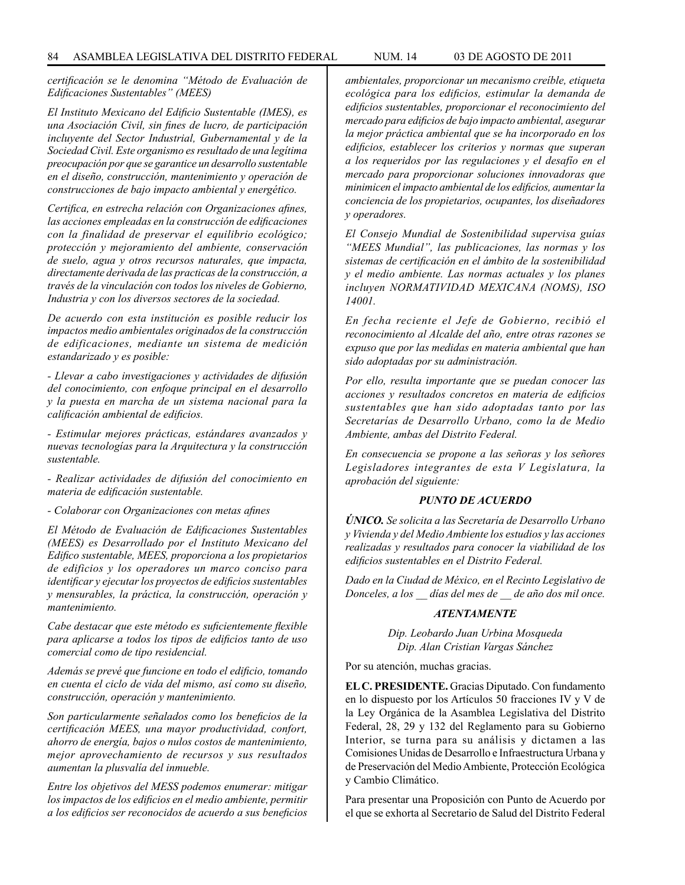*certificación se le denomina "Método de Evaluación de Edificaciones Sustentables" (MEES)*

*El Instituto Mexicano del Edificio Sustentable (IMES), es una Asociación Civil, sin fines de lucro, de participación incluyente del Sector Industrial, Gubernamental y de la Sociedad Civil. Este organismo es resultado de una legítima preocupación por que se garantice un desarrollo sustentable en el diseño, construcción, mantenimiento y operación de construcciones de bajo impacto ambiental y energético.*

*Certifica, en estrecha relación con Organizaciones afines, las acciones empleadas en la construcción de edificaciones con la finalidad de preservar el equilibrio ecológico; protección y mejoramiento del ambiente, conservación de suelo, agua y otros recursos naturales, que impacta, directamente derivada de las practicas de la construcción, a través de la vinculación con todos los niveles de Gobierno, Industria y con los diversos sectores de la sociedad.*

*De acuerdo con esta institución es posible reducir los impactos medio ambientales originados de la construcción de edificaciones, mediante un sistema de medición estandarizado y es posible:*

*- Llevar a cabo investigaciones y actividades de difusión del conocimiento, con enfoque principal en el desarrollo y la puesta en marcha de un sistema nacional para la calificación ambiental de edificios.*

*- Estimular mejores prácticas, estándares avanzados y nuevas tecnologías para la Arquitectura y la construcción sustentable.*

*- Realizar actividades de difusión del conocimiento en materia de edificación sustentable.*

*- Colaborar con Organizaciones con metas afines*

*El Método de Evaluación de Edificaciones Sustentables (MEES) es Desarrollado por el Instituto Mexicano del Edifico sustentable, MEES, proporciona a los propietarios de edificios y los operadores un marco conciso para identificar y ejecutar los proyectos de edificios sustentables y mensurables, la práctica, la construcción, operación y mantenimiento.*

*Cabe destacar que este método es suficientemente flexible para aplicarse a todos los tipos de edificios tanto de uso comercial como de tipo residencial.*

*Además se prevé que funcione en todo el edificio, tomando en cuenta el ciclo de vida del mismo, así como su diseño, construcción, operación y mantenimiento.*

*Son particularmente señalados como los beneficios de la certificación MEES, una mayor productividad, confort, ahorro de energía, bajos o nulos costos de mantenimiento, mejor aprovechamiento de recursos y sus resultados aumentan la plusvalía del inmueble.*

*Entre los objetivos del MESS podemos enumerar: mitigar los impactos de los edificios en el medio ambiente, permitir a los edificios ser reconocidos de acuerdo a sus beneficios* 

*ambientales, proporcionar un mecanismo creíble, etiqueta ecológica para los edificios, estimular la demanda de edificios sustentables, proporcionar el reconocimiento del mercado para edificios de bajo impacto ambiental, asegurar la mejor práctica ambiental que se ha incorporado en los edificios, establecer los criterios y normas que superan a los requeridos por las regulaciones y el desafío en el mercado para proporcionar soluciones innovadoras que minimicen el impacto ambiental de los edificios, aumentar la conciencia de los propietarios, ocupantes, los diseñadores y operadores.*

*El Consejo Mundial de Sostenibilidad supervisa guías "MEES Mundial", las publicaciones, las normas y los sistemas de certificación en el ámbito de la sostenibilidad y el medio ambiente. Las normas actuales y los planes incluyen NORMATIVIDAD MEXICANA (NOMS), ISO 14001.*

*En fecha reciente el Jefe de Gobierno, recibió el reconocimiento al Alcalde del año, entre otras razones se expuso que por las medidas en materia ambiental que han sido adoptadas por su administración.*

*Por ello, resulta importante que se puedan conocer las acciones y resultados concretos en materia de edificios sustentables que han sido adoptadas tanto por las Secretarías de Desarrollo Urbano, como la de Medio Ambiente, ambas del Distrito Federal.*

*En consecuencia se propone a las señoras y los señores Legisladores integrantes de esta V Legislatura, la aprobación del siguiente:*

### *PUNTO DE ACUERDO*

*ÚNICO. Se solicita a las Secretaría de Desarrollo Urbano y Vivienda y del Medio Ambiente los estudios y las acciones realizadas y resultados para conocer la viabilidad de los edificios sustentables en el Distrito Federal.*

*Dado en la Ciudad de México, en el Recinto Legislativo de Donceles, a los \_\_ días del mes de \_\_ de año dos mil once.*

#### *ATENTAMENTE*

*Dip. Leobardo Juan Urbina Mosqueda Dip. Alan Cristian Vargas Sánchez*

Por su atención, muchas gracias.

**EL C. PRESIDENTE.** Gracias Diputado. Con fundamento en lo dispuesto por los Artículos 50 fracciones IV y V de la Ley Orgánica de la Asamblea Legislativa del Distrito Federal, 28, 29 y 132 del Reglamento para su Gobierno Interior, se turna para su análisis y dictamen a las Comisiones Unidas de Desarrollo e Infraestructura Urbana y de Preservación del Medio Ambiente, Protección Ecológica y Cambio Climático.

Para presentar una Proposición con Punto de Acuerdo por el que se exhorta al Secretario de Salud del Distrito Federal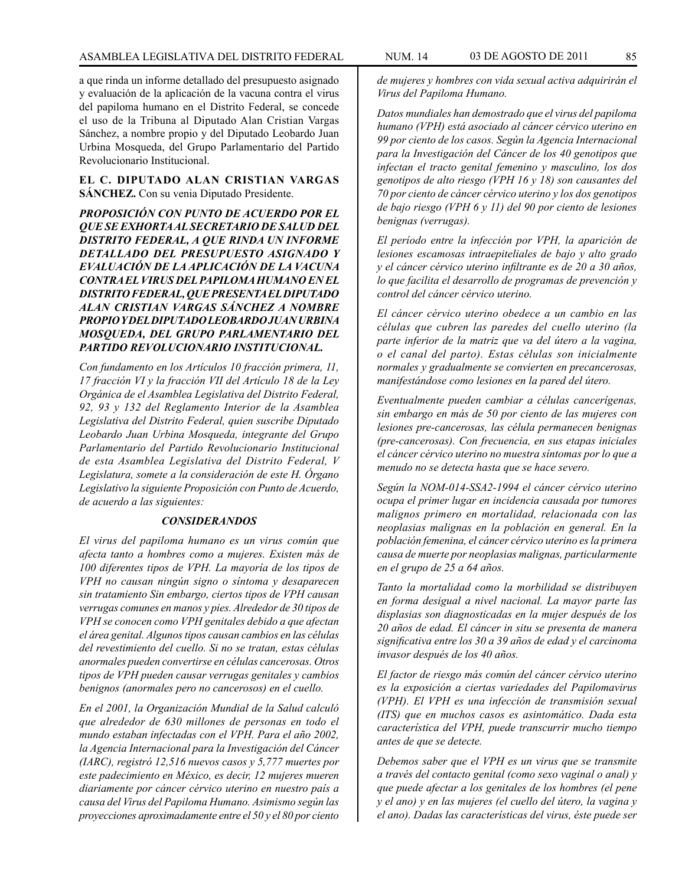a que rinda un informe detallado del presupuesto asignado y evaluación de la aplicación de la vacuna contra el virus del papiloma humano en el Distrito Federal, se concede el uso de la Tribuna al Diputado Alan Cristian Vargas Sánchez, a nombre propio y del Diputado Leobardo Juan Urbina Mosqueda, del Grupo Parlamentario del Partido Revolucionario Institucional.

**EL C. DIPUTADO ALAN CRISTIAN VARGAS SÁNCHEZ.** Con su venia Diputado Presidente.

*PROPOSICIÓN CON PUNTO DE ACUERDO POR EL QUE SE EXHORTA AL SECRETARIO DE SALUD DEL DISTRITO FEDERAL, A QUE RINDA UN INFORME DETALLADO DEL PRESUPUESTO ASIGNADO Y EVALUACIÓN DE LA APLICACIÓN DE LA VACUNA CONTRA EL VIRUS DEL PAPILOMA HUMANO EN EL DISTRITO FEDERAL, QUE PRESENTA EL DIPUTADO ALAN CRISTIAN VARGAS SÁNCHEZ A NOMBRE PROPIO Y DEL DIPUTADO LEOBARDO JUAN URBINA MOSQUEDA, DEL GRUPO PARLAMENTARIO DEL PARTIDO REVOLUCIONARIO INSTITUCIONAL.*

*Con fundamento en los Artículos 10 fracción primera, 11, 17 fracción VI y la fracción VII del Artículo 18 de la Ley Orgánica de el Asamblea Legislativa del Distrito Federal, 92, 93 y 132 del Reglamento Interior de la Asamblea Legislativa del Distrito Federal, quien suscribe Diputado Leobardo Juan Urbina Mosqueda, integrante del Grupo Parlamentario del Partido Revolucionario Institucional de esta Asamblea Legislativa del Distrito Federal, V Legislatura, somete a la consideración de este H. Órgano Legislativo la siguiente Proposición con Punto de Acuerdo, de acuerdo a las siguientes:*

#### *CONSIDERANDOS*

*El virus del papiloma humano es un virus común que afecta tanto a hombres como a mujeres. Existen más de 100 diferentes tipos de VPH. La mayoría de los tipos de VPH no causan ningún signo o síntoma y desaparecen sin tratamiento Sin embargo, ciertos tipos de VPH causan verrugas comunes en manos y pies. Alrededor de 30 tipos de VPH se conocen como VPH genitales debido a que afectan el área genital. Algunos tipos causan cambios en las células del revestimiento del cuello. Si no se tratan, estas células anormales pueden convertirse en células cancerosas. Otros tipos de VPH pueden causar verrugas genitales y cambios benignos (anormales pero no cancerosos) en el cuello.*

*En el 2001, la Organización Mundial de la Salud calculó que alrededor de 630 millones de personas en todo el mundo estaban infectadas con el VPH. Para el año 2002, la Agencia Internacional para la Investigación del Cáncer (IARC), registró 12,516 nuevos casos y 5,777 muertes por este padecimiento en México, es decir, 12 mujeres mueren diariamente por cáncer cérvico uterino en nuestro país a causa del Virus del Papiloma Humano. Asimismo según las proyecciones aproximadamente entre el 50 y el 80 por ciento* 

*de mujeres y hombres con vida sexual activa adquirirán el Virus del Papiloma Humano.*

*Datos mundiales han demostrado que el virus del papiloma humano (VPH) está asociado al cáncer cérvico uterino en 99 por ciento de los casos. Según la Agencia Internacional para la Investigación del Cáncer de los 40 genotipos que infectan el tracto genital femenino y masculino, los dos genotipos de alto riesgo (VPH 16 y 18) son causantes del 70 por ciento de cáncer cérvico uterino y los dos genotipos de bajo riesgo (VPH 6 y 11) del 90 por ciento de lesiones benignas (verrugas).*

*El período entre la infección por VPH, la aparición de lesiones escamosas intraepiteliales de bajo y alto grado y el cáncer cérvico uterino infiltrante es de 20 a 30 años, lo que facilita el desarrollo de programas de prevención y control del cáncer cérvico uterino.*

*El cáncer cérvico uterino obedece a un cambio en las células que cubren las paredes del cuello uterino (la parte inferior de la matriz que va del útero a la vagina, o el canal del parto). Estas células son inicialmente normales y gradualmente se convierten en precancerosas, manifestándose como lesiones en la pared del útero.*

*Eventualmente pueden cambiar a células cancerígenas, sin embargo en más de 50 por ciento de las mujeres con lesiones pre-cancerosas, las célula permanecen benignas (pre-cancerosas). Con frecuencia, en sus etapas iniciales el cáncer cérvico uterino no muestra síntomas por lo que a menudo no se detecta hasta que se hace severo.*

*Según la NOM-014-SSA2-1994 el cáncer cérvico uterino ocupa el primer lugar en incidencia causada por tumores malignos primero en mortalidad, relacionada con las neoplasias malignas en la población en general. En la población femenina, el cáncer cérvico uterino es la primera causa de muerte por neoplasias malignas, particularmente en el grupo de 25 a 64 años.*

*Tanto la mortalidad como la morbilidad se distribuyen en forma desigual a nivel nacional. La mayor parte las displasias son diagnosticadas en la mujer después de los 20 años de edad. El cáncer in situ se presenta de manera significativa entre los 30 a 39 años de edad y el carcinoma invasor después de los 40 años.*

*El factor de riesgo más común del cáncer cérvico uterino es la exposición a ciertas variedades del Papilomavirus (VPH). El VPH es una infección de transmisión sexual (ITS) que en muchos casos es asintomático. Dada esta característica del VPH, puede transcurrir mucho tiempo antes de que se detecte.*

*Debemos saber que el VPH es un virus que se transmite a través del contacto genital (como sexo vaginal o anal) y que puede afectar a los genitales de los hombres (el pene y el ano) y en las mujeres (el cuello del útero, la vagina y el ano). Dadas las características del virus, éste puede ser*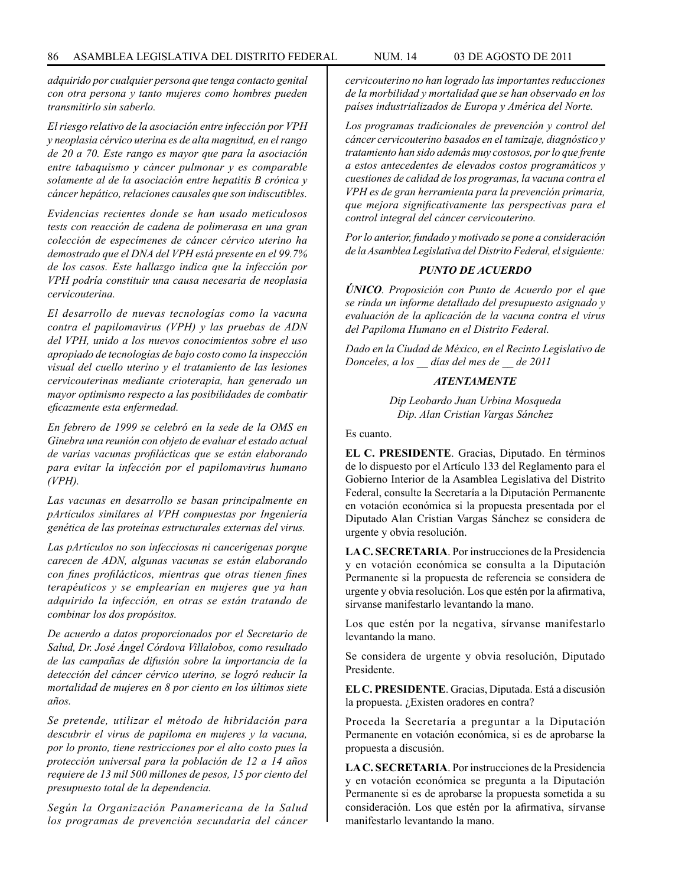*adquirido por cualquier persona que tenga contacto genital con otra persona y tanto mujeres como hombres pueden transmitirlo sin saberlo.*

*El riesgo relativo de la asociación entre infección por VPH y neoplasia cérvico uterina es de alta magnitud, en el rango de 20 a 70. Este rango es mayor que para la asociación entre tabaquismo y cáncer pulmonar y es comparable solamente al de la asociación entre hepatitis B crónica y cáncer hepático, relaciones causales que son indiscutibles.*

*Evidencias recientes donde se han usado meticulosos tests con reacción de cadena de polimerasa en una gran colección de especímenes de cáncer cérvico uterino ha demostrado que el DNA del VPH está presente en el 99.7% de los casos. Este hallazgo indica que la infección por VPH podría constituir una causa necesaria de neoplasia cervicouterina.*

*El desarrollo de nuevas tecnologías como la vacuna contra el papilomavirus (VPH) y las pruebas de ADN del VPH, unido a los nuevos conocimientos sobre el uso apropiado de tecnologías de bajo costo como la inspección visual del cuello uterino y el tratamiento de las lesiones cervicouterinas mediante crioterapia, han generado un mayor optimismo respecto a las posibilidades de combatir eficazmente esta enfermedad.*

*En febrero de 1999 se celebró en la sede de la OMS en Ginebra una reunión con objeto de evaluar el estado actual de varias vacunas profilácticas que se están elaborando para evitar la infección por el papilomavirus humano (VPH).*

*Las vacunas en desarrollo se basan principalmente en pArtículos similares al VPH compuestas por Ingeniería genética de las proteínas estructurales externas del virus.*

*Las pArtículos no son infecciosas ni cancerígenas porque carecen de ADN, algunas vacunas se están elaborando con fines profilácticos, mientras que otras tienen fines terapéuticos y se emplearían en mujeres que ya han adquirido la infección, en otras se están tratando de combinar los dos propósitos.*

*De acuerdo a datos proporcionados por el Secretario de Salud, Dr. José Ángel Córdova Villalobos, como resultado de las campañas de difusión sobre la importancia de la detección del cáncer cérvico uterino, se logró reducir la mortalidad de mujeres en 8 por ciento en los últimos siete años.*

*Se pretende, utilizar el método de hibridación para descubrir el virus de papiloma en mujeres y la vacuna, por lo pronto, tiene restricciones por el alto costo pues la protección universal para la población de 12 a 14 años requiere de 13 mil 500 millones de pesos, 15 por ciento del presupuesto total de la dependencia.*

*Según la Organización Panamericana de la Salud los programas de prevención secundaria del cáncer*  *cervicouterino no han logrado las importantes reducciones de la morbilidad y mortalidad que se han observado en los países industrializados de Europa y América del Norte.*

*Los programas tradicionales de prevención y control del cáncer cervicouterino basados en el tamizaje, diagnóstico y tratamiento han sido además muy costosos, por lo que frente a estos antecedentes de elevados costos programáticos y cuestiones de calidad de los programas, la vacuna contra el VPH es de gran herramienta para la prevención primaria, que mejora significativamente las perspectivas para el control integral del cáncer cervicouterino.*

*Por lo anterior, fundado y motivado se pone a consideración de la Asamblea Legislativa del Distrito Federal, el siguiente:*

# *PUNTO DE ACUERDO*

*ÚNICO. Proposición con Punto de Acuerdo por el que se rinda un informe detallado del presupuesto asignado y evaluación de la aplicación de la vacuna contra el virus del Papiloma Humano en el Distrito Federal.*

*Dado en la Ciudad de México, en el Recinto Legislativo de Donceles, a los \_\_ días del mes de \_\_ de 2011*

# *ATENTAMENTE*

*Dip Leobardo Juan Urbina Mosqueda Dip. Alan Cristian Vargas Sánchez*

Es cuanto.

**EL C. PRESIDENTE**. Gracias, Diputado. En términos de lo dispuesto por el Artículo 133 del Reglamento para el Gobierno Interior de la Asamblea Legislativa del Distrito Federal, consulte la Secretaría a la Diputación Permanente en votación económica si la propuesta presentada por el Diputado Alan Cristian Vargas Sánchez se considera de urgente y obvia resolución.

**LA C. SECRETARIA**. Por instrucciones de la Presidencia y en votación económica se consulta a la Diputación Permanente si la propuesta de referencia se considera de urgente y obvia resolución. Los que estén por la afirmativa, sírvanse manifestarlo levantando la mano.

Los que estén por la negativa, sírvanse manifestarlo levantando la mano.

Se considera de urgente y obvia resolución, Diputado Presidente.

**EL C. PRESIDENTE**. Gracias, Diputada. Está a discusión la propuesta. ¿Existen oradores en contra?

Proceda la Secretaría a preguntar a la Diputación Permanente en votación económica, si es de aprobarse la propuesta a discusión.

**LA C. SECRETARIA**. Por instrucciones de la Presidencia y en votación económica se pregunta a la Diputación Permanente si es de aprobarse la propuesta sometida a su consideración. Los que estén por la afirmativa, sírvanse manifestarlo levantando la mano.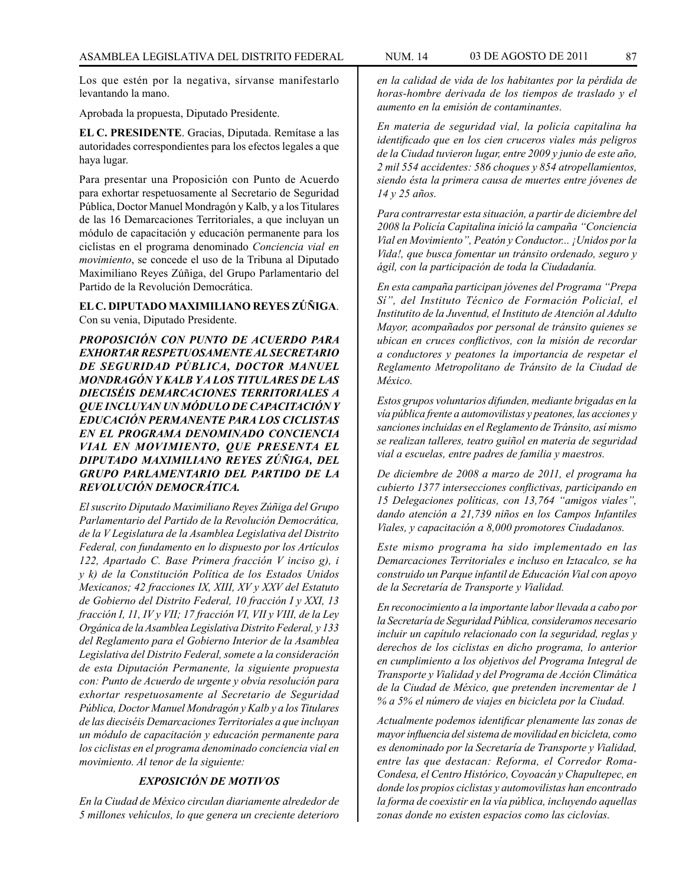Los que estén por la negativa, sírvanse manifestarlo levantando la mano.

Aprobada la propuesta, Diputado Presidente.

**EL C. PRESIDENTE**. Gracias, Diputada. Remítase a las autoridades correspondientes para los efectos legales a que haya lugar.

Para presentar una Proposición con Punto de Acuerdo para exhortar respetuosamente al Secretario de Seguridad Pública, Doctor Manuel Mondragón y Kalb, y a los Titulares de las 16 Demarcaciones Territoriales, a que incluyan un módulo de capacitación y educación permanente para los ciclistas en el programa denominado *Conciencia vial en movimiento*, se concede el uso de la Tribuna al Diputado Maximiliano Reyes Zúñiga, del Grupo Parlamentario del Partido de la Revolución Democrática.

**EL C. DIPUTADO MAXIMILIANO REYES ZÚÑIGA**. Con su venia, Diputado Presidente.

*PROPOSICIÓN CON PUNTO DE ACUERDO PARA EXHORTAR RESPETUOSAMENTE AL SECRETARIO DE SEGURIDAD PÚBLICA, DOCTOR MANUEL MONDRAGÓN Y KALB Y A LOS TITULARES DE LAS DIECISÉIS DEMARCACIONES TERRITORIALES A QUE INCLUYAN UN MÓDULO DE CAPACITACIÓN Y EDUCACIÓN PERMANENTE PARA LOS CICLISTAS EN EL PROGRAMA DENOMINADO CONCIENCIA VIAL EN MOVIMIENTO, QUE PRESENTA EL DIPUTADO MAXIMILIANO REYES ZÚÑIGA, DEL GRUPO PARLAMENTARIO DEL PARTIDO DE LA REVOLUCIÓN DEMOCRÁTICA.*

*El suscrito Diputado Maximiliano Reyes Zúñiga del Grupo Parlamentario del Partido de la Revolución Democrática, de la V Legislatura de la Asamblea Legislativa del Distrito Federal, con fundamento en lo dispuesto por los Artículos 122, Apartado C. Base Primera fracción V inciso g), i y k) de la Constitución Política de los Estados Unidos Mexicanos; 42 fracciones IX, XIII, XV y XXV del Estatuto de Gobierno del Distrito Federal, 10 fracción I y XXI, 13 fracción I, 11, IV y VII; 17 fracción VI, VII y VIII, de la Ley Orgánica de la Asamblea Legislativa Distrito Federal, y 133 del Reglamento para el Gobierno Interior de la Asamblea Legislativa del Distrito Federal, somete a la consideración de esta Diputación Permanente, la siguiente propuesta con: Punto de Acuerdo de urgente y obvia resolución para exhortar respetuosamente al Secretario de Seguridad Pública, Doctor Manuel Mondragón y Kalb y a los Titulares de las dieciséis Demarcaciones Territoriales a que incluyan un módulo de capacitación y educación permanente para los ciclistas en el programa denominado conciencia vial en movimiento. Al tenor de la siguiente:*

# *EXPOSICIÓN DE MOTIVOS*

*En la Ciudad de México circulan diariamente alrededor de 5 millones vehículos, lo que genera un creciente deterioro*  *en la calidad de vida de los habitantes por la pérdida de horas-hombre derivada de los tiempos de traslado y el aumento en la emisión de contaminantes.*

*En materia de seguridad vial, la policía capitalina ha identificado que en los cien cruceros viales más peligros de la Ciudad tuvieron lugar, entre 2009 y junio de este año, 2 mil 554 accidentes: 586 choques y 854 atropellamientos, siendo ésta la primera causa de muertes entre jóvenes de 14 y 25 años.*

*Para contrarrestar esta situación, a partir de diciembre del 2008 la Policía Capitalina inició la campaña "Conciencia Vial en Movimiento", Peatón y Conductor... ¡Unidos por la Vida!, que busca fomentar un tránsito ordenado, seguro y ágil, con la participación de toda la Ciudadanía.*

*En esta campaña participan jóvenes del Programa "Prepa Sí", del Instituto Técnico de Formación Policial, el Institutito de la Juventud, el Instituto de Atención al Adulto Mayor, acompañados por personal de tránsito quienes se ubican en cruces conflictivos, con la misión de recordar a conductores y peatones la importancia de respetar el Reglamento Metropolitano de Tránsito de la Ciudad de México.*

*Estos grupos voluntarios difunden, mediante brigadas en la vía pública frente a automovilistas y peatones, las acciones y sanciones incluidas en el Reglamento de Tránsito, así mismo se realizan talleres, teatro guiñol en materia de seguridad vial a escuelas, entre padres de familia y maestros.*

*De diciembre de 2008 a marzo de 2011, el programa ha cubierto 1377 intersecciones conflictivas, participando en 15 Delegaciones políticas, con 13,764 "amigos viales", dando atención a 21,739 niños en los Campos Infantiles Viales, y capacitación a 8,000 promotores Ciudadanos.*

*Este mismo programa ha sido implementado en las Demarcaciones Territoriales e incluso en Iztacalco, se ha construido un Parque infantil de Educación Vial con apoyo de la Secretaría de Transporte y Vialidad.*

*En reconocimiento a la importante labor llevada a cabo por la Secretaría de Seguridad Pública, consideramos necesario incluir un capítulo relacionado con la seguridad, reglas y derechos de los ciclistas en dicho programa, lo anterior en cumplimiento a los objetivos del Programa Integral de Transporte y Vialidad y del Programa de Acción Climática de la Ciudad de México, que pretenden incrementar de 1 % a 5% el número de viajes en bicicleta por la Ciudad.*

*Actualmente podemos identificar plenamente las zonas de mayor influencia del sistema de movilidad en bicicleta, como es denominado por la Secretaría de Transporte y Vialidad, entre las que destacan: Reforma, el Corredor Roma-Condesa, el Centro Histórico, Coyoacán y Chapultepec, en donde los propios ciclistas y automovilistas han encontrado la forma de coexistir en la vía pública, incluyendo aquellas zonas donde no existen espacios como las ciclovías.*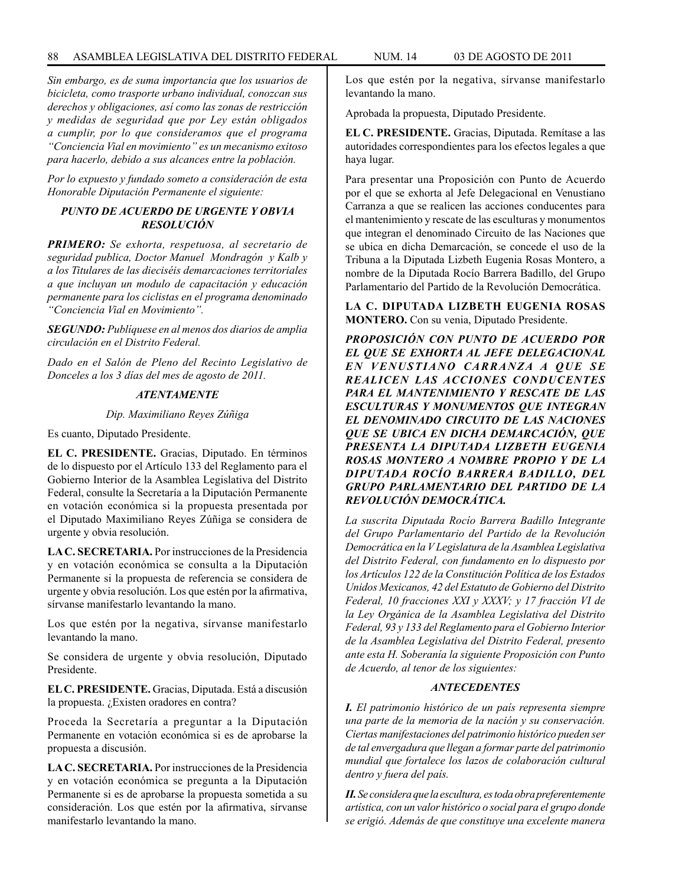*Sin embargo, es de suma importancia que los usuarios de bicicleta, como trasporte urbano individual, conozcan sus derechos y obligaciones, así como las zonas de restricción y medidas de seguridad que por Ley están obligados a cumplir, por lo que consideramos que el programa "Conciencia Vial en movimiento" es un mecanismo exitoso para hacerlo, debido a sus alcances entre la población.*

*Por lo expuesto y fundado someto a consideración de esta Honorable Diputación Permanente el siguiente:*

# *PUNTO DE ACUERDO DE URGENTE Y OBVIA RESOLUCIÓN*

*PRIMERO: Se exhorta, respetuosa, al secretario de seguridad publica, Doctor Manuel Mondragón y Kalb y a los Titulares de las dieciséis demarcaciones territoriales a que incluyan un modulo de capacitación y educación permanente para los ciclistas en el programa denominado "Conciencia Vial en Movimiento".*

*SEGUNDO: Publíquese en al menos dos diarios de amplia circulación en el Distrito Federal.*

*Dado en el Salón de Pleno del Recinto Legislativo de Donceles a los 3 días del mes de agosto de 2011.*

# *ATENTAMENTE*

*Dip. Maximiliano Reyes Zúñiga*

Es cuanto, Diputado Presidente.

**EL C. PRESIDENTE.** Gracias, Diputado. En términos de lo dispuesto por el Artículo 133 del Reglamento para el Gobierno Interior de la Asamblea Legislativa del Distrito Federal, consulte la Secretaría a la Diputación Permanente en votación económica si la propuesta presentada por el Diputado Maximiliano Reyes Zúñiga se considera de urgente y obvia resolución.

**LA C. SECRETARIA.** Por instrucciones de la Presidencia y en votación económica se consulta a la Diputación Permanente si la propuesta de referencia se considera de urgente y obvia resolución. Los que estén por la afirmativa, sírvanse manifestarlo levantando la mano.

Los que estén por la negativa, sírvanse manifestarlo levantando la mano.

Se considera de urgente y obvia resolución, Diputado Presidente.

**EL C. PRESIDENTE.** Gracias, Diputada. Está a discusión la propuesta. ¿Existen oradores en contra?

Proceda la Secretaría a preguntar a la Diputación Permanente en votación económica si es de aprobarse la propuesta a discusión.

**LA C. SECRETARIA.** Por instrucciones de la Presidencia y en votación económica se pregunta a la Diputación Permanente si es de aprobarse la propuesta sometida a su consideración. Los que estén por la afirmativa, sírvanse manifestarlo levantando la mano.

Los que estén por la negativa, sírvanse manifestarlo levantando la mano.

Aprobada la propuesta, Diputado Presidente.

**EL C. PRESIDENTE.** Gracias, Diputada. Remítase a las autoridades correspondientes para los efectos legales a que haya lugar.

Para presentar una Proposición con Punto de Acuerdo por el que se exhorta al Jefe Delegacional en Venustiano Carranza a que se realicen las acciones conducentes para el mantenimiento y rescate de las esculturas y monumentos que integran el denominado Circuito de las Naciones que se ubica en dicha Demarcación, se concede el uso de la Tribuna a la Diputada Lizbeth Eugenia Rosas Montero, a nombre de la Diputada Rocío Barrera Badillo, del Grupo Parlamentario del Partido de la Revolución Democrática.

**LA C. DIPUTADA LIZBETH EUGENIA ROSAS MONTERO.** Con su venia, Diputado Presidente.

*PROPOSICIÓN CON PUNTO DE ACUERDO POR EL QUE SE EXHORTA AL JEFE DELEGACIONAL EN VENUSTIANO CARRANZA A QUE SE REALICEN LAS ACCIONES CONDUCENTES PARA EL MANTENIMIENTO Y RESCATE DE LAS ESCULTURAS Y MONUMENTOS QUE INTEGRAN EL DENOMINADO CIRCUITO DE LAS NACIONES QUE SE UBICA EN DICHA DEMARCACIÓN, QUE PRESENTA LA DIPUTADA LIZBETH EUGENIA ROSAS MONTERO A NOMBRE PROPIO Y DE LA DIPUTADA ROCÍO BARRERA BADILLO, DEL GRUPO PARLAMENTARIO DEL PARTIDO DE LA REVOLUCIÓN DEMOCRÁTICA.*

*La suscrita Diputada Rocío Barrera Badillo Integrante del Grupo Parlamentario del Partido de la Revolución Democrática en la V Legislatura de la Asamblea Legislativa del Distrito Federal, con fundamento en lo dispuesto por los Artículos 122 de la Constitución Política de los Estados Unidos Mexicanos, 42 del Estatuto de Gobierno del Distrito Federal, 10 fracciones XXI y XXXV; y 17 fracción VI de la Ley Orgánica de la Asamblea Legislativa del Distrito Federal, 93 y 133 del Reglamento para el Gobierno Interior de la Asamblea Legislativa del Distrito Federal, presento ante esta H. Soberanía la siguiente Proposición con Punto de Acuerdo, al tenor de los siguientes:*

# *ANTECEDENTES*

*I. El patrimonio histórico de un país representa siempre una parte de la memoria de la nación y su conservación. Ciertas manifestaciones del patrimonio histórico pueden ser de tal envergadura que llegan a formar parte del patrimonio mundial que fortalece los lazos de colaboración cultural dentro y fuera del país.*

*II. Se considera que la escultura, es toda obra preferentemente artística, con un valor histórico o social para el grupo donde se erigió. Además de que constituye una excelente manera*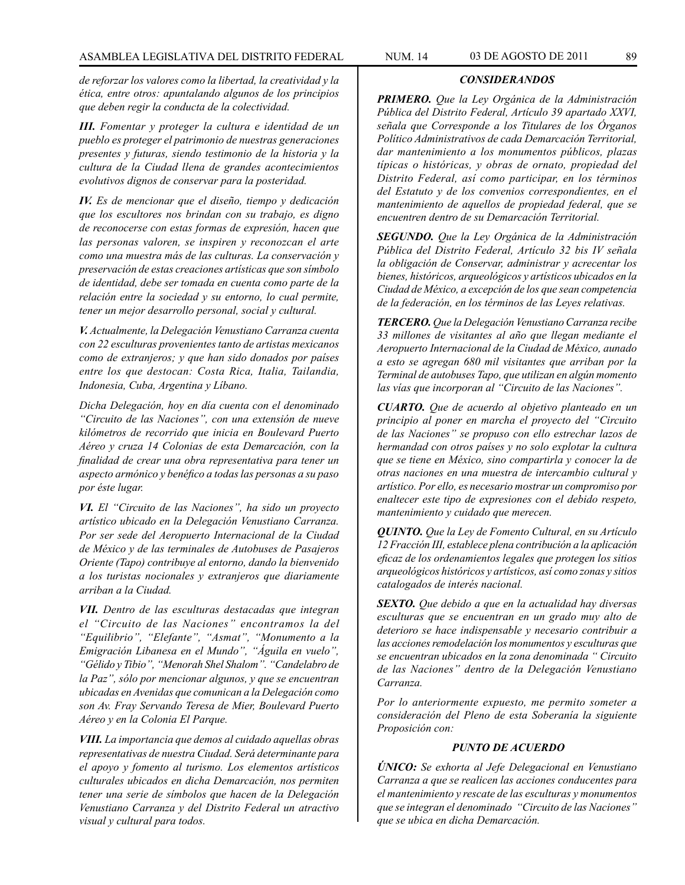*de reforzar los valores como la libertad, la creatividad y la ética, entre otros: apuntalando algunos de los principios que deben regir la conducta de la colectividad.*

*III. Fomentar y proteger la cultura e identidad de un pueblo es proteger el patrimonio de nuestras generaciones presentes y futuras, siendo testimonio de la historia y la cultura de la Ciudad llena de grandes acontecimientos evolutivos dignos de conservar para la posteridad.*

*IV. Es de mencionar que el diseño, tiempo y dedicación que los escultores nos brindan con su trabajo, es digno de reconocerse con estas formas de expresión, hacen que las personas valoren, se inspiren y reconozcan el arte como una muestra más de las culturas. La conservación y preservación de estas creaciones artísticas que son símbolo de identidad, debe ser tomada en cuenta como parte de la relación entre la sociedad y su entorno, lo cual permite, tener un mejor desarrollo personal, social y cultural.*

*V. Actualmente, la Delegación Venustiano Carranza cuenta con 22 esculturas provenientes tanto de artistas mexicanos como de extranjeros; y que han sido donados por países entre los que destocan: Costa Rica, Italia, Tailandia, Indonesia, Cuba, Argentina y Líbano.*

*Dicha Delegación, hoy en día cuenta con el denominado "Circuito de las Naciones", con una extensión de nueve kilómetros de recorrido que inicia en Boulevard Puerto Aéreo y cruza 14 Colonias de esta Demarcación, con la finalidad de crear una obra representativa para tener un aspecto armónico y benéfico a todas las personas a su paso por éste lugar.*

*VI. El "Circuito de las Naciones", ha sido un proyecto artístico ubicado en la Delegación Venustiano Carranza. Por ser sede del Aeropuerto Internacional de la Ciudad de México y de las terminales de Autobuses de Pasajeros Oriente (Tapo) contribuye al entorno, dando la bienvenido a los turistas nocionales y extranjeros que diariamente arriban a la Ciudad.*

*VII. Dentro de las esculturas destacadas que integran el "Circuito de las Naciones" encontramos la del "Equilibrio", "Elefante", "Asmat", "Monumento a la Emigración Libanesa en el Mundo", "Águila en vuelo", "Gélido y Tibio", "Menorah Shel Shalom". "Candelabro de la Paz", sólo por mencionar algunos, y que se encuentran ubicadas en Avenidas que comunican a la Delegación como son Av. Fray Servando Teresa de Mier, Boulevard Puerto Aéreo y en la Colonia El Parque.*

*VIII. La importancia que demos al cuidado aquellas obras representativas de nuestra Ciudad. Será determinante para el apoyo y fomento al turismo. Los elementos artísticos culturales ubicados en dicha Demarcación, nos permiten tener una serie de símbolos que hacen de la Delegación Venustiano Carranza y del Distrito Federal un atractivo visual y cultural para todos.*

# *CONSIDERANDOS*

*PRIMERO. Que la Ley Orgánica de la Administración Pública del Distrito Federal, Artículo 39 apartado XXVI, señala que Corresponde a los Titulares de los Órganos Político Administrativos de cada Demarcación Territorial, dar mantenimiento a los monumentos públicos, plazas típicas o históricas, y obras de ornato, propiedad del Distrito Federal, así como participar, en los términos del Estatuto y de los convenios correspondientes, en el mantenimiento de aquellos de propiedad federal, que se encuentren dentro de su Demarcación Territorial.* 

*SEGUNDO. Que la Ley Orgánica de la Administración Pública del Distrito Federal, Artículo 32 bis IV señala la obligación de Conservar, administrar y acrecentar los bienes, históricos, arqueológicos y artísticos ubicados en la Ciudad de México, a excepción de los que sean competencia de la federación, en los términos de las Leyes relativas.*

*TERCERO. Que la Delegación Venustiano Carranza recibe 33 millones de visitantes al año que llegan mediante el Aeropuerto Internacional de la Ciudad de México, aunado a esto se agregan 680 mil visitantes que arriban por la Terminal de autobuses Tapo, que utilizan en algún momento las vías que incorporan al "Circuito de las Naciones".*

*CUARTO. Que de acuerdo al objetivo planteado en un principio al poner en marcha el proyecto del "Circuito de las Naciones" se propuso con ello estrechar lazos de hermandad con otros países y no solo explotar la cultura que se tiene en México, sino compartirla y conocer la de otras naciones en una muestra de intercambio cultural y artístico. Por ello, es necesario mostrar un compromiso por enaltecer este tipo de expresiones con el debido respeto, mantenimiento y cuidado que merecen.*

*QUINTO. Que la Ley de Fomento Cultural, en su Artículo 12 Fracción III, establece plena contribución a la aplicación eficaz de los ordenamientos legales que protegen los sitios arqueológicos históricos y artísticos, así como zonas y sitios catalogados de interés nacional.*

*SEXTO. Que debido a que en la actualidad hay diversas esculturas que se encuentran en un grado muy alto de deterioro se hace indispensable y necesario contribuir a las acciones remodelación los monumentos y esculturas que se encuentran ubicados en la zona denominada " Circuito de las Naciones" dentro de la Delegación Venustiano Carranza.*

*Por lo anteriormente expuesto, me permito someter a consideración del Pleno de esta Soberanía la siguiente Proposición con:*

# *PUNTO DE ACUERDO*

*ÚNICO: Se exhorta al Jefe Delegacional en Venustiano Carranza a que se realicen las acciones conducentes para el mantenimiento y rescate de las esculturas y monumentos que se integran el denominado "Circuito de las Naciones" que se ubica en dicha Demarcación.*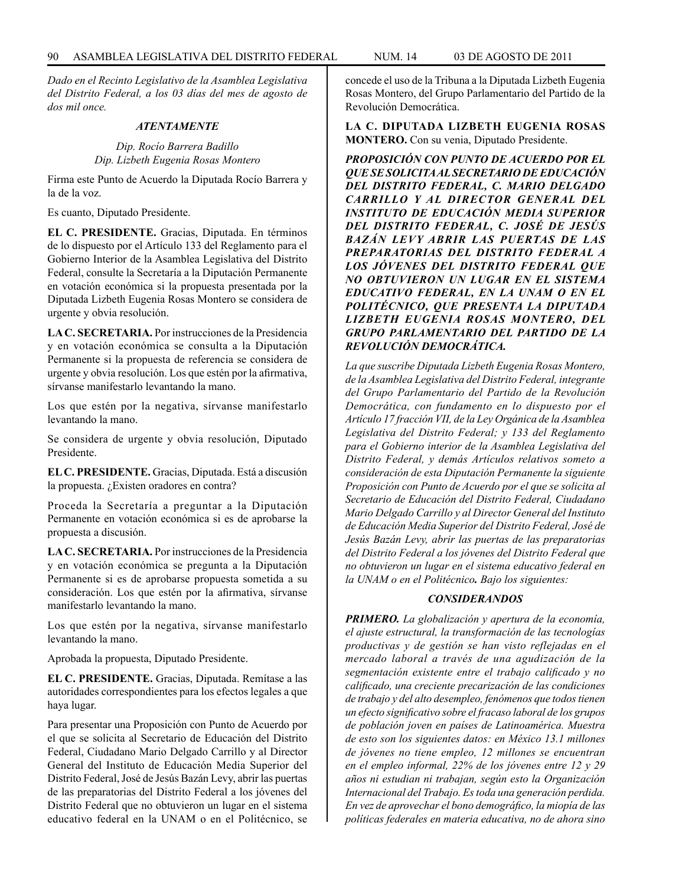*Dado en el Recinto Legislativo de la Asamblea Legislativa del Distrito Federal, a los 03 días del mes de agosto de dos mil once.*

#### *ATENTAMENTE*

*Dip. Rocío Barrera Badillo Dip. Lizbeth Eugenia Rosas Montero*

Firma este Punto de Acuerdo la Diputada Rocío Barrera y la de la voz.

Es cuanto, Diputado Presidente.

**EL C. PRESIDENTE.** Gracias, Diputada. En términos de lo dispuesto por el Artículo 133 del Reglamento para el Gobierno Interior de la Asamblea Legislativa del Distrito Federal, consulte la Secretaría a la Diputación Permanente en votación económica si la propuesta presentada por la Diputada Lizbeth Eugenia Rosas Montero se considera de urgente y obvia resolución.

**LA C. SECRETARIA.** Por instrucciones de la Presidencia y en votación económica se consulta a la Diputación Permanente si la propuesta de referencia se considera de urgente y obvia resolución. Los que estén por la afirmativa, sírvanse manifestarlo levantando la mano.

Los que estén por la negativa, sírvanse manifestarlo levantando la mano.

Se considera de urgente y obvia resolución, Diputado Presidente.

**EL C. PRESIDENTE.** Gracias, Diputada. Está a discusión la propuesta. ¿Existen oradores en contra?

Proceda la Secretaría a preguntar a la Diputación Permanente en votación económica si es de aprobarse la propuesta a discusión.

**LA C. SECRETARIA.** Por instrucciones de la Presidencia y en votación económica se pregunta a la Diputación Permanente si es de aprobarse propuesta sometida a su consideración. Los que estén por la afirmativa, sírvanse manifestarlo levantando la mano.

Los que estén por la negativa, sírvanse manifestarlo levantando la mano.

Aprobada la propuesta, Diputado Presidente.

**EL C. PRESIDENTE.** Gracias, Diputada. Remítase a las autoridades correspondientes para los efectos legales a que haya lugar.

Para presentar una Proposición con Punto de Acuerdo por el que se solicita al Secretario de Educación del Distrito Federal, Ciudadano Mario Delgado Carrillo y al Director General del Instituto de Educación Media Superior del Distrito Federal, José de Jesús Bazán Levy, abrir las puertas de las preparatorias del Distrito Federal a los jóvenes del Distrito Federal que no obtuvieron un lugar en el sistema educativo federal en la UNAM o en el Politécnico, se concede el uso de la Tribuna a la Diputada Lizbeth Eugenia Rosas Montero, del Grupo Parlamentario del Partido de la Revolución Democrática.

**LA C. DIPUTADA LIZBETH EUGENIA ROSAS MONTERO.** Con su venia, Diputado Presidente.

*PROPOSICIÓN CON PUNTO DE ACUERDO POR EL QUE SE SOLICITA AL SECRETARIO DE EDUCACIÓN DEL DISTRITO FEDERAL, C. MARIO DELGADO CARRILLO Y AL DIRECTOR GENERAL DEL INSTITUTO DE EDUCACIÓN MEDIA SUPERIOR DEL DISTRITO FEDERAL, C. JOSÉ DE JESÚS BAZÁN LEVY ABRIR LAS PUERTAS DE LAS PREPARATORIAS DEL DISTRITO FEDERAL A LOS JÓVENES DEL DISTRITO FEDERAL QUE NO OBTUVIERON UN LUGAR EN EL SISTEMA EDUCATIVO FEDERAL, EN LA UNAM O EN EL POLITÉCNICO, QUE PRESENTA LA DIPUTADA LIZBETH EUGENIA ROSAS MONTERO, DEL GRUPO PARLAMENTARIO DEL PARTIDO DE LA REVOLUCIÓN DEMOCRÁTICA.*

*La que suscribe Diputada Lizbeth Eugenia Rosas Montero, de la Asamblea Legislativa del Distrito Federal, integrante del Grupo Parlamentario del Partido de la Revolución Democrática, con fundamento en lo dispuesto por el Artículo 17 fracción VII, de la Ley Orgánica de la Asamblea Legislativa del Distrito Federal; y 133 del Reglamento para el Gobierno interior de la Asamblea Legislativa del Distrito Federal, y demás Artículos relativos someto a consideración de esta Diputación Permanente la siguiente Proposición con Punto de Acuerdo por el que se solicita al Secretario de Educación del Distrito Federal, Ciudadano Mario Delgado Carrillo y al Director General del Instituto de Educación Media Superior del Distrito Federal, José de Jesús Bazán Levy, abrir las puertas de las preparatorias del Distrito Federal a los jóvenes del Distrito Federal que no obtuvieron un lugar en el sistema educativo federal en la UNAM o en el Politécnico. Bajo los siguientes:*

#### *CONSIDERANDOS*

*PRIMERO. La globalización y apertura de la economía, el ajuste estructural, la transformación de las tecnologías productivas y de gestión se han visto reflejadas en el mercado laboral a través de una agudización de la segmentación existente entre el trabajo calificado y no calificado, una creciente precarización de las condiciones de trabajo y del alto desempleo, fenómenos que todos tienen un efecto significativo sobre el fracaso laboral de los grupos de población joven en países de Latinoamérica. Muestra de esto son los siguientes datos: en México 13.1 millones de jóvenes no tiene empleo, 12 millones se encuentran en el empleo informal, 22% de los jóvenes entre 12 y 29 años ni estudian ni trabajan, según esto la Organización Internacional del Trabajo. Es toda una generación perdida. En vez de aprovechar el bono demográfico, la miopía de las políticas federales en materia educativa, no de ahora sino*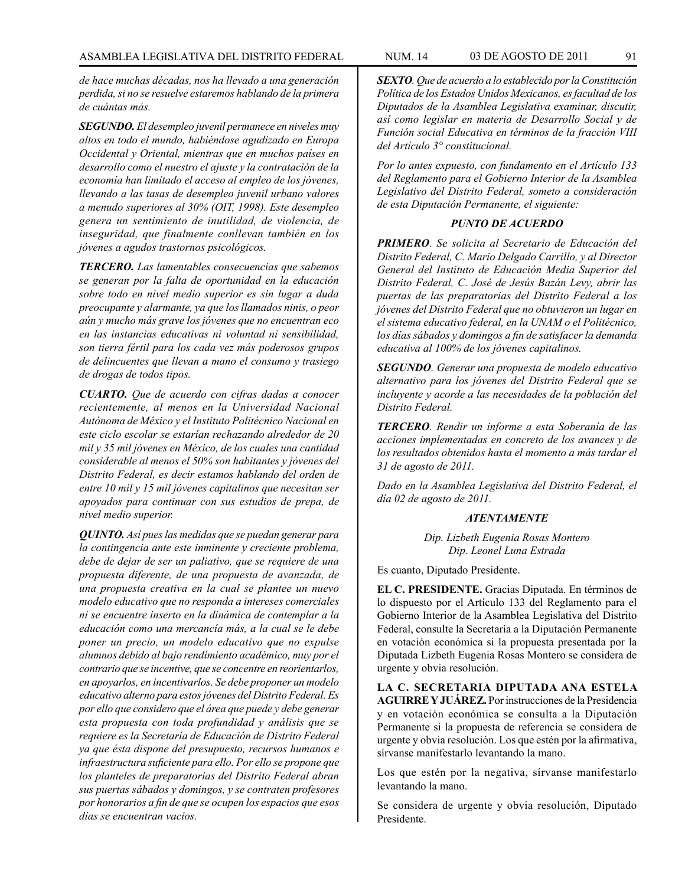*de hace muchas décadas, nos ha llevado a una generación perdida, si no se resuelve estaremos hablando de la primera de cuántas más.*

*SEGUNDO. El desempleo juvenil permanece en niveles muy altos en todo el mundo, habiéndose agudizado en Europa Occidental y Oriental, mientras que en muchos países en desarrollo como el nuestro el ajuste y la contratación de la economía han limitado el acceso al empleo de los jóvenes, llevando a las tasas de desempleo juvenil urbano valores a menudo superiores al 30% (OIT, 1998). Este desempleo genera un sentimiento de inutilidad, de violencia, de inseguridad, que finalmente conllevan también en los jóvenes a agudos trastornos psicológicos.*

*TERCERO. Las lamentables consecuencias que sabemos se generan por la falta de oportunidad en la educación sobre todo en nivel medio superior es sin lugar a duda preocupante y alarmante, ya que los llamados ninis, o peor aún y mucho más grave los jóvenes que no encuentran eco en las instancias educativas ni voluntad ni sensibilidad, son tierra fértil para los cada vez más poderosos grupos de delincuentes que llevan a mano el consumo y trasiego de drogas de todos tipos.*

*CUARTO. Que de acuerdo con cifras dadas a conocer recientemente, al menos en la Universidad Nacional Autónoma de México y el Instituto Politécnico Nacional en este ciclo escolar se estarían rechazando alrededor de 20 mil y 35 mil jóvenes en México, de los cuales una cantidad considerable al menos el 50% son habitantes y jóvenes del Distrito Federal, es decir estamos hablando del orden de entre 10 mil y 15 mil jóvenes capitalinos que necesitan ser apoyados para continuar con sus estudios de prepa, de nivel medio superior.*

*QUINTO. Así pues las medidas que se puedan generar para la contingencia ante este inminente y creciente problema, debe de dejar de ser un paliativo, que se requiere de una propuesta diferente, de una propuesta de avanzada, de una propuesta creativa en la cual se plantee un nuevo modelo educativo que no responda a intereses comerciales ni se encuentre inserto en la dinámica de contemplar a la educación como una mercancía más, a la cual se le debe poner un precio, un modelo educativo que no expulse alumnos debido al bajo rendimiento académico, muy por el contrario que se incentive, que se concentre en reorientarlos, en apoyarlos, en incentivarlos. Se debe proponer un modelo educativo alterno para estos jóvenes del Distrito Federal. Es por ello que considero que el área que puede y debe generar esta propuesta con toda profundidad y análisis que se requiere es la Secretaría de Educación de Distrito Federal ya que ésta dispone del presupuesto, recursos humanos e infraestructura suficiente para ello. Por ello se propone que los planteles de preparatorias del Distrito Federal abran sus puertas sábados y domingos, y se contraten profesores por honorarios a fin de que se ocupen los espacios que esos días se encuentran vacíos.*

*SEXTO. Que de acuerdo a lo establecido por la Constitución Política de los Estados Unidos Mexicanos, es facultad de los Diputados de la Asamblea Legislativa examinar, discutir, así como legislar en materia de Desarrollo Social y de Función social Educativa en términos de la fracción VIII del Artículo 3° constitucional.*

*Por lo antes expuesto, con fundamento en el Artículo 133 del Reglamento para el Gobierno Interior de la Asamblea Legislativo del Distrito Federal, someto a consideración de esta Diputación Permanente, el siguiente:* 

# *PUNTO DE ACUERDO*

*PRIMERO. Se solicita al Secretario de Educación del Distrito Federal, C. Mario Delgado Carrillo, y al Director General del Instituto de Educación Media Superior del Distrito Federal, C. José de Jesús Bazán Levy, abrir las puertas de las preparatorias del Distrito Federal a los jóvenes del Distrito Federal que no obtuvieron un lugar en el sistema educativo federal, en la UNAM o el Politécnico, los días sábados y domingos a fin de satisfacer la demanda educativa al 100% de los jóvenes capitalinos.*

*SEGUNDO. Generar una propuesta de modelo educativo alternativo para los jóvenes del Distrito Federal que se incluyente y acorde a las necesidades de la población del Distrito Federal.*

*TERCERO. Rendir un informe a esta Soberanía de las acciones implementadas en concreto de los avances y de los resultados obtenidos hasta el momento a más tardar el 31 de agosto de 2011.*

*Dado en la Asamblea Legislativa del Distrito Federal, el día 02 de agosto de 2011.*

#### *ATENTAMENTE*

*Dip. Lizbeth Eugenia Rosas Montero Dip. Leonel Luna Estrada*

Es cuanto, Diputado Presidente.

**EL C. PRESIDENTE.** Gracias Diputada. En términos de lo dispuesto por el Artículo 133 del Reglamento para el Gobierno Interior de la Asamblea Legislativa del Distrito Federal, consulte la Secretaría a la Diputación Permanente en votación económica si la propuesta presentada por la Diputada Lizbeth Eugenia Rosas Montero se considera de urgente y obvia resolución.

**LA C. SECRETARIA DIPUTADA ANA ESTELA AGUIRRE Y JUÁREZ.** Por instrucciones de la Presidencia y en votación económica se consulta a la Diputación Permanente si la propuesta de referencia se considera de urgente y obvia resolución. Los que estén por la afirmativa, sírvanse manifestarlo levantando la mano.

Los que estén por la negativa, sírvanse manifestarlo levantando la mano.

Se considera de urgente y obvia resolución, Diputado Presidente.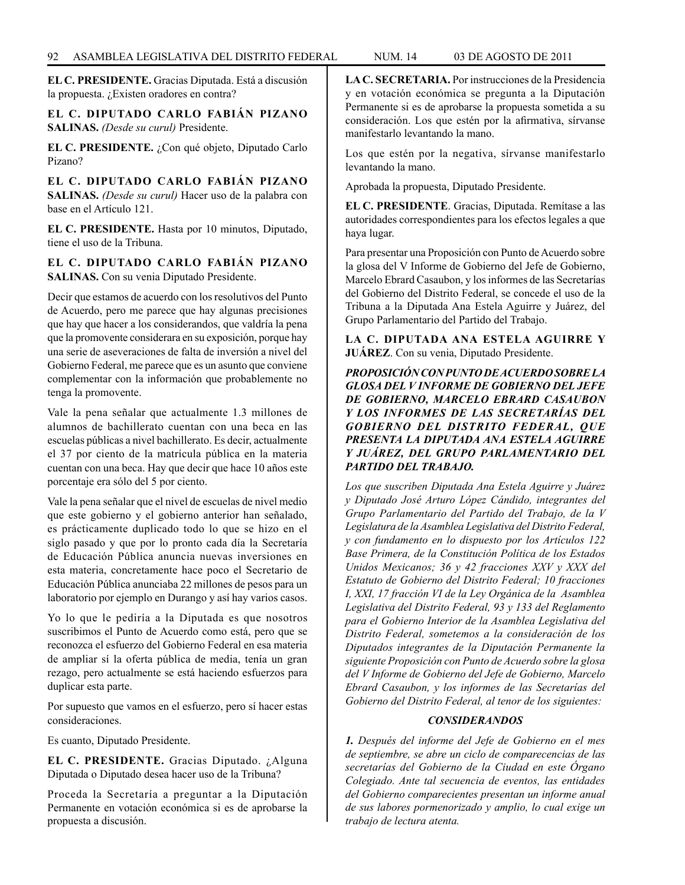**EL C. PRESIDENTE.** Gracias Diputada. Está a discusión la propuesta. ¿Existen oradores en contra?

**EL C. DIPUTADO CARLO FABIÁN PIZANO SALINAS.** *(Desde su curul)* Presidente.

**EL C. PRESIDENTE.** ¿Con qué objeto, Diputado Carlo Pizano?

**EL C. DIPUTADO CARLO FABIÁN PIZANO SALINAS.** *(Desde su curul)* Hacer uso de la palabra con base en el Artículo 121.

**EL C. PRESIDENTE.** Hasta por 10 minutos, Diputado, tiene el uso de la Tribuna.

**EL C. DIPUTADO CARLO FABIÁN PIZANO SALINAS.** Con su venia Diputado Presidente.

Decir que estamos de acuerdo con los resolutivos del Punto de Acuerdo, pero me parece que hay algunas precisiones que hay que hacer a los considerandos, que valdría la pena que la promovente considerara en su exposición, porque hay una serie de aseveraciones de falta de inversión a nivel del Gobierno Federal, me parece que es un asunto que conviene complementar con la información que probablemente no tenga la promovente.

Vale la pena señalar que actualmente 1.3 millones de alumnos de bachillerato cuentan con una beca en las escuelas públicas a nivel bachillerato. Es decir, actualmente el 37 por ciento de la matrícula pública en la materia cuentan con una beca. Hay que decir que hace 10 años este porcentaje era sólo del 5 por ciento.

Vale la pena señalar que el nivel de escuelas de nivel medio que este gobierno y el gobierno anterior han señalado, es prácticamente duplicado todo lo que se hizo en el siglo pasado y que por lo pronto cada día la Secretaría de Educación Pública anuncia nuevas inversiones en esta materia, concretamente hace poco el Secretario de Educación Pública anunciaba 22 millones de pesos para un laboratorio por ejemplo en Durango y así hay varios casos.

Yo lo que le pediría a la Diputada es que nosotros suscribimos el Punto de Acuerdo como está, pero que se reconozca el esfuerzo del Gobierno Federal en esa materia de ampliar sí la oferta pública de media, tenía un gran rezago, pero actualmente se está haciendo esfuerzos para duplicar esta parte.

Por supuesto que vamos en el esfuerzo, pero sí hacer estas consideraciones.

Es cuanto, Diputado Presidente.

**EL C. PRESIDENTE.** Gracias Diputado. ¿Alguna Diputada o Diputado desea hacer uso de la Tribuna?

Proceda la Secretaría a preguntar a la Diputación Permanente en votación económica si es de aprobarse la propuesta a discusión.

**LA C. SECRETARIA.** Por instrucciones de la Presidencia y en votación económica se pregunta a la Diputación Permanente si es de aprobarse la propuesta sometida a su consideración. Los que estén por la afirmativa, sírvanse manifestarlo levantando la mano.

Los que estén por la negativa, sírvanse manifestarlo levantando la mano.

Aprobada la propuesta, Diputado Presidente.

**EL C. PRESIDENTE**. Gracias, Diputada. Remítase a las autoridades correspondientes para los efectos legales a que haya lugar.

Para presentar una Proposición con Punto de Acuerdo sobre la glosa del V Informe de Gobierno del Jefe de Gobierno, Marcelo Ebrard Casaubon, y los informes de las Secretarías del Gobierno del Distrito Federal, se concede el uso de la Tribuna a la Diputada Ana Estela Aguirre y Juárez, del Grupo Parlamentario del Partido del Trabajo.

**LA C. DIPUTADA ANA ESTELA AGUIRRE Y JUÁREZ**. Con su venia, Diputado Presidente.

*PROPOSICIÓN CON PUNTO DE ACUERDO SOBRE LA GLOSA DEL V INFORME DE GOBIERNO DEL JEFE DE GOBIERNO, MARCELO EBRARD CASAUBON Y LOS INFORMES DE LAS SECRETARÍAS DEL GOBIERNO DEL DISTRITO FEDERAL, QUE PRESENTA LA DIPUTADA ANA ESTELA AGUIRRE Y JUÁREZ, DEL GRUPO PARLAMENTARIO DEL PARTIDO DEL TRABAJO.*

*Los que suscriben Diputada Ana Estela Aguirre y Juárez y Diputado José Arturo López Cándido, integrantes del Grupo Parlamentario del Partido del Trabajo, de la V Legislatura de la Asamblea Legislativa del Distrito Federal, y con fundamento en lo dispuesto por los Artículos 122 Base Primera, de la Constitución Política de los Estados Unidos Mexicanos; 36 y 42 fracciones XXV y XXX del Estatuto de Gobierno del Distrito Federal; 10 fracciones I, XXI, 17 fracción VI de la Ley Orgánica de la Asamblea Legislativa del Distrito Federal, 93 y 133 del Reglamento para el Gobierno Interior de la Asamblea Legislativa del Distrito Federal, sometemos a la consideración de los Diputados integrantes de la Diputación Permanente la siguiente Proposición con Punto de Acuerdo sobre la glosa del V Informe de Gobierno del Jefe de Gobierno, Marcelo Ebrard Casaubon, y los informes de las Secretarías del Gobierno del Distrito Federal, al tenor de los siguientes:*

# *CONSIDERANDOS*

*1. Después del informe del Jefe de Gobierno en el mes de septiembre, se abre un ciclo de comparecencias de las secretarías del Gobierno de la Ciudad en este Órgano Colegiado. Ante tal secuencia de eventos, las entidades del Gobierno comparecientes presentan un informe anual de sus labores pormenorizado y amplio, lo cual exige un trabajo de lectura atenta.*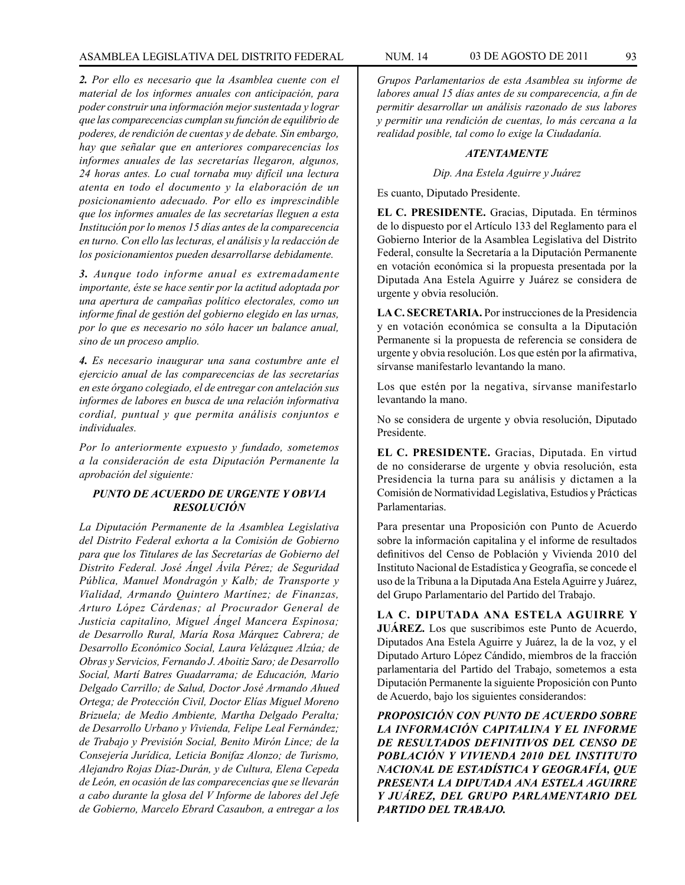*2. Por ello es necesario que la Asamblea cuente con el material de los informes anuales con anticipación, para poder construir una información mejor sustentada y lograr que las comparecencias cumplan su función de equilibrio de poderes, de rendición de cuentas y de debate. Sin embargo, hay que señalar que en anteriores comparecencias los informes anuales de las secretarías llegaron, algunos, 24 horas antes. Lo cual tornaba muy difícil una lectura atenta en todo el documento y la elaboración de un posicionamiento adecuado. Por ello es imprescindible que los informes anuales de las secretarías lleguen a esta Institución por lo menos 15 días antes de la comparecencia en turno. Con ello las lecturas, el análisis y la redacción de los posicionamientos pueden desarrollarse debidamente.* 

*3. Aunque todo informe anual es extremadamente importante, éste se hace sentir por la actitud adoptada por una apertura de campañas político electorales, como un informe final de gestión del gobierno elegido en las urnas, por lo que es necesario no sólo hacer un balance anual, sino de un proceso amplio.*

*4. Es necesario inaugurar una sana costumbre ante el ejercicio anual de las comparecencias de las secretarías en este órgano colegiado, el de entregar con antelación sus informes de labores en busca de una relación informativa cordial, puntual y que permita análisis conjuntos e individuales.*

*Por lo anteriormente expuesto y fundado, sometemos a la consideración de esta Diputación Permanente la aprobación del siguiente:*

# *PUNTO DE ACUERDO DE URGENTE Y OBVIA RESOLUCIÓN*

*La Diputación Permanente de la Asamblea Legislativa del Distrito Federal exhorta a la Comisión de Gobierno para que los Titulares de las Secretarías de Gobierno del Distrito Federal. José Ángel Ávila Pérez; de Seguridad Pública, Manuel Mondragón y Kalb; de Transporte y Vialidad, Armando Quintero Martínez; de Finanzas, Arturo López Cárdenas; al Procurador General de Justicia capitalino, Miguel Ángel Mancera Espinosa; de Desarrollo Rural, María Rosa Márquez Cabrera; de Desarrollo Económico Social, Laura Velázquez Alzúa; de Obras y Servicios, Fernando J. Aboitiz Saro; de Desarrollo Social, Martí Batres Guadarrama; de Educación, Mario Delgado Carrillo; de Salud, Doctor José Armando Ahued Ortega; de Protección Civil, Doctor Elías Miguel Moreno Brizuela; de Medio Ambiente, Martha Delgado Peralta; de Desarrollo Urbano y Vivienda, Felipe Leal Fernández; de Trabajo y Previsión Social, Benito Mirón Lince; de la Consejería Jurídica, Leticia Bonifaz Alonzo; de Turismo, Alejandro Rojas Díaz-Durán, y de Cultura, Elena Cepeda de León, en ocasión de las comparecencias que se llevarán a cabo durante la glosa del V Informe de labores del Jefe de Gobierno, Marcelo Ebrard Casaubon, a entregar a los* 

*Grupos Parlamentarios de esta Asamblea su informe de labores anual 15 días antes de su comparecencia, a fin de permitir desarrollar un análisis razonado de sus labores y permitir una rendición de cuentas, lo más cercana a la realidad posible, tal como lo exige la Ciudadanía.* 

### *ATENTAMENTE*

*Dip. Ana Estela Aguirre y Juárez*

Es cuanto, Diputado Presidente.

**EL C. PRESIDENTE.** Gracias, Diputada. En términos de lo dispuesto por el Artículo 133 del Reglamento para el Gobierno Interior de la Asamblea Legislativa del Distrito Federal, consulte la Secretaría a la Diputación Permanente en votación económica si la propuesta presentada por la Diputada Ana Estela Aguirre y Juárez se considera de urgente y obvia resolución.

**LA C. SECRETARIA.** Por instrucciones de la Presidencia y en votación económica se consulta a la Diputación Permanente si la propuesta de referencia se considera de urgente y obvia resolución. Los que estén por la afirmativa, sírvanse manifestarlo levantando la mano.

Los que estén por la negativa, sírvanse manifestarlo levantando la mano.

No se considera de urgente y obvia resolución, Diputado Presidente.

**EL C. PRESIDENTE.** Gracias, Diputada. En virtud de no considerarse de urgente y obvia resolución, esta Presidencia la turna para su análisis y dictamen a la Comisión de Normatividad Legislativa, Estudios y Prácticas Parlamentarias.

Para presentar una Proposición con Punto de Acuerdo sobre la información capitalina y el informe de resultados definitivos del Censo de Población y Vivienda 2010 del Instituto Nacional de Estadística y Geografía, se concede el uso de la Tribuna a la Diputada Ana Estela Aguirre y Juárez, del Grupo Parlamentario del Partido del Trabajo.

**LA C. DIPUTADA ANA ESTELA AGUIRRE Y JUÁREZ.** Los que suscribimos este Punto de Acuerdo, Diputados Ana Estela Aguirre y Juárez, la de la voz, y el Diputado Arturo López Cándido, miembros de la fracción parlamentaria del Partido del Trabajo, sometemos a esta Diputación Permanente la siguiente Proposición con Punto de Acuerdo, bajo los siguientes considerandos:

*PROPOSICIÓN CON PUNTO DE ACUERDO SOBRE LA INFORMACIÓN CAPITALINA Y EL INFORME DE RESULTADOS DEFINITIVOS DEL CENSO DE POBLACIÓN Y VIVIENDA 2010 DEL INSTITUTO NACIONAL DE ESTADÍSTICA Y GEOGRAFÍA, QUE PRESENTA LA DIPUTADA ANA ESTELA AGUIRRE Y JUÁREZ, DEL GRUPO PARLAMENTARIO DEL PARTIDO DEL TRABAJO.*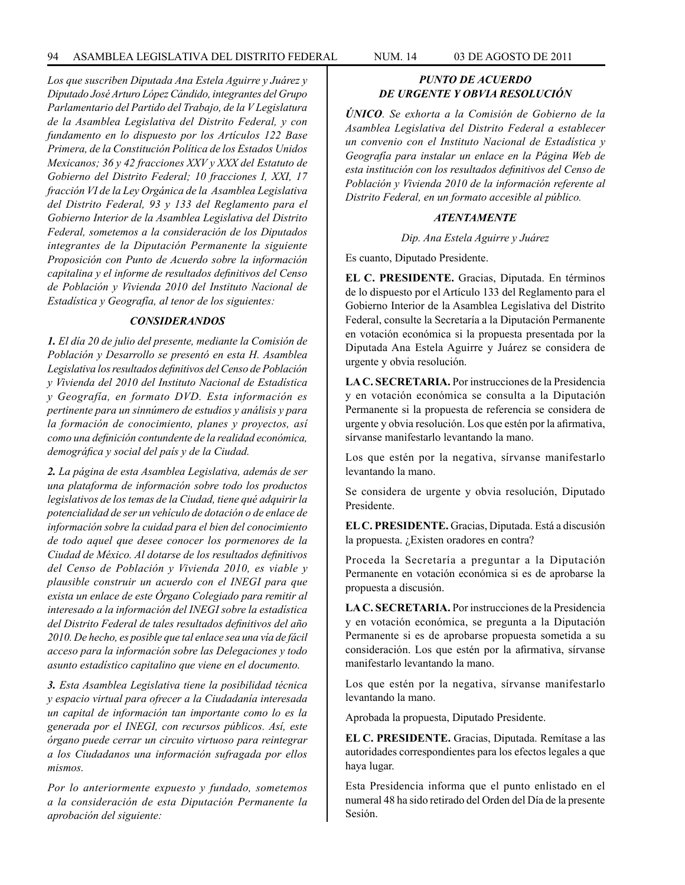*Los que suscriben Diputada Ana Estela Aguirre y Juárez y Diputado José Arturo López Cándido, integrantes del Grupo Parlamentario del Partido del Trabajo, de la V Legislatura de la Asamblea Legislativa del Distrito Federal, y con fundamento en lo dispuesto por los Artículos 122 Base Primera, de la Constitución Política de los Estados Unidos Mexicanos; 36 y 42 fracciones XXV y XXX del Estatuto de Gobierno del Distrito Federal; 10 fracciones I, XXI, 17 fracción VI de la Ley Orgánica de la Asamblea Legislativa del Distrito Federal, 93 y 133 del Reglamento para el Gobierno Interior de la Asamblea Legislativa del Distrito Federal, sometemos a la consideración de los Diputados integrantes de la Diputación Permanente la siguiente Proposición con Punto de Acuerdo sobre la información capitalina y el informe de resultados definitivos del Censo de Población y Vivienda 2010 del Instituto Nacional de Estadística y Geografía, al tenor de los siguientes:*

### *CONSIDERANDOS*

*1. El día 20 de julio del presente, mediante la Comisión de Población y Desarrollo se presentó en esta H. Asamblea Legislativa los resultados definitivos del Censo de Población y Vivienda del 2010 del Instituto Nacional de Estadística y Geografía, en formato DVD. Esta información es pertinente para un sinnúmero de estudios y análisis y para la formación de conocimiento, planes y proyectos, así como una definición contundente de la realidad económica, demográfica y social del país y de la Ciudad.*

*2. La página de esta Asamblea Legislativa, además de ser una plataforma de información sobre todo los productos legislativos de los temas de la Ciudad, tiene qué adquirir la potencialidad de ser un vehículo de dotación o de enlace de información sobre la cuidad para el bien del conocimiento de todo aquel que desee conocer los pormenores de la Ciudad de México. Al dotarse de los resultados definitivos del Censo de Población y Vivienda 2010, es viable y plausible construir un acuerdo con el INEGI para que exista un enlace de este Órgano Colegiado para remitir al interesado a la información del INEGI sobre la estadística del Distrito Federal de tales resultados definitivos del año 2010. De hecho, es posible que tal enlace sea una vía de fácil acceso para la información sobre las Delegaciones y todo asunto estadístico capitalino que viene en el documento.*

*3. Esta Asamblea Legislativa tiene la posibilidad técnica y espacio virtual para ofrecer a la Ciudadanía interesada un capital de información tan importante como lo es la generada por el INEGI, con recursos públicos. Así, este órgano puede cerrar un circuito virtuoso para reintegrar a los Ciudadanos una información sufragada por ellos mismos.*

*Por lo anteriormente expuesto y fundado, sometemos a la consideración de esta Diputación Permanente la aprobación del siguiente:*

# *PUNTO DE ACUERDO DE URGENTE Y OBVIA RESOLUCIÓN*

*ÚNICO. Se exhorta a la Comisión de Gobierno de la Asamblea Legislativa del Distrito Federal a establecer un convenio con el Instituto Nacional de Estadística y Geografía para instalar un enlace en la Página Web de esta institución con los resultados definitivos del Censo de Población y Vivienda 2010 de la información referente al Distrito Federal, en un formato accesible al público.*

# *ATENTAMENTE*

### *Dip. Ana Estela Aguirre y Juárez*

Es cuanto, Diputado Presidente.

**EL C. PRESIDENTE.** Gracias, Diputada. En términos de lo dispuesto por el Artículo 133 del Reglamento para el Gobierno Interior de la Asamblea Legislativa del Distrito Federal, consulte la Secretaría a la Diputación Permanente en votación económica si la propuesta presentada por la Diputada Ana Estela Aguirre y Juárez se considera de urgente y obvia resolución.

**LA C. SECRETARIA.** Por instrucciones de la Presidencia y en votación económica se consulta a la Diputación Permanente si la propuesta de referencia se considera de urgente y obvia resolución. Los que estén por la afirmativa, sírvanse manifestarlo levantando la mano.

Los que estén por la negativa, sírvanse manifestarlo levantando la mano.

Se considera de urgente y obvia resolución, Diputado Presidente.

**EL C. PRESIDENTE.** Gracias, Diputada. Está a discusión la propuesta. ¿Existen oradores en contra?

Proceda la Secretaría a preguntar a la Diputación Permanente en votación económica si es de aprobarse la propuesta a discusión.

**LA C. SECRETARIA.** Por instrucciones de la Presidencia y en votación económica, se pregunta a la Diputación Permanente si es de aprobarse propuesta sometida a su consideración. Los que estén por la afirmativa, sírvanse manifestarlo levantando la mano.

Los que estén por la negativa, sírvanse manifestarlo levantando la mano.

Aprobada la propuesta, Diputado Presidente.

**EL C. PRESIDENTE.** Gracias, Diputada. Remítase a las autoridades correspondientes para los efectos legales a que haya lugar.

Esta Presidencia informa que el punto enlistado en el numeral 48 ha sido retirado del Orden del Día de la presente Sesión.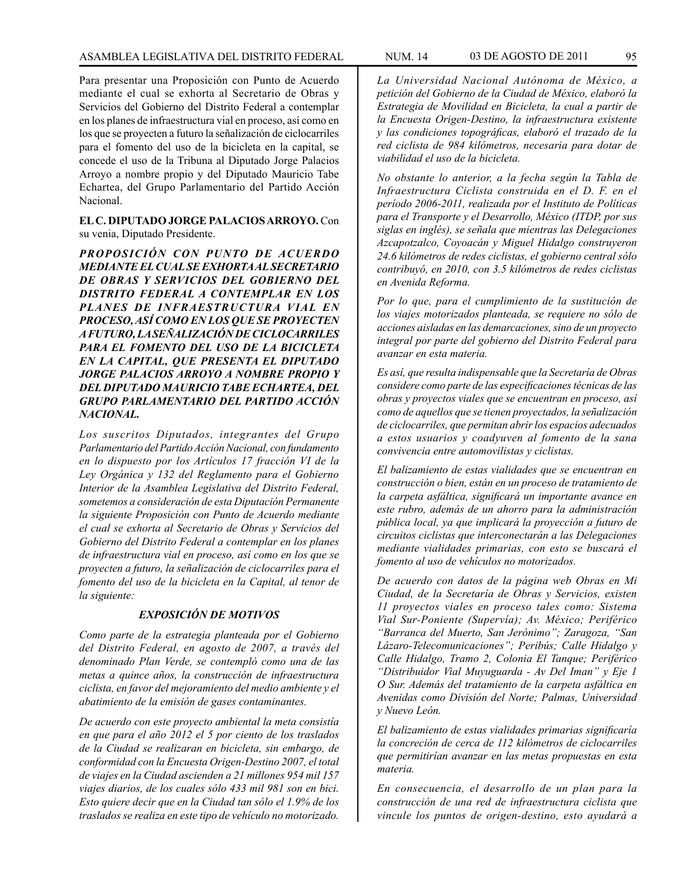Para presentar una Proposición con Punto de Acuerdo mediante el cual se exhorta al Secretario de Obras y Servicios del Gobierno del Distrito Federal a contemplar en los planes de infraestructura vial en proceso, así como en los que se proyecten a futuro la señalización de ciclocarriles para el fomento del uso de la bicicleta en la capital, se concede el uso de la Tribuna al Diputado Jorge Palacios Arroyo a nombre propio y del Diputado Mauricio Tabe Echartea, del Grupo Parlamentario del Partido Acción Nacional.

# **EL C. DIPUTADO JORGE PALACIOS ARROYO.** Con su venia, Diputado Presidente.

*PROPOSICIÓN CON PUNTO DE ACUERDO MEDIANTE EL CUAL SE EXHORTA AL SECRETARIO DE OBRAS Y SERVICIOS DEL GOBIERNO DEL DISTRITO FEDERAL A CONTEMPLAR EN LOS PLANES DE INFRAESTRUCTURA VIAL EN PROCESO, ASÍ COMO EN LOS QUE SE PROYECTEN A FUTURO, LA SEÑALIZACIÓN DE CICLOCARRILES PARA EL FOMENTO DEL USO DE LA BICICLETA EN LA CAPITAL, QUE PRESENTA EL DIPUTADO JORGE PALACIOS ARROYO A NOMBRE PROPIO Y DEL DIPUTADO MAURICIO TABE ECHARTEA, DEL GRUPO PARLAMENTARIO DEL PARTIDO ACCIÓN NACIONAL.*

*Los suscritos Diputados, integrantes del Grupo Parlamentario del Partido Acción Nacional, con fundamento en lo dispuesto por los Artículos 17 fracción VI de la Ley Orgánica y 132 del Reglamento para el Gobierno Interior de la Asamblea Legislativa del Distrito Federal, sometemos a consideración de esta Diputación Permanente la siguiente Proposición con Punto de Acuerdo mediante el cual se exhorta al Secretario de Obras y Servicios del Gobierno del Distrito Federal a contemplar en los planes de infraestructura vial en proceso, así como en los que se proyecten a futuro, la señalización de ciclocarriles para el fomento del uso de la bicicleta en la Capital, al tenor de la siguiente:*

# *EXPOSICIÓN DE MOTIVOS*

*Como parte de la estrategia planteada por el Gobierno del Distrito Federal, en agosto de 2007, a través del denominado Plan Verde, se contempló como una de las metas a quince años, la construcción de infraestructura ciclista, en favor del mejoramiento del medio ambiente y el abatimiento de la emisión de gases contaminantes.*

*De acuerdo con este proyecto ambiental la meta consistía en que para el año 2012 el 5 por ciento de los traslados de la Ciudad se realizaran en bicicleta, sin embargo, de conformidad con la Encuesta Origen-Destino 2007, el total de viajes en la Ciudad ascienden a 21 millones 954 mil 157 viajes diarios, de los cuales sólo 433 mil 981 son en bici. Esto quiere decir que en la Ciudad tan sólo el 1.9% de los traslados se realiza en este tipo de vehículo no motorizado.*

*La Universidad Nacional Autónoma de México, a petición del Gobierno de la Ciudad de México, elaboró la Estrategia de Movilidad en Bicicleta, la cual a partir de la Encuesta Origen-Destino, la infraestructura existente y las condiciones topográficas, elaboró el trazado de la red ciclista de 984 kilómetros, necesaria para dotar de viabilidad el uso de la bicicleta.*

*No obstante lo anterior, a la fecha según la Tabla de Infraestructura Ciclista construida en el D. F. en el período 2006-2011, realizada por el Instituto de Políticas para el Transporte y el Desarrollo, México (ITDP, por sus siglas en inglés), se señala que mientras las Delegaciones Azcapotzalco, Coyoacán y Miguel Hidalgo construyeron 24.6 kilómetros de redes ciclistas, el gobierno central sólo contribuyó, en 2010, con 3.5 kilómetros de redes ciclistas en Avenida Reforma.*

*Por lo que, para el cumplimiento de la sustitución de los viajes motorizados planteada, se requiere no sólo de acciones aisladas en las demarcaciones, sino de un proyecto integral por parte del gobierno del Distrito Federal para avanzar en esta materia.*

*Es así, que resulta indispensable que la Secretaría de Obras considere como parte de las especificaciones técnicas de las obras y proyectos viales que se encuentran en proceso, así como de aquellos que se tienen proyectados, la señalización de ciclocarriles, que permitan abrir los espacios adecuados a estos usuarios y coadyuven al fomento de la sana convivencia entre automovilistas y ciclistas.*

*El balizamiento de estas vialidades que se encuentran en construcción o bien, están en un proceso de tratamiento de la carpeta asfáltica, significará un importante avance en este rubro, además de un ahorro para la administración pública local, ya que implicará la proyección a futuro de circuitos ciclistas que interconectarán a las Delegaciones mediante vialidades primarias, con esto se buscará el fomento al uso de vehículos no motorizados.*

*De acuerdo con datos de la página web Obras en Mi Ciudad, de la Secretaría de Obras y Servicios, existen 11 proyectos viales en proceso tales como: Sistema Vial Sur-Poniente (Supervía); Av. México; Periférico "Barranca del Muerto, San Jerónimo"; Zaragoza, "San Lázaro-Telecomunicaciones"; Peribús; Calle Hidalgo y Calle Hidalgo, Tramo 2, Colonia El Tanque; Periférico "Distribuidor Vial Muyuguarda - Av Del Iman" y Eje 1 O Sur. Además del tratamiento de la carpeta asfáltica en Avenidas como División del Norte; Palmas, Universidad y Nuevo León.*

*El balizamiento de estas vialidades primarias significaría la concreción de cerca de 112 kilómetros de ciclocarriles que permitirían avanzar en las metas propuestas en esta materia.*

*En consecuencia, el desarrollo de un plan para la construcción de una red de infraestructura ciclista que vincule los puntos de origen-destino, esto ayudará a*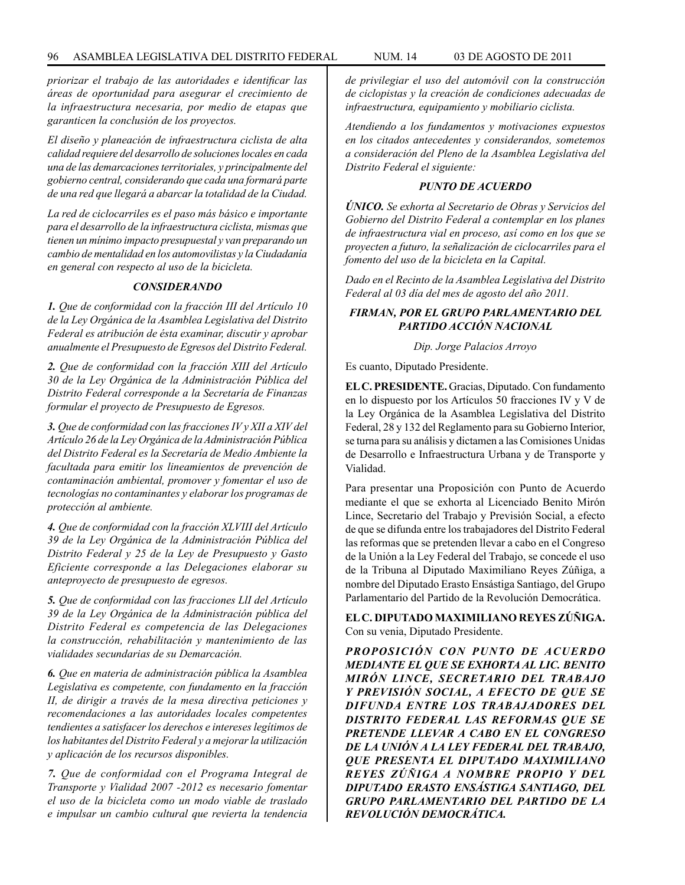*priorizar el trabajo de las autoridades e identificar las áreas de oportunidad para asegurar el crecimiento de la infraestructura necesaria, por medio de etapas que garanticen la conclusión de los proyectos.*

*El diseño y planeación de infraestructura ciclista de alta calidad requiere del desarrollo de soluciones locales en cada una de las demarcaciones territoriales, y principalmente del gobierno central, considerando que cada una formará parte de una red que llegará a abarcar la totalidad de la Ciudad.*

*La red de ciclocarriles es el paso más básico e importante para el desarrollo de la infraestructura ciclista, mismas que tienen un mínimo impacto presupuestal y van preparando un cambio de mentalidad en los automovilistas y la Ciudadanía en general con respecto al uso de la bicicleta.*

#### *CONSIDERANDO*

*1. Que de conformidad con la fracción III del Artículo 10 de la Ley Orgánica de la Asamblea Legislativa del Distrito Federal es atribución de ésta examinar, discutir y aprobar anualmente el Presupuesto de Egresos del Distrito Federal.*

*2. Que de conformidad con la fracción XIII del Artículo 30 de la Ley Orgánica de la Administración Pública del Distrito Federal corresponde a la Secretaría de Finanzas formular el proyecto de Presupuesto de Egresos.*

*3. Que de conformidad con las fracciones IV y XII a XIV del Artículo 26 de la Ley Orgánica de la Administración Pública del Distrito Federal es la Secretaría de Medio Ambiente la facultada para emitir los lineamientos de prevención de contaminación ambiental, promover y fomentar el uso de tecnologías no contaminantes y elaborar los programas de protección al ambiente.*

*4. Que de conformidad con la fracción XLVIII del Artículo 39 de la Ley Orgánica de la Administración Pública del Distrito Federal y 25 de la Ley de Presupuesto y Gasto Eficiente corresponde a las Delegaciones elaborar su anteproyecto de presupuesto de egresos.*

*5. Que de conformidad con las fracciones LlI del Artículo 39 de la Ley Orgánica de la Administración pública del Distrito Federal es competencia de las Delegaciones la construcción, rehabilitación y mantenimiento de las vialidades secundarias de su Demarcación.*

*6. Que en materia de administración pública la Asamblea Legislativa es competente, con fundamento en la fracción II, de dirigir a través de la mesa directiva peticiones y recomendaciones a las autoridades locales competentes tendientes a satisfacer los derechos e intereses legítimos de los habitantes del Distrito Federal y a mejorar la utilización y aplicación de los recursos disponibles.*

*7. Que de conformidad con el Programa Integral de Transporte y Vialidad 2007 -2012 es necesario fomentar el uso de la bicicleta como un modo viable de traslado e impulsar un cambio cultural que revierta la tendencia* 

*de privilegiar el uso del automóvil con la construcción de ciclopistas y la creación de condiciones adecuadas de infraestructura, equipamiento y mobiliario ciclista.*

*Atendiendo a los fundamentos y motivaciones expuestos en los citados antecedentes y considerandos, sometemos a consideración del Pleno de la Asamblea Legislativa del Distrito Federal el siguiente:*

### *PUNTO DE ACUERDO*

*ÚNICO. Se exhorta al Secretario de Obras y Servicios del Gobierno del Distrito Federal a contemplar en los planes de infraestructura vial en proceso, así como en los que se proyecten a futuro, la señalización de ciclocarriles para el fomento del uso de la bicicleta en la Capital.*

*Dado en el Recinto de la Asamblea Legislativa del Distrito Federal al 03 día del mes de agosto del año 2011.*

# *FIRMAN, POR EL GRUPO PARLAMENTARIO DEL PARTIDO ACCIÓN NACIONAL*

### *Dip. Jorge Palacios Arroyo*

Es cuanto, Diputado Presidente.

**EL C. PRESIDENTE.** Gracias, Diputado. Con fundamento en lo dispuesto por los Artículos 50 fracciones IV y V de la Ley Orgánica de la Asamblea Legislativa del Distrito Federal, 28 y 132 del Reglamento para su Gobierno Interior, se turna para su análisis y dictamen a las Comisiones Unidas de Desarrollo e Infraestructura Urbana y de Transporte y Vialidad.

Para presentar una Proposición con Punto de Acuerdo mediante el que se exhorta al Licenciado Benito Mirón Lince, Secretario del Trabajo y Previsión Social, a efecto de que se difunda entre los trabajadores del Distrito Federal las reformas que se pretenden llevar a cabo en el Congreso de la Unión a la Ley Federal del Trabajo, se concede el uso de la Tribuna al Diputado Maximiliano Reyes Zúñiga, a nombre del Diputado Erasto Ensástiga Santiago, del Grupo Parlamentario del Partido de la Revolución Democrática.

**EL C. DIPUTADO MAXIMILIANO REYES ZÚÑIGA.** Con su venia, Diputado Presidente.

*PROPOSICIÓN CON PUNTO DE ACUERDO MEDIANTE EL QUE SE EXHORTA AL LIC. BENITO MIRÓN LINCE, SECRETARIO DEL TRABAJO Y PREVISIÓN SOCIAL, A EFECTO DE QUE SE DIFUNDA ENTRE LOS TRABAJADORES DEL DISTRITO FEDERAL LAS REFORMAS QUE SE PRETENDE LLEVAR A CABO EN EL CONGRESO DE LA UNIÓN A LA LEY FEDERAL DEL TRABAJO, QUE PRESENTA EL DIPUTADO MAXIMILIANO REYES ZÚÑIGA A NOMBRE PROPIO Y DEL DIPUTADO ERASTO ENSÁSTIGA SANTIAGO, DEL GRUPO PARLAMENTARIO DEL PARTIDO DE LA REVOLUCIÓN DEMOCRÁTICA.*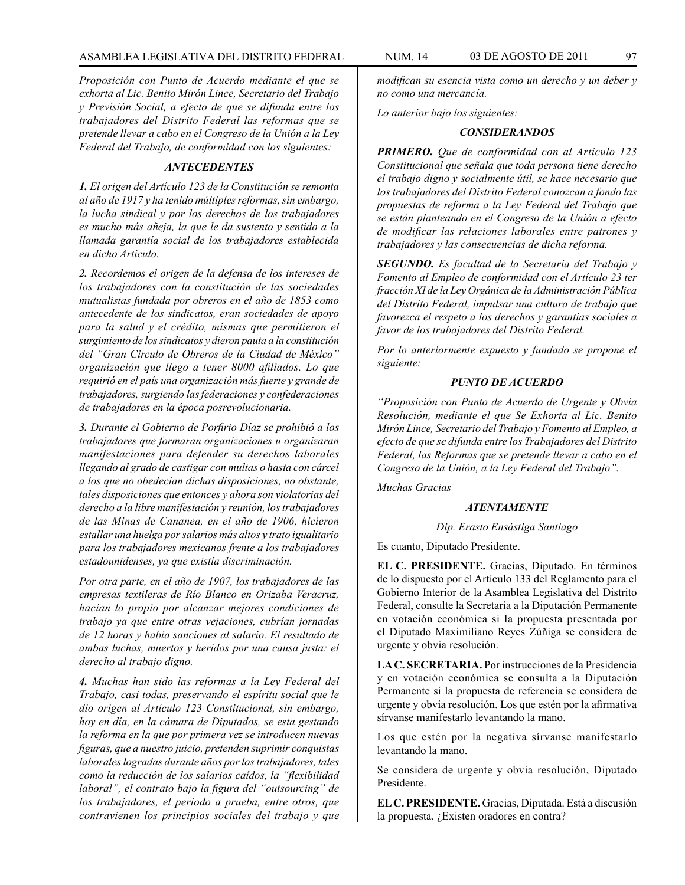*Proposición con Punto de Acuerdo mediante el que se exhorta al Lic. Benito Mirón Lince, Secretario del Trabajo y Previsión Social, a efecto de que se difunda entre los trabajadores del Distrito Federal las reformas que se pretende llevar a cabo en el Congreso de la Unión a la Ley Federal del Trabajo, de conformidad con los siguientes:*

## *ANTECEDENTES*

*1. El origen del Artículo 123 de la Constitución se remonta al año de 1917 y ha tenido múltiples reformas, sin embargo, la lucha sindical y por los derechos de los trabajadores es mucho más añeja, la que le da sustento y sentido a la llamada garantía social de los trabajadores establecida en dicho Artículo.*

*2. Recordemos el origen de la defensa de los intereses de los trabajadores con la constitución de las sociedades mutualistas fundada por obreros en el año de 1853 como antecedente de los sindicatos, eran sociedades de apoyo para la salud y el crédito, mismas que permitieron el surgimiento de los sindicatos y dieron pauta a la constitución del "Gran Circulo de Obreros de la Ciudad de México" organización que llego a tener 8000 afiliados. Lo que requirió en el país una organización más fuerte y grande de trabajadores, surgiendo las federaciones y confederaciones de trabajadores en la época posrevolucionaria.*

*3. Durante el Gobierno de Porfirio Díaz se prohibió a los trabajadores que formaran organizaciones u organizaran manifestaciones para defender su derechos laborales llegando al grado de castigar con multas o hasta con cárcel a los que no obedecían dichas disposiciones, no obstante, tales disposiciones que entonces y ahora son violatorias del derecho a la libre manifestación y reunión, los trabajadores de las Minas de Cananea, en el año de 1906, hicieron estallar una huelga por salarios más altos y trato igualitario para los trabajadores mexicanos frente a los trabajadores estadounidenses, ya que existía discriminación.*

*Por otra parte, en el año de 1907, los trabajadores de las empresas textileras de Río Blanco en Orizaba Veracruz, hacían lo propio por alcanzar mejores condiciones de trabajo ya que entre otras vejaciones, cubrían jornadas de 12 horas y había sanciones al salario. El resultado de ambas luchas, muertos y heridos por una causa justa: el derecho al trabajo digno.*

*4. Muchas han sido las reformas a la Ley Federal del Trabajo, casi todas, preservando el espíritu social que le dio origen al Artículo 123 Constitucional, sin embargo, hoy en día, en la cámara de Diputados, se esta gestando la reforma en la que por primera vez se introducen nuevas figuras, que a nuestro juicio, pretenden suprimir conquistas laborales logradas durante años por los trabajadores, tales como la reducción de los salarios caídos, la "flexibilidad laboral", el contrato bajo la figura del "outsourcing" de los trabajadores, el período a prueba, entre otros, que contravienen los principios sociales del trabajo y que* 

*modifican su esencia vista como un derecho y un deber y no como una mercancía.* 

*Lo anterior bajo los siguientes:*

#### *CONSIDERANDOS*

*PRIMERO. Que de conformidad con al Artículo 123 Constitucional que señala que toda persona tiene derecho el trabajo digno y socialmente útil, se hace necesario que los trabajadores del Distrito Federal conozcan a fondo las propuestas de reforma a la Ley Federal del Trabajo que se están planteando en el Congreso de la Unión a efecto de modificar las relaciones laborales entre patrones y trabajadores y las consecuencias de dicha reforma.*

*SEGUNDO. Es facultad de la Secretaría del Trabajo y Fomento al Empleo de conformidad con el Artículo 23 ter fracción XI de la Ley Orgánica de la Administración Pública del Distrito Federal, impulsar una cultura de trabajo que favorezca el respeto a los derechos y garantías sociales a favor de los trabajadores del Distrito Federal.*

*Por lo anteriormente expuesto y fundado se propone el siguiente:*

#### *PUNTO DE ACUERDO*

*"Proposición con Punto de Acuerdo de Urgente y Obvia Resolución, mediante el que Se Exhorta al Lic. Benito Mirón Lince, Secretario del Trabajo y Fomento al Empleo, a efecto de que se difunda entre los Trabajadores del Distrito Federal, las Reformas que se pretende llevar a cabo en el Congreso de la Unión, a la Ley Federal del Trabajo".*

*Muchas Gracias*

### *ATENTAMENTE*

#### *Dip. Erasto Ensástiga Santiago*

Es cuanto, Diputado Presidente.

**EL C. PRESIDENTE.** Gracias, Diputado. En términos de lo dispuesto por el Artículo 133 del Reglamento para el Gobierno Interior de la Asamblea Legislativa del Distrito Federal, consulte la Secretaría a la Diputación Permanente en votación económica si la propuesta presentada por el Diputado Maximiliano Reyes Zúñiga se considera de urgente y obvia resolución.

**LA C. SECRETARIA.** Por instrucciones de la Presidencia y en votación económica se consulta a la Diputación Permanente si la propuesta de referencia se considera de urgente y obvia resolución. Los que estén por la afirmativa sírvanse manifestarlo levantando la mano.

Los que estén por la negativa sírvanse manifestarlo levantando la mano.

Se considera de urgente y obvia resolución, Diputado Presidente.

**EL C. PRESIDENTE.** Gracias, Diputada. Está a discusión la propuesta. ¿Existen oradores en contra?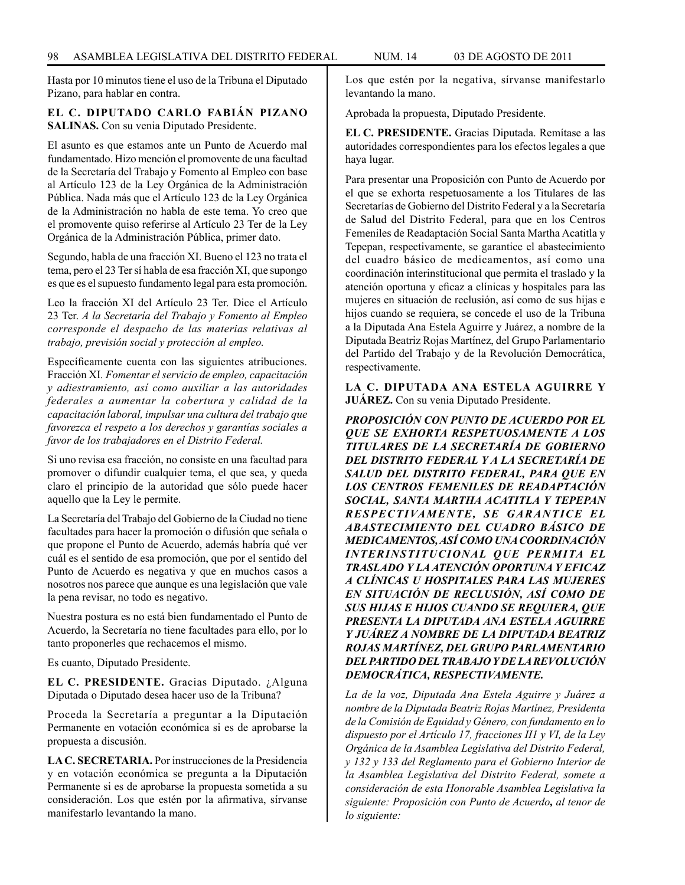Hasta por 10 minutos tiene el uso de la Tribuna el Diputado Pizano, para hablar en contra.

## **EL C. DIPUTADO CARLO FABIÁN PIZANO SALINAS.** Con su venia Diputado Presidente.

El asunto es que estamos ante un Punto de Acuerdo mal fundamentado. Hizo mención el promovente de una facultad de la Secretaría del Trabajo y Fomento al Empleo con base al Artículo 123 de la Ley Orgánica de la Administración Pública. Nada más que el Artículo 123 de la Ley Orgánica de la Administración no habla de este tema. Yo creo que el promovente quiso referirse al Artículo 23 Ter de la Ley Orgánica de la Administración Pública, primer dato.

Segundo, habla de una fracción XI. Bueno el 123 no trata el tema, pero el 23 Ter sí habla de esa fracción XI, que supongo es que es el supuesto fundamento legal para esta promoción.

Leo la fracción XI del Artículo 23 Ter. Dice el Artículo 23 Ter. *A la Secretaría del Trabajo y Fomento al Empleo corresponde el despacho de las materias relativas al trabajo, previsión social y protección al empleo.* 

Específicamente cuenta con las siguientes atribuciones. Fracción XI*. Fomentar el servicio de empleo, capacitación y adiestramiento, así como auxiliar a las autoridades federales a aumentar la cobertura y calidad de la capacitación laboral, impulsar una cultura del trabajo que favorezca el respeto a los derechos y garantías sociales a favor de los trabajadores en el Distrito Federal.*

Si uno revisa esa fracción, no consiste en una facultad para promover o difundir cualquier tema, el que sea, y queda claro el principio de la autoridad que sólo puede hacer aquello que la Ley le permite.

La Secretaría del Trabajo del Gobierno de la Ciudad no tiene facultades para hacer la promoción o difusión que señala o que propone el Punto de Acuerdo, además habría qué ver cuál es el sentido de esa promoción, que por el sentido del Punto de Acuerdo es negativa y que en muchos casos a nosotros nos parece que aunque es una legislación que vale la pena revisar, no todo es negativo.

Nuestra postura es no está bien fundamentado el Punto de Acuerdo, la Secretaría no tiene facultades para ello, por lo tanto proponerles que rechacemos el mismo.

Es cuanto, Diputado Presidente.

**EL C. PRESIDENTE.** Gracias Diputado. ¿Alguna Diputada o Diputado desea hacer uso de la Tribuna?

Proceda la Secretaría a preguntar a la Diputación Permanente en votación económica si es de aprobarse la propuesta a discusión.

**LA C. SECRETARIA.** Por instrucciones de la Presidencia y en votación económica se pregunta a la Diputación Permanente si es de aprobarse la propuesta sometida a su consideración. Los que estén por la afirmativa, sírvanse manifestarlo levantando la mano.

Los que estén por la negativa, sírvanse manifestarlo levantando la mano.

Aprobada la propuesta, Diputado Presidente.

**EL C. PRESIDENTE.** Gracias Diputada. Remítase a las autoridades correspondientes para los efectos legales a que haya lugar.

Para presentar una Proposición con Punto de Acuerdo por el que se exhorta respetuosamente a los Titulares de las Secretarías de Gobierno del Distrito Federal y a la Secretaría de Salud del Distrito Federal, para que en los Centros Femeniles de Readaptación Social Santa Martha Acatitla y Tepepan, respectivamente, se garantice el abastecimiento del cuadro básico de medicamentos, así como una coordinación interinstitucional que permita el traslado y la atención oportuna y eficaz a clínicas y hospitales para las mujeres en situación de reclusión, así como de sus hijas e hijos cuando se requiera, se concede el uso de la Tribuna a la Diputada Ana Estela Aguirre y Juárez, a nombre de la Diputada Beatriz Rojas Martínez, del Grupo Parlamentario del Partido del Trabajo y de la Revolución Democrática, respectivamente.

**LA C. DIPUTADA ANA ESTELA AGUIRRE Y JUÁREZ.** Con su venia Diputado Presidente.

*PROPOSICIÓN CON PUNTO DE ACUERDO POR EL QUE SE EXHORTA RESPETUOSAMENTE A LOS TITULARES DE LA SECRETARÍA DE GOBIERNO DEL DISTRITO FEDERAL Y A LA SECRETARÍA DE SALUD DEL DISTRITO FEDERAL, PARA QUE EN LOS CENTROS FEMENILES DE READAPTACIÓN SOCIAL, SANTA MARTHA ACATITLA Y TEPEPAN RESPECTIVAMENTE, SE GARANTICE EL ABASTECIMIENTO DEL CUADRO BÁSICO DE MEDICAMENTOS, ASÍ COMO UNA COORDINACIÓN INTERINSTITUCIONAL QUE PERMITA EL TRASLADO Y LA ATENCIÓN OPORTUNA Y EFICAZ A CLÍNICAS U HOSPITALES PARA LAS MUJERES EN SITUACIÓN DE RECLUSIÓN, ASÍ COMO DE SUS HIJAS E HIJOS CUANDO SE REQUIERA, QUE PRESENTA LA DIPUTADA ANA ESTELA AGUIRRE Y JUÁREZ A NOMBRE DE LA DIPUTADA BEATRIZ ROJAS MARTÍNEZ, DEL GRUPO PARLAMENTARIO DEL PARTIDO DEL TRABAJO Y DE LA REVOLUCIÓN DEMOCRÁTICA, RESPECTIVAMENTE.*

*La de la voz, Diputada Ana Estela Aguirre y Juárez a nombre de la Diputada Beatriz Rojas Martínez, Presidenta de la Comisión de Equidad y Género, con fundamento en lo dispuesto por el Artículo 17, fracciones II1 y VI, de la Ley Orgánica de la Asamblea Legislativa del Distrito Federal, y 132 y 133 del Reglamento para el Gobierno Interior de la Asamblea Legislativa del Distrito Federal, somete a consideración de esta Honorable Asamblea Legislativa la siguiente: Proposición con Punto de Acuerdo, al tenor de lo siguiente:*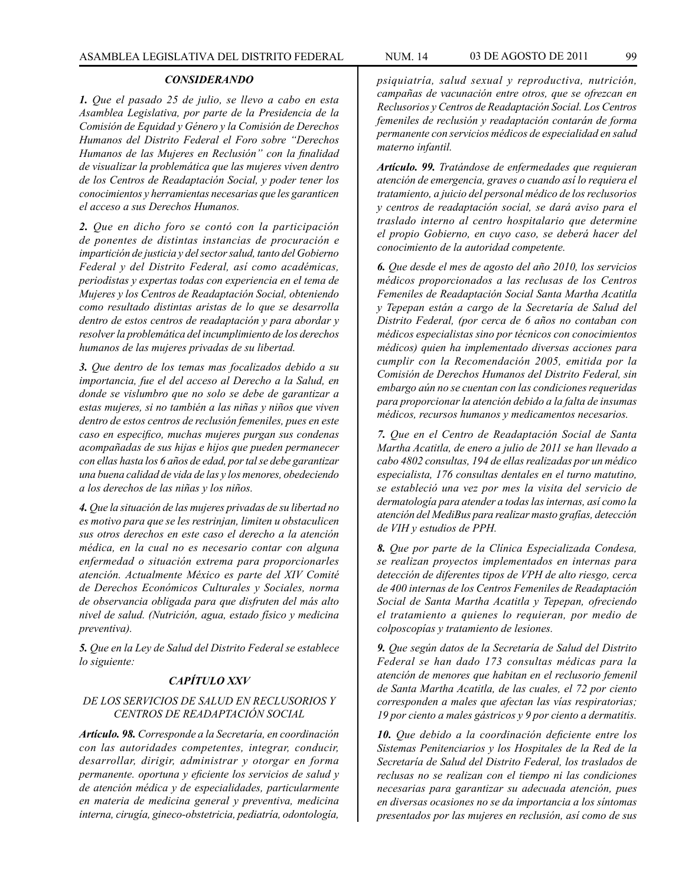## *CONSIDERANDO*

*1. Que el pasado 25 de julio, se llevo a cabo en esta Asamblea Legislativa, por parte de la Presidencia de la Comisión de Equidad y Género y la Comisión de Derechos Humanos del Distrito Federal el Foro sobre "Derechos Humanos de las Mujeres en Reclusión" con la finalidad de visualizar la problemática que las mujeres viven dentro de los Centros de Readaptación Social, y poder tener los conocimientos y herramientas necesarias que les garanticen el acceso a sus Derechos Humanos.*

*2. Que en dicho foro se contó con la participación de ponentes de distintas instancias de procuración e impartición de justicia y del sector salud, tanto del Gobierno Federal y del Distrito Federal, así como académicas, periodistas y expertas todas con experiencia en el tema de Mujeres y los Centros de Readaptación Social, obteniendo como resultado distintas aristas de lo que se desarrolla dentro de estos centros de readaptación y para abordar y resolver la problemática del incumplimiento de los derechos humanos de las mujeres privadas de su libertad.*

*3. Que dentro de los temas mas focalizados debido a su importancia, fue el del acceso al Derecho a la Salud, en donde se vislumbro que no solo se debe de garantizar a estas mujeres, si no también a las niñas y niños que viven dentro de estos centros de reclusión femeniles, pues en este caso en especifico, muchas mujeres purgan sus condenas acompañadas de sus hijas e hijos que pueden permanecer con ellas hasta los 6 años de edad, por tal se debe garantizar una buena calidad de vida de las y los menores, obedeciendo a los derechos de las niñas y los niños.*

*4. Que la situación de las mujeres privadas de su libertad no es motivo para que se les restrinjan, limiten u obstaculicen sus otros derechos en este caso el derecho a la atención médica, en la cual no es necesario contar con alguna enfermedad o situación extrema para proporcionarles atención. Actualmente México es parte del XIV Comité de Derechos Económicos Culturales y Sociales, norma de observancia obligada para que disfruten del más alto nivel de salud. (Nutrición, agua, estado físico y medicina preventiva).*

*5. Que en la Ley de Salud del Distrito Federal se establece lo siguiente:* 

## *CAPÍTULO XXV*

# *DE LOS SERVICIOS DE SALUD EN RECLUSORIOS Y CENTROS DE READAPTACIÓN SOCIAL*

*Artículo. 98. Corresponde a la Secretaría, en coordinación con las autoridades competentes, integrar, conducir, desarrollar, dirigir, administrar y otorgar en forma permanente. oportuna y eficiente los servicios de salud y de atención médica y de especialidades, particularmente en materia de medicina general y preventiva, medicina interna, cirugía, gineco-obstetricia, pediatría, odontología,* 

*psiquiatría, salud sexual y reproductiva, nutrición, campañas de vacunación entre otros, que se ofrezcan en Reclusorios y Centros de Readaptación Social. Los Centros femeniles de reclusión y readaptación contarán de forma permanente con servicios médicos de especialidad en salud materno infantil.*

*Artículo. 99. Tratándose de enfermedades que requieran atención de emergencia, graves o cuando así lo requiera el tratamiento, a juicio del personal médico de los reclusorios y centros de readaptación social, se dará aviso para el traslado interno al centro hospitalario que determine el propio Gobierno, en cuyo caso, se deberá hacer del conocimiento de la autoridad competente.*

*6. Que desde el mes de agosto del año 2010, los servicios médicos proporcionados a las reclusas de los Centros Femeniles de Readaptación Social Santa Martha Acatitla y Tepepan están a cargo de la Secretaría de Salud del Distrito Federal, (por cerca de 6 años no contaban con médicos especialistas sino por técnicos con conocimientos médicos) quien ha implementado diversas acciones para cumplir con la Recomendación 2005, emitida por la Comisión de Derechos Humanos del Distrito Federal, sin embargo aún no se cuentan con las condiciones requeridas para proporcionar la atención debido a la falta de insumas médicos, recursos humanos y medicamentos necesarios.*

*7. Que en el Centro de Readaptación Social de Santa Martha Acatitla, de enero a julio de 2011 se han llevado a cabo 4802 consultas, 194 de ellas realizadas por un médico especialista, 176 consultas dentales en el turno matutino, se estableció una vez por mes la visita del servicio de dermatología para atender a todas las internas, así como la atención del MediBus para realizar masto grafías, detección de VIH y estudios de PPH.*

*8. Que por parte de la Clínica Especializada Condesa, se realizan proyectos implementados en internas para detección de diferentes tipos de VPH de alto riesgo, cerca de 400 internas de los Centros Femeniles de Readaptación Social de Santa Martha Acatitla y Tepepan, ofreciendo el tratamiento a quienes lo requieran, por medio de colposcopías y tratamiento de lesiones.*

*9. Que según datos de la Secretaría de Salud del Distrito Federal se han dado 173 consultas médicas para la atención de menores que habitan en el reclusorio femenil de Santa Martha Acatitla, de las cuales, el 72 por ciento corresponden a males que afectan las vías respiratorias; 19 por ciento a males gástricos y 9 por ciento a dermatitis.*

*10. Que debido a la coordinación deficiente entre los Sistemas Penitenciarios y los Hospitales de la Red de la Secretaría de Salud del Distrito Federal, los traslados de reclusas no se realizan con el tiempo ni las condiciones necesarias para garantizar su adecuada atención, pues en diversas ocasiones no se da importancia a los síntomas presentados por las mujeres en reclusión, así como de sus*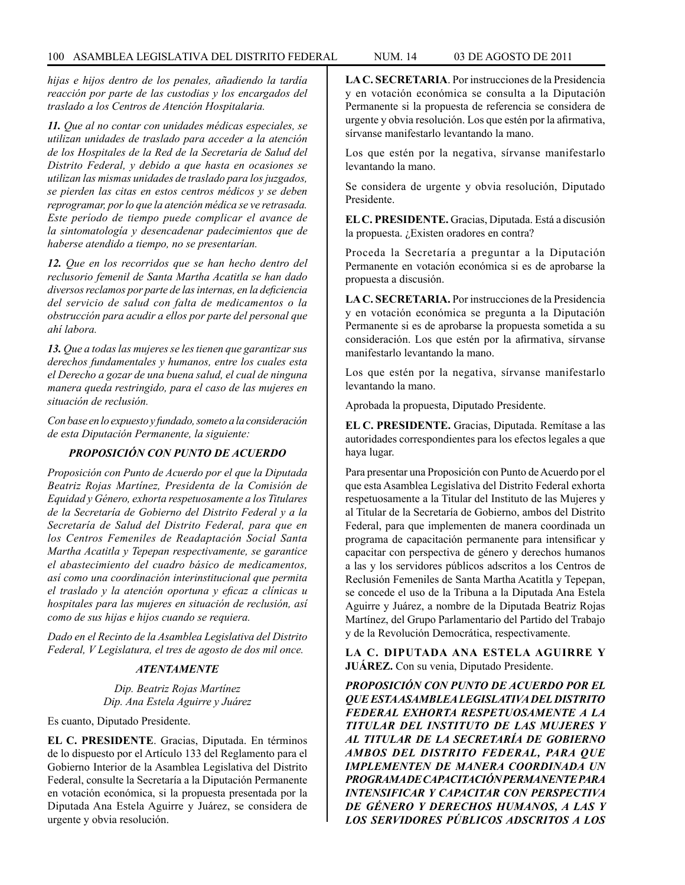*hijas e hijos dentro de los penales, añadiendo la tardía reacción por parte de las custodias y los encargados del traslado a los Centros de Atención Hospitalaria.*

*11. Que al no contar con unidades médicas especiales, se utilizan unidades de traslado para acceder a la atención de los Hospitales de la Red de la Secretaría de Salud del Distrito Federal, y debido a que hasta en ocasiones se utilizan las mismas unidades de traslado para los juzgados, se pierden las citas en estos centros médicos y se deben reprogramar, por lo que la atención médica se ve retrasada. Este período de tiempo puede complicar el avance de la sintomatología y desencadenar padecimientos que de haberse atendido a tiempo, no se presentarían.*

*12. Que en los recorridos que se han hecho dentro del reclusorio femenil de Santa Martha Acatitla se han dado diversos reclamos por parte de las internas, en la deficiencia del servicio de salud con falta de medicamentos o la obstrucción para acudir a ellos por parte del personal que ahí labora.*

*13. Que a todas las mujeres se les tienen que garantizar sus derechos fundamentales y humanos, entre los cuales esta el Derecho a gozar de una buena salud, el cual de ninguna manera queda restringido, para el caso de las mujeres en situación de reclusión.*

*Con base en lo expuesto y fundado, someto a la consideración de esta Diputación Permanente, la siguiente:*

### *PROPOSICIÓN CON PUNTO DE ACUERDO*

*Proposición con Punto de Acuerdo por el que la Diputada Beatriz Rojas Martínez, Presidenta de la Comisión de Equidad y Género, exhorta respetuosamente a los Titulares de la Secretaría de Gobierno del Distrito Federal y a la Secretaría de Salud del Distrito Federal, para que en los Centros Femeniles de Readaptación Social Santa Martha Acatitla y Tepepan respectivamente, se garantice el abastecimiento del cuadro básico de medicamentos, así como una coordinación interinstitucional que permita el traslado y la atención oportuna y eficaz a clínicas u hospitales para las mujeres en situación de reclusión, así como de sus hijas e hijos cuando se requiera.*

*Dado en el Recinto de la Asamblea Legislativa del Distrito Federal, V Legislatura, el tres de agosto de dos mil once.*

## *ATENTAMENTE*

*Dip. Beatriz Rojas Martínez Dip. Ana Estela Aguirre y Juárez*

Es cuanto, Diputado Presidente.

**EL C. PRESIDENTE**. Gracias, Diputada. En términos de lo dispuesto por el Artículo 133 del Reglamento para el Gobierno Interior de la Asamblea Legislativa del Distrito Federal, consulte la Secretaría a la Diputación Permanente en votación económica, si la propuesta presentada por la Diputada Ana Estela Aguirre y Juárez, se considera de urgente y obvia resolución.

**LA C. SECRETARIA**. Por instrucciones de la Presidencia y en votación económica se consulta a la Diputación Permanente si la propuesta de referencia se considera de urgente y obvia resolución. Los que estén por la afirmativa, sírvanse manifestarlo levantando la mano.

Los que estén por la negativa, sírvanse manifestarlo levantando la mano.

Se considera de urgente y obvia resolución, Diputado Presidente.

**EL C. PRESIDENTE.** Gracias, Diputada. Está a discusión la propuesta. ¿Existen oradores en contra?

Proceda la Secretaría a preguntar a la Diputación Permanente en votación económica si es de aprobarse la propuesta a discusión.

**LA C. SECRETARIA.** Por instrucciones de la Presidencia y en votación económica se pregunta a la Diputación Permanente si es de aprobarse la propuesta sometida a su consideración. Los que estén por la afirmativa, sírvanse manifestarlo levantando la mano.

Los que estén por la negativa, sírvanse manifestarlo levantando la mano.

Aprobada la propuesta, Diputado Presidente.

**EL C. PRESIDENTE.** Gracias, Diputada. Remítase a las autoridades correspondientes para los efectos legales a que haya lugar.

Para presentar una Proposición con Punto de Acuerdo por el que esta Asamblea Legislativa del Distrito Federal exhorta respetuosamente a la Titular del Instituto de las Mujeres y al Titular de la Secretaría de Gobierno, ambos del Distrito Federal, para que implementen de manera coordinada un programa de capacitación permanente para intensificar y capacitar con perspectiva de género y derechos humanos a las y los servidores públicos adscritos a los Centros de Reclusión Femeniles de Santa Martha Acatitla y Tepepan, se concede el uso de la Tribuna a la Diputada Ana Estela Aguirre y Juárez, a nombre de la Diputada Beatriz Rojas Martínez, del Grupo Parlamentario del Partido del Trabajo y de la Revolución Democrática, respectivamente.

**LA C. DIPUTADA ANA ESTELA AGUIRRE Y JUÁREZ.** Con su venia, Diputado Presidente.

*PROPOSICIÓN CON PUNTO DE ACUERDO POR EL QUE ESTA ASAMBLEA LEGISLATIVA DEL DISTRITO FEDERAL EXHORTA RESPETUOSAMENTE A LA TITULAR DEL INSTITUTO DE LAS MUJERES Y AL TITULAR DE LA SECRETARÍA DE GOBIERNO AMBOS DEL DISTRITO FEDERAL, PARA QUE IMPLEMENTEN DE MANERA COORDINADA UN PROGRAMA DE CAPACITACIÓN PERMANENTE PARA INTENSIFICAR Y CAPACITAR CON PERSPECTIVA DE GÉNERO Y DERECHOS HUMANOS, A LAS Y LOS SERVIDORES PÚBLICOS ADSCRITOS A LOS*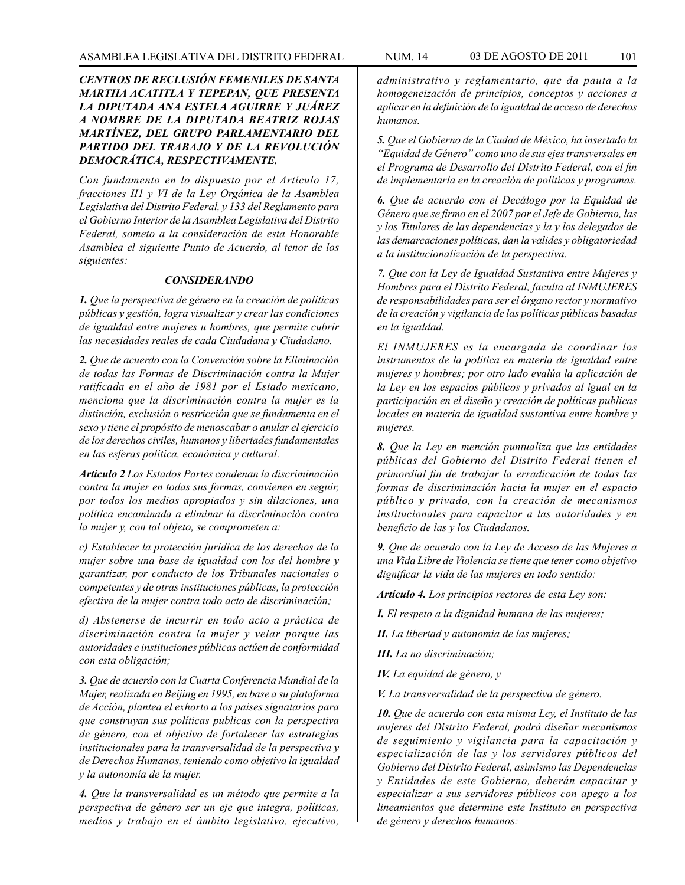# *CENTROS DE RECLUSIÓN FEMENILES DE SANTA MARTHA ACATITLA Y TEPEPAN, QUE PRESENTA LA DIPUTADA ANA ESTELA AGUIRRE Y JUÁREZ A NOMBRE DE LA DIPUTADA BEATRIZ ROJAS MARTÍNEZ, DEL GRUPO PARLAMENTARIO DEL PARTIDO DEL TRABAJO Y DE LA REVOLUCIÓN DEMOCRÁTICA, RESPECTIVAMENTE.*

*Con fundamento en lo dispuesto por el Artículo 17, fracciones II1 y VI de la Ley Orgánica de la Asamblea Legislativa del Distrito Federal, y 133 del Reglamento para el Gobierno Interior de la Asamblea Legislativa del Distrito Federal, someto a la consideración de esta Honorable Asamblea el siguiente Punto de Acuerdo, al tenor de los siguientes:*

### *CONSIDERANDO*

*1. Que la perspectiva de género en la creación de políticas públicas y gestión, logra visualizar y crear las condiciones de igualdad entre mujeres u hombres, que permite cubrir las necesidades reales de cada Ciudadana y Ciudadano.*

*2. Que de acuerdo con la Convención sobre la Eliminación de todas las Formas de Discriminación contra la Mujer ratificada en el año de 1981 por el Estado mexicano, menciona que la discriminación contra la mujer es la distinción, exclusión o restricción que se fundamenta en el sexo y tiene el propósito de menoscabar o anular el ejercicio de los derechos civiles, humanos y libertades fundamentales en las esferas política, económica y cultural.*

*Artículo 2 Los Estados Partes condenan la discriminación contra la mujer en todas sus formas, convienen en seguir, por todos los medios apropiados y sin dilaciones, una política encaminada a eliminar la discriminación contra la mujer y, con tal objeto, se comprometen a:* 

*c) Establecer la protección jurídica de los derechos de la mujer sobre una base de igualdad con los del hombre y garantizar, por conducto de los Tribunales nacionales o competentes y de otras instituciones públicas, la protección efectiva de la mujer contra todo acto de discriminación;*

*d) Abstenerse de incurrir en todo acto a práctica de discriminación contra la mujer y velar porque las autoridades e instituciones públicas actúen de conformidad con esta obligación;*

*3. Que de acuerdo con la Cuarta Conferencia Mundial de la Mujer, realizada en Beijing en 1995, en base a su plataforma de Acción, plantea el exhorto a los países signatarios para que construyan sus políticas publicas con la perspectiva de género, con el objetivo de fortalecer las estrategias institucionales para la transversalidad de la perspectiva y de Derechos Humanos, teniendo como objetivo la igualdad y la autonomía de la mujer.*

*4. Que la transversalidad es un método que permite a la perspectiva de género ser un eje que integra, políticas, medios y trabajo en el ámbito legislativo, ejecutivo,* 

*administrativo y reglamentario, que da pauta a la homogeneización de principios, conceptos y acciones a aplicar en la definición de la igualdad de acceso de derechos humanos.*

*5. Que el Gobierno de la Ciudad de México, ha insertado la "Equidad de Género" como uno de sus ejes transversales en el Programa de Desarrollo del Distrito Federal, con el fin de implementarla en la creación de políticas y programas.*

*6. Que de acuerdo con el Decálogo por la Equidad de Género que se firmo en el 2007 por el Jefe de Gobierno, las y los Titulares de las dependencias y la y los delegados de las demarcaciones políticas, dan la valides y obligatoriedad a la institucionalización de la perspectiva.*

*7. Que con la Ley de Igualdad Sustantiva entre Mujeres y Hombres para el Distrito Federal, faculta al INMUJERES de responsabilidades para ser el órgano rector y normativo de la creación y vigilancia de las políticas públicas basadas en la igualdad.* 

*El INMUJERES es la encargada de coordinar los instrumentos de la política en materia de igualdad entre mujeres y hombres; por otro lado evalúa la aplicación de la Ley en los espacios públicos y privados al igual en la participación en el diseño y creación de políticas publicas locales en materia de igualdad sustantiva entre hombre y mujeres.*

*8. Que la Ley en mención puntualiza que las entidades públicas del Gobierno del Distrito Federal tienen el primordial fin de trabajar la erradicación de todas las formas de discriminación hacia la mujer en el espacio público y privado, con la creación de mecanismos institucionales para capacitar a las autoridades y en beneficio de las y los Ciudadanos.*

*9. Que de acuerdo con la Ley de Acceso de las Mujeres a una Vida Libre de Violencia se tiene que tener como objetivo dignificar la vida de las mujeres en todo sentido:*

*Artículo 4. Los principios rectores de esta Ley son:*

*I. El respeto a la dignidad humana de las mujeres;*

*II. La libertad y autonomía de las mujeres;*

*III. La no discriminación;*

*IV. La equidad de género, y*

*V. La transversalidad de la perspectiva de género.*

*10. Que de acuerdo con esta misma Ley, el Instituto de las mujeres del Distrito Federal, podrá diseñar mecanismos de seguimiento y vigilancia para la capacitación y especialización de las y los servidores públicos del Gobierno del Distrito Federal, asimismo las Dependencias y Entidades de este Gobierno, deberán capacitar y especializar a sus servidores públicos con apego a los lineamientos que determine este Instituto en perspectiva de género y derechos humanos:*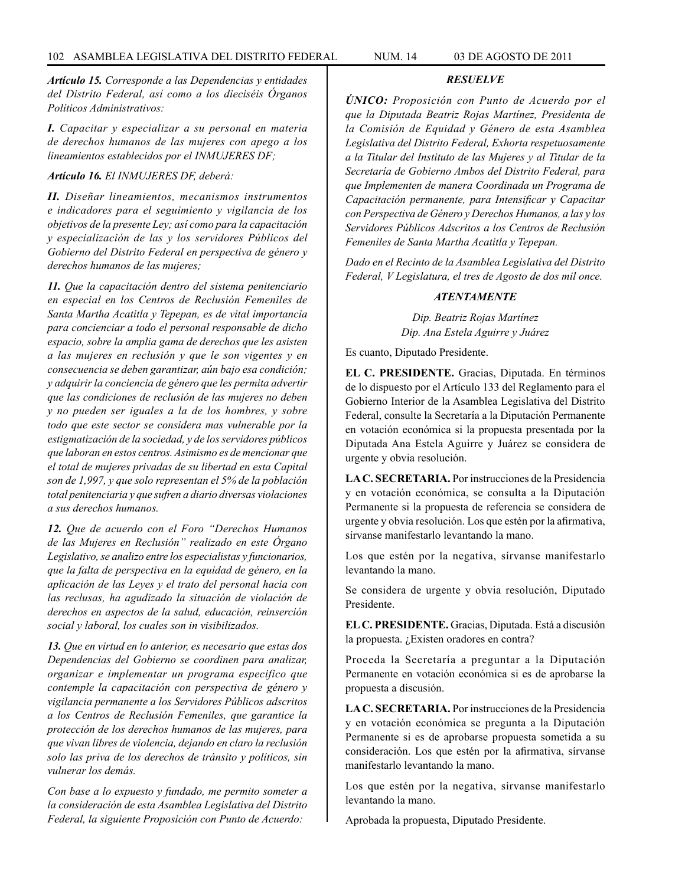*Artículo 15. Corresponde a las Dependencias y entidades del Distrito Federal, así como a los dieciséis Órganos Políticos Administrativos:*

*I. Capacitar y especializar a su personal en materia de derechos humanos de las mujeres con apego a los lineamientos establecidos por el INMUJERES DF;*

*Artículo 16. El INMUJERES DF, deberá:* 

*II. Diseñar lineamientos, mecanismos instrumentos e indicadores para el seguimiento y vigilancia de los objetivos de la presente Ley; así como para la capacitación y especialización de las y los servidores Públicos del Gobierno del Distrito Federal en perspectiva de género y derechos humanos de las mujeres;*

*11. Que la capacitación dentro del sistema penitenciario en especial en los Centros de Reclusión Femeniles de Santa Martha Acatitla y Tepepan, es de vital importancia para concienciar a todo el personal responsable de dicho espacio, sobre la amplia gama de derechos que les asisten a las mujeres en reclusión y que le son vigentes y en consecuencia se deben garantizar, aún bajo esa condición; y adquirir la conciencia de género que les permita advertir que las condiciones de reclusión de las mujeres no deben y no pueden ser iguales a la de los hombres, y sobre todo que este sector se considera mas vulnerable por la estigmatización de la sociedad, y de los servidores públicos que laboran en estos centros. Asimismo es de mencionar que el total de mujeres privadas de su libertad en esta Capital son de 1,997, y que solo representan el 5% de la población total penitenciaria y que sufren a diario diversas violaciones a sus derechos humanos.*

*12. Que de acuerdo con el Foro "Derechos Humanos de las Mujeres en Reclusión" realizado en este Órgano Legislativo, se analizo entre los especialistas y funcionarios, que la falta de perspectiva en la equidad de género, en la aplicación de las Leyes y el trato del personal hacia con las reclusas, ha agudizado la situación de violación de derechos en aspectos de la salud, educación, reinserción social y laboral, los cuales son in visibilizados.*

*13. Que en virtud en lo anterior, es necesario que estas dos Dependencias del Gobierno se coordinen para analizar, organizar e implementar un programa especifico que contemple la capacitación con perspectiva de género y vigilancia permanente a los Servidores Públicos adscritos a los Centros de Reclusión Femeniles, que garantice la protección de los derechos humanos de las mujeres, para que vivan libres de violencia, dejando en claro la reclusión solo las priva de los derechos de tránsito y políticos, sin vulnerar los demás.*

*Con base a lo expuesto y fundado, me permito someter a la consideración de esta Asamblea Legislativa del Distrito Federal, la siguiente Proposición con Punto de Acuerdo:*

### *RESUELVE*

*ÚNICO: Proposición con Punto de Acuerdo por el que la Diputada Beatriz Rojas Martínez, Presidenta de la Comisión de Equidad y Género de esta Asamblea Legislativa del Distrito Federal, Exhorta respetuosamente a la Titular del Instituto de las Mujeres y al Titular de la Secretaría de Gobierno Ambos del Distrito Federal, para que Implementen de manera Coordinada un Programa de Capacitación permanente, para Intensificar y Capacitar con Perspectiva de Género y Derechos Humanos, a las y los Servidores Públicos Adscritos a los Centros de Reclusión Femeniles de Santa Martha Acatitla y Tepepan.*

*Dado en el Recinto de la Asamblea Legislativa del Distrito Federal, V Legislatura, el tres de Agosto de dos mil once.*

#### *ATENTAMENTE*

*Dip. Beatriz Rojas Martínez Dip. Ana Estela Aguirre y Juárez*

Es cuanto, Diputado Presidente.

**EL C. PRESIDENTE.** Gracias, Diputada. En términos de lo dispuesto por el Artículo 133 del Reglamento para el Gobierno Interior de la Asamblea Legislativa del Distrito Federal, consulte la Secretaría a la Diputación Permanente en votación económica si la propuesta presentada por la Diputada Ana Estela Aguirre y Juárez se considera de urgente y obvia resolución.

**LA C. SECRETARIA.** Por instrucciones de la Presidencia y en votación económica, se consulta a la Diputación Permanente si la propuesta de referencia se considera de urgente y obvia resolución. Los que estén por la afirmativa, sírvanse manifestarlo levantando la mano.

Los que estén por la negativa, sírvanse manifestarlo levantando la mano.

Se considera de urgente y obvia resolución, Diputado Presidente.

**EL C. PRESIDENTE.** Gracias, Diputada. Está a discusión la propuesta. ¿Existen oradores en contra?

Proceda la Secretaría a preguntar a la Diputación Permanente en votación económica si es de aprobarse la propuesta a discusión.

**LA C. SECRETARIA.** Por instrucciones de la Presidencia y en votación económica se pregunta a la Diputación Permanente si es de aprobarse propuesta sometida a su consideración. Los que estén por la afirmativa, sírvanse manifestarlo levantando la mano.

Los que estén por la negativa, sírvanse manifestarlo levantando la mano.

Aprobada la propuesta, Diputado Presidente.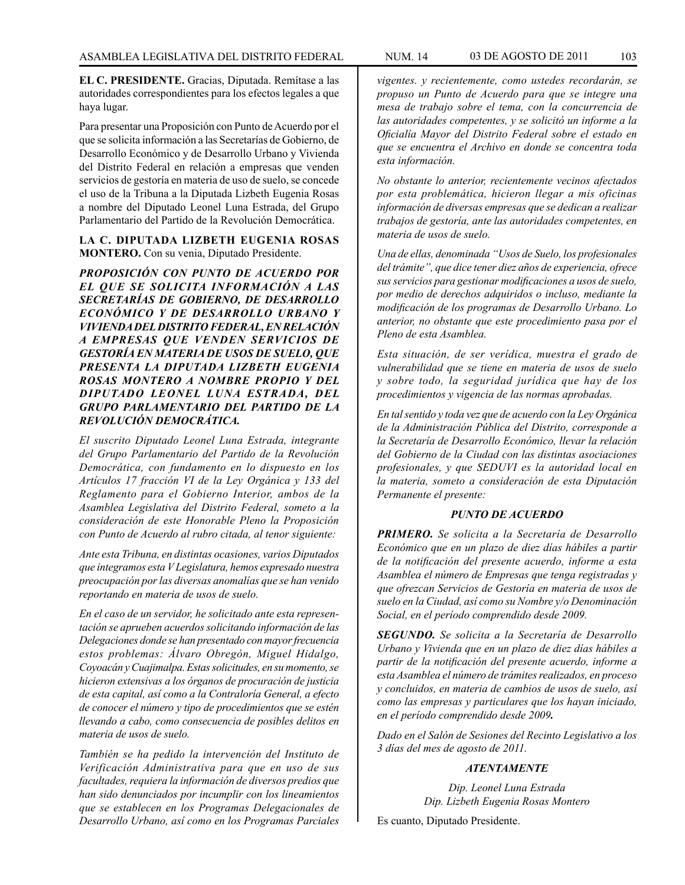**EL C. PRESIDENTE.** Gracias, Diputada. Remítase a las autoridades correspondientes para los efectos legales a que haya lugar.

Para presentar una Proposición con Punto de Acuerdo por el que se solicita información a las Secretarías de Gobierno, de Desarrollo Económico y de Desarrollo Urbano y Vivienda del Distrito Federal en relación a empresas que venden servicios de gestoría en materia de uso de suelo, se concede el uso de la Tribuna a la Diputada Lizbeth Eugenia Rosas a nombre del Diputado Leonel Luna Estrada, del Grupo Parlamentario del Partido de la Revolución Democrática.

# **LA C. DIPUTADA LIZBETH EUGENIA ROSAS MONTERO.** Con su venia, Diputado Presidente.

*PROPOSICIÓN CON PUNTO DE ACUERDO POR EL QUE SE SOLICITA INFORMACIÓN A LAS SECRETARÍAS DE GOBIERNO, DE DESARROLLO ECONÓMICO Y DE DESARROLLO URBANO Y VIVIENDA DEL DISTRITO FEDERAL, EN RELACIÓN A EMPRESAS QUE VENDEN SERVICIOS DE GESTORÍA EN MATERIA DE USOS DE SUELO, QUE PRESENTA LA DIPUTADA LIZBETH EUGENIA ROSAS MONTERO A NOMBRE PROPIO Y DEL DIPUTADO LEONEL LUNA ESTRADA, DEL GRUPO PARLAMENTARIO DEL PARTIDO DE LA REVOLUCIÓN DEMOCRÁTICA.*

*El suscrito Diputado Leonel Luna Estrada, integrante del Grupo Parlamentario del Partido de la Revolución Democrática, con fundamento en lo dispuesto en los Artículos 17 fracción VI de la Ley Orgánica y 133 del Reglamento para el Gobierno Interior, ambos de la Asamblea Legislativa del Distrito Federal, someto a la consideración de este Honorable Pleno la Proposición con Punto de Acuerdo al rubro citada, al tenor siguiente:*

*Ante esta Tribuna, en distintas ocasiones, varios Diputados que integramos esta V Legislatura, hemos expresado nuestra preocupación por las diversas anomalías que se han venido reportando en materia de usos de suelo.*

*En el caso de un servidor, he solicitado ante esta representación se aprueben acuerdos solicitando información de las Delegaciones donde se han presentado con mayor frecuencia estos problemas: Álvaro Obregón, Miguel Hidalgo, Coyoacán y Cuajimalpa. Estas solicitudes, en su momento, se hicieron extensivas a los órganos de procuración de justicia de esta capital, así como a la Contraloría General, a efecto de conocer el número y tipo de procedimientos que se estén llevando a cabo, como consecuencia de posibles delitos en materia de usos de suelo.*

*También se ha pedido la intervención del Instituto de Verificación Administrativa para que en uso de sus facultades, requiera la información de diversos predios que han sido denunciados por incumplir con los lineamientos que se establecen en los Programas Delegacionales de Desarrollo Urbano, así como en los Programas Parciales* 

*vigentes. y recientemente, como ustedes recordarán, se propuso un Punto de Acuerdo para que se integre una mesa de trabajo sobre el tema, con la concurrencia de las autoridades competentes, y se solicitó un informe a la Oficialía Mayor del Distrito Federal sobre el estado en que se encuentra el Archivo en donde se concentra toda esta información.*

*No obstante lo anterior, recientemente vecinos afectados por esta problemática, hicieron llegar a mis oficinas información de diversas empresas que se dedican a realizar trabajos de gestoría, ante las autoridades competentes, en materia de usos de suelo.*

*Una de ellas, denominada "Usos de Suelo, los profesionales del trámite", que dice tener diez años de experiencia, ofrece sus servicios para gestionar modificaciones a usos de suelo, por medio de derechos adquiridos o incluso, mediante la modificación de los programas de Desarrollo Urbano. Lo anterior, no obstante que este procedimiento pasa por el Pleno de esta Asamblea.*

*Esta situación, de ser verídica, muestra el grado de vulnerabilidad que se tiene en materia de usos de suelo y sobre todo, la seguridad jurídica que hay de los procedimientos y vigencia de las normas aprobadas.*

*En tal sentido y toda vez que de acuerdo con la Ley Orgánica de la Administración Pública del Distrito, corresponde a la Secretaría de Desarrollo Económico, llevar la relación del Gobierno de la Ciudad con las distintas asociaciones profesionales, y que SEDUVI es la autoridad local en la materia, someto a consideración de esta Diputación Permanente el presente:*

### *PUNTO DE ACUERDO*

*PRIMERO. Se solicita a la Secretaría de Desarrollo Económico que en un plazo de diez días hábiles a partir de la notificación del presente acuerdo, informe a esta Asamblea el número de Empresas que tenga registradas y que ofrezcan Servicios de Gestoría en materia de usos de suelo en la Ciudad, así como su Nombre y/o Denominación Social, en el período comprendido desde 2009.*

*SEGUNDO. Se solicita a la Secretaría de Desarrollo Urbano y Vivienda que en un plazo de diez días hábiles a partir de la notificación del presente acuerdo, informe a esta Asamblea el número de trámites realizados, en proceso y concluidos, en materia de cambios de usos de suelo, así como las empresas y particulares que los hayan iniciado, en el período comprendido desde 2009.*

*Dado en el Salón de Sesiones del Recinto Legislativo a los 3 días del mes de agosto de 2011.*

# *ATENTAMENTE*

*Dip. Leonel Luna Estrada Dip. Lizbeth Eugenia Rosas Montero*

Es cuanto, Diputado Presidente.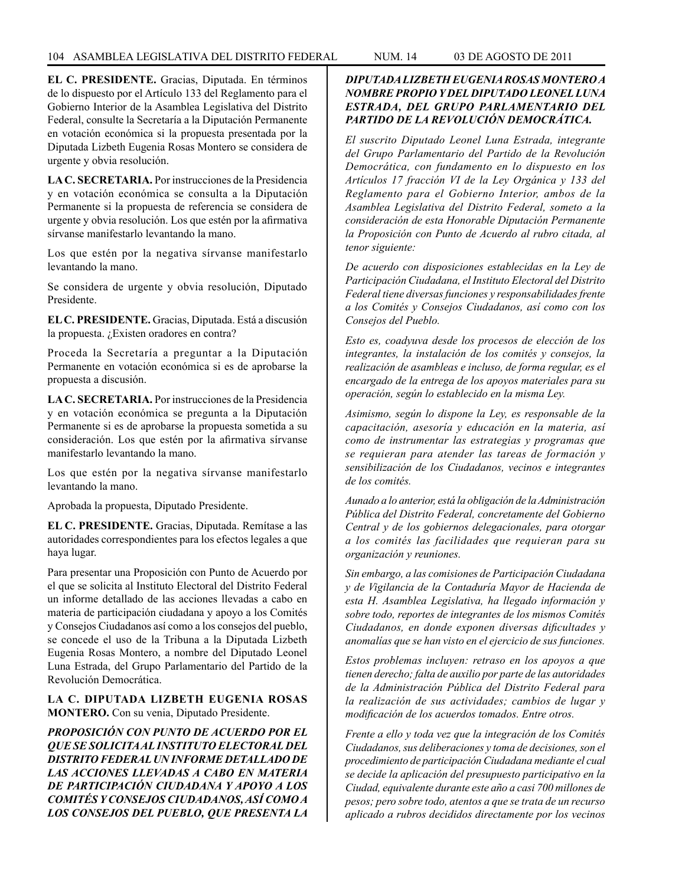**EL C. PRESIDENTE.** Gracias, Diputada. En términos de lo dispuesto por el Artículo 133 del Reglamento para el Gobierno Interior de la Asamblea Legislativa del Distrito Federal, consulte la Secretaría a la Diputación Permanente en votación económica si la propuesta presentada por la Diputada Lizbeth Eugenia Rosas Montero se considera de urgente y obvia resolución.

**LA C. SECRETARIA.** Por instrucciones de la Presidencia y en votación económica se consulta a la Diputación Permanente si la propuesta de referencia se considera de urgente y obvia resolución. Los que estén por la afirmativa sírvanse manifestarlo levantando la mano.

Los que estén por la negativa sírvanse manifestarlo levantando la mano.

Se considera de urgente y obvia resolución, Diputado Presidente.

**EL C. PRESIDENTE.** Gracias, Diputada. Está a discusión la propuesta. ¿Existen oradores en contra?

Proceda la Secretaría a preguntar a la Diputación Permanente en votación económica si es de aprobarse la propuesta a discusión.

**LA C. SECRETARIA.** Por instrucciones de la Presidencia y en votación económica se pregunta a la Diputación Permanente si es de aprobarse la propuesta sometida a su consideración. Los que estén por la afirmativa sírvanse manifestarlo levantando la mano.

Los que estén por la negativa sírvanse manifestarlo levantando la mano.

Aprobada la propuesta, Diputado Presidente.

**EL C. PRESIDENTE.** Gracias, Diputada. Remítase a las autoridades correspondientes para los efectos legales a que haya lugar.

Para presentar una Proposición con Punto de Acuerdo por el que se solicita al Instituto Electoral del Distrito Federal un informe detallado de las acciones llevadas a cabo en materia de participación ciudadana y apoyo a los Comités y Consejos Ciudadanos así como a los consejos del pueblo, se concede el uso de la Tribuna a la Diputada Lizbeth Eugenia Rosas Montero, a nombre del Diputado Leonel Luna Estrada, del Grupo Parlamentario del Partido de la Revolución Democrática.

# **LA C. DIPUTADA LIZBETH EUGENIA ROSAS MONTERO.** Con su venia, Diputado Presidente.

*PROPOSICIÓN CON PUNTO DE ACUERDO POR EL QUE SE SOLICITA AL INSTITUTO ELECTORAL DEL DISTRITO FEDERAL UN INFORME DETALLADO DE LAS ACCIONES LLEVADAS A CABO EN MATERIA DE PARTICIPACIÓN CIUDADANA Y APOYO A LOS COMITÉS Y CONSEJOS CIUDADANOS, ASÍ COMO A LOS CONSEJOS DEL PUEBLO, QUE PRESENTA LA* 

# *DIPUTADA LIZBETH EUGENIA ROSAS MONTERO A NOMBRE PROPIO Y DEL DIPUTADO LEONEL LUNA ESTRADA, DEL GRUPO PARLAMENTARIO DEL PARTIDO DE LA REVOLUCIÓN DEMOCRÁTICA.*

*El suscrito Diputado Leonel Luna Estrada, integrante del Grupo Parlamentario del Partido de la Revolución Democrática, con fundamento en lo dispuesto en los Artículos 17 fracción VI de la Ley Orgánica y 133 del Reglamento para el Gobierno Interior, ambos de la Asamblea Legislativa del Distrito Federal, someto a la consideración de esta Honorable Diputación Permanente la Proposición con Punto de Acuerdo al rubro citada, al tenor siguiente:*

*De acuerdo con disposiciones establecidas en la Ley de Participación Ciudadana, el Instituto Electoral del Distrito Federal tiene diversas funciones y responsabilidades frente a los Comités y Consejos Ciudadanos, así como con los Consejos del Pueblo.*

*Esto es, coadyuva desde los procesos de elección de los integrantes, la instalación de los comités y consejos, la realización de asambleas e incluso, de forma regular, es el encargado de la entrega de los apoyos materiales para su operación, según lo establecido en la misma Ley.*

*Asimismo, según lo dispone la Ley, es responsable de la capacitación, asesoría y educación en la materia, así como de instrumentar las estrategias y programas que se requieran para atender las tareas de formación y sensibilización de los Ciudadanos, vecinos e integrantes de los comités.*

*Aunado a lo anterior, está la obligación de la Administración Pública del Distrito Federal, concretamente del Gobierno Central y de los gobiernos delegacionales, para otorgar a los comités las facilidades que requieran para su organización y reuniones.*

*Sin embargo, a las comisiones de Participación Ciudadana y de Vigilancia de la Contaduría Mayor de Hacienda de esta H. Asamblea Legislativa, ha llegado información y sobre todo, reportes de integrantes de los mismos Comités Ciudadanos, en donde exponen diversas dificultades y anomalías que se han visto en el ejercicio de sus funciones.*

*Estos problemas incluyen: retraso en los apoyos a que tienen derecho; falta de auxilio por parte de las autoridades de la Administración Pública del Distrito Federal para la realización de sus actividades; cambios de lugar y modificación de los acuerdos tomados. Entre otros.* 

*Frente a ello y toda vez que la integración de los Comités Ciudadanos, sus deliberaciones y toma de decisiones, son el procedimiento de participación Ciudadana mediante el cual se decide la aplicación del presupuesto participativo en la Ciudad, equivalente durante este año a casi 700 millones de pesos; pero sobre todo, atentos a que se trata de un recurso aplicado a rubros decididos directamente por los vecinos*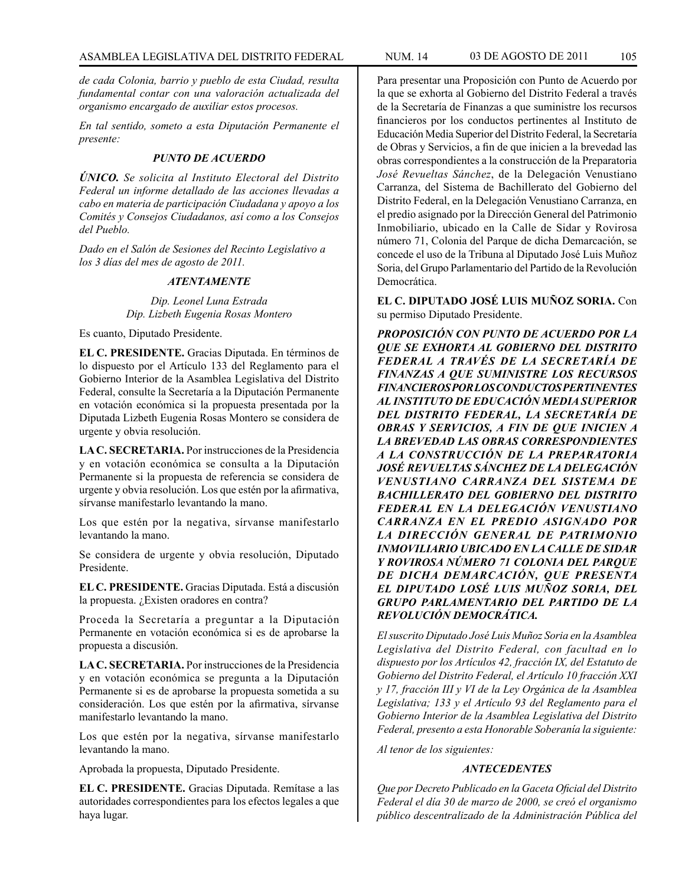*de cada Colonia, barrio y pueblo de esta Ciudad, resulta fundamental contar con una valoración actualizada del organismo encargado de auxiliar estos procesos.*

*En tal sentido, someto a esta Diputación Permanente el presente:*

### *PUNTO DE ACUERDO*

*ÚNICO. Se solicita al Instituto Electoral del Distrito Federal un informe detallado de las acciones llevadas a cabo en materia de participación Ciudadana y apoyo a los Comités y Consejos Ciudadanos, así como a los Consejos del Pueblo.*

*Dado en el Salón de Sesiones del Recinto Legislativo a los 3 días del mes de agosto de 2011.*

### *ATENTAMENTE*

*Dip. Leonel Luna Estrada Dip. Lizbeth Eugenia Rosas Montero*

Es cuanto, Diputado Presidente.

**EL C. PRESIDENTE.** Gracias Diputada. En términos de lo dispuesto por el Artículo 133 del Reglamento para el Gobierno Interior de la Asamblea Legislativa del Distrito Federal, consulte la Secretaría a la Diputación Permanente en votación económica si la propuesta presentada por la Diputada Lizbeth Eugenia Rosas Montero se considera de urgente y obvia resolución.

**LA C. SECRETARIA.** Por instrucciones de la Presidencia y en votación económica se consulta a la Diputación Permanente si la propuesta de referencia se considera de urgente y obvia resolución. Los que estén por la afirmativa, sírvanse manifestarlo levantando la mano.

Los que estén por la negativa, sírvanse manifestarlo levantando la mano.

Se considera de urgente y obvia resolución, Diputado Presidente.

**EL C. PRESIDENTE.** Gracias Diputada. Está a discusión la propuesta. ¿Existen oradores en contra?

Proceda la Secretaría a preguntar a la Diputación Permanente en votación económica si es de aprobarse la propuesta a discusión.

**LA C. SECRETARIA.** Por instrucciones de la Presidencia y en votación económica se pregunta a la Diputación Permanente si es de aprobarse la propuesta sometida a su consideración. Los que estén por la afirmativa, sírvanse manifestarlo levantando la mano.

Los que estén por la negativa, sírvanse manifestarlo levantando la mano.

Aprobada la propuesta, Diputado Presidente.

**EL C. PRESIDENTE.** Gracias Diputada. Remítase a las autoridades correspondientes para los efectos legales a que haya lugar.

Para presentar una Proposición con Punto de Acuerdo por la que se exhorta al Gobierno del Distrito Federal a través de la Secretaría de Finanzas a que suministre los recursos financieros por los conductos pertinentes al Instituto de Educación Media Superior del Distrito Federal, la Secretaría de Obras y Servicios, a fin de que inicien a la brevedad las obras correspondientes a la construcción de la Preparatoria *José Revueltas Sánchez*, de la Delegación Venustiano Carranza, del Sistema de Bachillerato del Gobierno del Distrito Federal, en la Delegación Venustiano Carranza, en el predio asignado por la Dirección General del Patrimonio Inmobiliario, ubicado en la Calle de Sidar y Rovirosa número 71, Colonia del Parque de dicha Demarcación, se concede el uso de la Tribuna al Diputado José Luis Muñoz Soria, del Grupo Parlamentario del Partido de la Revolución Democrática.

**EL C. DIPUTADO JOSÉ LUIS MUÑOZ SORIA.** Con su permiso Diputado Presidente.

*PROPOSICIÓN CON PUNTO DE ACUERDO POR LA QUE SE EXHORTA AL GOBIERNO DEL DISTRITO FEDERAL A TRAVÉS DE LA SECRETARÍA DE FINANZAS A QUE SUMINISTRE LOS RECURSOS FINANCIEROS POR LOS CONDUCTOS PERTINENTES AL INSTITUTO DE EDUCACIÓN MEDIA SUPERIOR DEL DISTRITO FEDERAL, LA SECRETARÍA DE OBRAS Y SERVICIOS, A FIN DE QUE INICIEN A LA BREVEDAD LAS OBRAS CORRESPONDIENTES A LA CONSTRUCCIÓN DE LA PREPARATORIA JOSÉ REVUELTAS SÁNCHEZ DE LA DELEGACIÓN VENUSTIANO CARRANZA DEL SISTEMA DE BACHILLERATO DEL GOBIERNO DEL DISTRITO FEDERAL EN LA DELEGACIÓN VENUSTIANO CARRANZA EN EL PREDIO ASIGNADO POR LA DIRECCIÓN GENERAL DE PATRIMONIO INMOVILIARIO UBICADO EN LA CALLE DE SIDAR Y ROVIROSA NÚMERO 71 COLONIA DEL PARQUE DE DICHA DEMARCACIÓN, QUE PRESENTA EL DIPUTADO LOSÉ LUIS MUÑOZ SORIA, DEL GRUPO PARLAMENTARIO DEL PARTIDO DE LA REVOLUCIÓN DEMOCRÁTICA.*

*El suscrito Diputado José Luis Muñoz Soria en la Asamblea Legislativa del Distrito Federal, con facultad en lo dispuesto por los Artículos 42, fracción IX, del Estatuto de Gobierno del Distrito Federal, el Artículo 10 fracción XXI y 17, fracción III y VI de la Ley Orgánica de la Asamblea Legislativa; 133 y el Artículo 93 del Reglamento para el Gobierno Interior de la Asamblea Legislativa del Distrito Federal, presento a esta Honorable Soberanía la siguiente:*

*Al tenor de los siguientes:*

### *ANTECEDENTES*

*Que por Decreto Publicado en la Gaceta Oficial del Distrito Federal el día 30 de marzo de 2000, se creó el organismo público descentralizado de la Administración Pública del*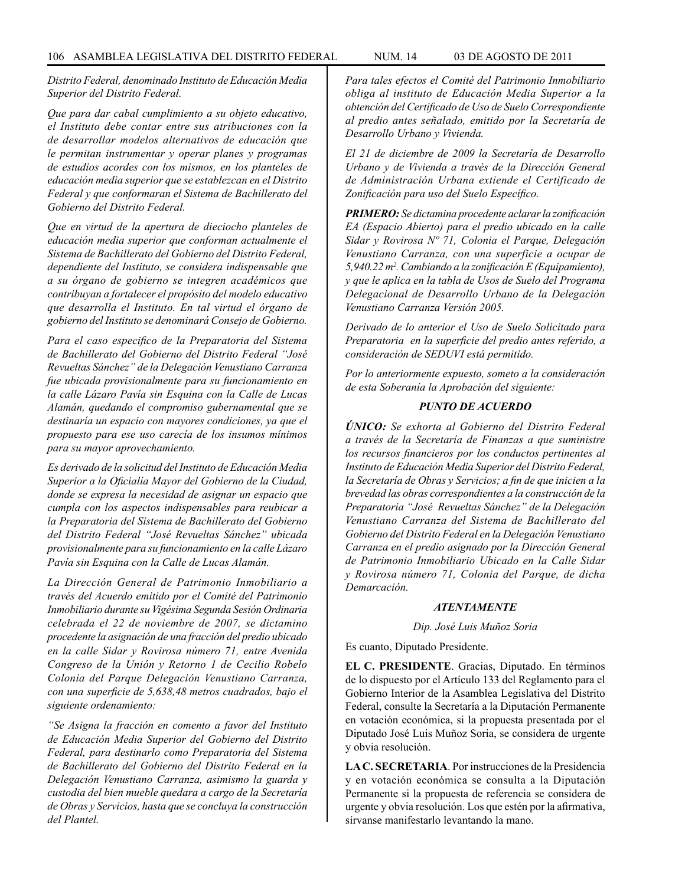*Distrito Federal, denominado Instituto de Educación Media Superior del Distrito Federal.*

*Que para dar cabal cumplimiento a su objeto educativo, el Instituto debe contar entre sus atribuciones con la de desarrollar modelos alternativos de educación que le permitan instrumentar y operar planes y programas de estudios acordes con los mismos, en los planteles de educación media superior que se establezcan en el Distrito Federal y que conformaran el Sistema de Bachillerato del Gobierno del Distrito Federal.*

*Que en virtud de la apertura de dieciocho planteles de educación media superior que conforman actualmente el Sistema de Bachillerato del Gobierno del Distrito Federal, dependiente del Instituto, se considera indispensable que a su órgano de gobierno se integren académicos que contribuyan a fortalecer el propósito del modelo educativo que desarrolla el Instituto. En tal virtud el órgano de gobierno del Instituto se denominará Consejo de Gobierno.*

*Para el caso especifico de la Preparatoria del Sistema de Bachillerato del Gobierno del Distrito Federal "José Revueltas Sánchez" de la Delegación Venustiano Carranza fue ubicada provisionalmente para su funcionamiento en la calle Lázaro Pavía sin Esquina con la Calle de Lucas Alamán, quedando el compromiso gubernamental que se destinaría un espacio con mayores condiciones, ya que el propuesto para ese uso carecía de los insumos mínimos para su mayor aprovechamiento.*

*Es derivado de la solicitud del Instituto de Educación Media Superior a la Oficialía Mayor del Gobierno de la Ciudad, donde se expresa la necesidad de asignar un espacio que cumpla con los aspectos indispensables para reubicar a la Preparatoria del Sistema de Bachillerato del Gobierno del Distrito Federal "José Revueltas Sánchez" ubicada provisionalmente para su funcionamiento en la calle Lázaro Pavía sin Esquina con la Calle de Lucas Alamán.*

*La Dirección General de Patrimonio Inmobiliario a través del Acuerdo emitido por el Comité del Patrimonio Inmobiliario durante su Vigésima Segunda Sesión Ordinaria celebrada el 22 de noviembre de 2007, se dictamino procedente la asignación de una fracción del predio ubicado en la calle Sidar y Rovirosa número 71, entre Avenida Congreso de la Unión y Retorno 1 de Cecilio Robelo Colonia del Parque Delegación Venustiano Carranza, con una superficie de 5,638,48 metros cuadrados, bajo el siguiente ordenamiento:* 

*"Se Asigna la fracción en comento a favor del Instituto de Educación Media Superior del Gobierno del Distrito Federal, para destinarlo como Preparatoria del Sistema de Bachillerato del Gobierno del Distrito Federal en la Delegación Venustiano Carranza, asimismo la guarda y custodia del bien mueble quedara a cargo de la Secretaría de Obras y Servicios, hasta que se concluya la construcción del Plantel.*

*Para tales efectos el Comité del Patrimonio Inmobiliario obliga al instituto de Educación Media Superior a la obtención del Certificado de Uso de Suelo Correspondiente al predio antes señalado, emitido por la Secretaría de Desarrollo Urbano y Vivienda.* 

*El 21 de diciembre de 2009 la Secretaría de Desarrollo Urbano y de Vivienda a través de la Dirección General de Administración Urbana extiende el Certificado de Zonificación para uso del Suelo Específico.*

*PRIMERO: Se dictamina procedente aclarar la zonificación EA (Espacio Abierto) para el predio ubicado en la calle Sidar y Rovirosa Nº 71, Colonia el Parque, Delegación Venustiano Carranza, con una superficie a ocupar de 5,940.22 m2 . Cambiando a la zonificación E (Equipamiento), y que le aplica en la tabla de Usos de Suelo del Programa Delegacional de Desarrollo Urbano de la Delegación Venustiano Carranza Versión 2005.*

*Derivado de lo anterior el Uso de Suelo Solicitado para Preparatoria en la superficie del predio antes referido, a consideración de SEDUVI está permitido.*

*Por lo anteriormente expuesto, someto a la consideración de esta Soberanía la Aprobación del siguiente:*

# *PUNTO DE ACUERDO*

*ÚNICO: Se exhorta al Gobierno del Distrito Federal a través de la Secretaría de Finanzas a que suministre los recursos financieros por los conductos pertinentes al Instituto de Educación Media Superior del Distrito Federal, la Secretaría de Obras y Servicios; a fin de que inicien a la brevedad las obras correspondientes a la construcción de la Preparatoria "José Revueltas Sánchez" de la Delegación Venustiano Carranza del Sistema de Bachillerato del Gobierno del Distrito Federal en la Delegación Venustiano Carranza en el predio asignado por la Dirección General de Patrimonio Inmobiliario Ubicado en la Calle Sidar y Rovirosa número 71, Colonia del Parque, de dicha Demarcación.*

#### *ATENTAMENTE*

#### *Dip. José Luis Muñoz Soria*

Es cuanto, Diputado Presidente.

**EL C. PRESIDENTE**. Gracias, Diputado. En términos de lo dispuesto por el Artículo 133 del Reglamento para el Gobierno Interior de la Asamblea Legislativa del Distrito Federal, consulte la Secretaría a la Diputación Permanente en votación económica, si la propuesta presentada por el Diputado José Luis Muñoz Soria, se considera de urgente y obvia resolución.

**LA C. SECRETARIA**. Por instrucciones de la Presidencia y en votación económica se consulta a la Diputación Permanente si la propuesta de referencia se considera de urgente y obvia resolución. Los que estén por la afirmativa, sírvanse manifestarlo levantando la mano.